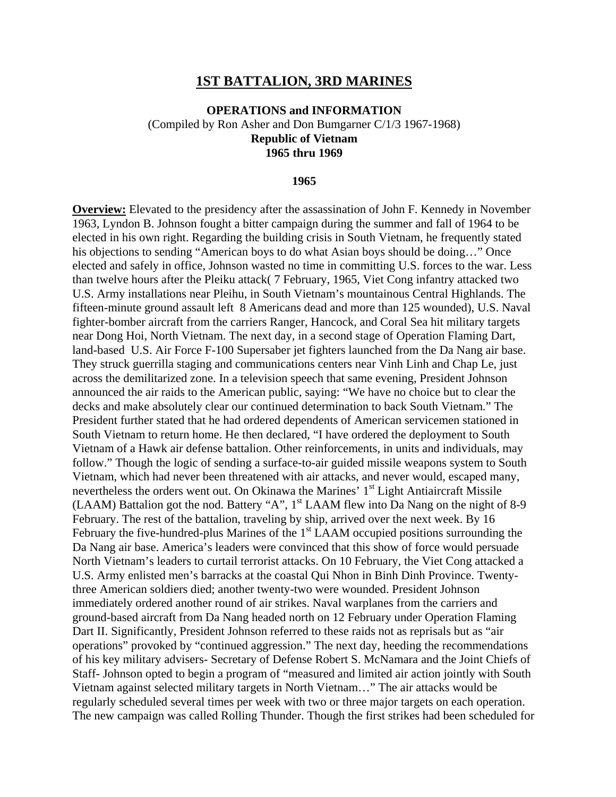#### **1ST BATTALION, 3RD MARINES**

# **OPERATIONS and INFORMATION**  (Compiled by Ron Asher and Don Bumgarner C/1/3 1967-1968) **Republic of Vietnam 1965 thru 1969**

#### **1965**

**Overview:** Elevated to the presidency after the assassination of John F. Kennedy in November 1963, Lyndon B. Johnson fought a bitter campaign during the summer and fall of 1964 to be elected in his own right. Regarding the building crisis in South Vietnam, he frequently stated his objections to sending "American boys to do what Asian boys should be doing..." Once elected and safely in office, Johnson wasted no time in committing U.S. forces to the war. Less than twelve hours after the Pleiku attack( 7 February, 1965, Viet Cong infantry attacked two U.S. Army installations near Pleihu, in South Vietnam's mountainous Central Highlands. The fifteen-minute ground assault left 8 Americans dead and more than 125 wounded), U.S. Naval fighter-bomber aircraft from the carriers Ranger, Hancock, and Coral Sea hit military targets near Dong Hoi, North Vietnam. The next day, in a second stage of Operation Flaming Dart, land-based U.S. Air Force F-100 Supersaber jet fighters launched from the Da Nang air base. They struck guerrilla staging and communications centers near Vinh Linh and Chap Le, just across the demilitarized zone. In a television speech that same evening, President Johnson announced the air raids to the American public, saying: "We have no choice but to clear the decks and make absolutely clear our continued determination to back South Vietnam." The President further stated that he had ordered dependents of American servicemen stationed in South Vietnam to return home. He then declared, "I have ordered the deployment to South Vietnam of a Hawk air defense battalion. Other reinforcements, in units and individuals, may follow." Though the logic of sending a surface-to-air guided missile weapons system to South Vietnam, which had never been threatened with air attacks, and never would, escaped many, nevertheless the orders went out. On Okinawa the Marines'  $1<sup>st</sup>$  Light Antiaircraft Missile (LAAM) Battalion got the nod. Battery "A",  $1<sup>st</sup>$  LAAM flew into Da Nang on the night of 8-9 February. The rest of the battalion, traveling by ship, arrived over the next week. By 16 February the five-hundred-plus Marines of the  $1<sup>st</sup>$  LAAM occupied positions surrounding the Da Nang air base. America's leaders were convinced that this show of force would persuade North Vietnam's leaders to curtail terrorist attacks. On 10 February, the Viet Cong attacked a U.S. Army enlisted men's barracks at the coastal Qui Nhon in Binh Dinh Province. Twentythree American soldiers died; another twenty-two were wounded. President Johnson immediately ordered another round of air strikes. Naval warplanes from the carriers and ground-based aircraft from Da Nang headed north on 12 February under Operation Flaming Dart II. Significantly, President Johnson referred to these raids not as reprisals but as "air operations" provoked by "continued aggression." The next day, heeding the recommendations of his key military advisers- Secretary of Defense Robert S. McNamara and the Joint Chiefs of Staff- Johnson opted to begin a program of "measured and limited air action jointly with South Vietnam against selected military targets in North Vietnam…" The air attacks would be regularly scheduled several times per week with two or three major targets on each operation. The new campaign was called Rolling Thunder. Though the first strikes had been scheduled for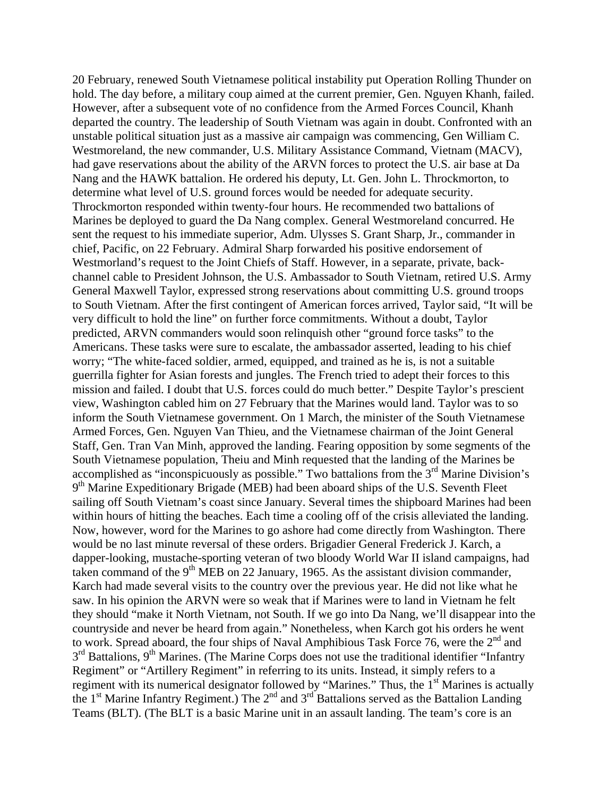20 February, renewed South Vietnamese political instability put Operation Rolling Thunder on hold. The day before, a military coup aimed at the current premier, Gen. Nguyen Khanh, failed. However, after a subsequent vote of no confidence from the Armed Forces Council, Khanh departed the country. The leadership of South Vietnam was again in doubt. Confronted with an unstable political situation just as a massive air campaign was commencing, Gen William C. Westmoreland, the new commander, U.S. Military Assistance Command, Vietnam (MACV), had gave reservations about the ability of the ARVN forces to protect the U.S. air base at Da Nang and the HAWK battalion. He ordered his deputy, Lt. Gen. John L. Throckmorton, to determine what level of U.S. ground forces would be needed for adequate security. Throckmorton responded within twenty-four hours. He recommended two battalions of Marines be deployed to guard the Da Nang complex. General Westmoreland concurred. He sent the request to his immediate superior, Adm. Ulysses S. Grant Sharp, Jr., commander in chief, Pacific, on 22 February. Admiral Sharp forwarded his positive endorsement of Westmorland's request to the Joint Chiefs of Staff. However, in a separate, private, backchannel cable to President Johnson, the U.S. Ambassador to South Vietnam, retired U.S. Army General Maxwell Taylor, expressed strong reservations about committing U.S. ground troops to South Vietnam. After the first contingent of American forces arrived, Taylor said, "It will be very difficult to hold the line" on further force commitments. Without a doubt, Taylor predicted, ARVN commanders would soon relinquish other "ground force tasks" to the Americans. These tasks were sure to escalate, the ambassador asserted, leading to his chief worry; "The white-faced soldier, armed, equipped, and trained as he is, is not a suitable guerrilla fighter for Asian forests and jungles. The French tried to adept their forces to this mission and failed. I doubt that U.S. forces could do much better." Despite Taylor's prescient view, Washington cabled him on 27 February that the Marines would land. Taylor was to so inform the South Vietnamese government. On 1 March, the minister of the South Vietnamese Armed Forces, Gen. Nguyen Van Thieu, and the Vietnamese chairman of the Joint General Staff, Gen. Tran Van Minh, approved the landing. Fearing opposition by some segments of the South Vietnamese population, Theiu and Minh requested that the landing of the Marines be accomplished as "inconspicuously as possible." Two battalions from the  $3<sup>rd</sup>$  Marine Division's  $9<sup>th</sup>$  Marine Expeditionary Brigade (MEB) had been aboard ships of the U.S. Seventh Fleet sailing off South Vietnam's coast since January. Several times the shipboard Marines had been within hours of hitting the beaches. Each time a cooling off of the crisis alleviated the landing. Now, however, word for the Marines to go ashore had come directly from Washington. There would be no last minute reversal of these orders. Brigadier General Frederick J. Karch, a dapper-looking, mustache-sporting veteran of two bloody World War II island campaigns, had taken command of the 9<sup>th</sup> MEB on 22 January, 1965. As the assistant division commander, Karch had made several visits to the country over the previous year. He did not like what he saw. In his opinion the ARVN were so weak that if Marines were to land in Vietnam he felt they should "make it North Vietnam, not South. If we go into Da Nang, we'll disappear into the countryside and never be heard from again." Nonetheless, when Karch got his orders he went to work. Spread aboard, the four ships of Naval Amphibious Task Force 76, were the  $2<sup>nd</sup>$  and 3<sup>rd</sup> Battalions, 9<sup>th</sup> Marines. (The Marine Corps does not use the traditional identifier "Infantry") Regiment" or "Artillery Regiment" in referring to its units. Instead, it simply refers to a regiment with its numerical designator followed by "Marines." Thus, the  $1<sup>st</sup>$  Marines is actually the  $1<sup>st</sup>$  Marine Infantry Regiment.) The  $2<sup>nd</sup>$  and  $3<sup>rd</sup>$  Battalions served as the Battalion Landing Teams (BLT). (The BLT is a basic Marine unit in an assault landing. The team's core is an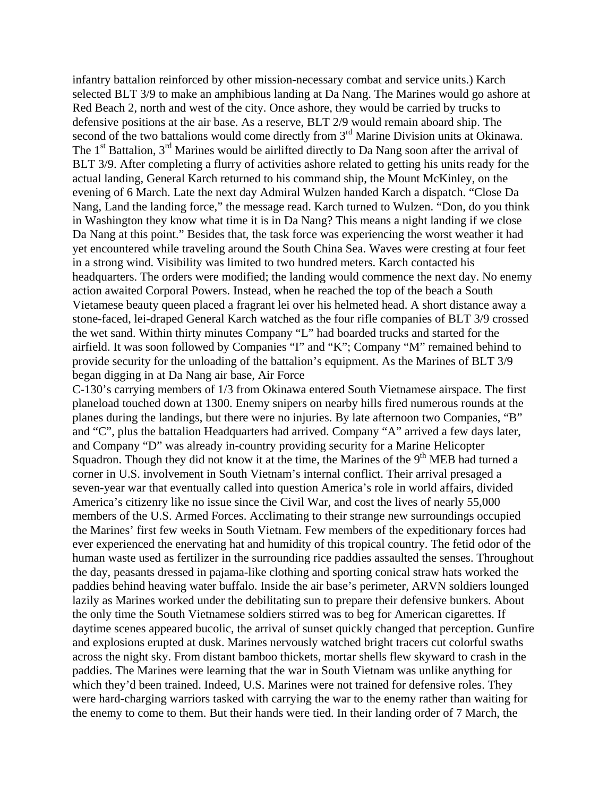infantry battalion reinforced by other mission-necessary combat and service units.) Karch selected BLT 3/9 to make an amphibious landing at Da Nang. The Marines would go ashore at Red Beach 2, north and west of the city. Once ashore, they would be carried by trucks to defensive positions at the air base. As a reserve, BLT 2/9 would remain aboard ship. The second of the two battalions would come directly from  $3<sup>rd</sup>$  Marine Division units at Okinawa. The  $1<sup>st</sup>$  Battalion,  $3<sup>rd</sup>$  Marines would be airlifted directly to Da Nang soon after the arrival of BLT 3/9. After completing a flurry of activities ashore related to getting his units ready for the actual landing, General Karch returned to his command ship, the Mount McKinley, on the evening of 6 March. Late the next day Admiral Wulzen handed Karch a dispatch. "Close Da Nang, Land the landing force," the message read. Karch turned to Wulzen. "Don, do you think in Washington they know what time it is in Da Nang? This means a night landing if we close Da Nang at this point." Besides that, the task force was experiencing the worst weather it had yet encountered while traveling around the South China Sea. Waves were cresting at four feet in a strong wind. Visibility was limited to two hundred meters. Karch contacted his headquarters. The orders were modified; the landing would commence the next day. No enemy action awaited Corporal Powers. Instead, when he reached the top of the beach a South Vietamese beauty queen placed a fragrant lei over his helmeted head. A short distance away a stone-faced, lei-draped General Karch watched as the four rifle companies of BLT 3/9 crossed the wet sand. Within thirty minutes Company "L" had boarded trucks and started for the airfield. It was soon followed by Companies "I" and "K"; Company "M" remained behind to provide security for the unloading of the battalion's equipment. As the Marines of BLT 3/9 began digging in at Da Nang air base, Air Force

C-130's carrying members of 1/3 from Okinawa entered South Vietnamese airspace. The first planeload touched down at 1300. Enemy snipers on nearby hills fired numerous rounds at the planes during the landings, but there were no injuries. By late afternoon two Companies, "B" and "C", plus the battalion Headquarters had arrived. Company "A" arrived a few days later, and Company "D" was already in-country providing security for a Marine Helicopter Squadron. Though they did not know it at the time, the Marines of the  $9<sup>th</sup>$  MEB had turned a corner in U.S. involvement in South Vietnam's internal conflict. Their arrival presaged a seven-year war that eventually called into question America's role in world affairs, divided America's citizenry like no issue since the Civil War, and cost the lives of nearly 55,000 members of the U.S. Armed Forces. Acclimating to their strange new surroundings occupied the Marines' first few weeks in South Vietnam. Few members of the expeditionary forces had ever experienced the enervating hat and humidity of this tropical country. The fetid odor of the human waste used as fertilizer in the surrounding rice paddies assaulted the senses. Throughout the day, peasants dressed in pajama-like clothing and sporting conical straw hats worked the paddies behind heaving water buffalo. Inside the air base's perimeter, ARVN soldiers lounged lazily as Marines worked under the debilitating sun to prepare their defensive bunkers. About the only time the South Vietnamese soldiers stirred was to beg for American cigarettes. If daytime scenes appeared bucolic, the arrival of sunset quickly changed that perception. Gunfire and explosions erupted at dusk. Marines nervously watched bright tracers cut colorful swaths across the night sky. From distant bamboo thickets, mortar shells flew skyward to crash in the paddies. The Marines were learning that the war in South Vietnam was unlike anything for which they'd been trained. Indeed, U.S. Marines were not trained for defensive roles. They were hard-charging warriors tasked with carrying the war to the enemy rather than waiting for the enemy to come to them. But their hands were tied. In their landing order of 7 March, the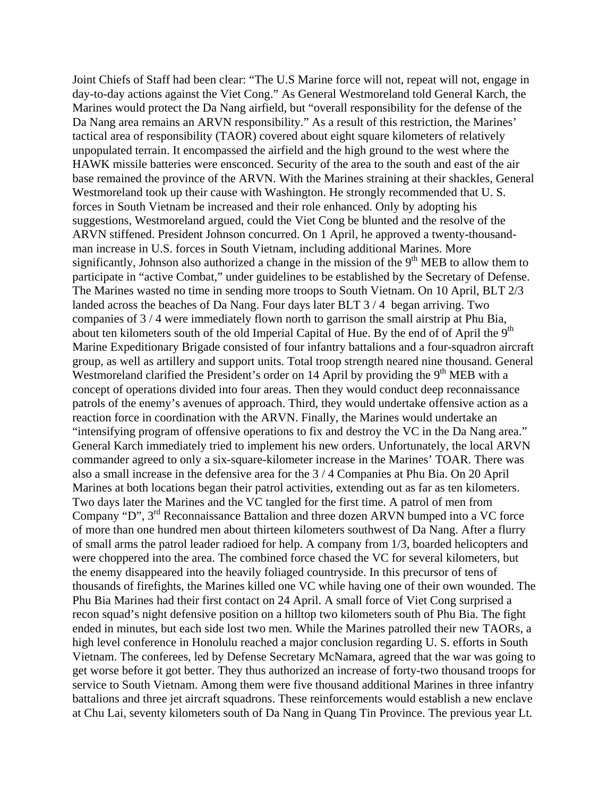Joint Chiefs of Staff had been clear: "The U.S Marine force will not, repeat will not, engage in day-to-day actions against the Viet Cong." As General Westmoreland told General Karch, the Marines would protect the Da Nang airfield, but "overall responsibility for the defense of the Da Nang area remains an ARVN responsibility." As a result of this restriction, the Marines' tactical area of responsibility (TAOR) covered about eight square kilometers of relatively unpopulated terrain. It encompassed the airfield and the high ground to the west where the HAWK missile batteries were ensconced. Security of the area to the south and east of the air base remained the province of the ARVN. With the Marines straining at their shackles, General Westmoreland took up their cause with Washington. He strongly recommended that U. S. forces in South Vietnam be increased and their role enhanced. Only by adopting his suggestions, Westmoreland argued, could the Viet Cong be blunted and the resolve of the ARVN stiffened. President Johnson concurred. On 1 April, he approved a twenty-thousandman increase in U.S. forces in South Vietnam, including additional Marines. More significantly, Johnson also authorized a change in the mission of the  $9<sup>th</sup>$  MEB to allow them to participate in "active Combat," under guidelines to be established by the Secretary of Defense. The Marines wasted no time in sending more troops to South Vietnam. On 10 April, BLT 2/3 landed across the beaches of Da Nang. Four days later BLT 3 / 4 began arriving. Two companies of 3 / 4 were immediately flown north to garrison the small airstrip at Phu Bia, about ten kilometers south of the old Imperial Capital of Hue. By the end of of April the 9<sup>th</sup> Marine Expeditionary Brigade consisted of four infantry battalions and a four-squadron aircraft group, as well as artillery and support units. Total troop strength neared nine thousand. General Westmoreland clarified the President's order on 14 April by providing the  $9<sup>th</sup>$  MEB with a concept of operations divided into four areas. Then they would conduct deep reconnaissance patrols of the enemy's avenues of approach. Third, they would undertake offensive action as a reaction force in coordination with the ARVN. Finally, the Marines would undertake an "intensifying program of offensive operations to fix and destroy the VC in the Da Nang area." General Karch immediately tried to implement his new orders. Unfortunately, the local ARVN commander agreed to only a six-square-kilometer increase in the Marines' TOAR. There was also a small increase in the defensive area for the 3 / 4 Companies at Phu Bia. On 20 April Marines at both locations began their patrol activities, extending out as far as ten kilometers. Two days later the Marines and the VC tangled for the first time. A patrol of men from Company "D", 3rd Reconnaissance Battalion and three dozen ARVN bumped into a VC force of more than one hundred men about thirteen kilometers southwest of Da Nang. After a flurry of small arms the patrol leader radioed for help. A company from 1/3, boarded helicopters and were choppered into the area. The combined force chased the VC for several kilometers, but the enemy disappeared into the heavily foliaged countryside. In this precursor of tens of thousands of firefights, the Marines killed one VC while having one of their own wounded. The Phu Bia Marines had their first contact on 24 April. A small force of Viet Cong surprised a recon squad's night defensive position on a hilltop two kilometers south of Phu Bia. The fight ended in minutes, but each side lost two men. While the Marines patrolled their new TAORs, a high level conference in Honolulu reached a major conclusion regarding U. S. efforts in South Vietnam. The conferees, led by Defense Secretary McNamara, agreed that the war was going to get worse before it got better. They thus authorized an increase of forty-two thousand troops for service to South Vietnam. Among them were five thousand additional Marines in three infantry battalions and three jet aircraft squadrons. These reinforcements would establish a new enclave at Chu Lai, seventy kilometers south of Da Nang in Quang Tin Province. The previous year Lt.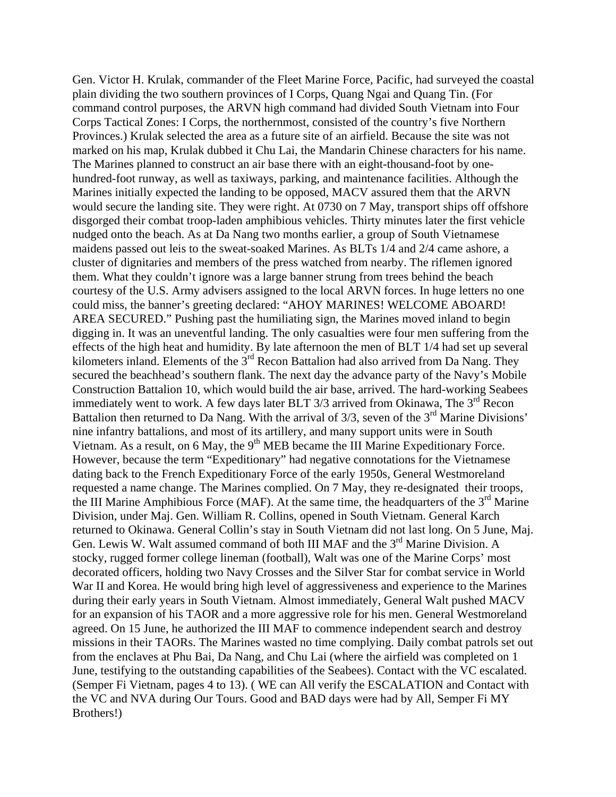Gen. Victor H. Krulak, commander of the Fleet Marine Force, Pacific, had surveyed the coastal plain dividing the two southern provinces of I Corps, Quang Ngai and Quang Tin. (For command control purposes, the ARVN high command had divided South Vietnam into Four Corps Tactical Zones: I Corps, the northernmost, consisted of the country's five Northern Provinces.) Krulak selected the area as a future site of an airfield. Because the site was not marked on his map, Krulak dubbed it Chu Lai, the Mandarin Chinese characters for his name. The Marines planned to construct an air base there with an eight-thousand-foot by onehundred-foot runway, as well as taxiways, parking, and maintenance facilities. Although the Marines initially expected the landing to be opposed, MACV assured them that the ARVN would secure the landing site. They were right. At 0730 on 7 May, transport ships off offshore disgorged their combat troop-laden amphibious vehicles. Thirty minutes later the first vehicle nudged onto the beach. As at Da Nang two months earlier, a group of South Vietnamese maidens passed out leis to the sweat-soaked Marines. As BLTs 1/4 and 2/4 came ashore, a cluster of dignitaries and members of the press watched from nearby. The riflemen ignored them. What they couldn't ignore was a large banner strung from trees behind the beach courtesy of the U.S. Army advisers assigned to the local ARVN forces. In huge letters no one could miss, the banner's greeting declared: "AHOY MARINES! WELCOME ABOARD! AREA SECURED." Pushing past the humiliating sign, the Marines moved inland to begin digging in. It was an uneventful landing. The only casualties were four men suffering from the effects of the high heat and humidity. By late afternoon the men of BLT 1/4 had set up several kilometers inland. Elements of the  $3<sup>rd</sup>$  Recon Battalion had also arrived from Da Nang. They secured the beachhead's southern flank. The next day the advance party of the Navy's Mobile Construction Battalion 10, which would build the air base, arrived. The hard-working Seabees immediately went to work. A few days later BLT  $3/3$  arrived from Okinawa, The  $3<sup>rd</sup>$  Recon Battalion then returned to Da Nang. With the arrival of  $3/3$ , seven of the  $3<sup>rd</sup>$  Marine Divisions' nine infantry battalions, and most of its artillery, and many support units were in South Vietnam. As a result, on  $6$  May, the  $9<sup>th</sup>$  MEB became the III Marine Expeditionary Force. However, because the term "Expeditionary" had negative connotations for the Vietnamese dating back to the French Expeditionary Force of the early 1950s, General Westmoreland requested a name change. The Marines complied. On 7 May, they re-designated their troops, the III Marine Amphibious Force (MAF). At the same time, the headquarters of the 3<sup>rd</sup> Marine Division, under Maj. Gen. William R. Collins, opened in South Vietnam. General Karch returned to Okinawa. General Collin's stay in South Vietnam did not last long. On 5 June, Maj. Gen. Lewis W. Walt assumed command of both III MAF and the 3<sup>rd</sup> Marine Division. A stocky, rugged former college lineman (football), Walt was one of the Marine Corps' most decorated officers, holding two Navy Crosses and the Silver Star for combat service in World War II and Korea. He would bring high level of aggressiveness and experience to the Marines during their early years in South Vietnam. Almost immediately, General Walt pushed MACV for an expansion of his TAOR and a more aggressive role for his men. General Westmoreland agreed. On 15 June, he authorized the III MAF to commence independent search and destroy missions in their TAORs. The Marines wasted no time complying. Daily combat patrols set out from the enclaves at Phu Bai, Da Nang, and Chu Lai (where the airfield was completed on 1 June, testifying to the outstanding capabilities of the Seabees). Contact with the VC escalated. (Semper Fi Vietnam, pages 4 to 13). ( WE can All verify the ESCALATION and Contact with the VC and NVA during Our Tours. Good and BAD days were had by All, Semper Fi MY Brothers!)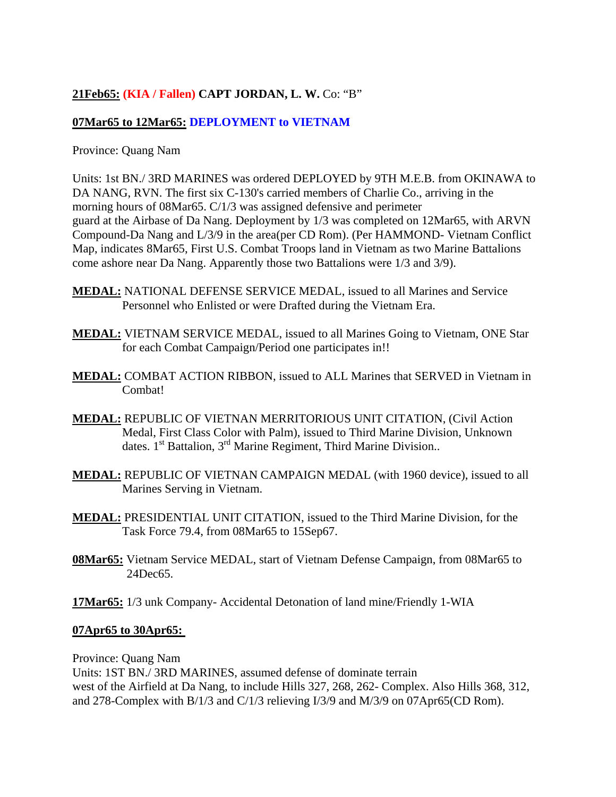# **21Feb65: (KIA / Fallen) CAPT JORDAN, L. W.** Co: "B"

# **07Mar65 to 12Mar65: DEPLOYMENT to VIETNAM**

Province: Quang Nam

Units: 1st BN./ 3RD MARINES was ordered DEPLOYED by 9TH M.E.B. from OKINAWA to DA NANG, RVN. The first six C-130's carried members of Charlie Co., arriving in the morning hours of 08Mar65. C/1/3 was assigned defensive and perimeter guard at the Airbase of Da Nang. Deployment by 1/3 was completed on 12Mar65, with ARVN Compound-Da Nang and L/3/9 in the area(per CD Rom). (Per HAMMOND- Vietnam Conflict Map, indicates 8Mar65, First U.S. Combat Troops land in Vietnam as two Marine Battalions come ashore near Da Nang. Apparently those two Battalions were 1/3 and 3/9).

- **MEDAL:** NATIONAL DEFENSE SERVICE MEDAL, issued to all Marines and Service Personnel who Enlisted or were Drafted during the Vietnam Era.
- **MEDAL:** VIETNAM SERVICE MEDAL, issued to all Marines Going to Vietnam, ONE Star for each Combat Campaign/Period one participates in!!
- **MEDAL:** COMBAT ACTION RIBBON, issued to ALL Marines that SERVED in Vietnam in Combat!
- **MEDAL:** REPUBLIC OF VIETNAN MERRITORIOUS UNIT CITATION, (Civil Action Medal, First Class Color with Palm), issued to Third Marine Division, Unknown dates.  $1<sup>st</sup>$  Battalion,  $3<sup>rd</sup>$  Marine Regiment, Third Marine Division..
- **MEDAL:** REPUBLIC OF VIETNAN CAMPAIGN MEDAL (with 1960 device), issued to all Marines Serving in Vietnam.
- **MEDAL:** PRESIDENTIAL UNIT CITATION, issued to the Third Marine Division, for the Task Force 79.4, from 08Mar65 to 15Sep67.
- **08Mar65:** Vietnam Service MEDAL, start of Vietnam Defense Campaign, from 08Mar65 to 24Dec65.
- **17Mar65:** 1/3 unk Company- Accidental Detonation of land mine/Friendly 1-WIA

#### **07Apr65 to 30Apr65:**

Province: Quang Nam

Units: 1ST BN./ 3RD MARINES, assumed defense of dominate terrain west of the Airfield at Da Nang, to include Hills 327, 268, 262- Complex. Also Hills 368, 312, and 278-Complex with B/1/3 and C/1/3 relieving I/3/9 and M/3/9 on 07Apr65(CD Rom).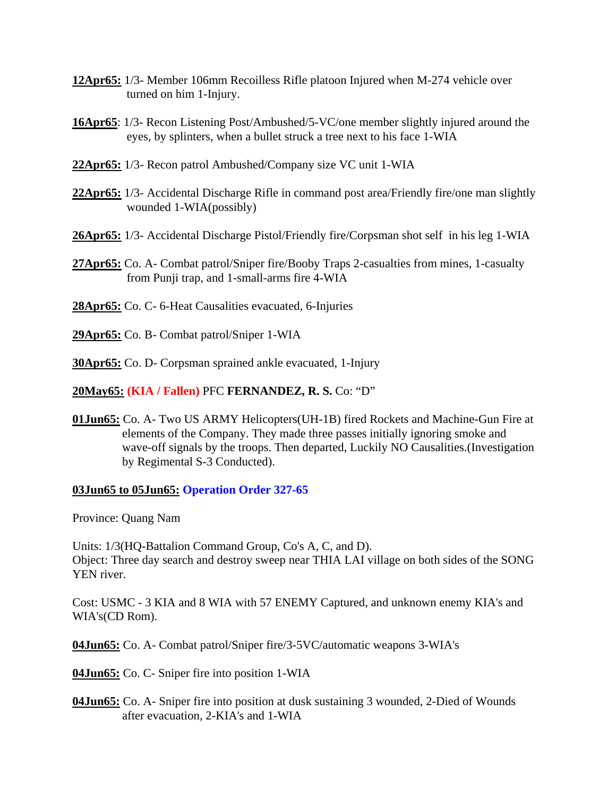- **12Apr65:** 1/3- Member 106mm Recoilless Rifle platoon Injured when M-274 vehicle over turned on him 1-Injury.
- **16Apr65**: 1/3- Recon Listening Post/Ambushed/5-VC/one member slightly injured around the eyes, by splinters, when a bullet struck a tree next to his face 1-WIA
- **22Apr65:** 1/3- Recon patrol Ambushed/Company size VC unit 1-WIA
- **22Apr65:** 1/3- Accidental Discharge Rifle in command post area/Friendly fire/one man slightly wounded 1-WIA(possibly)
- **26Apr65:** 1/3- Accidental Discharge Pistol/Friendly fire/Corpsman shot self in his leg 1-WIA
- **27Apr65:** Co. A- Combat patrol/Sniper fire/Booby Traps 2-casualties from mines, 1-casualty from Punji trap, and 1-small-arms fire 4-WIA
- **28Apr65:** Co. C- 6-Heat Causalities evacuated, 6-Injuries
- **29Apr65:** Co. B- Combat patrol/Sniper 1-WIA
- **30Apr65:** Co. D- Corpsman sprained ankle evacuated, 1-Injury
- **20May65: (KIA / Fallen)** PFC **FERNANDEZ, R. S.** Co: "D"
- **01Jun65:** Co. A- Two US ARMY Helicopters(UH-1B) fired Rockets and Machine-Gun Fire at elements of the Company. They made three passes initially ignoring smoke and wave-off signals by the troops. Then departed, Luckily NO Causalities.(Investigation by Regimental S-3 Conducted).

#### **03Jun65 to 05Jun65: Operation Order 327-65**

Province: Quang Nam

Units: 1/3(HQ-Battalion Command Group, Co's A, C, and D). Object: Three day search and destroy sweep near THIA LAI village on both sides of the SONG YEN river.

Cost: USMC - 3 KIA and 8 WIA with 57 ENEMY Captured, and unknown enemy KIA's and WIA's(CD Rom).

**04Jun65:** Co. A- Combat patrol/Sniper fire/3-5VC/automatic weapons 3-WIA's

**04Jun65:** Co. C- Sniper fire into position 1-WIA

**04Jun65:** Co. A- Sniper fire into position at dusk sustaining 3 wounded, 2-Died of Wounds after evacuation, 2-KIA's and 1-WIA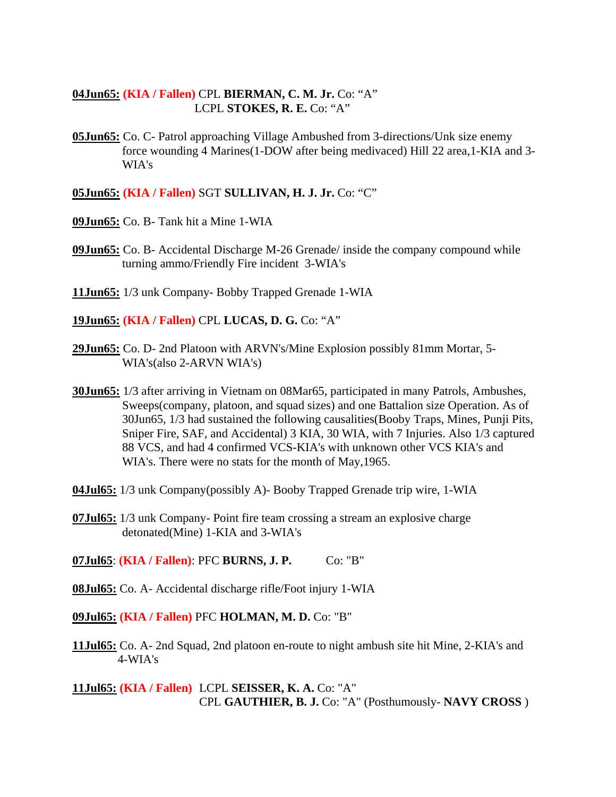### **04Jun65: (KIA / Fallen)** CPL **BIERMAN, C. M. Jr.** Co: "A" LCPL **STOKES, R. E.** Co: "A"

**05Jun65:** Co. C- Patrol approaching Village Ambushed from 3-directions/Unk size enemy force wounding 4 Marines(1-DOW after being medivaced) Hill 22 area,1-KIA and 3- WIA's

**05Jun65: (KIA / Fallen)** SGT **SULLIVAN, H. J. Jr.** Co: "C"

- **09Jun65:** Co. B- Tank hit a Mine 1-WIA
- **09Jun65:** Co. B- Accidental Discharge M-26 Grenade/ inside the company compound while turning ammo/Friendly Fire incident 3-WIA's

**11Jun65:** 1/3 unk Company- Bobby Trapped Grenade 1-WIA

**19Jun65: (KIA / Fallen)** CPL **LUCAS, D. G.** Co: "A"

- **29Jun65:** Co. D- 2nd Platoon with ARVN's/Mine Explosion possibly 81mm Mortar, 5- WIA's(also 2-ARVN WIA's)
- **30Jun65:** 1/3 after arriving in Vietnam on 08Mar65, participated in many Patrols, Ambushes, Sweeps(company, platoon, and squad sizes) and one Battalion size Operation. As of 30Jun65, 1/3 had sustained the following causalities(Booby Traps, Mines, Punji Pits, Sniper Fire, SAF, and Accidental) 3 KIA, 30 WIA, with 7 Injuries. Also 1/3 captured 88 VCS, and had 4 confirmed VCS-KIA's with unknown other VCS KIA's and WIA's. There were no stats for the month of May,1965.
- **04Jul65:** 1/3 unk Company(possibly A)- Booby Trapped Grenade trip wire, 1-WIA
- **07Jul65:** 1/3 unk Company- Point fire team crossing a stream an explosive charge detonated(Mine) 1-KIA and 3-WIA's

**07Jul65**: **(KIA / Fallen)**: PFC **BURNS, J. P.** Co: "B"

**08Jul65:** Co. A- Accidental discharge rifle/Foot injury 1-WIA

**09Jul65: (KIA / Fallen)** PFC **HOLMAN, M. D.** Co: "B"

**11Jul65:** Co. A- 2nd Squad, 2nd platoon en-route to night ambush site hit Mine, 2-KIA's and 4-WIA's

**11Jul65: (KIA / Fallen)** LCPL **SEISSER, K. A.** Co: "A" CPL **GAUTHIER, B. J.** Co: "A" (Posthumously- **NAVY CROSS** )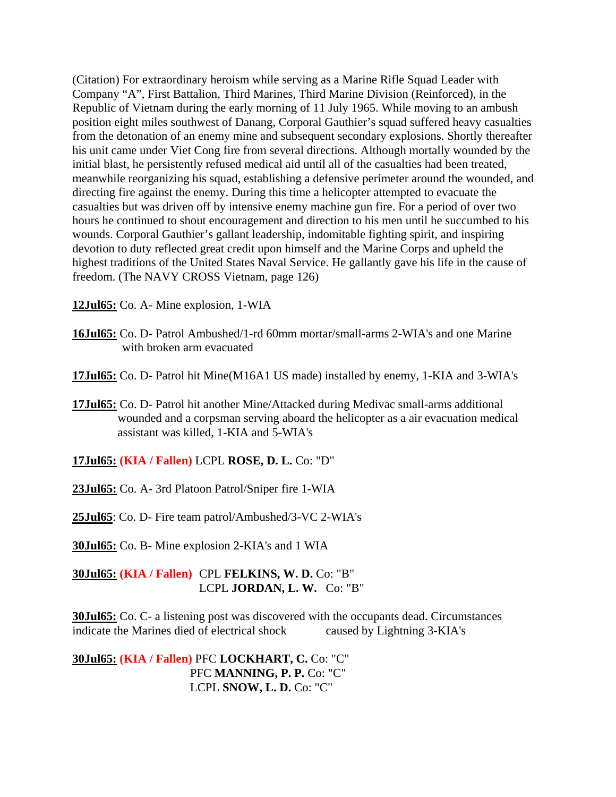(Citation) For extraordinary heroism while serving as a Marine Rifle Squad Leader with Company "A", First Battalion, Third Marines, Third Marine Division (Reinforced), in the Republic of Vietnam during the early morning of 11 July 1965. While moving to an ambush position eight miles southwest of Danang, Corporal Gauthier's squad suffered heavy casualties from the detonation of an enemy mine and subsequent secondary explosions. Shortly thereafter his unit came under Viet Cong fire from several directions. Although mortally wounded by the initial blast, he persistently refused medical aid until all of the casualties had been treated, meanwhile reorganizing his squad, establishing a defensive perimeter around the wounded, and directing fire against the enemy. During this time a helicopter attempted to evacuate the casualties but was driven off by intensive enemy machine gun fire. For a period of over two hours he continued to shout encouragement and direction to his men until he succumbed to his wounds. Corporal Gauthier's gallant leadership, indomitable fighting spirit, and inspiring devotion to duty reflected great credit upon himself and the Marine Corps and upheld the highest traditions of the United States Naval Service. He gallantly gave his life in the cause of freedom. (The NAVY CROSS Vietnam, page 126)

**12Jul65:** Co. A- Mine explosion, 1-WIA

- **16Jul65:** Co. D- Patrol Ambushed/1-rd 60mm mortar/small-arms 2-WIA's and one Marine with broken arm evacuated
- **17Jul65:** Co. D- Patrol hit Mine(M16A1 US made) installed by enemy, 1-KIA and 3-WIA's
- **17Jul65:** Co. D- Patrol hit another Mine/Attacked during Medivac small-arms additional wounded and a corpsman serving aboard the helicopter as a air evacuation medical assistant was killed, 1-KIA and 5-WIA's

**17Jul65: (KIA / Fallen)** LCPL **ROSE, D. L.** Co: "D"

**23Jul65:** Co. A- 3rd Platoon Patrol/Sniper fire 1-WIA

**25Jul65**: Co. D- Fire team patrol/Ambushed/3-VC 2-WIA's

**30Jul65:** Co. B- Mine explosion 2-KIA's and 1 WIA

**30Jul65: (KIA / Fallen)** CPL **FELKINS, W. D.** Co: "B" LCPL **JORDAN, L. W.** Co: "B"

**30Jul65:** Co. C- a listening post was discovered with the occupants dead. Circumstances indicate the Marines died of electrical shock caused by Lightning 3-KIA's

**30Jul65: (KIA / Fallen)** PFC **LOCKHART, C.** Co: "C" PFC **MANNING, P. P. Co: "C"** LCPL **SNOW, L. D. Co: "C"**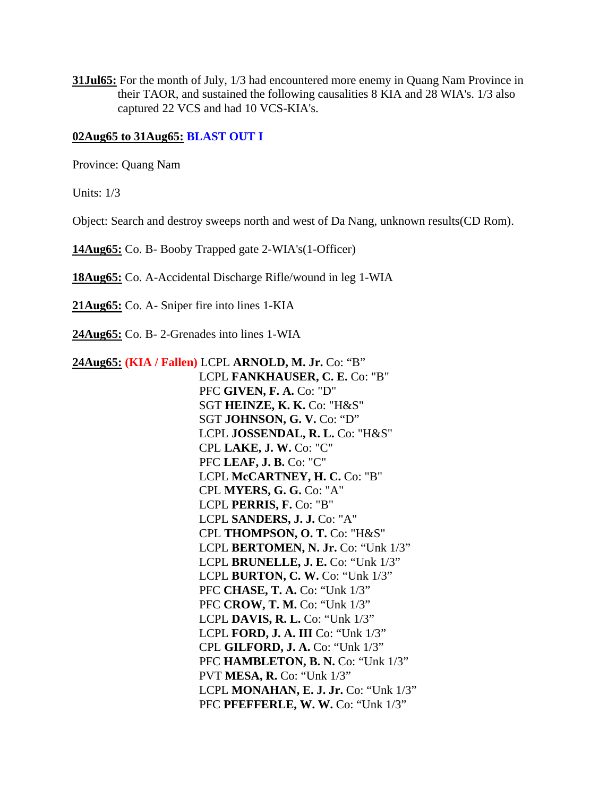**31Jul65:** For the month of July, 1/3 had encountered more enemy in Quang Nam Province in their TAOR, and sustained the following causalities 8 KIA and 28 WIA's. 1/3 also captured 22 VCS and had 10 VCS-KIA's.

#### **02Aug65 to 31Aug65: BLAST OUT I**

Province: Quang Nam

Units: 1/3

Object: Search and destroy sweeps north and west of Da Nang, unknown results(CD Rom).

**14Aug65:** Co. B- Booby Trapped gate 2-WIA's(1-Officer)

**18Aug65:** Co. A-Accidental Discharge Rifle/wound in leg 1-WIA

**21Aug65:** Co. A- Sniper fire into lines 1-KIA

**24Aug65:** Co. B- 2-Grenades into lines 1-WIA

**24Aug65: (KIA / Fallen)** LCPL **ARNOLD, M. Jr.** Co: "B" LCPL **FANKHAUSER, C. E.** Co: "B" PFC **GIVEN, F. A. Co: "D"**  SGT **HEINZE, K. K.** Co: "H&S" SGT **JOHNSON, G. V. Co: "D"**  LCPL **JOSSENDAL, R. L.** Co: "H&S" CPL **LAKE, J. W.** Co: "C" PFC **LEAF, J. B.** Co: "C" LCPL **McCARTNEY, H. C. Co: "B"**  CPL **MYERS, G. G.** Co: "A" LCPL **PERRIS, F. Co: "B"**  LCPL **SANDERS, J. J.** Co: "A" CPL **THOMPSON, O. T.** Co: "H&S" LCPL **BERTOMEN, N. Jr. Co: "Unk 1/3"**  LCPL **BRUNELLE, J. E.** Co: "Unk 1/3" LCPL **BURTON, C. W. Co: "Unk 1/3"**  PFC **CHASE, T. A.** Co: "Unk 1/3" PFC **CROW, T. M.** Co: "Unk 1/3" LCPL **DAVIS, R. L.** Co: "Unk 1/3" LCPL **FORD, J. A. III** Co: "Unk 1/3" CPL **GILFORD, J. A.** Co: "Unk 1/3" PFC HAMBLETON, B. N. Co: "Unk 1/3" PVT **MESA, R.** Co: "Unk 1/3" LCPL **MONAHAN, E. J. Jr.** Co: "Unk 1/3" PFC PFEFFERLE, W. W. Co: "Unk 1/3"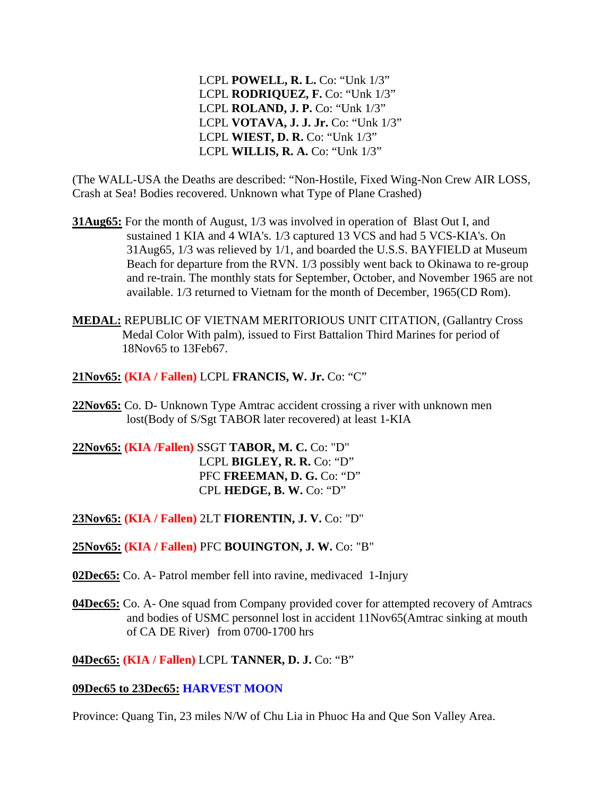LCPL **POWELL, R. L.** Co: "Unk 1/3" LCPL **RODRIQUEZ, F. Co: "Unk 1/3"**  LCPL **ROLAND, J. P.** Co: "Unk 1/3" LCPL **VOTAVA, J. J. Jr.** Co: "Unk 1/3" LCPL **WIEST, D. R.** Co: "Unk 1/3" LCPL **WILLIS, R. A.** Co: "Unk 1/3"

(The WALL-USA the Deaths are described: "Non-Hostile, Fixed Wing-Non Crew AIR LOSS, Crash at Sea! Bodies recovered. Unknown what Type of Plane Crashed)

- **31Aug65:** For the month of August, 1/3 was involved in operation of Blast Out I, and sustained 1 KIA and 4 WIA's. 1/3 captured 13 VCS and had 5 VCS-KIA's. On 31Aug65, 1/3 was relieved by 1/1, and boarded the U.S.S. BAYFIELD at Museum Beach for departure from the RVN. 1/3 possibly went back to Okinawa to re-group and re-train. The monthly stats for September, October, and November 1965 are not available. 1/3 returned to Vietnam for the month of December, 1965(CD Rom).
- **MEDAL:** REPUBLIC OF VIETNAM MERITORIOUS UNIT CITATION, (Gallantry Cross Medal Color With palm), issued to First Battalion Third Marines for period of 18Nov65 to 13Feb67.
- **21Nov65: (KIA / Fallen)** LCPL **FRANCIS, W. Jr.** Co: "C"
- **22Nov65:** Co. D- Unknown Type Amtrac accident crossing a river with unknown men lost(Body of S/Sgt TABOR later recovered) at least 1-KIA

**22Nov65: (KIA /Fallen)** SSGT **TABOR, M. C.** Co: "D" LCPL **BIGLEY, R. R.** Co: "D" PFC **FREEMAN, D. G.** Co: "D" CPL **HEDGE, B. W.** Co: "D"

**23Nov65: (KIA / Fallen)** 2LT **FIORENTIN, J. V.** Co: "D"

**25Nov65: (KIA / Fallen)** PFC **BOUINGTON, J. W.** Co: "B"

- **02Dec65:** Co. A- Patrol member fell into ravine, medivaced 1-Injury
- **04Dec65:** Co. A- One squad from Company provided cover for attempted recovery of Amtracs and bodies of USMC personnel lost in accident 11Nov65(Amtrac sinking at mouth of CA DE River) from 0700-1700 hrs

**04Dec65: (KIA / Fallen)** LCPL **TANNER, D. J.** Co: "B"

#### **09Dec65 to 23Dec65: HARVEST MOON**

Province: Quang Tin, 23 miles N/W of Chu Lia in Phuoc Ha and Que Son Valley Area.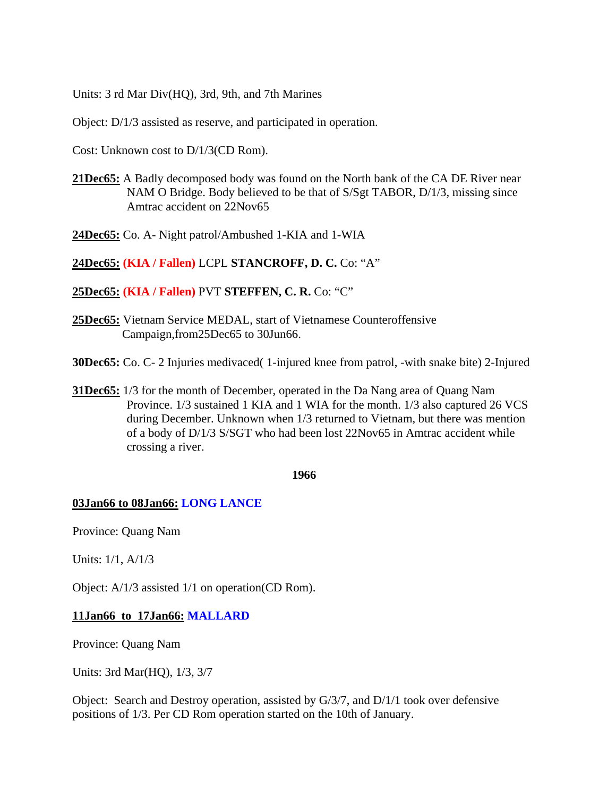Units: 3 rd Mar Div(HQ), 3rd, 9th, and 7th Marines

Object: D/1/3 assisted as reserve, and participated in operation.

Cost: Unknown cost to D/1/3(CD Rom).

**21Dec65:** A Badly decomposed body was found on the North bank of the CA DE River near NAM O Bridge. Body believed to be that of S/Sgt TABOR, D/1/3, missing since Amtrac accident on 22Nov65

**24Dec65:** Co. A- Night patrol/Ambushed 1-KIA and 1-WIA

**24Dec65: (KIA / Fallen)** LCPL **STANCROFF, D. C.** Co: "A"

- **25Dec65: (KIA / Fallen)** PVT **STEFFEN, C. R.** Co: "C"
- **25Dec65:** Vietnam Service MEDAL, start of Vietnamese Counteroffensive Campaign,from25Dec65 to 30Jun66.
- **30Dec65:** Co. C- 2 Injuries medivaced( 1-injured knee from patrol, -with snake bite) 2-Injured
- **31Dec65:** 1/3 for the month of December, operated in the Da Nang area of Quang Nam Province. 1/3 sustained 1 KIA and 1 WIA for the month. 1/3 also captured 26 VCS during December. Unknown when 1/3 returned to Vietnam, but there was mention of a body of D/1/3 S/SGT who had been lost 22Nov65 in Amtrac accident while crossing a river.

#### **1966**

#### **03Jan66 to 08Jan66: LONG LANCE**

Province: Quang Nam

Units: 1/1, A/1/3

Object: A/1/3 assisted 1/1 on operation(CD Rom).

#### **11Jan66 to 17Jan66: MALLARD**

Province: Quang Nam

Units: 3rd Mar(HQ), 1/3, 3/7

Object: Search and Destroy operation, assisted by G/3/7, and D/1/1 took over defensive positions of 1/3. Per CD Rom operation started on the 10th of January.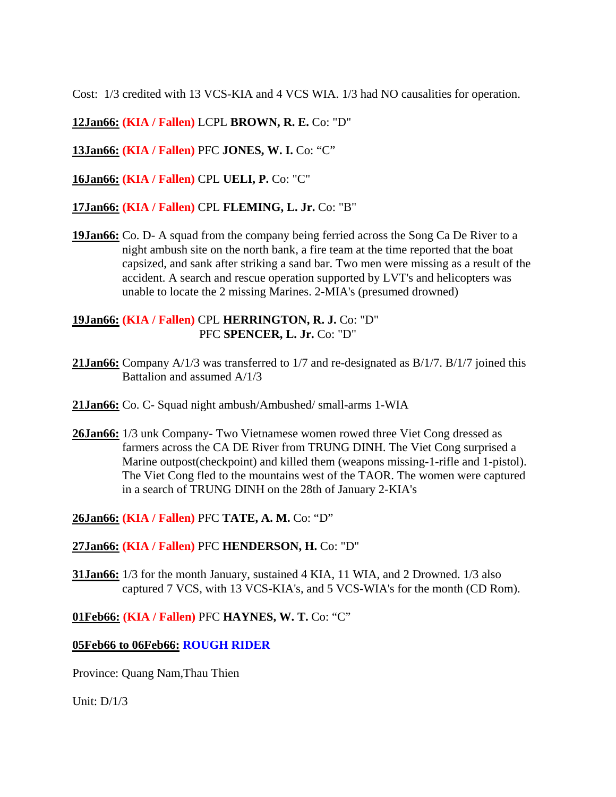Cost: 1/3 credited with 13 VCS-KIA and 4 VCS WIA. 1/3 had NO causalities for operation.

**12Jan66: (KIA / Fallen)** LCPL **BROWN, R. E.** Co: "D"

**13Jan66: (KIA / Fallen)** PFC **JONES, W. I.** Co: "C"

**16Jan66: (KIA / Fallen)** CPL **UELI, P.** Co: "C"

**17Jan66: (KIA / Fallen)** CPL **FLEMING, L. Jr.** Co: "B"

**19Jan66:** Co. D- A squad from the company being ferried across the Song Ca De River to a night ambush site on the north bank, a fire team at the time reported that the boat capsized, and sank after striking a sand bar. Two men were missing as a result of the accident. A search and rescue operation supported by LVT's and helicopters was unable to locate the 2 missing Marines. 2-MIA's (presumed drowned)

### **19Jan66: (KIA / Fallen)** CPL **HERRINGTON, R. J.** Co: "D" PFC **SPENCER, L. Jr.** Co: "D"

- **21Jan66:** Company A/1/3 was transferred to 1/7 and re-designated as B/1/7. B/1/7 joined this Battalion and assumed A/1/3
- **21Jan66:** Co. C- Squad night ambush/Ambushed/ small-arms 1-WIA
- **26Jan66:** 1/3 unk Company- Two Vietnamese women rowed three Viet Cong dressed as farmers across the CA DE River from TRUNG DINH. The Viet Cong surprised a Marine outpost(checkpoint) and killed them (weapons missing-1-rifle and 1-pistol). The Viet Cong fled to the mountains west of the TAOR. The women were captured in a search of TRUNG DINH on the 28th of January 2-KIA's

**26Jan66: (KIA / Fallen)** PFC **TATE, A. M.** Co: "D"

**27Jan66: (KIA / Fallen)** PFC **HENDERSON, H.** Co: "D"

**31Jan66:** 1/3 for the month January, sustained 4 KIA, 11 WIA, and 2 Drowned. 1/3 also captured 7 VCS, with 13 VCS-KIA's, and 5 VCS-WIA's for the month (CD Rom).

**01Feb66: (KIA / Fallen)** PFC **HAYNES, W. T.** Co: "C"

# **05Feb66 to 06Feb66: ROUGH RIDER**

Province: Quang Nam,Thau Thien

Unit: D/1/3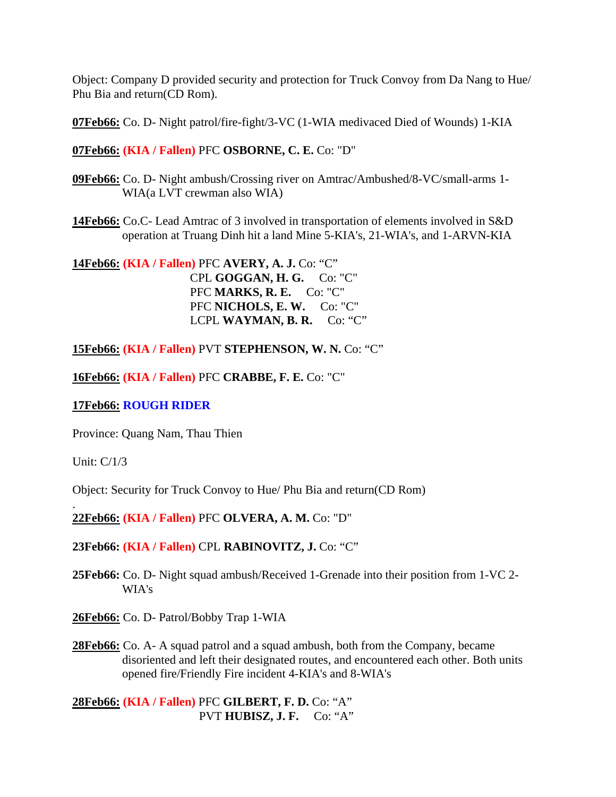Object: Company D provided security and protection for Truck Convoy from Da Nang to Hue/ Phu Bia and return(CD Rom).

**07Feb66:** Co. D- Night patrol/fire-fight/3-VC (1-WIA medivaced Died of Wounds) 1-KIA

### **07Feb66: (KIA / Fallen)** PFC **OSBORNE, C. E.** Co: "D"

- **09Feb66:** Co. D- Night ambush/Crossing river on Amtrac/Ambushed/8-VC/small-arms 1- WIA(a LVT crewman also WIA)
- **14Feb66:** Co.C- Lead Amtrac of 3 involved in transportation of elements involved in S&D operation at Truang Dinh hit a land Mine 5-KIA's, 21-WIA's, and 1-ARVN-KIA

**14Feb66: (KIA / Fallen)** PFC **AVERY, A. J.** Co: "C" CPL **GOGGAN, H. G.** Co: "C" PFC **MARKS, R. E.** Co: "C" PFC **NICHOLS, E. W.** Co: "C" LCPL **WAYMAN, B. R.** Co: "C"

**15Feb66: (KIA / Fallen)** PVT **STEPHENSON, W. N.** Co: "C"

**16Feb66: (KIA / Fallen)** PFC **CRABBE, F. E.** Co: "C"

#### **17Feb66: ROUGH RIDER**

Province: Quang Nam, Thau Thien

Unit: C/1/3

.

Object: Security for Truck Convoy to Hue/ Phu Bia and return(CD Rom)

**22Feb66: (KIA / Fallen)** PFC **OLVERA, A. M.** Co: "D"

**23Feb66: (KIA / Fallen)** CPL **RABINOVITZ, J.** Co: "C"

- **25Feb66:** Co. D- Night squad ambush/Received 1-Grenade into their position from 1-VC 2- WIA's
- **26Feb66:** Co. D- Patrol/Bobby Trap 1-WIA
- **28Feb66:** Co. A- A squad patrol and a squad ambush, both from the Company, became disoriented and left their designated routes, and encountered each other. Both units opened fire/Friendly Fire incident 4-KIA's and 8-WIA's

**28Feb66: (KIA / Fallen)** PFC **GILBERT, F. D.** Co: "A" PVT **HUBISZ, J. F.** Co: "A"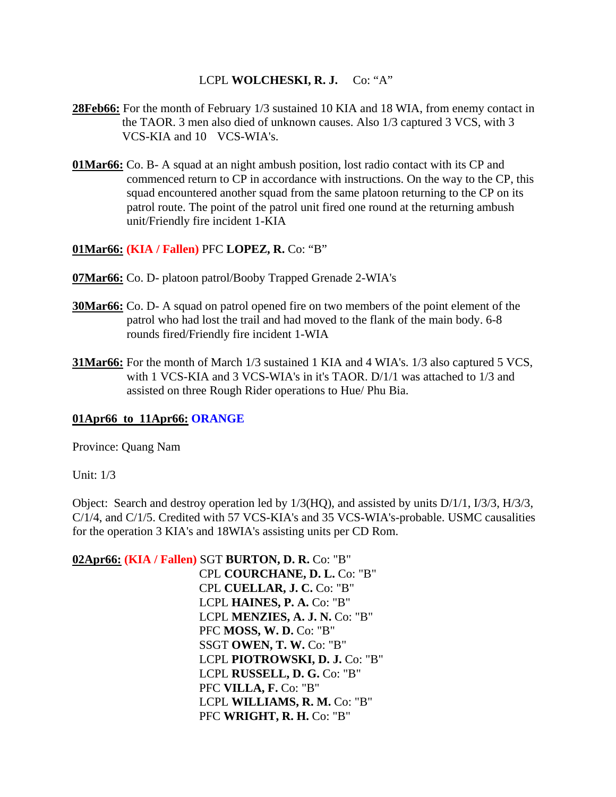### LCPL **WOLCHESKI, R. J.** Co: "A"

- **28Feb66:** For the month of February 1/3 sustained 10 KIA and 18 WIA, from enemy contact in the TAOR. 3 men also died of unknown causes. Also 1/3 captured 3 VCS, with 3 VCS-KIA and 10 VCS-WIA's.
- **01Mar66:** Co. B- A squad at an night ambush position, lost radio contact with its CP and commenced return to CP in accordance with instructions. On the way to the CP, this squad encountered another squad from the same platoon returning to the CP on its patrol route. The point of the patrol unit fired one round at the returning ambush unit/Friendly fire incident 1-KIA

**01Mar66: (KIA / Fallen)** PFC **LOPEZ, R.** Co: "B"

- **07Mar66:** Co. D- platoon patrol/Booby Trapped Grenade 2-WIA's
- **30Mar66:** Co. D- A squad on patrol opened fire on two members of the point element of the patrol who had lost the trail and had moved to the flank of the main body. 6-8 rounds fired/Friendly fire incident 1-WIA
- **31Mar66:** For the month of March 1/3 sustained 1 KIA and 4 WIA's. 1/3 also captured 5 VCS, with 1 VCS-KIA and 3 VCS-WIA's in it's TAOR. D/1/1 was attached to 1/3 and assisted on three Rough Rider operations to Hue/ Phu Bia.

# **01Apr66 to 11Apr66: ORANGE**

Province: Quang Nam

Unit: 1/3

Object: Search and destroy operation led by 1/3(HQ), and assisted by units D/1/1, I/3/3, H/3/3, C/1/4, and C/1/5. Credited with 57 VCS-KIA's and 35 VCS-WIA's-probable. USMC causalities for the operation 3 KIA's and 18WIA's assisting units per CD Rom.

**02Apr66: (KIA / Fallen)** SGT **BURTON, D. R.** Co: "B" CPL **COURCHANE, D. L.** Co: "B" CPL **CUELLAR, J. C.** Co: "B" LCPL **HAINES, P. A.** Co: "B" LCPL **MENZIES, A. J. N. Co: "B"** PFC **MOSS, W. D.** Co: "B" SSGT **OWEN, T. W.** Co: "B" LCPL **PIOTROWSKI, D. J.** Co: "B" LCPL **RUSSELL**, **D. G. Co: "B"** PFC VILLA, F. Co: "B" LCPL **WILLIAMS, R. M. Co: "B"** PFC WRIGHT, R. H. Co: "B"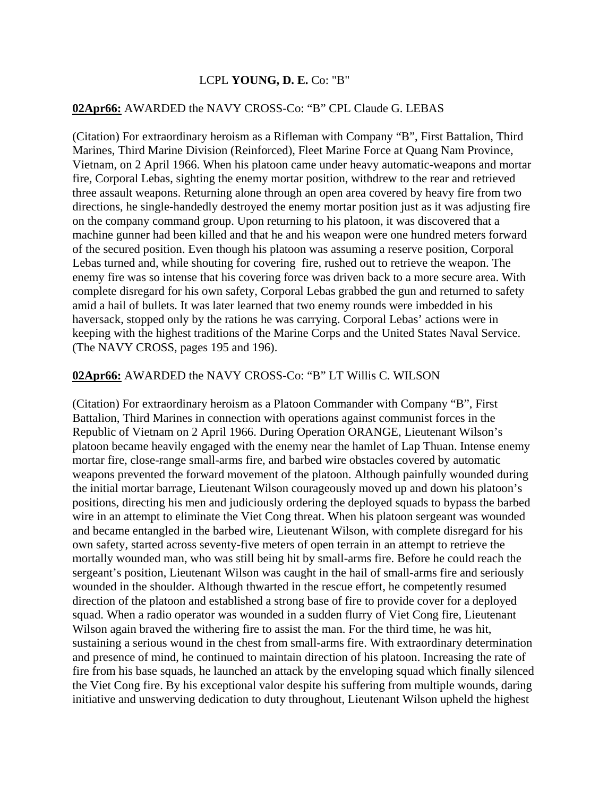### LCPL **YOUNG, D. E.** Co: "B"

#### **02Apr66:** AWARDED the NAVY CROSS-Co: "B" CPL Claude G. LEBAS

(Citation) For extraordinary heroism as a Rifleman with Company "B", First Battalion, Third Marines, Third Marine Division (Reinforced), Fleet Marine Force at Quang Nam Province, Vietnam, on 2 April 1966. When his platoon came under heavy automatic-weapons and mortar fire, Corporal Lebas, sighting the enemy mortar position, withdrew to the rear and retrieved three assault weapons. Returning alone through an open area covered by heavy fire from two directions, he single-handedly destroyed the enemy mortar position just as it was adjusting fire on the company command group. Upon returning to his platoon, it was discovered that a machine gunner had been killed and that he and his weapon were one hundred meters forward of the secured position. Even though his platoon was assuming a reserve position, Corporal Lebas turned and, while shouting for covering fire, rushed out to retrieve the weapon. The enemy fire was so intense that his covering force was driven back to a more secure area. With complete disregard for his own safety, Corporal Lebas grabbed the gun and returned to safety amid a hail of bullets. It was later learned that two enemy rounds were imbedded in his haversack, stopped only by the rations he was carrying. Corporal Lebas' actions were in keeping with the highest traditions of the Marine Corps and the United States Naval Service. (The NAVY CROSS, pages 195 and 196).

#### **02Apr66:** AWARDED the NAVY CROSS-Co: "B" LT Willis C. WILSON

(Citation) For extraordinary heroism as a Platoon Commander with Company "B", First Battalion, Third Marines in connection with operations against communist forces in the Republic of Vietnam on 2 April 1966. During Operation ORANGE, Lieutenant Wilson's platoon became heavily engaged with the enemy near the hamlet of Lap Thuan. Intense enemy mortar fire, close-range small-arms fire, and barbed wire obstacles covered by automatic weapons prevented the forward movement of the platoon. Although painfully wounded during the initial mortar barrage, Lieutenant Wilson courageously moved up and down his platoon's positions, directing his men and judiciously ordering the deployed squads to bypass the barbed wire in an attempt to eliminate the Viet Cong threat. When his platoon sergeant was wounded and became entangled in the barbed wire, Lieutenant Wilson, with complete disregard for his own safety, started across seventy-five meters of open terrain in an attempt to retrieve the mortally wounded man, who was still being hit by small-arms fire. Before he could reach the sergeant's position, Lieutenant Wilson was caught in the hail of small-arms fire and seriously wounded in the shoulder. Although thwarted in the rescue effort, he competently resumed direction of the platoon and established a strong base of fire to provide cover for a deployed squad. When a radio operator was wounded in a sudden flurry of Viet Cong fire, Lieutenant Wilson again braved the withering fire to assist the man. For the third time, he was hit, sustaining a serious wound in the chest from small-arms fire. With extraordinary determination and presence of mind, he continued to maintain direction of his platoon. Increasing the rate of fire from his base squads, he launched an attack by the enveloping squad which finally silenced the Viet Cong fire. By his exceptional valor despite his suffering from multiple wounds, daring initiative and unswerving dedication to duty throughout, Lieutenant Wilson upheld the highest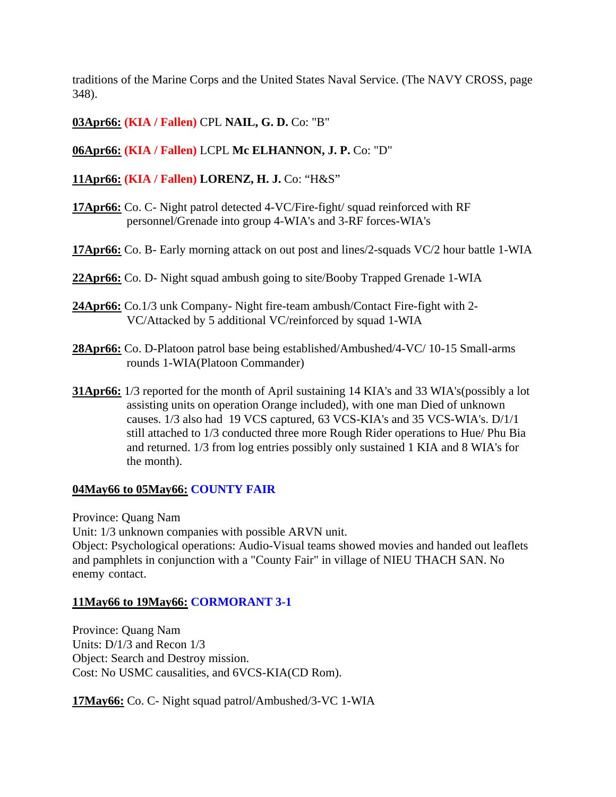traditions of the Marine Corps and the United States Naval Service. (The NAVY CROSS, page 348).

**03Apr66: (KIA / Fallen)** CPL **NAIL, G. D.** Co: "B"

**06Apr66: (KIA / Fallen)** LCPL **Mc ELHANNON, J. P.** Co: "D"

**11Apr66: (KIA / Fallen) LORENZ, H. J.** Co: "H&S"

- **17Apr66:** Co. C- Night patrol detected 4-VC/Fire-fight/ squad reinforced with RF personnel/Grenade into group 4-WIA's and 3-RF forces-WIA's
- **17Apr66:** Co. B- Early morning attack on out post and lines/2-squads VC/2 hour battle 1-WIA
- **22Apr66:** Co. D- Night squad ambush going to site/Booby Trapped Grenade 1-WIA
- **24Apr66:** Co.1/3 unk Company- Night fire-team ambush/Contact Fire-fight with 2- VC/Attacked by 5 additional VC/reinforced by squad 1-WIA
- **28Apr66:** Co. D-Platoon patrol base being established/Ambushed/4-VC/ 10-15 Small-arms rounds 1-WIA(Platoon Commander)
- **31Apr66:** 1/3 reported for the month of April sustaining 14 KIA's and 33 WIA's(possibly a lot assisting units on operation Orange included), with one man Died of unknown causes. 1/3 also had 19 VCS captured, 63 VCS-KIA's and 35 VCS-WIA's. D/1/1 still attached to 1/3 conducted three more Rough Rider operations to Hue/ Phu Bia and returned. 1/3 from log entries possibly only sustained 1 KIA and 8 WIA's for the month).

#### **04May66 to 05May66: COUNTY FAIR**

Province: Quang Nam Unit: 1/3 unknown companies with possible ARVN unit. Object: Psychological operations: Audio-Visual teams showed movies and handed out leaflets and pamphlets in conjunction with a "County Fair" in village of NIEU THACH SAN. No enemy contact.

# **11May66 to 19May66: CORMORANT 3-1**

Province: Quang Nam Units: D/1/3 and Recon 1/3 Object: Search and Destroy mission. Cost: No USMC causalities, and 6VCS-KIA(CD Rom).

**17May66:** Co. C- Night squad patrol/Ambushed/3-VC 1-WIA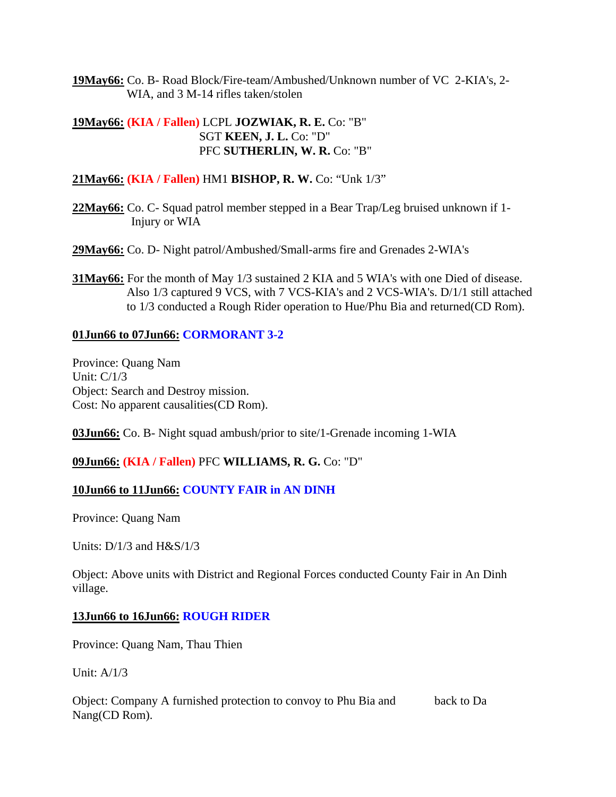**19May66:** Co. B- Road Block/Fire-team/Ambushed/Unknown number of VC 2-KIA's, 2- WIA, and 3 M-14 rifles taken/stolen

# **19May66: (KIA / Fallen)** LCPL **JOZWIAK, R. E.** Co: "B" SGT **KEEN, J. L.** Co: "D" PFC **SUTHERLIN, W. R. Co: "B"**

# **21May66: (KIA / Fallen)** HM1 **BISHOP, R. W.** Co: "Unk 1/3"

- **22May66:** Co. C- Squad patrol member stepped in a Bear Trap/Leg bruised unknown if 1- Injury or WIA
- **29May66:** Co. D- Night patrol/Ambushed/Small-arms fire and Grenades 2-WIA's
- **31May66:** For the month of May 1/3 sustained 2 KIA and 5 WIA's with one Died of disease. Also 1/3 captured 9 VCS, with 7 VCS-KIA's and 2 VCS-WIA's. D/1/1 still attached to 1/3 conducted a Rough Rider operation to Hue/Phu Bia and returned(CD Rom).

# **01Jun66 to 07Jun66: CORMORANT 3-2**

Province: Quang Nam Unit: C/1/3 Object: Search and Destroy mission. Cost: No apparent causalities(CD Rom).

**03Jun66:** Co. B- Night squad ambush/prior to site/1-Grenade incoming 1-WIA

# **09Jun66: (KIA / Fallen)** PFC **WILLIAMS, R. G.** Co: "D"

# **10Jun66 to 11Jun66: COUNTY FAIR in AN DINH**

Province: Quang Nam

Units: D/1/3 and H&S/1/3

Object: Above units with District and Regional Forces conducted County Fair in An Dinh village.

# **13Jun66 to 16Jun66: ROUGH RIDER**

Province: Quang Nam, Thau Thien

Unit: A/1/3

Object: Company A furnished protection to convoy to Phu Bia and back to Da Nang(CD Rom).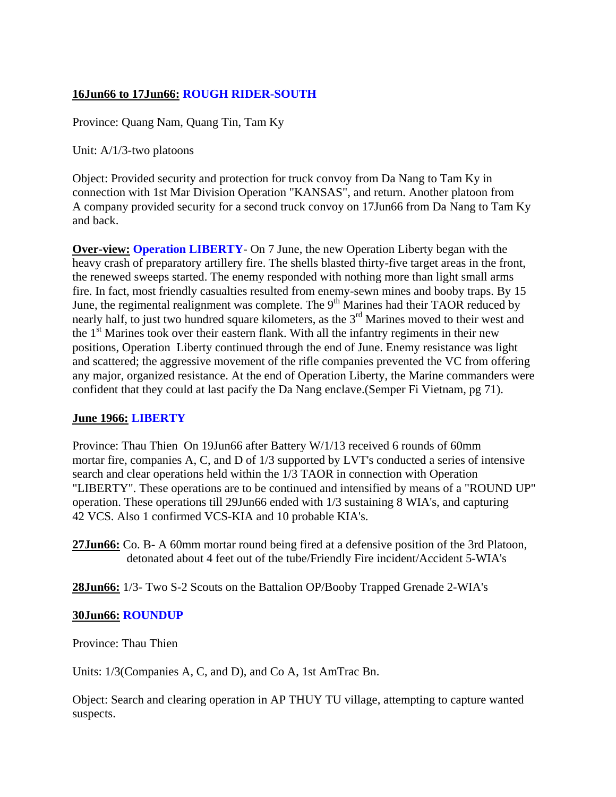# **16Jun66 to 17Jun66: ROUGH RIDER-SOUTH**

Province: Quang Nam, Quang Tin, Tam Ky

Unit: A/1/3-two platoons

Object: Provided security and protection for truck convoy from Da Nang to Tam Ky in connection with 1st Mar Division Operation "KANSAS", and return. Another platoon from A company provided security for a second truck convoy on 17Jun66 from Da Nang to Tam Ky and back.

**Over-view: Operation LIBERTY**- On 7 June, the new Operation Liberty began with the heavy crash of preparatory artillery fire. The shells blasted thirty-five target areas in the front, the renewed sweeps started. The enemy responded with nothing more than light small arms fire. In fact, most friendly casualties resulted from enemy-sewn mines and booby traps. By 15 June, the regimental realignment was complete. The 9<sup>th</sup> Marines had their TAOR reduced by nearly half, to just two hundred square kilometers, as the 3<sup>rd</sup> Marines moved to their west and the  $1<sup>st</sup>$  Marines took over their eastern flank. With all the infantry regiments in their new positions, Operation Liberty continued through the end of June. Enemy resistance was light and scattered; the aggressive movement of the rifle companies prevented the VC from offering any major, organized resistance. At the end of Operation Liberty, the Marine commanders were confident that they could at last pacify the Da Nang enclave.(Semper Fi Vietnam, pg 71).

#### **June 1966: LIBERTY**

Province: Thau Thien On 19Jun66 after Battery W/1/13 received 6 rounds of 60mm mortar fire, companies A, C, and D of 1/3 supported by LVT's conducted a series of intensive search and clear operations held within the 1/3 TAOR in connection with Operation "LIBERTY". These operations are to be continued and intensified by means of a "ROUND UP" operation. These operations till 29Jun66 ended with 1/3 sustaining 8 WIA's, and capturing 42 VCS. Also 1 confirmed VCS-KIA and 10 probable KIA's.

**27Jun66:** Co. B- A 60mm mortar round being fired at a defensive position of the 3rd Platoon, detonated about 4 feet out of the tube/Friendly Fire incident/Accident 5-WIA's

**28Jun66:** 1/3- Two S-2 Scouts on the Battalion OP/Booby Trapped Grenade 2-WIA's

#### **30Jun66: ROUNDUP**

Province: Thau Thien

Units: 1/3(Companies A, C, and D), and Co A, 1st AmTrac Bn.

Object: Search and clearing operation in AP THUY TU village, attempting to capture wanted suspects.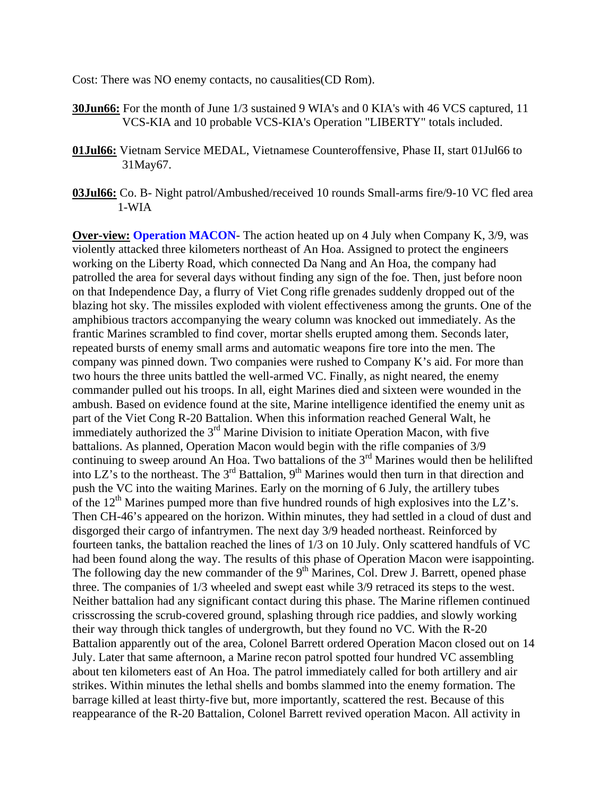Cost: There was NO enemy contacts, no causalities(CD Rom).

- **30Jun66:** For the month of June 1/3 sustained 9 WIA's and 0 KIA's with 46 VCS captured, 11 VCS-KIA and 10 probable VCS-KIA's Operation "LIBERTY" totals included.
- **01Jul66:** Vietnam Service MEDAL, Vietnamese Counteroffensive, Phase II, start 01Jul66 to 31May67.
- **03Jul66:** Co. B- Night patrol/Ambushed/received 10 rounds Small-arms fire/9-10 VC fled area 1-WIA

**Over-view: Operation MACON**- The action heated up on 4 July when Company K, 3/9, was violently attacked three kilometers northeast of An Hoa. Assigned to protect the engineers working on the Liberty Road, which connected Da Nang and An Hoa, the company had patrolled the area for several days without finding any sign of the foe. Then, just before noon on that Independence Day, a flurry of Viet Cong rifle grenades suddenly dropped out of the blazing hot sky. The missiles exploded with violent effectiveness among the grunts. One of the amphibious tractors accompanying the weary column was knocked out immediately. As the frantic Marines scrambled to find cover, mortar shells erupted among them. Seconds later, repeated bursts of enemy small arms and automatic weapons fire tore into the men. The company was pinned down. Two companies were rushed to Company K's aid. For more than two hours the three units battled the well-armed VC. Finally, as night neared, the enemy commander pulled out his troops. In all, eight Marines died and sixteen were wounded in the ambush. Based on evidence found at the site, Marine intelligence identified the enemy unit as part of the Viet Cong R-20 Battalion. When this information reached General Walt, he immediately authorized the  $3<sup>rd</sup>$  Marine Division to initiate Operation Macon, with five battalions. As planned, Operation Macon would begin with the rifle companies of 3/9 continuing to sweep around An Hoa. Two battalions of the  $3<sup>rd</sup>$  Marines would then be helilifted into LZ's to the northeast. The  $3<sup>rd</sup>$  Battalion,  $9<sup>th</sup>$  Marines would then turn in that direction and push the VC into the waiting Marines. Early on the morning of 6 July, the artillery tubes of the  $12<sup>th</sup>$  Marines pumped more than five hundred rounds of high explosives into the LZ's. Then CH-46's appeared on the horizon. Within minutes, they had settled in a cloud of dust and disgorged their cargo of infantrymen. The next day 3/9 headed northeast. Reinforced by fourteen tanks, the battalion reached the lines of 1/3 on 10 July. Only scattered handfuls of VC had been found along the way. The results of this phase of Operation Macon were isappointing. The following day the new commander of the  $9<sup>th</sup>$  Marines, Col. Drew J. Barrett, opened phase three. The companies of 1/3 wheeled and swept east while 3/9 retraced its steps to the west. Neither battalion had any significant contact during this phase. The Marine riflemen continued crisscrossing the scrub-covered ground, splashing through rice paddies, and slowly working their way through thick tangles of undergrowth, but they found no VC. With the R-20 Battalion apparently out of the area, Colonel Barrett ordered Operation Macon closed out on 14 July. Later that same afternoon, a Marine recon patrol spotted four hundred VC assembling about ten kilometers east of An Hoa. The patrol immediately called for both artillery and air strikes. Within minutes the lethal shells and bombs slammed into the enemy formation. The barrage killed at least thirty-five but, more importantly, scattered the rest. Because of this reappearance of the R-20 Battalion, Colonel Barrett revived operation Macon. All activity in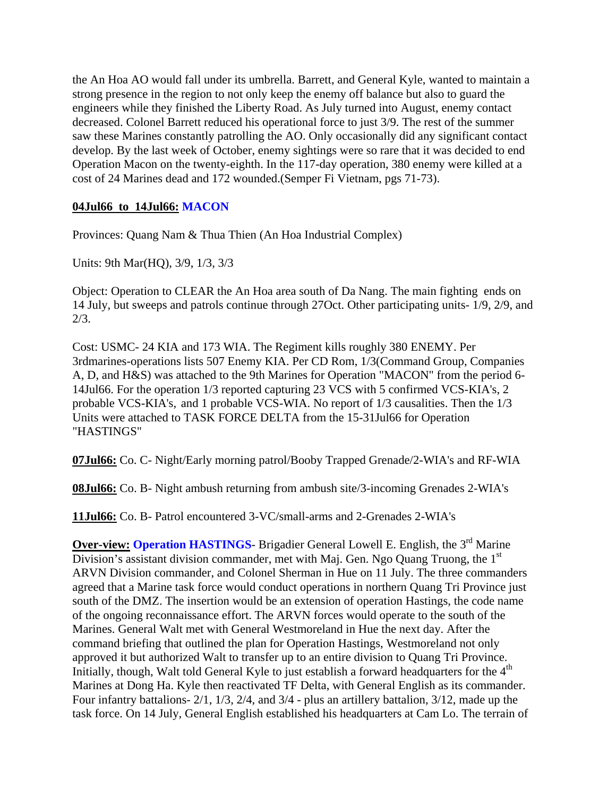the An Hoa AO would fall under its umbrella. Barrett, and General Kyle, wanted to maintain a strong presence in the region to not only keep the enemy off balance but also to guard the engineers while they finished the Liberty Road. As July turned into August, enemy contact decreased. Colonel Barrett reduced his operational force to just 3/9. The rest of the summer saw these Marines constantly patrolling the AO. Only occasionally did any significant contact develop. By the last week of October, enemy sightings were so rare that it was decided to end Operation Macon on the twenty-eighth. In the 117-day operation, 380 enemy were killed at a cost of 24 Marines dead and 172 wounded.(Semper Fi Vietnam, pgs 71-73).

### **04Jul66 to 14Jul66: MACON**

Provinces: Quang Nam & Thua Thien (An Hoa Industrial Complex)

Units: 9th Mar(HQ), 3/9, 1/3, 3/3

Object: Operation to CLEAR the An Hoa area south of Da Nang. The main fighting ends on 14 July, but sweeps and patrols continue through 27Oct. Other participating units- 1/9, 2/9, and 2/3.

Cost: USMC- 24 KIA and 173 WIA. The Regiment kills roughly 380 ENEMY. Per 3rdmarines-operations lists 507 Enemy KIA. Per CD Rom, 1/3(Command Group, Companies A, D, and H&S) was attached to the 9th Marines for Operation "MACON" from the period 6- 14Jul66. For the operation 1/3 reported capturing 23 VCS with 5 confirmed VCS-KIA's, 2 probable VCS-KIA's, and 1 probable VCS-WIA. No report of 1/3 causalities. Then the 1/3 Units were attached to TASK FORCE DELTA from the 15-31Jul66 for Operation "HASTINGS"

**07Jul66:** Co. C- Night/Early morning patrol/Booby Trapped Grenade/2-WIA's and RF-WIA

**08Jul66:** Co. B- Night ambush returning from ambush site/3-incoming Grenades 2-WIA's

**11Jul66:** Co. B- Patrol encountered 3-VC/small-arms and 2-Grenades 2-WIA's

**Over-view: Operation HASTINGS**- Brigadier General Lowell E. English, the 3<sup>rd</sup> Marine Division's assistant division commander, met with Maj. Gen. Ngo Quang Truong, the  $1<sup>st</sup>$ ARVN Division commander, and Colonel Sherman in Hue on 11 July. The three commanders agreed that a Marine task force would conduct operations in northern Quang Tri Province just south of the DMZ. The insertion would be an extension of operation Hastings, the code name of the ongoing reconnaissance effort. The ARVN forces would operate to the south of the Marines. General Walt met with General Westmoreland in Hue the next day. After the command briefing that outlined the plan for Operation Hastings, Westmoreland not only approved it but authorized Walt to transfer up to an entire division to Quang Tri Province. Initially, though, Walt told General Kyle to just establish a forward headquarters for the  $4<sup>th</sup>$ Marines at Dong Ha. Kyle then reactivated TF Delta, with General English as its commander. Four infantry battalions- 2/1, 1/3, 2/4, and 3/4 - plus an artillery battalion, 3/12, made up the task force. On 14 July, General English established his headquarters at Cam Lo. The terrain of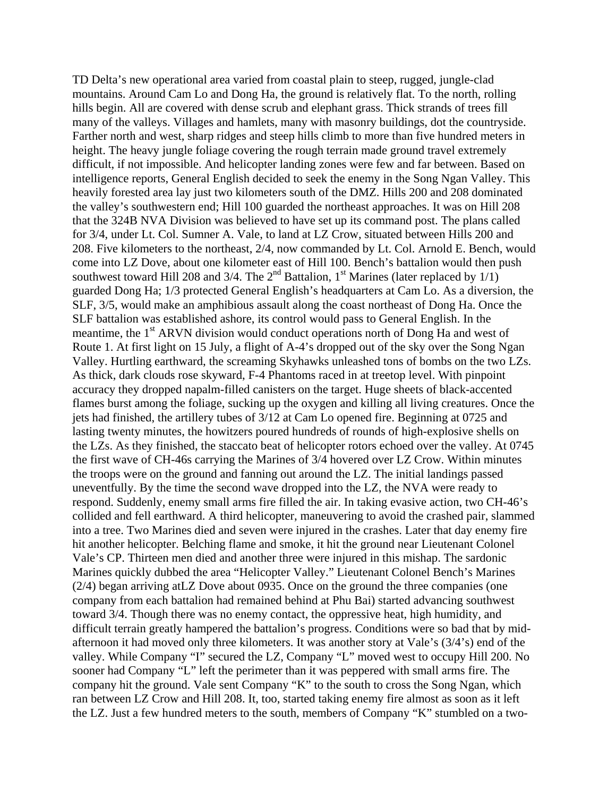TD Delta's new operational area varied from coastal plain to steep, rugged, jungle-clad mountains. Around Cam Lo and Dong Ha, the ground is relatively flat. To the north, rolling hills begin. All are covered with dense scrub and elephant grass. Thick strands of trees fill many of the valleys. Villages and hamlets, many with masonry buildings, dot the countryside. Farther north and west, sharp ridges and steep hills climb to more than five hundred meters in height. The heavy jungle foliage covering the rough terrain made ground travel extremely difficult, if not impossible. And helicopter landing zones were few and far between. Based on intelligence reports, General English decided to seek the enemy in the Song Ngan Valley. This heavily forested area lay just two kilometers south of the DMZ. Hills 200 and 208 dominated the valley's southwestern end; Hill 100 guarded the northeast approaches. It was on Hill 208 that the 324B NVA Division was believed to have set up its command post. The plans called for 3/4, under Lt. Col. Sumner A. Vale, to land at LZ Crow, situated between Hills 200 and 208. Five kilometers to the northeast, 2/4, now commanded by Lt. Col. Arnold E. Bench, would come into LZ Dove, about one kilometer east of Hill 100. Bench's battalion would then push southwest toward Hill 208 and 3/4. The  $2<sup>nd</sup>$  Battalion, 1<sup>st</sup> Marines (later replaced by 1/1) guarded Dong Ha; 1/3 protected General English's headquarters at Cam Lo. As a diversion, the SLF, 3/5, would make an amphibious assault along the coast northeast of Dong Ha. Once the SLF battalion was established ashore, its control would pass to General English. In the meantime, the 1<sup>st</sup> ARVN division would conduct operations north of Dong Ha and west of Route 1. At first light on 15 July, a flight of A-4's dropped out of the sky over the Song Ngan Valley. Hurtling earthward, the screaming Skyhawks unleashed tons of bombs on the two LZs. As thick, dark clouds rose skyward, F-4 Phantoms raced in at treetop level. With pinpoint accuracy they dropped napalm-filled canisters on the target. Huge sheets of black-accented flames burst among the foliage, sucking up the oxygen and killing all living creatures. Once the jets had finished, the artillery tubes of 3/12 at Cam Lo opened fire. Beginning at 0725 and lasting twenty minutes, the howitzers poured hundreds of rounds of high-explosive shells on the LZs. As they finished, the staccato beat of helicopter rotors echoed over the valley. At 0745 the first wave of CH-46s carrying the Marines of 3/4 hovered over LZ Crow. Within minutes the troops were on the ground and fanning out around the LZ. The initial landings passed uneventfully. By the time the second wave dropped into the LZ, the NVA were ready to respond. Suddenly, enemy small arms fire filled the air. In taking evasive action, two CH-46's collided and fell earthward. A third helicopter, maneuvering to avoid the crashed pair, slammed into a tree. Two Marines died and seven were injured in the crashes. Later that day enemy fire hit another helicopter. Belching flame and smoke, it hit the ground near Lieutenant Colonel Vale's CP. Thirteen men died and another three were injured in this mishap. The sardonic Marines quickly dubbed the area "Helicopter Valley." Lieutenant Colonel Bench's Marines (2/4) began arriving atLZ Dove about 0935. Once on the ground the three companies (one company from each battalion had remained behind at Phu Bai) started advancing southwest toward 3/4. Though there was no enemy contact, the oppressive heat, high humidity, and difficult terrain greatly hampered the battalion's progress. Conditions were so bad that by midafternoon it had moved only three kilometers. It was another story at Vale's (3/4's) end of the valley. While Company "I" secured the LZ, Company "L" moved west to occupy Hill 200. No sooner had Company "L" left the perimeter than it was peppered with small arms fire. The company hit the ground. Vale sent Company "K" to the south to cross the Song Ngan, which ran between LZ Crow and Hill 208. It, too, started taking enemy fire almost as soon as it left the LZ. Just a few hundred meters to the south, members of Company "K" stumbled on a two-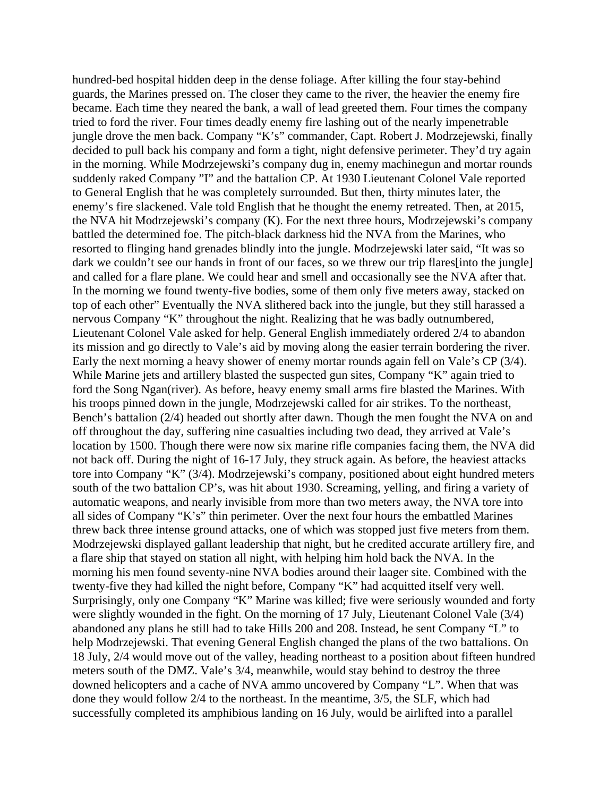hundred-bed hospital hidden deep in the dense foliage. After killing the four stay-behind guards, the Marines pressed on. The closer they came to the river, the heavier the enemy fire became. Each time they neared the bank, a wall of lead greeted them. Four times the company tried to ford the river. Four times deadly enemy fire lashing out of the nearly impenetrable jungle drove the men back. Company "K's" commander, Capt. Robert J. Modrzejewski, finally decided to pull back his company and form a tight, night defensive perimeter. They'd try again in the morning. While Modrzejewski's company dug in, enemy machinegun and mortar rounds suddenly raked Company "I" and the battalion CP. At 1930 Lieutenant Colonel Vale reported to General English that he was completely surrounded. But then, thirty minutes later, the enemy's fire slackened. Vale told English that he thought the enemy retreated. Then, at 2015, the NVA hit Modrzejewski's company (K). For the next three hours, Modrzejewski's company battled the determined foe. The pitch-black darkness hid the NVA from the Marines, who resorted to flinging hand grenades blindly into the jungle. Modrzejewski later said, "It was so dark we couldn't see our hands in front of our faces, so we threw our trip flares [into the jungle] and called for a flare plane. We could hear and smell and occasionally see the NVA after that. In the morning we found twenty-five bodies, some of them only five meters away, stacked on top of each other" Eventually the NVA slithered back into the jungle, but they still harassed a nervous Company "K" throughout the night. Realizing that he was badly outnumbered, Lieutenant Colonel Vale asked for help. General English immediately ordered 2/4 to abandon its mission and go directly to Vale's aid by moving along the easier terrain bordering the river. Early the next morning a heavy shower of enemy mortar rounds again fell on Vale's CP (3/4). While Marine jets and artillery blasted the suspected gun sites, Company "K" again tried to ford the Song Ngan(river). As before, heavy enemy small arms fire blasted the Marines. With his troops pinned down in the jungle, Modrzejewski called for air strikes. To the northeast, Bench's battalion (2/4) headed out shortly after dawn. Though the men fought the NVA on and off throughout the day, suffering nine casualties including two dead, they arrived at Vale's location by 1500. Though there were now six marine rifle companies facing them, the NVA did not back off. During the night of 16-17 July, they struck again. As before, the heaviest attacks tore into Company "K" (3/4). Modrzejewski's company, positioned about eight hundred meters south of the two battalion CP's, was hit about 1930. Screaming, yelling, and firing a variety of automatic weapons, and nearly invisible from more than two meters away, the NVA tore into all sides of Company "K's" thin perimeter. Over the next four hours the embattled Marines threw back three intense ground attacks, one of which was stopped just five meters from them. Modrzejewski displayed gallant leadership that night, but he credited accurate artillery fire, and a flare ship that stayed on station all night, with helping him hold back the NVA. In the morning his men found seventy-nine NVA bodies around their laager site. Combined with the twenty-five they had killed the night before, Company "K" had acquitted itself very well. Surprisingly, only one Company "K" Marine was killed; five were seriously wounded and forty were slightly wounded in the fight. On the morning of 17 July, Lieutenant Colonel Vale (3/4) abandoned any plans he still had to take Hills 200 and 208. Instead, he sent Company "L" to help Modrzejewski. That evening General English changed the plans of the two battalions. On 18 July, 2/4 would move out of the valley, heading northeast to a position about fifteen hundred meters south of the DMZ. Vale's 3/4, meanwhile, would stay behind to destroy the three downed helicopters and a cache of NVA ammo uncovered by Company "L". When that was done they would follow 2/4 to the northeast. In the meantime, 3/5, the SLF, which had successfully completed its amphibious landing on 16 July, would be airlifted into a parallel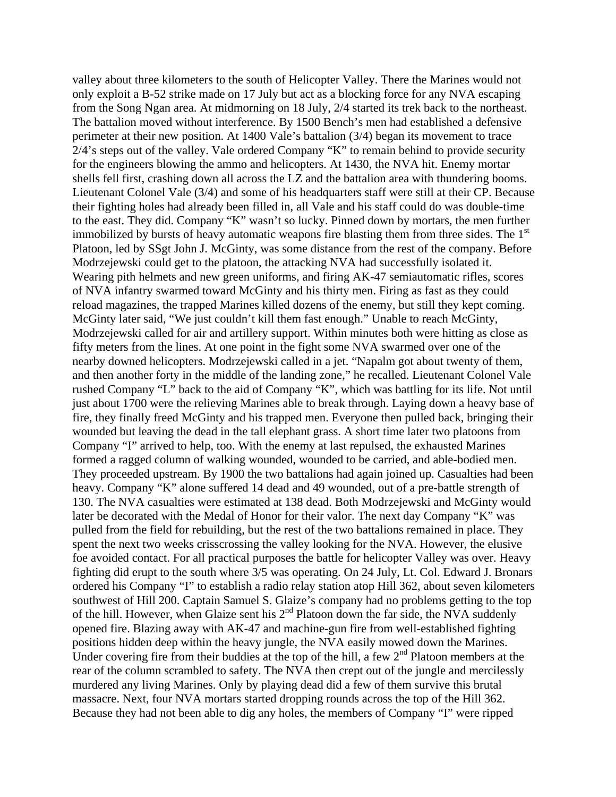valley about three kilometers to the south of Helicopter Valley. There the Marines would not only exploit a B-52 strike made on 17 July but act as a blocking force for any NVA escaping from the Song Ngan area. At midmorning on 18 July, 2/4 started its trek back to the northeast. The battalion moved without interference. By 1500 Bench's men had established a defensive perimeter at their new position. At 1400 Vale's battalion (3/4) began its movement to trace 2/4's steps out of the valley. Vale ordered Company "K" to remain behind to provide security for the engineers blowing the ammo and helicopters. At 1430, the NVA hit. Enemy mortar shells fell first, crashing down all across the LZ and the battalion area with thundering booms. Lieutenant Colonel Vale (3/4) and some of his headquarters staff were still at their CP. Because their fighting holes had already been filled in, all Vale and his staff could do was double-time to the east. They did. Company "K" wasn't so lucky. Pinned down by mortars, the men further immobilized by bursts of heavy automatic weapons fire blasting them from three sides. The  $1<sup>st</sup>$ Platoon, led by SSgt John J. McGinty, was some distance from the rest of the company. Before Modrzejewski could get to the platoon, the attacking NVA had successfully isolated it. Wearing pith helmets and new green uniforms, and firing AK-47 semiautomatic rifles, scores of NVA infantry swarmed toward McGinty and his thirty men. Firing as fast as they could reload magazines, the trapped Marines killed dozens of the enemy, but still they kept coming. McGinty later said, "We just couldn't kill them fast enough." Unable to reach McGinty, Modrzejewski called for air and artillery support. Within minutes both were hitting as close as fifty meters from the lines. At one point in the fight some NVA swarmed over one of the nearby downed helicopters. Modrzejewski called in a jet. "Napalm got about twenty of them, and then another forty in the middle of the landing zone," he recalled. Lieutenant Colonel Vale rushed Company "L" back to the aid of Company "K", which was battling for its life. Not until just about 1700 were the relieving Marines able to break through. Laying down a heavy base of fire, they finally freed McGinty and his trapped men. Everyone then pulled back, bringing their wounded but leaving the dead in the tall elephant grass. A short time later two platoons from Company "I" arrived to help, too. With the enemy at last repulsed, the exhausted Marines formed a ragged column of walking wounded, wounded to be carried, and able-bodied men. They proceeded upstream. By 1900 the two battalions had again joined up. Casualties had been heavy. Company "K" alone suffered 14 dead and 49 wounded, out of a pre-battle strength of 130. The NVA casualties were estimated at 138 dead. Both Modrzejewski and McGinty would later be decorated with the Medal of Honor for their valor. The next day Company "K" was pulled from the field for rebuilding, but the rest of the two battalions remained in place. They spent the next two weeks crisscrossing the valley looking for the NVA. However, the elusive foe avoided contact. For all practical purposes the battle for helicopter Valley was over. Heavy fighting did erupt to the south where 3/5 was operating. On 24 July, Lt. Col. Edward J. Bronars ordered his Company "I" to establish a radio relay station atop Hill 362, about seven kilometers southwest of Hill 200. Captain Samuel S. Glaize's company had no problems getting to the top of the hill. However, when Glaize sent his  $2<sup>nd</sup>$  Platoon down the far side, the NVA suddenly opened fire. Blazing away with AK-47 and machine-gun fire from well-established fighting positions hidden deep within the heavy jungle, the NVA easily mowed down the Marines. Under covering fire from their buddies at the top of the hill, a few  $2<sup>nd</sup>$  Platoon members at the rear of the column scrambled to safety. The NVA then crept out of the jungle and mercilessly murdered any living Marines. Only by playing dead did a few of them survive this brutal massacre. Next, four NVA mortars started dropping rounds across the top of the Hill 362. Because they had not been able to dig any holes, the members of Company "I" were ripped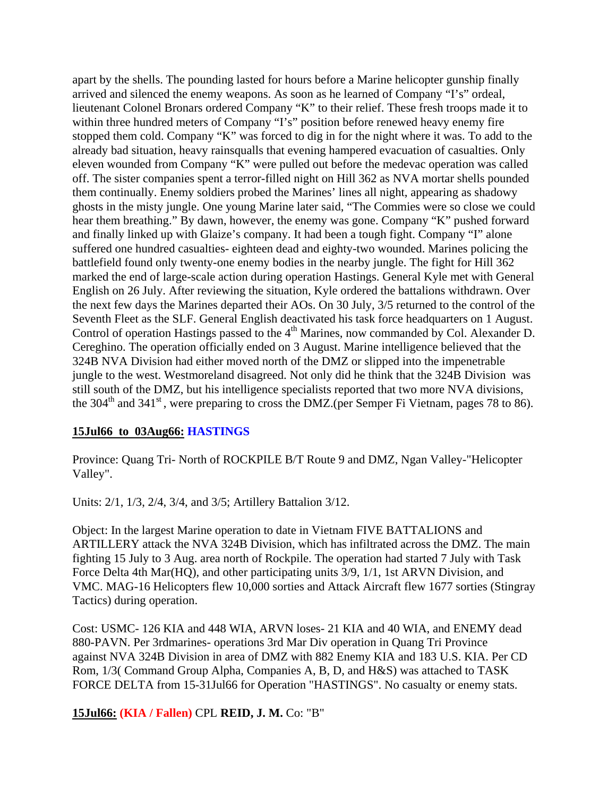apart by the shells. The pounding lasted for hours before a Marine helicopter gunship finally arrived and silenced the enemy weapons. As soon as he learned of Company "I's" ordeal, lieutenant Colonel Bronars ordered Company "K" to their relief. These fresh troops made it to within three hundred meters of Company "I's" position before renewed heavy enemy fire stopped them cold. Company "K" was forced to dig in for the night where it was. To add to the already bad situation, heavy rainsqualls that evening hampered evacuation of casualties. Only eleven wounded from Company "K" were pulled out before the medevac operation was called off. The sister companies spent a terror-filled night on Hill 362 as NVA mortar shells pounded them continually. Enemy soldiers probed the Marines' lines all night, appearing as shadowy ghosts in the misty jungle. One young Marine later said, "The Commies were so close we could hear them breathing." By dawn, however, the enemy was gone. Company "K" pushed forward and finally linked up with Glaize's company. It had been a tough fight. Company "I" alone suffered one hundred casualties- eighteen dead and eighty-two wounded. Marines policing the battlefield found only twenty-one enemy bodies in the nearby jungle. The fight for Hill 362 marked the end of large-scale action during operation Hastings. General Kyle met with General English on 26 July. After reviewing the situation, Kyle ordered the battalions withdrawn. Over the next few days the Marines departed their AOs. On 30 July, 3/5 returned to the control of the Seventh Fleet as the SLF. General English deactivated his task force headquarters on 1 August. Control of operation Hastings passed to the 4<sup>th</sup> Marines, now commanded by Col. Alexander D. Cereghino. The operation officially ended on 3 August. Marine intelligence believed that the 324B NVA Division had either moved north of the DMZ or slipped into the impenetrable jungle to the west. Westmoreland disagreed. Not only did he think that the 324B Division was still south of the DMZ, but his intelligence specialists reported that two more NVA divisions, the  $304<sup>th</sup>$  and  $341<sup>st</sup>$ , were preparing to cross the DMZ.(per Semper Fi Vietnam, pages 78 to 86).

#### **15Jul66 to 03Aug66: HASTINGS**

Province: Quang Tri- North of ROCKPILE B/T Route 9 and DMZ, Ngan Valley-"Helicopter Valley".

Units: 2/1, 1/3, 2/4, 3/4, and 3/5; Artillery Battalion 3/12.

Object: In the largest Marine operation to date in Vietnam FIVE BATTALIONS and ARTILLERY attack the NVA 324B Division, which has infiltrated across the DMZ. The main fighting 15 July to 3 Aug. area north of Rockpile. The operation had started 7 July with Task Force Delta 4th Mar(HQ), and other participating units 3/9, 1/1, 1st ARVN Division, and VMC. MAG-16 Helicopters flew 10,000 sorties and Attack Aircraft flew 1677 sorties (Stingray Tactics) during operation.

Cost: USMC- 126 KIA and 448 WIA, ARVN loses- 21 KIA and 40 WIA, and ENEMY dead 880-PAVN. Per 3rdmarines- operations 3rd Mar Div operation in Quang Tri Province against NVA 324B Division in area of DMZ with 882 Enemy KIA and 183 U.S. KIA. Per CD Rom, 1/3( Command Group Alpha, Companies A, B, D, and H&S) was attached to TASK FORCE DELTA from 15-31Jul66 for Operation "HASTINGS". No casualty or enemy stats.

**15Jul66: (KIA / Fallen)** CPL **REID, J. M.** Co: "B"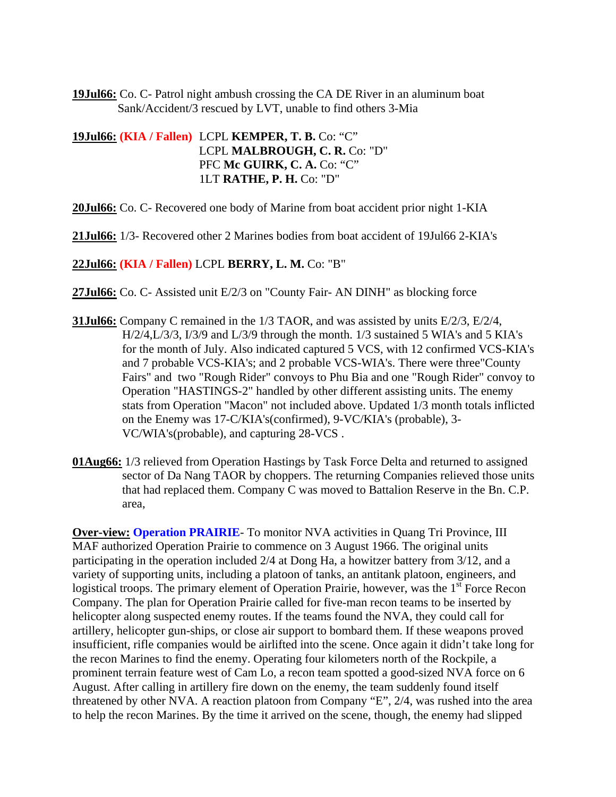**19Jul66:** Co. C- Patrol night ambush crossing the CA DE River in an aluminum boat Sank/Accident/3 rescued by LVT, unable to find others 3-Mia

# **19Jul66: (KIA / Fallen)** LCPL **KEMPER, T. B.** Co: "C" LCPL **MALBROUGH, C. R. Co: "D"** PFC Mc GUIRK, C. A. Co: "C" 1LT **RATHE, P. H.** Co: "D"

**20Jul66:** Co. C- Recovered one body of Marine from boat accident prior night 1-KIA

**21Jul66:** 1/3- Recovered other 2 Marines bodies from boat accident of 19Jul66 2-KIA's

**22Jul66: (KIA / Fallen)** LCPL **BERRY, L. M.** Co: "B"

**27Jul66:** Co. C- Assisted unit E/2/3 on "County Fair- AN DINH" as blocking force

- **31Jul66:** Company C remained in the 1/3 TAOR, and was assisted by units E/2/3, E/2/4, H/2/4,L/3/3, I/3/9 and L/3/9 through the month. 1/3 sustained 5 WIA's and 5 KIA's for the month of July. Also indicated captured 5 VCS, with 12 confirmed VCS-KIA's and 7 probable VCS-KIA's; and 2 probable VCS-WIA's. There were three"County Fairs" and two "Rough Rider" convoys to Phu Bia and one "Rough Rider" convoy to Operation "HASTINGS-2" handled by other different assisting units. The enemy stats from Operation "Macon" not included above. Updated 1/3 month totals inflicted on the Enemy was 17-C/KIA's(confirmed), 9-VC/KIA's (probable), 3- VC/WIA's(probable), and capturing 28-VCS .
- **01Aug66:** 1/3 relieved from Operation Hastings by Task Force Delta and returned to assigned sector of Da Nang TAOR by choppers. The returning Companies relieved those units that had replaced them. Company C was moved to Battalion Reserve in the Bn. C.P. area,

**Over-view: Operation PRAIRIE**- To monitor NVA activities in Quang Tri Province, III MAF authorized Operation Prairie to commence on 3 August 1966. The original units participating in the operation included 2/4 at Dong Ha, a howitzer battery from 3/12, and a variety of supporting units, including a platoon of tanks, an antitank platoon, engineers, and logistical troops. The primary element of Operation Prairie, however, was the  $1<sup>st</sup>$  Force Recon Company. The plan for Operation Prairie called for five-man recon teams to be inserted by helicopter along suspected enemy routes. If the teams found the NVA, they could call for artillery, helicopter gun-ships, or close air support to bombard them. If these weapons proved insufficient, rifle companies would be airlifted into the scene. Once again it didn't take long for the recon Marines to find the enemy. Operating four kilometers north of the Rockpile, a prominent terrain feature west of Cam Lo, a recon team spotted a good-sized NVA force on 6 August. After calling in artillery fire down on the enemy, the team suddenly found itself threatened by other NVA. A reaction platoon from Company "E", 2/4, was rushed into the area to help the recon Marines. By the time it arrived on the scene, though, the enemy had slipped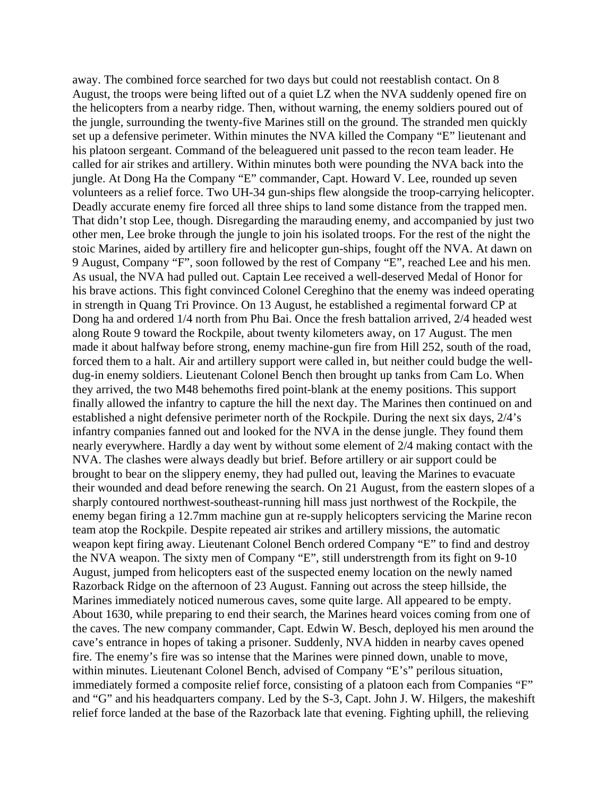away. The combined force searched for two days but could not reestablish contact. On 8 August, the troops were being lifted out of a quiet LZ when the NVA suddenly opened fire on the helicopters from a nearby ridge. Then, without warning, the enemy soldiers poured out of the jungle, surrounding the twenty-five Marines still on the ground. The stranded men quickly set up a defensive perimeter. Within minutes the NVA killed the Company "E" lieutenant and his platoon sergeant. Command of the beleaguered unit passed to the recon team leader. He called for air strikes and artillery. Within minutes both were pounding the NVA back into the jungle. At Dong Ha the Company "E" commander, Capt. Howard V. Lee, rounded up seven volunteers as a relief force. Two UH-34 gun-ships flew alongside the troop-carrying helicopter. Deadly accurate enemy fire forced all three ships to land some distance from the trapped men. That didn't stop Lee, though. Disregarding the marauding enemy, and accompanied by just two other men, Lee broke through the jungle to join his isolated troops. For the rest of the night the stoic Marines, aided by artillery fire and helicopter gun-ships, fought off the NVA. At dawn on 9 August, Company "F", soon followed by the rest of Company "E", reached Lee and his men. As usual, the NVA had pulled out. Captain Lee received a well-deserved Medal of Honor for his brave actions. This fight convinced Colonel Cereghino that the enemy was indeed operating in strength in Quang Tri Province. On 13 August, he established a regimental forward CP at Dong ha and ordered 1/4 north from Phu Bai. Once the fresh battalion arrived, 2/4 headed west along Route 9 toward the Rockpile, about twenty kilometers away, on 17 August. The men made it about halfway before strong, enemy machine-gun fire from Hill 252, south of the road, forced them to a halt. Air and artillery support were called in, but neither could budge the welldug-in enemy soldiers. Lieutenant Colonel Bench then brought up tanks from Cam Lo. When they arrived, the two M48 behemoths fired point-blank at the enemy positions. This support finally allowed the infantry to capture the hill the next day. The Marines then continued on and established a night defensive perimeter north of the Rockpile. During the next six days, 2/4's infantry companies fanned out and looked for the NVA in the dense jungle. They found them nearly everywhere. Hardly a day went by without some element of 2/4 making contact with the NVA. The clashes were always deadly but brief. Before artillery or air support could be brought to bear on the slippery enemy, they had pulled out, leaving the Marines to evacuate their wounded and dead before renewing the search. On 21 August, from the eastern slopes of a sharply contoured northwest-southeast-running hill mass just northwest of the Rockpile, the enemy began firing a 12.7mm machine gun at re-supply helicopters servicing the Marine recon team atop the Rockpile. Despite repeated air strikes and artillery missions, the automatic weapon kept firing away. Lieutenant Colonel Bench ordered Company "E" to find and destroy the NVA weapon. The sixty men of Company "E", still understrength from its fight on 9-10 August, jumped from helicopters east of the suspected enemy location on the newly named Razorback Ridge on the afternoon of 23 August. Fanning out across the steep hillside, the Marines immediately noticed numerous caves, some quite large. All appeared to be empty. About 1630, while preparing to end their search, the Marines heard voices coming from one of the caves. The new company commander, Capt. Edwin W. Besch, deployed his men around the cave's entrance in hopes of taking a prisoner. Suddenly, NVA hidden in nearby caves opened fire. The enemy's fire was so intense that the Marines were pinned down, unable to move, within minutes. Lieutenant Colonel Bench, advised of Company "E's" perilous situation, immediately formed a composite relief force, consisting of a platoon each from Companies "F" and "G" and his headquarters company. Led by the S-3, Capt. John J. W. Hilgers, the makeshift relief force landed at the base of the Razorback late that evening. Fighting uphill, the relieving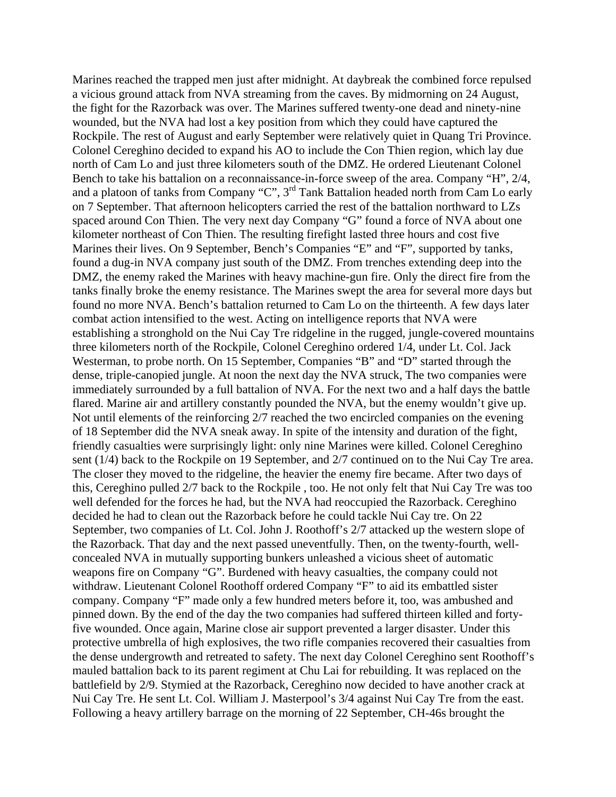Marines reached the trapped men just after midnight. At daybreak the combined force repulsed a vicious ground attack from NVA streaming from the caves. By midmorning on 24 August, the fight for the Razorback was over. The Marines suffered twenty-one dead and ninety-nine wounded, but the NVA had lost a key position from which they could have captured the Rockpile. The rest of August and early September were relatively quiet in Quang Tri Province. Colonel Cereghino decided to expand his AO to include the Con Thien region, which lay due north of Cam Lo and just three kilometers south of the DMZ. He ordered Lieutenant Colonel Bench to take his battalion on a reconnaissance-in-force sweep of the area. Company "H", 2/4, and a platoon of tanks from Company "C", 3<sup>rd</sup> Tank Battalion headed north from Cam Lo early on 7 September. That afternoon helicopters carried the rest of the battalion northward to LZs spaced around Con Thien. The very next day Company "G" found a force of NVA about one kilometer northeast of Con Thien. The resulting firefight lasted three hours and cost five Marines their lives. On 9 September, Bench's Companies "E" and "F", supported by tanks, found a dug-in NVA company just south of the DMZ. From trenches extending deep into the DMZ, the enemy raked the Marines with heavy machine-gun fire. Only the direct fire from the tanks finally broke the enemy resistance. The Marines swept the area for several more days but found no more NVA. Bench's battalion returned to Cam Lo on the thirteenth. A few days later combat action intensified to the west. Acting on intelligence reports that NVA were establishing a stronghold on the Nui Cay Tre ridgeline in the rugged, jungle-covered mountains three kilometers north of the Rockpile, Colonel Cereghino ordered 1/4, under Lt. Col. Jack Westerman, to probe north. On 15 September, Companies "B" and "D" started through the dense, triple-canopied jungle. At noon the next day the NVA struck, The two companies were immediately surrounded by a full battalion of NVA. For the next two and a half days the battle flared. Marine air and artillery constantly pounded the NVA, but the enemy wouldn't give up. Not until elements of the reinforcing 2/7 reached the two encircled companies on the evening of 18 September did the NVA sneak away. In spite of the intensity and duration of the fight, friendly casualties were surprisingly light: only nine Marines were killed. Colonel Cereghino sent (1/4) back to the Rockpile on 19 September, and 2/7 continued on to the Nui Cay Tre area. The closer they moved to the ridgeline, the heavier the enemy fire became. After two days of this, Cereghino pulled 2/7 back to the Rockpile , too. He not only felt that Nui Cay Tre was too well defended for the forces he had, but the NVA had reoccupied the Razorback. Cereghino decided he had to clean out the Razorback before he could tackle Nui Cay tre. On 22 September, two companies of Lt. Col. John J. Roothoff's 2/7 attacked up the western slope of the Razorback. That day and the next passed uneventfully. Then, on the twenty-fourth, wellconcealed NVA in mutually supporting bunkers unleashed a vicious sheet of automatic weapons fire on Company "G". Burdened with heavy casualties, the company could not withdraw. Lieutenant Colonel Roothoff ordered Company "F" to aid its embattled sister company. Company "F" made only a few hundred meters before it, too, was ambushed and pinned down. By the end of the day the two companies had suffered thirteen killed and fortyfive wounded. Once again, Marine close air support prevented a larger disaster. Under this protective umbrella of high explosives, the two rifle companies recovered their casualties from the dense undergrowth and retreated to safety. The next day Colonel Cereghino sent Roothoff's mauled battalion back to its parent regiment at Chu Lai for rebuilding. It was replaced on the battlefield by 2/9. Stymied at the Razorback, Cereghino now decided to have another crack at Nui Cay Tre. He sent Lt. Col. William J. Masterpool's 3/4 against Nui Cay Tre from the east. Following a heavy artillery barrage on the morning of 22 September, CH-46s brought the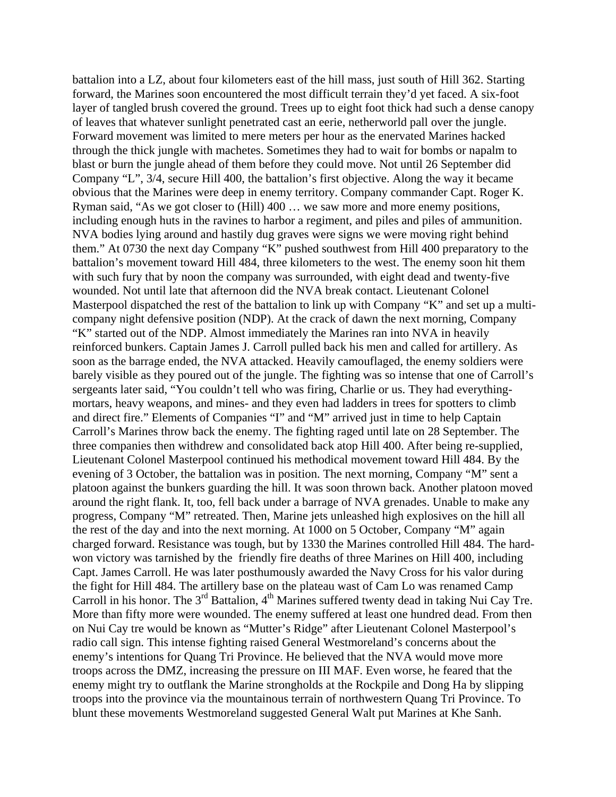battalion into a LZ, about four kilometers east of the hill mass, just south of Hill 362. Starting forward, the Marines soon encountered the most difficult terrain they'd yet faced. A six-foot layer of tangled brush covered the ground. Trees up to eight foot thick had such a dense canopy of leaves that whatever sunlight penetrated cast an eerie, netherworld pall over the jungle. Forward movement was limited to mere meters per hour as the enervated Marines hacked through the thick jungle with machetes. Sometimes they had to wait for bombs or napalm to blast or burn the jungle ahead of them before they could move. Not until 26 September did Company "L", 3/4, secure Hill 400, the battalion's first objective. Along the way it became obvious that the Marines were deep in enemy territory. Company commander Capt. Roger K. Ryman said, "As we got closer to (Hill) 400 … we saw more and more enemy positions, including enough huts in the ravines to harbor a regiment, and piles and piles of ammunition. NVA bodies lying around and hastily dug graves were signs we were moving right behind them." At 0730 the next day Company "K" pushed southwest from Hill 400 preparatory to the battalion's movement toward Hill 484, three kilometers to the west. The enemy soon hit them with such fury that by noon the company was surrounded, with eight dead and twenty-five wounded. Not until late that afternoon did the NVA break contact. Lieutenant Colonel Masterpool dispatched the rest of the battalion to link up with Company "K" and set up a multicompany night defensive position (NDP). At the crack of dawn the next morning, Company "K" started out of the NDP. Almost immediately the Marines ran into NVA in heavily reinforced bunkers. Captain James J. Carroll pulled back his men and called for artillery. As soon as the barrage ended, the NVA attacked. Heavily camouflaged, the enemy soldiers were barely visible as they poured out of the jungle. The fighting was so intense that one of Carroll's sergeants later said, "You couldn't tell who was firing, Charlie or us. They had everythingmortars, heavy weapons, and mines- and they even had ladders in trees for spotters to climb and direct fire." Elements of Companies "I" and "M" arrived just in time to help Captain Carroll's Marines throw back the enemy. The fighting raged until late on 28 September. The three companies then withdrew and consolidated back atop Hill 400. After being re-supplied, Lieutenant Colonel Masterpool continued his methodical movement toward Hill 484. By the evening of 3 October, the battalion was in position. The next morning, Company "M" sent a platoon against the bunkers guarding the hill. It was soon thrown back. Another platoon moved around the right flank. It, too, fell back under a barrage of NVA grenades. Unable to make any progress, Company "M" retreated. Then, Marine jets unleashed high explosives on the hill all the rest of the day and into the next morning. At 1000 on 5 October, Company "M" again charged forward. Resistance was tough, but by 1330 the Marines controlled Hill 484. The hardwon victory was tarnished by the friendly fire deaths of three Marines on Hill 400, including Capt. James Carroll. He was later posthumously awarded the Navy Cross for his valor during the fight for Hill 484. The artillery base on the plateau wast of Cam Lo was renamed Camp Carroll in his honor. The  $3^{rd}$  Battalion,  $4^{th}$  Marines suffered twenty dead in taking Nui Cay Tre. More than fifty more were wounded. The enemy suffered at least one hundred dead. From then on Nui Cay tre would be known as "Mutter's Ridge" after Lieutenant Colonel Masterpool's radio call sign. This intense fighting raised General Westmoreland's concerns about the enemy's intentions for Quang Tri Province. He believed that the NVA would move more troops across the DMZ, increasing the pressure on III MAF. Even worse, he feared that the enemy might try to outflank the Marine strongholds at the Rockpile and Dong Ha by slipping troops into the province via the mountainous terrain of northwestern Quang Tri Province. To blunt these movements Westmoreland suggested General Walt put Marines at Khe Sanh.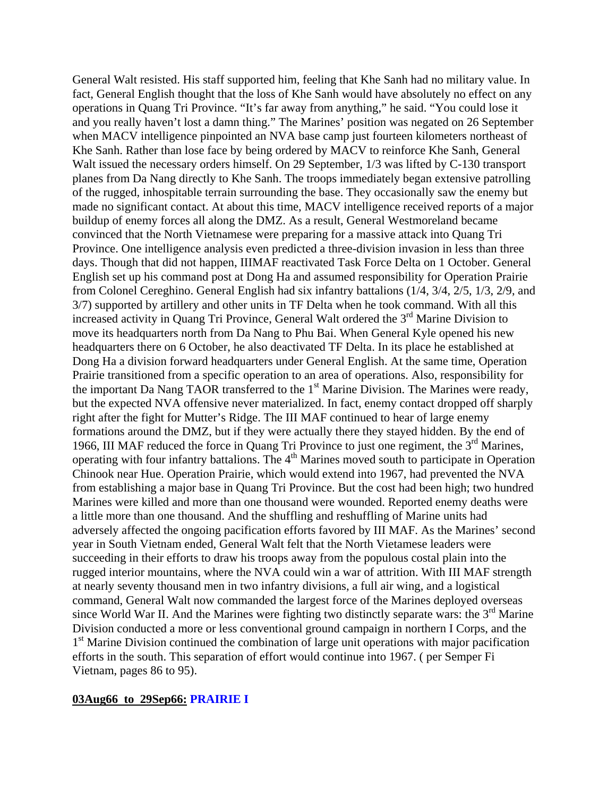General Walt resisted. His staff supported him, feeling that Khe Sanh had no military value. In fact, General English thought that the loss of Khe Sanh would have absolutely no effect on any operations in Quang Tri Province. "It's far away from anything," he said. "You could lose it and you really haven't lost a damn thing." The Marines' position was negated on 26 September when MACV intelligence pinpointed an NVA base camp just fourteen kilometers northeast of Khe Sanh. Rather than lose face by being ordered by MACV to reinforce Khe Sanh, General Walt issued the necessary orders himself. On 29 September,  $1/3$  was lifted by C-130 transport planes from Da Nang directly to Khe Sanh. The troops immediately began extensive patrolling of the rugged, inhospitable terrain surrounding the base. They occasionally saw the enemy but made no significant contact. At about this time, MACV intelligence received reports of a major buildup of enemy forces all along the DMZ. As a result, General Westmoreland became convinced that the North Vietnamese were preparing for a massive attack into Quang Tri Province. One intelligence analysis even predicted a three-division invasion in less than three days. Though that did not happen, IIIMAF reactivated Task Force Delta on 1 October. General English set up his command post at Dong Ha and assumed responsibility for Operation Prairie from Colonel Cereghino. General English had six infantry battalions (1/4, 3/4, 2/5, 1/3, 2/9, and 3/7) supported by artillery and other units in TF Delta when he took command. With all this increased activity in Quang Tri Province, General Walt ordered the 3<sup>rd</sup> Marine Division to move its headquarters north from Da Nang to Phu Bai. When General Kyle opened his new headquarters there on 6 October, he also deactivated TF Delta. In its place he established at Dong Ha a division forward headquarters under General English. At the same time, Operation Prairie transitioned from a specific operation to an area of operations. Also, responsibility for the important Da Nang TAOR transferred to the 1<sup>st</sup> Marine Division. The Marines were ready, but the expected NVA offensive never materialized. In fact, enemy contact dropped off sharply right after the fight for Mutter's Ridge. The III MAF continued to hear of large enemy formations around the DMZ, but if they were actually there they stayed hidden. By the end of 1966, III MAF reduced the force in Quang Tri Province to just one regiment, the  $3<sup>rd</sup>$  Marines, operating with four infantry battalions. The  $4<sup>th</sup>$  Marines moved south to participate in Operation Chinook near Hue. Operation Prairie, which would extend into 1967, had prevented the NVA from establishing a major base in Quang Tri Province. But the cost had been high; two hundred Marines were killed and more than one thousand were wounded. Reported enemy deaths were a little more than one thousand. And the shuffling and reshuffling of Marine units had adversely affected the ongoing pacification efforts favored by III MAF. As the Marines' second year in South Vietnam ended, General Walt felt that the North Vietamese leaders were succeeding in their efforts to draw his troops away from the populous costal plain into the rugged interior mountains, where the NVA could win a war of attrition. With III MAF strength at nearly seventy thousand men in two infantry divisions, a full air wing, and a logistical command, General Walt now commanded the largest force of the Marines deployed overseas since World War II. And the Marines were fighting two distinctly separate wars: the  $3<sup>rd</sup>$  Marine Division conducted a more or less conventional ground campaign in northern I Corps, and the 1<sup>st</sup> Marine Division continued the combination of large unit operations with major pacification efforts in the south. This separation of effort would continue into 1967. ( per Semper Fi Vietnam, pages 86 to 95).

#### **03Aug66 to 29Sep66: PRAIRIE I**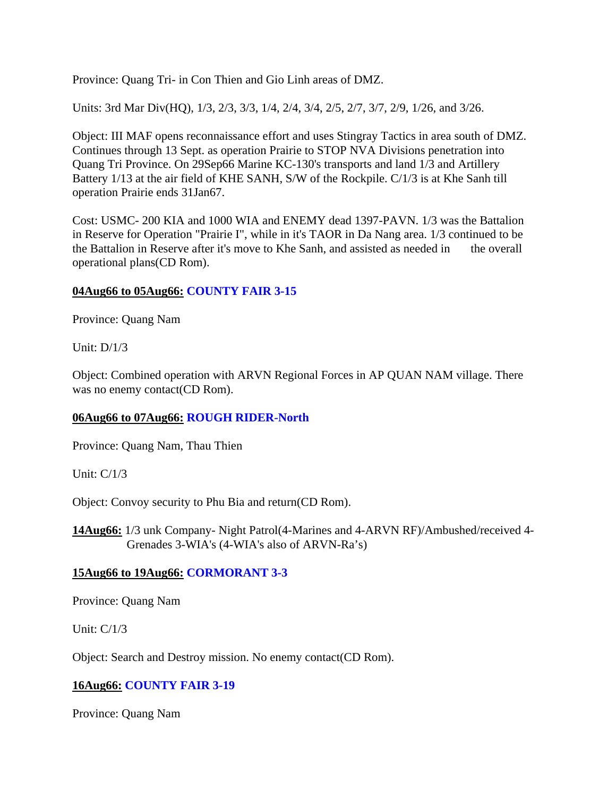Province: Quang Tri- in Con Thien and Gio Linh areas of DMZ.

Units: 3rd Mar Div(HQ), 1/3, 2/3, 3/3, 1/4, 2/4, 3/4, 2/5, 2/7, 3/7, 2/9, 1/26, and 3/26.

Object: III MAF opens reconnaissance effort and uses Stingray Tactics in area south of DMZ. Continues through 13 Sept. as operation Prairie to STOP NVA Divisions penetration into Quang Tri Province. On 29Sep66 Marine KC-130's transports and land 1/3 and Artillery Battery 1/13 at the air field of KHE SANH, S/W of the Rockpile. C/1/3 is at Khe Sanh till operation Prairie ends 31Jan67.

Cost: USMC- 200 KIA and 1000 WIA and ENEMY dead 1397-PAVN. 1/3 was the Battalion in Reserve for Operation "Prairie I", while in it's TAOR in Da Nang area. 1/3 continued to be the Battalion in Reserve after it's move to Khe Sanh, and assisted as needed in the overall operational plans(CD Rom).

# **04Aug66 to 05Aug66: COUNTY FAIR 3-15**

Province: Quang Nam

Unit: D/1/3

Object: Combined operation with ARVN Regional Forces in AP QUAN NAM village. There was no enemy contact (CD Rom).

# **06Aug66 to 07Aug66: ROUGH RIDER-North**

Province: Quang Nam, Thau Thien

Unit: C/1/3

Object: Convoy security to Phu Bia and return(CD Rom).

**14Aug66:** 1/3 unk Company- Night Patrol(4-Marines and 4-ARVN RF)/Ambushed/received 4- Grenades 3-WIA's (4-WIA's also of ARVN-Ra's)

# **15Aug66 to 19Aug66: CORMORANT 3-3**

Province: Quang Nam

Unit: C/1/3

Object: Search and Destroy mission. No enemy contact(CD Rom).

# **16Aug66: COUNTY FAIR 3-19**

Province: Quang Nam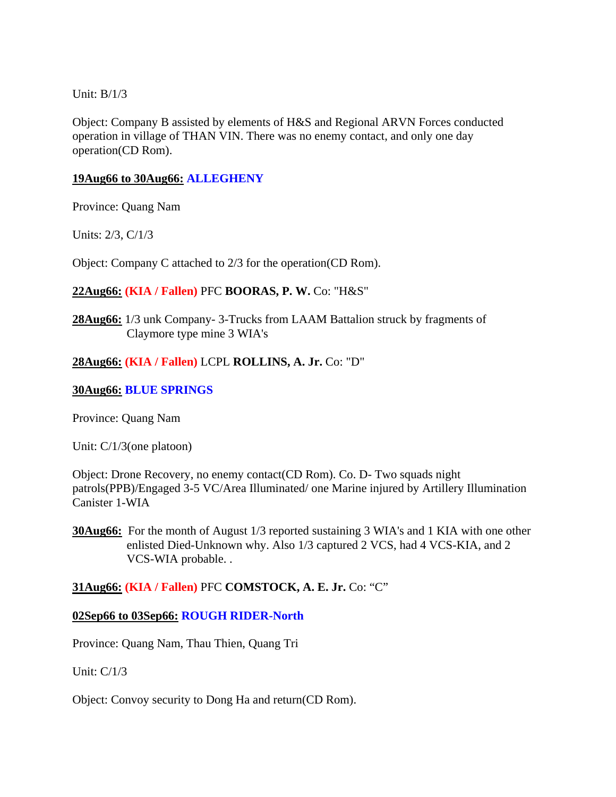Unit: B/1/3

Object: Company B assisted by elements of H&S and Regional ARVN Forces conducted operation in village of THAN VIN. There was no enemy contact, and only one day operation(CD Rom).

### **19Aug66 to 30Aug66: ALLEGHENY**

Province: Quang Nam

Units: 2/3, C/1/3

Object: Company C attached to 2/3 for the operation(CD Rom).

# **22Aug66: (KIA / Fallen)** PFC **BOORAS, P. W.** Co: "H&S"

**28Aug66:** 1/3 unk Company- 3-Trucks from LAAM Battalion struck by fragments of Claymore type mine 3 WIA's

### **28Aug66: (KIA / Fallen)** LCPL **ROLLINS, A. Jr.** Co: "D"

### **30Aug66: BLUE SPRINGS**

Province: Quang Nam

Unit: C/1/3(one platoon)

Object: Drone Recovery, no enemy contact(CD Rom). Co. D- Two squads night patrols(PPB)/Engaged 3-5 VC/Area Illuminated/ one Marine injured by Artillery Illumination Canister 1-WIA

**30Aug66:** For the month of August 1/3 reported sustaining 3 WIA's and 1 KIA with one other enlisted Died-Unknown why. Also 1/3 captured 2 VCS, had 4 VCS-KIA, and 2 VCS-WIA probable. .

# **31Aug66: (KIA / Fallen)** PFC **COMSTOCK, A. E. Jr.** Co: "C"

# **02Sep66 to 03Sep66: ROUGH RIDER-North**

Province: Quang Nam, Thau Thien, Quang Tri

Unit:  $C/1/3$ 

Object: Convoy security to Dong Ha and return(CD Rom).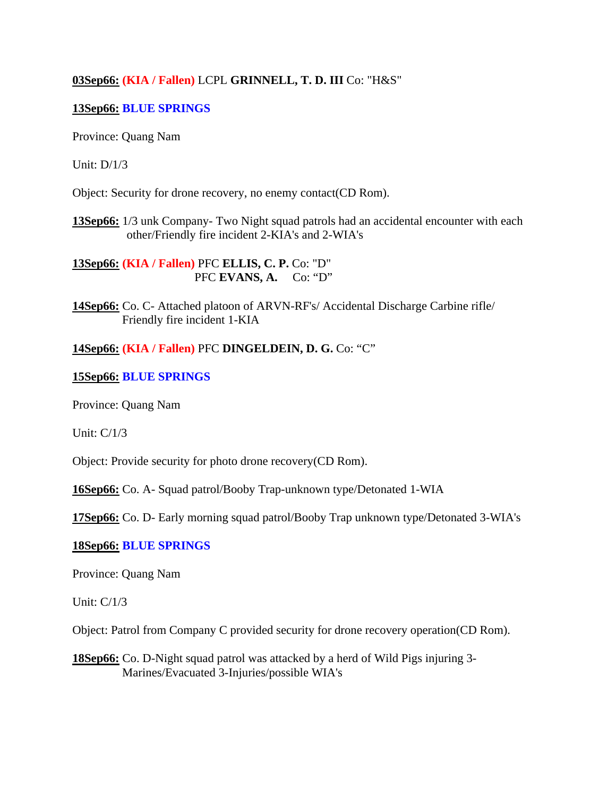# **03Sep66: (KIA / Fallen)** LCPL **GRINNELL, T. D. III** Co: "H&S"

# **13Sep66: BLUE SPRINGS**

Province: Quang Nam

Unit: D/1/3

Object: Security for drone recovery, no enemy contact(CD Rom).

**13Sep66:** 1/3 unk Company- Two Night squad patrols had an accidental encounter with each other/Friendly fire incident 2-KIA's and 2-WIA's

**13Sep66: (KIA / Fallen)** PFC **ELLIS, C. P.** Co: "D" PFC **EVANS**, A. Co: "D"

**14Sep66:** Co. C- Attached platoon of ARVN-RF's/ Accidental Discharge Carbine rifle/ Friendly fire incident 1-KIA

**14Sep66: (KIA / Fallen)** PFC **DINGELDEIN, D. G.** Co: "C"

# **15Sep66: BLUE SPRINGS**

Province: Quang Nam

Unit: C/1/3

Object: Provide security for photo drone recovery(CD Rom).

**16Sep66:** Co. A- Squad patrol/Booby Trap-unknown type/Detonated 1-WIA

**17Sep66:** Co. D- Early morning squad patrol/Booby Trap unknown type/Detonated 3-WIA's

#### **18Sep66: BLUE SPRINGS**

Province: Quang Nam

Unit: C/1/3

Object: Patrol from Company C provided security for drone recovery operation(CD Rom).

**18Sep66:** Co. D-Night squad patrol was attacked by a herd of Wild Pigs injuring 3- Marines/Evacuated 3-Injuries/possible WIA's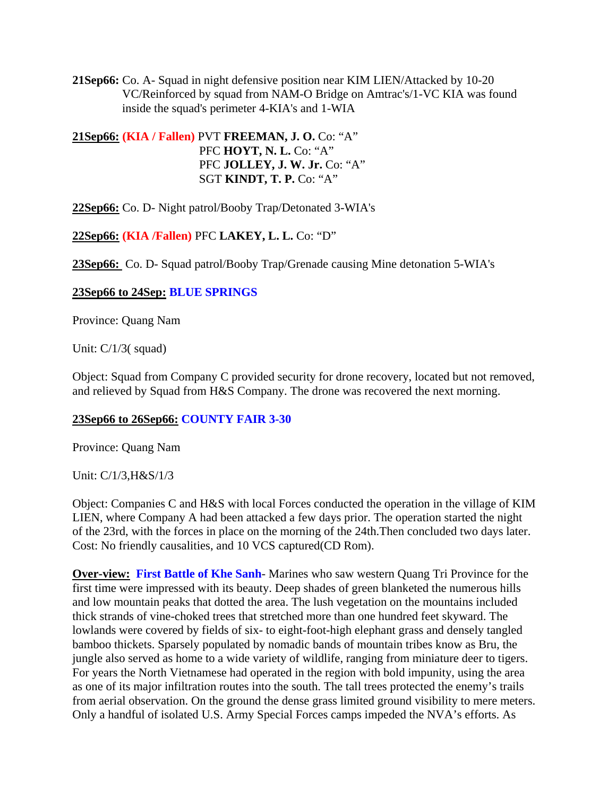**21Sep66:** Co. A- Squad in night defensive position near KIM LIEN/Attacked by 10-20 VC/Reinforced by squad from NAM-O Bridge on Amtrac's/1-VC KIA was found inside the squad's perimeter 4-KIA's and 1-WIA

**21Sep66: (KIA / Fallen)** PVT **FREEMAN, J. O.** Co: "A" PFC **HOYT, N. L.** Co: "A" PFC **JOLLEY**, **J. W. Jr.** Co: "A" SGT **KINDT, T. P.** Co: "A"

**22Sep66:** Co. D- Night patrol/Booby Trap/Detonated 3-WIA's

**22Sep66: (KIA /Fallen)** PFC **LAKEY, L. L.** Co: "D"

**23Sep66:** Co. D- Squad patrol/Booby Trap/Grenade causing Mine detonation 5-WIA's

### **23Sep66 to 24Sep: BLUE SPRINGS**

Province: Quang Nam

Unit:  $C/1/3$ (squad)

Object: Squad from Company C provided security for drone recovery, located but not removed, and relieved by Squad from H&S Company. The drone was recovered the next morning.

#### **23Sep66 to 26Sep66: COUNTY FAIR 3-30**

Province: Quang Nam

Unit: C/1/3,H&S/1/3

Object: Companies C and H&S with local Forces conducted the operation in the village of KIM LIEN, where Company A had been attacked a few days prior. The operation started the night of the 23rd, with the forces in place on the morning of the 24th.Then concluded two days later. Cost: No friendly causalities, and 10 VCS captured(CD Rom).

**Over-view: First Battle of Khe Sanh-** Marines who saw western Quang Tri Province for the first time were impressed with its beauty. Deep shades of green blanketed the numerous hills and low mountain peaks that dotted the area. The lush vegetation on the mountains included thick strands of vine-choked trees that stretched more than one hundred feet skyward. The lowlands were covered by fields of six- to eight-foot-high elephant grass and densely tangled bamboo thickets. Sparsely populated by nomadic bands of mountain tribes know as Bru, the jungle also served as home to a wide variety of wildlife, ranging from miniature deer to tigers. For years the North Vietnamese had operated in the region with bold impunity, using the area as one of its major infiltration routes into the south. The tall trees protected the enemy's trails from aerial observation. On the ground the dense grass limited ground visibility to mere meters. Only a handful of isolated U.S. Army Special Forces camps impeded the NVA's efforts. As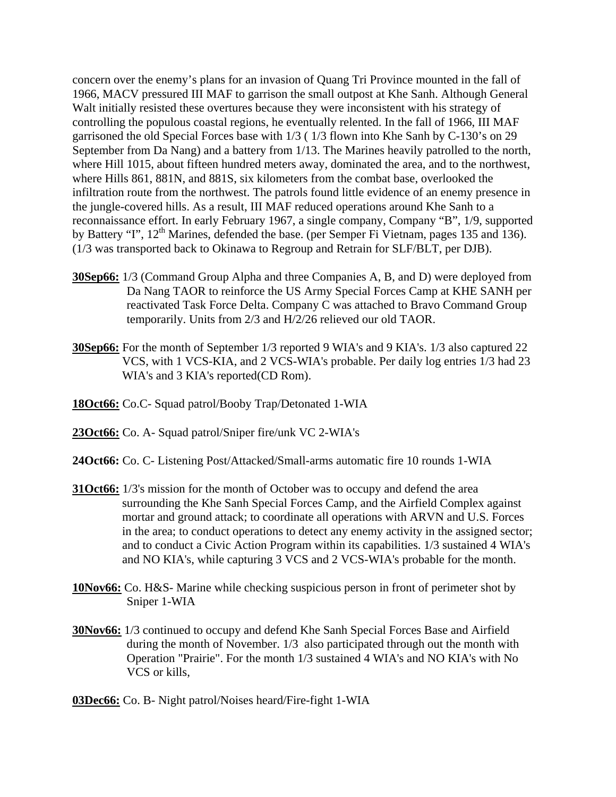concern over the enemy's plans for an invasion of Quang Tri Province mounted in the fall of 1966, MACV pressured III MAF to garrison the small outpost at Khe Sanh. Although General Walt initially resisted these overtures because they were inconsistent with his strategy of controlling the populous coastal regions, he eventually relented. In the fall of 1966, III MAF garrisoned the old Special Forces base with 1/3 ( 1/3 flown into Khe Sanh by C-130's on 29 September from Da Nang) and a battery from 1/13. The Marines heavily patrolled to the north, where Hill 1015, about fifteen hundred meters away, dominated the area, and to the northwest, where Hills 861, 881N, and 881S, six kilometers from the combat base, overlooked the infiltration route from the northwest. The patrols found little evidence of an enemy presence in the jungle-covered hills. As a result, III MAF reduced operations around Khe Sanh to a reconnaissance effort. In early February 1967, a single company, Company "B", 1/9, supported by Battery "I",  $12<sup>th</sup>$  Marines, defended the base. (per Semper Fi Vietnam, pages 135 and 136). (1/3 was transported back to Okinawa to Regroup and Retrain for SLF/BLT, per DJB).

- **30Sep66:** 1/3 (Command Group Alpha and three Companies A, B, and D) were deployed from Da Nang TAOR to reinforce the US Army Special Forces Camp at KHE SANH per reactivated Task Force Delta. Company C was attached to Bravo Command Group temporarily. Units from 2/3 and H/2/26 relieved our old TAOR.
- **30Sep66:** For the month of September 1/3 reported 9 WIA's and 9 KIA's. 1/3 also captured 22 VCS, with 1 VCS-KIA, and 2 VCS-WIA's probable. Per daily log entries 1/3 had 23 WIA's and 3 KIA's reported(CD Rom).
- **18Oct66:** Co.C- Squad patrol/Booby Trap/Detonated 1-WIA
- **23Oct66:** Co. A- Squad patrol/Sniper fire/unk VC 2-WIA's
- **24Oct66:** Co. C- Listening Post/Attacked/Small-arms automatic fire 10 rounds 1-WIA
- **31Oct66:** 1/3's mission for the month of October was to occupy and defend the area surrounding the Khe Sanh Special Forces Camp, and the Airfield Complex against mortar and ground attack; to coordinate all operations with ARVN and U.S. Forces in the area; to conduct operations to detect any enemy activity in the assigned sector; and to conduct a Civic Action Program within its capabilities. 1/3 sustained 4 WIA's and NO KIA's, while capturing 3 VCS and 2 VCS-WIA's probable for the month.
- **10Nov66:** Co. H&S- Marine while checking suspicious person in front of perimeter shot by Sniper 1-WIA
- **30Nov66:** 1/3 continued to occupy and defend Khe Sanh Special Forces Base and Airfield during the month of November. 1/3 also participated through out the month with Operation "Prairie". For the month 1/3 sustained 4 WIA's and NO KIA's with No VCS or kills,
- **03Dec66:** Co. B- Night patrol/Noises heard/Fire-fight 1-WIA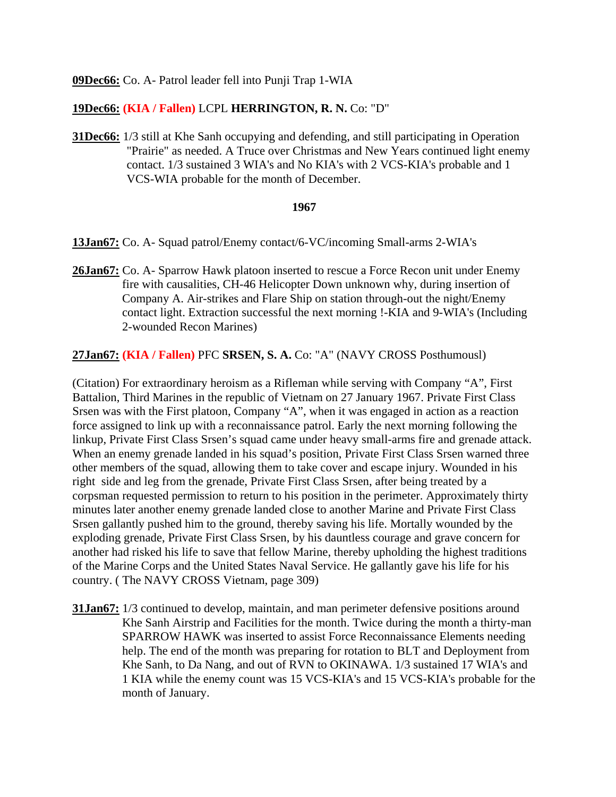**09Dec66:** Co. A- Patrol leader fell into Punji Trap 1-WIA

**19Dec66: (KIA / Fallen)** LCPL **HERRINGTON, R. N.** Co: "D"

**31Dec66:** 1/3 still at Khe Sanh occupying and defending, and still participating in Operation "Prairie" as needed. A Truce over Christmas and New Years continued light enemy contact. 1/3 sustained 3 WIA's and No KIA's with 2 VCS-KIA's probable and 1 VCS-WIA probable for the month of December.

#### **1967**

**13Jan67:** Co. A- Squad patrol/Enemy contact/6-VC/incoming Small-arms 2-WIA's

**26Jan67:** Co. A- Sparrow Hawk platoon inserted to rescue a Force Recon unit under Enemy fire with causalities, CH-46 Helicopter Down unknown why, during insertion of Company A. Air-strikes and Flare Ship on station through-out the night/Enemy contact light. Extraction successful the next morning !-KIA and 9-WIA's (Including 2-wounded Recon Marines)

**27Jan67: (KIA / Fallen)** PFC **SRSEN, S. A.** Co: "A" (NAVY CROSS Posthumousl)

(Citation) For extraordinary heroism as a Rifleman while serving with Company "A", First Battalion, Third Marines in the republic of Vietnam on 27 January 1967. Private First Class Srsen was with the First platoon, Company "A", when it was engaged in action as a reaction force assigned to link up with a reconnaissance patrol. Early the next morning following the linkup, Private First Class Srsen's squad came under heavy small-arms fire and grenade attack. When an enemy grenade landed in his squad's position, Private First Class Srsen warned three other members of the squad, allowing them to take cover and escape injury. Wounded in his right side and leg from the grenade, Private First Class Srsen, after being treated by a corpsman requested permission to return to his position in the perimeter. Approximately thirty minutes later another enemy grenade landed close to another Marine and Private First Class Srsen gallantly pushed him to the ground, thereby saving his life. Mortally wounded by the exploding grenade, Private First Class Srsen, by his dauntless courage and grave concern for another had risked his life to save that fellow Marine, thereby upholding the highest traditions of the Marine Corps and the United States Naval Service. He gallantly gave his life for his country. ( The NAVY CROSS Vietnam, page 309)

**31Jan67:** 1/3 continued to develop, maintain, and man perimeter defensive positions around Khe Sanh Airstrip and Facilities for the month. Twice during the month a thirty-man SPARROW HAWK was inserted to assist Force Reconnaissance Elements needing help. The end of the month was preparing for rotation to BLT and Deployment from Khe Sanh, to Da Nang, and out of RVN to OKINAWA. 1/3 sustained 17 WIA's and 1 KIA while the enemy count was 15 VCS-KIA's and 15 VCS-KIA's probable for the month of January.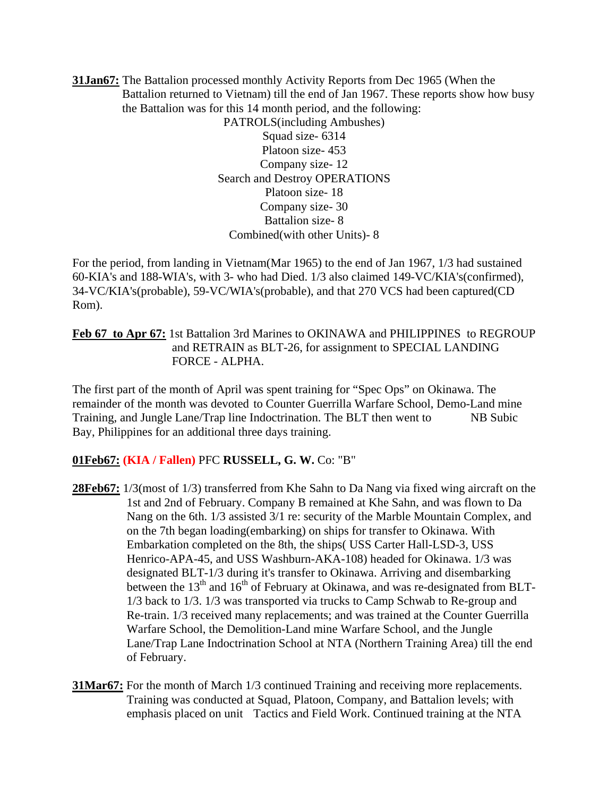**31Jan67:** The Battalion processed monthly Activity Reports from Dec 1965 (When the Battalion returned to Vietnam) till the end of Jan 1967. These reports show how busy the Battalion was for this 14 month period, and the following: PATROLS(including Ambushes) Squad size- 6314 Platoon size- 453 Company size- 12 Search and Destroy OPERATIONS Platoon size- 18 Company size- 30 Battalion size- 8 Combined(with other Units)- 8

For the period, from landing in Vietnam(Mar 1965) to the end of Jan 1967, 1/3 had sustained 60-KIA's and 188-WIA's, with 3- who had Died. 1/3 also claimed 149-VC/KIA's(confirmed), 34-VC/KIA's(probable), 59-VC/WIA's(probable), and that 270 VCS had been captured(CD Rom).

**Feb 67 to Apr 67:** 1st Battalion 3rd Marines to OKINAWA and PHILIPPINES to REGROUP and RETRAIN as BLT-26, for assignment to SPECIAL LANDING FORCE - ALPHA.

The first part of the month of April was spent training for "Spec Ops" on Okinawa. The remainder of the month was devoted to Counter Guerrilla Warfare School, Demo-Land mine Training, and Jungle Lane/Trap line Indoctrination. The BLT then went to NB Subic Bay, Philippines for an additional three days training.

#### **01Feb67: (KIA / Fallen)** PFC **RUSSELL, G. W.** Co: "B"

- **28Feb67:** 1/3(most of 1/3) transferred from Khe Sahn to Da Nang via fixed wing aircraft on the 1st and 2nd of February. Company B remained at Khe Sahn, and was flown to Da Nang on the 6th. 1/3 assisted 3/1 re: security of the Marble Mountain Complex, and on the 7th began loading(embarking) on ships for transfer to Okinawa. With Embarkation completed on the 8th, the ships( USS Carter Hall-LSD-3, USS Henrico-APA-45, and USS Washburn-AKA-108) headed for Okinawa. 1/3 was designated BLT-1/3 during it's transfer to Okinawa. Arriving and disembarking between the  $13<sup>th</sup>$  and  $16<sup>th</sup>$  of February at Okinawa, and was re-designated from BLT-1/3 back to 1/3. 1/3 was transported via trucks to Camp Schwab to Re-group and Re-train. 1/3 received many replacements; and was trained at the Counter Guerrilla Warfare School, the Demolition-Land mine Warfare School, and the Jungle Lane/Trap Lane Indoctrination School at NTA (Northern Training Area) till the end of February.
- **31Mar67:** For the month of March 1/3 continued Training and receiving more replacements. Training was conducted at Squad, Platoon, Company, and Battalion levels; with emphasis placed on unit Tactics and Field Work. Continued training at the NTA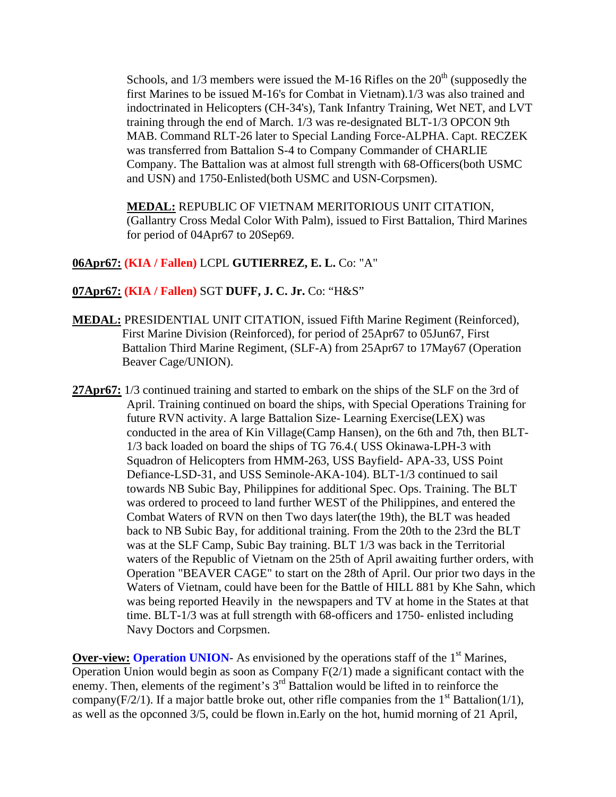Schools, and  $1/3$  members were issued the M-16 Rifles on the  $20<sup>th</sup>$  (supposedly the first Marines to be issued M-16's for Combat in Vietnam).1/3 was also trained and indoctrinated in Helicopters (CH-34's), Tank Infantry Training, Wet NET, and LVT training through the end of March. 1/3 was re-designated BLT-1/3 OPCON 9th MAB. Command RLT-26 later to Special Landing Force-ALPHA. Capt. RECZEK was transferred from Battalion S-4 to Company Commander of CHARLIE Company. The Battalion was at almost full strength with 68-Officers(both USMC and USN) and 1750-Enlisted(both USMC and USN-Corpsmen).

**MEDAL:** REPUBLIC OF VIETNAM MERITORIOUS UNIT CITATION, (Gallantry Cross Medal Color With Palm), issued to First Battalion, Third Marines for period of 04Apr67 to 20Sep69.

#### **06Apr67: (KIA / Fallen)** LCPL **GUTIERREZ, E. L.** Co: "A"

#### **07Apr67: (KIA / Fallen)** SGT **DUFF, J. C. Jr.** Co: "H&S"

- **MEDAL:** PRESIDENTIAL UNIT CITATION, issued Fifth Marine Regiment (Reinforced), First Marine Division (Reinforced), for period of 25Apr67 to 05Jun67, First Battalion Third Marine Regiment, (SLF-A) from 25Apr67 to 17May67 (Operation Beaver Cage/UNION).
- **27Apr67:** 1/3 continued training and started to embark on the ships of the SLF on the 3rd of April. Training continued on board the ships, with Special Operations Training for future RVN activity. A large Battalion Size- Learning Exercise(LEX) was conducted in the area of Kin Village(Camp Hansen), on the 6th and 7th, then BLT-1/3 back loaded on board the ships of TG 76.4.( USS Okinawa-LPH-3 with Squadron of Helicopters from HMM-263, USS Bayfield- APA-33, USS Point Defiance-LSD-31, and USS Seminole-AKA-104). BLT-1/3 continued to sail towards NB Subic Bay, Philippines for additional Spec. Ops. Training. The BLT was ordered to proceed to land further WEST of the Philippines, and entered the Combat Waters of RVN on then Two days later(the 19th), the BLT was headed back to NB Subic Bay, for additional training. From the 20th to the 23rd the BLT was at the SLF Camp, Subic Bay training. BLT 1/3 was back in the Territorial waters of the Republic of Vietnam on the 25th of April awaiting further orders, with Operation "BEAVER CAGE" to start on the 28th of April. Our prior two days in the Waters of Vietnam, could have been for the Battle of HILL 881 by Khe Sahn, which was being reported Heavily in the newspapers and TV at home in the States at that time. BLT-1/3 was at full strength with 68-officers and 1750- enlisted including Navy Doctors and Corpsmen.

**Over-view: Operation UNION**- As envisioned by the operations staff of the 1<sup>st</sup> Marines, Operation Union would begin as soon as Company  $F(2/1)$  made a significant contact with the enemy. Then, elements of the regiment's  $3<sup>rd</sup>$  Battalion would be lifted in to reinforce the company( $F/2/1$ ). If a major battle broke out, other rifle companies from the 1<sup>st</sup> Battalion( $1/1$ ), as well as the opconned 3/5, could be flown in.Early on the hot, humid morning of 21 April,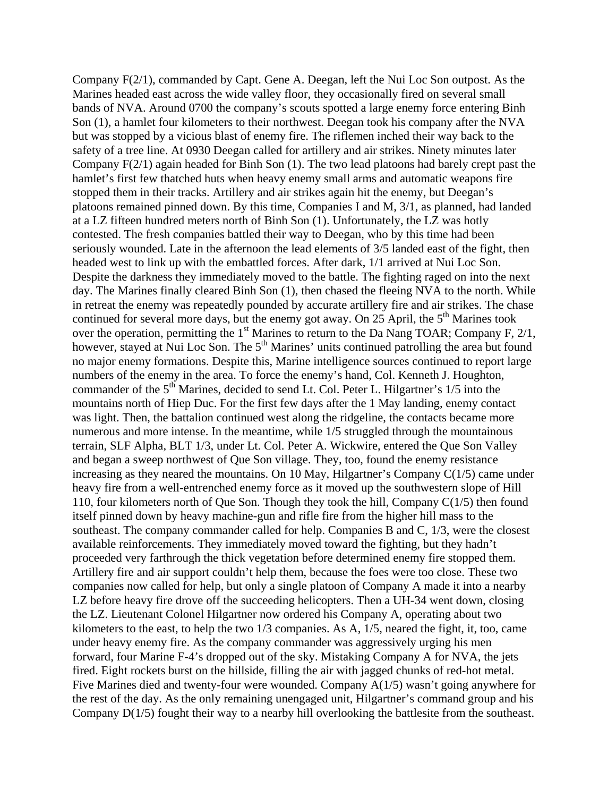Company F(2/1), commanded by Capt. Gene A. Deegan, left the Nui Loc Son outpost. As the Marines headed east across the wide valley floor, they occasionally fired on several small bands of NVA. Around 0700 the company's scouts spotted a large enemy force entering Binh Son (1), a hamlet four kilometers to their northwest. Deegan took his company after the NVA but was stopped by a vicious blast of enemy fire. The riflemen inched their way back to the safety of a tree line. At 0930 Deegan called for artillery and air strikes. Ninety minutes later Company F(2/1) again headed for Binh Son (1). The two lead platoons had barely crept past the hamlet's first few thatched huts when heavy enemy small arms and automatic weapons fire stopped them in their tracks. Artillery and air strikes again hit the enemy, but Deegan's platoons remained pinned down. By this time, Companies I and M, 3/1, as planned, had landed at a LZ fifteen hundred meters north of Binh Son (1). Unfortunately, the LZ was hotly contested. The fresh companies battled their way to Deegan, who by this time had been seriously wounded. Late in the afternoon the lead elements of 3/5 landed east of the fight, then headed west to link up with the embattled forces. After dark, 1/1 arrived at Nui Loc Son. Despite the darkness they immediately moved to the battle. The fighting raged on into the next day. The Marines finally cleared Binh Son (1), then chased the fleeing NVA to the north. While in retreat the enemy was repeatedly pounded by accurate artillery fire and air strikes. The chase continued for several more days, but the enemy got away. On  $25$  April, the  $5<sup>th</sup>$  Marines took over the operation, permitting the  $1<sup>st</sup>$  Marines to return to the Da Nang TOAR; Company F,  $2/1$ , however, stayed at Nui Loc Son. The 5<sup>th</sup> Marines' units continued patrolling the area but found no major enemy formations. Despite this, Marine intelligence sources continued to report large numbers of the enemy in the area. To force the enemy's hand, Col. Kenneth J. Houghton, commander of the  $5<sup>th</sup>$  Marines, decided to send Lt. Col. Peter L. Hilgartner's  $1/5$  into the mountains north of Hiep Duc. For the first few days after the 1 May landing, enemy contact was light. Then, the battalion continued west along the ridgeline, the contacts became more numerous and more intense. In the meantime, while 1/5 struggled through the mountainous terrain, SLF Alpha, BLT 1/3, under Lt. Col. Peter A. Wickwire, entered the Que Son Valley and began a sweep northwest of Que Son village. They, too, found the enemy resistance increasing as they neared the mountains. On 10 May, Hilgartner's Company C(1/5) came under heavy fire from a well-entrenched enemy force as it moved up the southwestern slope of Hill 110, four kilometers north of Que Son. Though they took the hill, Company C(1/5) then found itself pinned down by heavy machine-gun and rifle fire from the higher hill mass to the southeast. The company commander called for help. Companies B and C, 1/3, were the closest available reinforcements. They immediately moved toward the fighting, but they hadn't proceeded very farthrough the thick vegetation before determined enemy fire stopped them. Artillery fire and air support couldn't help them, because the foes were too close. These two companies now called for help, but only a single platoon of Company A made it into a nearby LZ before heavy fire drove off the succeeding helicopters. Then a UH-34 went down, closing the LZ. Lieutenant Colonel Hilgartner now ordered his Company A, operating about two kilometers to the east, to help the two 1/3 companies. As A, 1/5, neared the fight, it, too, came under heavy enemy fire. As the company commander was aggressively urging his men forward, four Marine F-4's dropped out of the sky. Mistaking Company A for NVA, the jets fired. Eight rockets burst on the hillside, filling the air with jagged chunks of red-hot metal. Five Marines died and twenty-four were wounded. Company A(1/5) wasn't going anywhere for the rest of the day. As the only remaining unengaged unit, Hilgartner's command group and his Company D(1/5) fought their way to a nearby hill overlooking the battlesite from the southeast.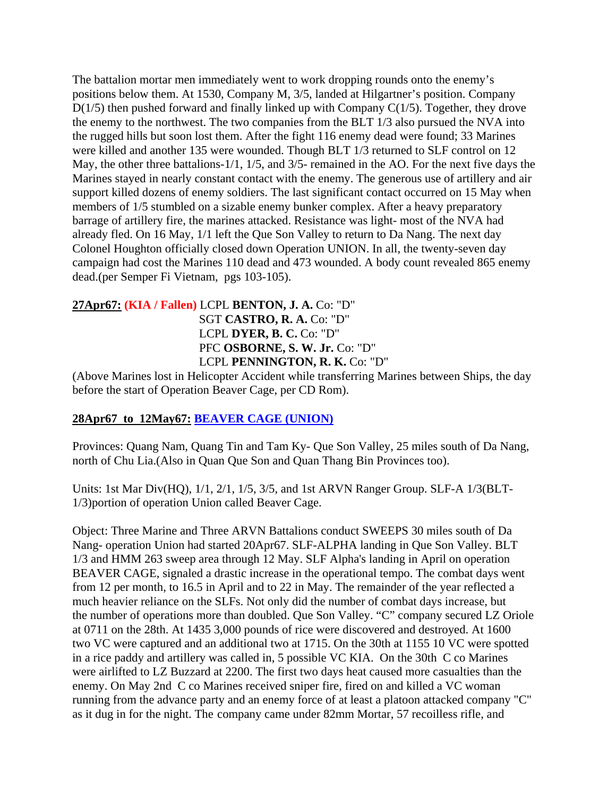The battalion mortar men immediately went to work dropping rounds onto the enemy's positions below them. At 1530, Company M, 3/5, landed at Hilgartner's position. Company  $D(1/5)$  then pushed forward and finally linked up with Company  $C(1/5)$ . Together, they drove the enemy to the northwest. The two companies from the BLT 1/3 also pursued the NVA into the rugged hills but soon lost them. After the fight 116 enemy dead were found; 33 Marines were killed and another 135 were wounded. Though BLT 1/3 returned to SLF control on 12 May, the other three battalions-1/1, 1/5, and 3/5- remained in the AO. For the next five days the Marines stayed in nearly constant contact with the enemy. The generous use of artillery and air support killed dozens of enemy soldiers. The last significant contact occurred on 15 May when members of 1/5 stumbled on a sizable enemy bunker complex. After a heavy preparatory barrage of artillery fire, the marines attacked. Resistance was light- most of the NVA had already fled. On 16 May, 1/1 left the Que Son Valley to return to Da Nang. The next day Colonel Houghton officially closed down Operation UNION. In all, the twenty-seven day campaign had cost the Marines 110 dead and 473 wounded. A body count revealed 865 enemy dead.(per Semper Fi Vietnam, pgs 103-105).

# **27Apr67: (KIA / Fallen)** LCPL **BENTON, J. A.** Co: "D" SGT **CASTRO, R. A.** Co: "D" LCPL DYER, B. C. Co: "D" PFC **OSBORNE, S. W. Jr.** Co: "D" LCPL **PENNINGTON, R. K.** Co: "D"

(Above Marines lost in Helicopter Accident while transferring Marines between Ships, the day before the start of Operation Beaver Cage, per CD Rom).

# **28Apr67 to 12May67: BEAVER CAGE (UNION)**

Provinces: Quang Nam, Quang Tin and Tam Ky- Que Son Valley, 25 miles south of Da Nang, north of Chu Lia.(Also in Quan Que Son and Quan Thang Bin Provinces too).

Units: 1st Mar Div(HQ), 1/1, 2/1, 1/5, 3/5, and 1st ARVN Ranger Group. SLF-A 1/3(BLT-1/3)portion of operation Union called Beaver Cage.

Object: Three Marine and Three ARVN Battalions conduct SWEEPS 30 miles south of Da Nang- operation Union had started 20Apr67. SLF-ALPHA landing in Que Son Valley. BLT 1/3 and HMM 263 sweep area through 12 May. SLF Alpha's landing in April on operation BEAVER CAGE, signaled a drastic increase in the operational tempo. The combat days went from 12 per month, to 16.5 in April and to 22 in May. The remainder of the year reflected a much heavier reliance on the SLFs. Not only did the number of combat days increase, but the number of operations more than doubled. Que Son Valley. "C" company secured LZ Oriole at 0711 on the 28th. At 1435 3,000 pounds of rice were discovered and destroyed. At 1600 two VC were captured and an additional two at 1715. On the 30th at 1155 10 VC were spotted in a rice paddy and artillery was called in, 5 possible VC KIA. On the 30th C co Marines were airlifted to LZ Buzzard at 2200. The first two days heat caused more casualties than the enemy. On May 2nd C co Marines received sniper fire, fired on and killed a VC woman running from the advance party and an enemy force of at least a platoon attacked company "C" as it dug in for the night. The company came under 82mm Mortar, 57 recoilless rifle, and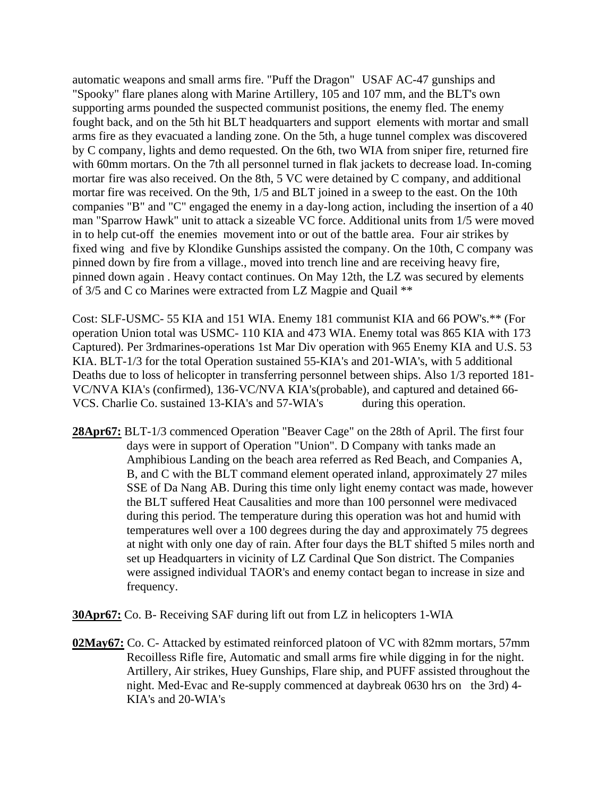automatic weapons and small arms fire. "Puff the Dragon" USAF AC-47 gunships and "Spooky" flare planes along with Marine Artillery, 105 and 107 mm, and the BLT's own supporting arms pounded the suspected communist positions, the enemy fled. The enemy fought back, and on the 5th hit BLT headquarters and support elements with mortar and small arms fire as they evacuated a landing zone. On the 5th, a huge tunnel complex was discovered by C company, lights and demo requested. On the 6th, two WIA from sniper fire, returned fire with 60mm mortars. On the 7th all personnel turned in flak jackets to decrease load. In-coming mortar fire was also received. On the 8th, 5 VC were detained by C company, and additional mortar fire was received. On the 9th, 1/5 and BLT joined in a sweep to the east. On the 10th companies "B" and "C" engaged the enemy in a day-long action, including the insertion of a 40 man "Sparrow Hawk" unit to attack a sizeable VC force. Additional units from 1/5 were moved in to help cut-off the enemies movement into or out of the battle area. Four air strikes by fixed wing and five by Klondike Gunships assisted the company. On the 10th, C company was pinned down by fire from a village., moved into trench line and are receiving heavy fire, pinned down again . Heavy contact continues. On May 12th, the LZ was secured by elements of 3/5 and C co Marines were extracted from LZ Magpie and Quail \*\*

Cost: SLF-USMC- 55 KIA and 151 WIA. Enemy 181 communist KIA and 66 POW's.\*\* (For operation Union total was USMC- 110 KIA and 473 WIA. Enemy total was 865 KIA with 173 Captured). Per 3rdmarines-operations 1st Mar Div operation with 965 Enemy KIA and U.S. 53 KIA. BLT-1/3 for the total Operation sustained 55-KIA's and 201-WIA's, with 5 additional Deaths due to loss of helicopter in transferring personnel between ships. Also 1/3 reported 181- VC/NVA KIA's (confirmed), 136-VC/NVA KIA's(probable), and captured and detained 66- VCS. Charlie Co. sustained 13-KIA's and 57-WIA's during this operation.

- **28Apr67:** BLT-1/3 commenced Operation "Beaver Cage" on the 28th of April. The first four days were in support of Operation "Union". D Company with tanks made an Amphibious Landing on the beach area referred as Red Beach, and Companies A, B, and C with the BLT command element operated inland, approximately 27 miles SSE of Da Nang AB. During this time only light enemy contact was made, however the BLT suffered Heat Causalities and more than 100 personnel were medivaced during this period. The temperature during this operation was hot and humid with temperatures well over a 100 degrees during the day and approximately 75 degrees at night with only one day of rain. After four days the BLT shifted 5 miles north and set up Headquarters in vicinity of LZ Cardinal Que Son district. The Companies were assigned individual TAOR's and enemy contact began to increase in size and frequency.
- **30Apr67:** Co. B- Receiving SAF during lift out from LZ in helicopters 1-WIA
- **02May67:** Co. C- Attacked by estimated reinforced platoon of VC with 82mm mortars, 57mm Recoilless Rifle fire, Automatic and small arms fire while digging in for the night. Artillery, Air strikes, Huey Gunships, Flare ship, and PUFF assisted throughout the night. Med-Evac and Re-supply commenced at daybreak 0630 hrs on the 3rd) 4- KIA's and 20-WIA's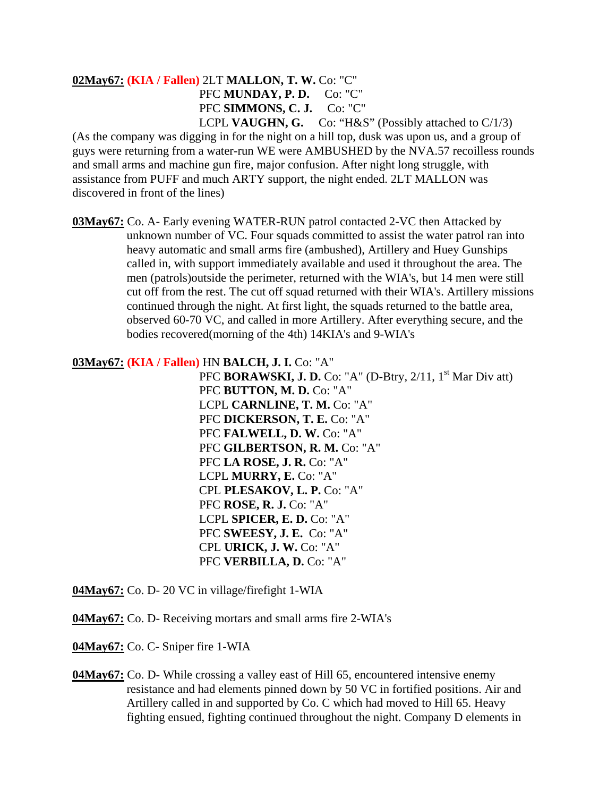#### **02May67: (KIA / Fallen)** 2LT **MALLON, T. W.** Co: "C" PFC **MUNDAY, P. D.** Co: "C" PFC **SIMMONS, C. J.** Co: "C" LCPL **VAUGHN, G.** Co: "H&S" (Possibly attached to C/1/3)

(As the company was digging in for the night on a hill top, dusk was upon us, and a group of guys were returning from a water-run WE were AMBUSHED by the NVA.57 recoilless rounds and small arms and machine gun fire, major confusion. After night long struggle, with assistance from PUFF and much ARTY support, the night ended. 2LT MALLON was discovered in front of the lines)

**03May67:** Co. A- Early evening WATER-RUN patrol contacted 2-VC then Attacked by unknown number of VC. Four squads committed to assist the water patrol ran into heavy automatic and small arms fire (ambushed), Artillery and Huey Gunships called in, with support immediately available and used it throughout the area. The men (patrols)outside the perimeter, returned with the WIA's, but 14 men were still cut off from the rest. The cut off squad returned with their WIA's. Artillery missions continued through the night. At first light, the squads returned to the battle area, observed 60-70 VC, and called in more Artillery. After everything secure, and the bodies recovered(morning of the 4th) 14KIA's and 9-WIA's

# **03May67: (KIA / Fallen)** HN **BALCH, J. I.** Co: "A"

PFC **BORAWSKI, J. D.** Co: "A" (D-Btry, 2/11, 1<sup>st</sup> Mar Div att) PFC **BUTTON, M. D. Co: "A"** LCPL **CARNLINE, T. M. Co: "A"** PFC DICKERSON, T. E. Co: "A" PFC **FALWELL, D. W. Co: "A"** PFC **GILBERTSON, R. M. Co: "A"**  PFC **LA ROSE, J. R.** Co: "A" LCPL **MURRY, E.** Co: "A" CPL **PLESAKOV, L. P.** Co: "A" PFC **ROSE, R. J.** Co: "A" LCPL **SPICER, E. D.** Co: "A" PFC **SWEESY, J. E.** Co: "A" CPL **URICK, J. W.** Co: "A" PFC **VERBILLA, D. Co: "A"** 

**04May67:** Co. D- 20 VC in village/firefight 1-WIA

**04May67:** Co. D- Receiving mortars and small arms fire 2-WIA's

**04May67:** Co. C- Sniper fire 1-WIA

**04May67:** Co. D- While crossing a valley east of Hill 65, encountered intensive enemy resistance and had elements pinned down by 50 VC in fortified positions. Air and Artillery called in and supported by Co. C which had moved to Hill 65. Heavy fighting ensued, fighting continued throughout the night. Company D elements in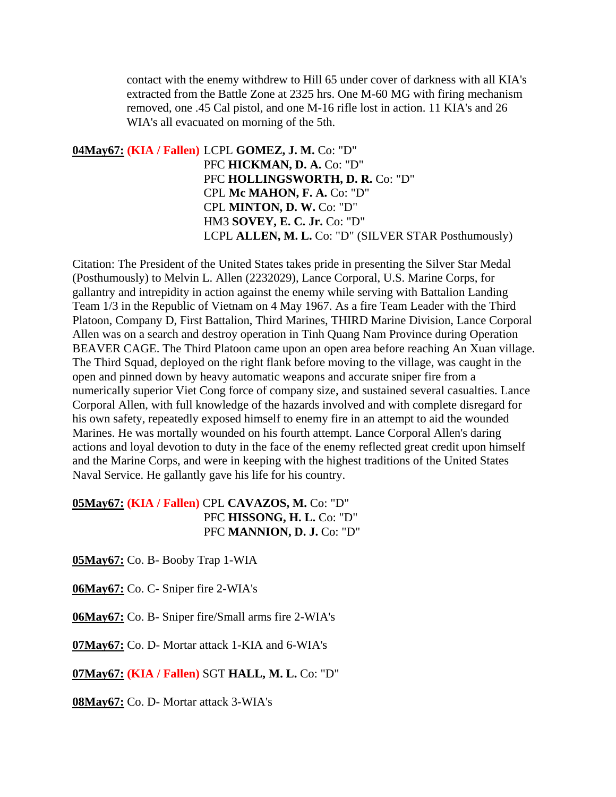contact with the enemy withdrew to Hill 65 under cover of darkness with all KIA's extracted from the Battle Zone at 2325 hrs. One M-60 MG with firing mechanism removed, one .45 Cal pistol, and one M-16 rifle lost in action. 11 KIA's and 26 WIA's all evacuated on morning of the 5th.

**04May67: (KIA / Fallen)** LCPL **GOMEZ, J. M.** Co: "D" PFC **HICKMAN, D. A. Co: "D"** PFC **HOLLINGSWORTH, D. R. Co: "D"**  CPL **Mc MAHON, F. A.** Co: "D" CPL **MINTON, D. W.** Co: "D" HM3 **SOVEY, E. C. Jr.** Co: "D" LCPL **ALLEN, M. L.** Co: "D" (SILVER STAR Posthumously)

Citation: The President of the United States takes pride in presenting the Silver Star Medal (Posthumously) to Melvin L. Allen (2232029), Lance Corporal, U.S. Marine Corps, for gallantry and intrepidity in action against the enemy while serving with Battalion Landing Team 1/3 in the Republic of Vietnam on 4 May 1967. As a fire Team Leader with the Third Platoon, Company D, First Battalion, Third Marines, THIRD Marine Division, Lance Corporal Allen was on a search and destroy operation in Tinh Quang Nam Province during Operation BEAVER CAGE. The Third Platoon came upon an open area before reaching An Xuan village. The Third Squad, deployed on the right flank before moving to the village, was caught in the open and pinned down by heavy automatic weapons and accurate sniper fire from a numerically superior Viet Cong force of company size, and sustained several casualties. Lance Corporal Allen, with full knowledge of the hazards involved and with complete disregard for his own safety, repeatedly exposed himself to enemy fire in an attempt to aid the wounded Marines. He was mortally wounded on his fourth attempt. Lance Corporal Allen's daring actions and loyal devotion to duty in the face of the enemy reflected great credit upon himself and the Marine Corps, and were in keeping with the highest traditions of the United States Naval Service. He gallantly gave his life for his country.

# **05May67: (KIA / Fallen)** CPL **CAVAZOS, M.** Co: "D" PFC HISSONG, H. L. Co: "D" PFC **MANNION, D. J. Co: "D"**

**05May67:** Co. B- Booby Trap 1-WIA

**06May67:** Co. C- Sniper fire 2-WIA's

**06May67:** Co. B- Sniper fire/Small arms fire 2-WIA's

**07May67:** Co. D- Mortar attack 1-KIA and 6-WIA's

**07May67: (KIA / Fallen)** SGT **HALL, M. L.** Co: "D"

**08May67:** Co. D- Mortar attack 3-WIA's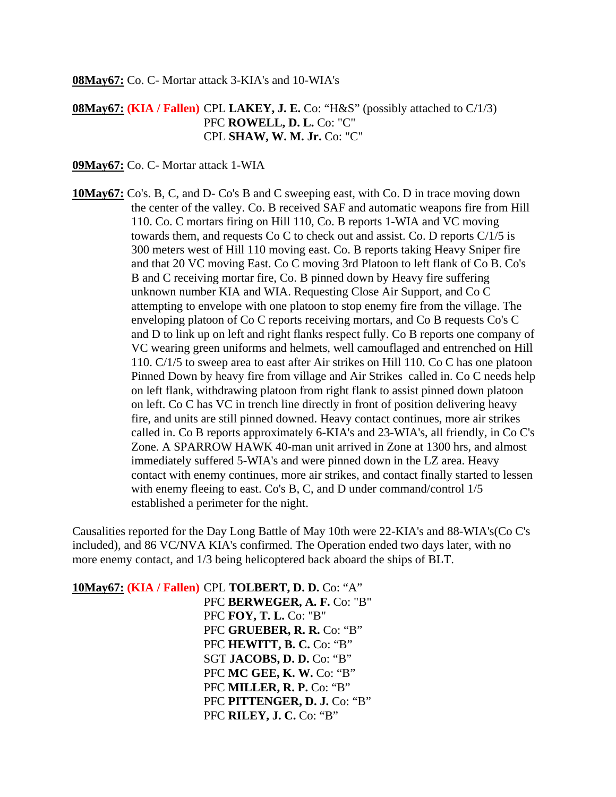**08May67:** Co. C- Mortar attack 3-KIA's and 10-WIA's

### **08May67: (KIA / Fallen)** CPL **LAKEY, J. E.** Co: "H&S" (possibly attached to C/1/3) PFC **ROWELL, D. L. Co: "C"** CPL **SHAW, W. M. Jr.** Co: "C"

**09May67:** Co. C- Mortar attack 1-WIA

**10May67:** Co's. B, C, and D- Co's B and C sweeping east, with Co. D in trace moving down the center of the valley. Co. B received SAF and automatic weapons fire from Hill 110. Co. C mortars firing on Hill 110, Co. B reports 1-WIA and VC moving towards them, and requests Co C to check out and assist. Co. D reports C/1/5 is 300 meters west of Hill 110 moving east. Co. B reports taking Heavy Sniper fire and that 20 VC moving East. Co C moving 3rd Platoon to left flank of Co B. Co's B and C receiving mortar fire, Co. B pinned down by Heavy fire suffering unknown number KIA and WIA. Requesting Close Air Support, and Co C attempting to envelope with one platoon to stop enemy fire from the village. The enveloping platoon of Co C reports receiving mortars, and Co B requests Co's C and D to link up on left and right flanks respect fully. Co B reports one company of VC wearing green uniforms and helmets, well camouflaged and entrenched on Hill 110. C/1/5 to sweep area to east after Air strikes on Hill 110. Co C has one platoon Pinned Down by heavy fire from village and Air Strikes called in. Co C needs help on left flank, withdrawing platoon from right flank to assist pinned down platoon on left. Co C has VC in trench line directly in front of position delivering heavy fire, and units are still pinned downed. Heavy contact continues, more air strikes called in. Co B reports approximately 6-KIA's and 23-WIA's, all friendly, in Co C's Zone. A SPARROW HAWK 40-man unit arrived in Zone at 1300 hrs, and almost immediately suffered 5-WIA's and were pinned down in the LZ area. Heavy contact with enemy continues, more air strikes, and contact finally started to lessen with enemy fleeing to east. Co's B, C, and D under command/control  $1/5$ established a perimeter for the night.

Causalities reported for the Day Long Battle of May 10th were 22-KIA's and 88-WIA's(Co C's included), and 86 VC/NVA KIA's confirmed. The Operation ended two days later, with no more enemy contact, and 1/3 being helicoptered back aboard the ships of BLT.

**10May67: (KIA / Fallen)** CPL **TOLBERT, D. D.** Co: "A" PFC **BERWEGER, A. F. Co: "B"**  PFC **FOY, T. L.** Co: "B" PFC **GRUEBER, R. R.** Co: "B" PFC **HEWITT, B. C. Co: "B"**  SGT **JACOBS, D. D.** Co: "B" PFC **MC GEE, K. W. Co: "B"** PFC **MILLER, R. P. Co: "B"** PFC PITTENGER, D. J. Co: "B" PFC **RILEY, J. C.** Co: "B"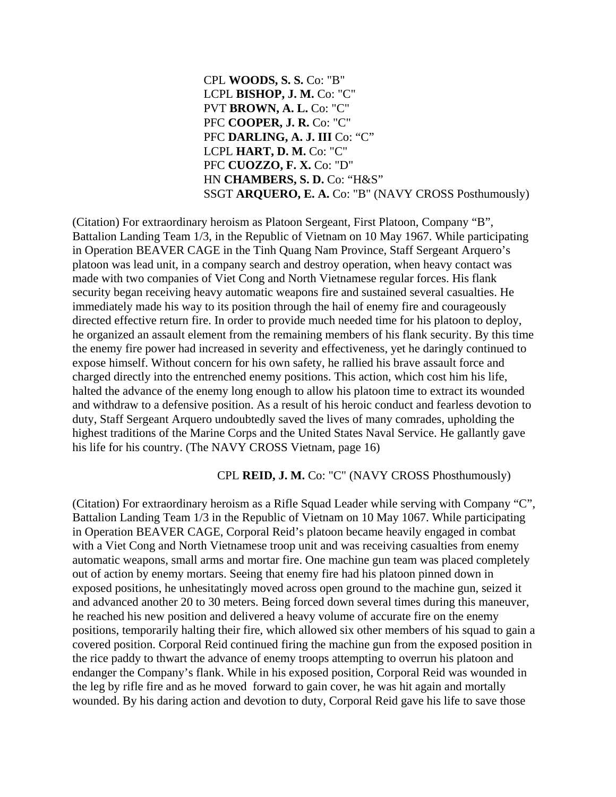CPL **WOODS, S. S.** Co: "B" LCPL **BISHOP, J. M. Co: "C"**  PVT **BROWN, A. L.** Co: "C" PFC **COOPER, J. R. Co: "C"**  PFC **DARLING, A. J. III** Co: "C" LCPL HART, D. M. Co: "C" PFC **CUOZZO, F. X.** Co: "D" HN **CHAMBERS, S. D. Co: "H&S"** SSGT **ARQUERO, E. A.** Co: "B" (NAVY CROSS Posthumously)

(Citation) For extraordinary heroism as Platoon Sergeant, First Platoon, Company "B", Battalion Landing Team 1/3, in the Republic of Vietnam on 10 May 1967. While participating in Operation BEAVER CAGE in the Tinh Quang Nam Province, Staff Sergeant Arquero's platoon was lead unit, in a company search and destroy operation, when heavy contact was made with two companies of Viet Cong and North Vietnamese regular forces. His flank security began receiving heavy automatic weapons fire and sustained several casualties. He immediately made his way to its position through the hail of enemy fire and courageously directed effective return fire. In order to provide much needed time for his platoon to deploy, he organized an assault element from the remaining members of his flank security. By this time the enemy fire power had increased in severity and effectiveness, yet he daringly continued to expose himself. Without concern for his own safety, he rallied his brave assault force and charged directly into the entrenched enemy positions. This action, which cost him his life, halted the advance of the enemy long enough to allow his platoon time to extract its wounded and withdraw to a defensive position. As a result of his heroic conduct and fearless devotion to duty, Staff Sergeant Arquero undoubtedly saved the lives of many comrades, upholding the highest traditions of the Marine Corps and the United States Naval Service. He gallantly gave his life for his country. (The NAVY CROSS Vietnam, page 16)

CPL **REID, J. M.** Co: "C" (NAVY CROSS Phosthumously)

(Citation) For extraordinary heroism as a Rifle Squad Leader while serving with Company "C", Battalion Landing Team 1/3 in the Republic of Vietnam on 10 May 1067. While participating in Operation BEAVER CAGE, Corporal Reid's platoon became heavily engaged in combat with a Viet Cong and North Vietnamese troop unit and was receiving casualties from enemy automatic weapons, small arms and mortar fire. One machine gun team was placed completely out of action by enemy mortars. Seeing that enemy fire had his platoon pinned down in exposed positions, he unhesitatingly moved across open ground to the machine gun, seized it and advanced another 20 to 30 meters. Being forced down several times during this maneuver, he reached his new position and delivered a heavy volume of accurate fire on the enemy positions, temporarily halting their fire, which allowed six other members of his squad to gain a covered position. Corporal Reid continued firing the machine gun from the exposed position in the rice paddy to thwart the advance of enemy troops attempting to overrun his platoon and endanger the Company's flank. While in his exposed position, Corporal Reid was wounded in the leg by rifle fire and as he moved forward to gain cover, he was hit again and mortally wounded. By his daring action and devotion to duty, Corporal Reid gave his life to save those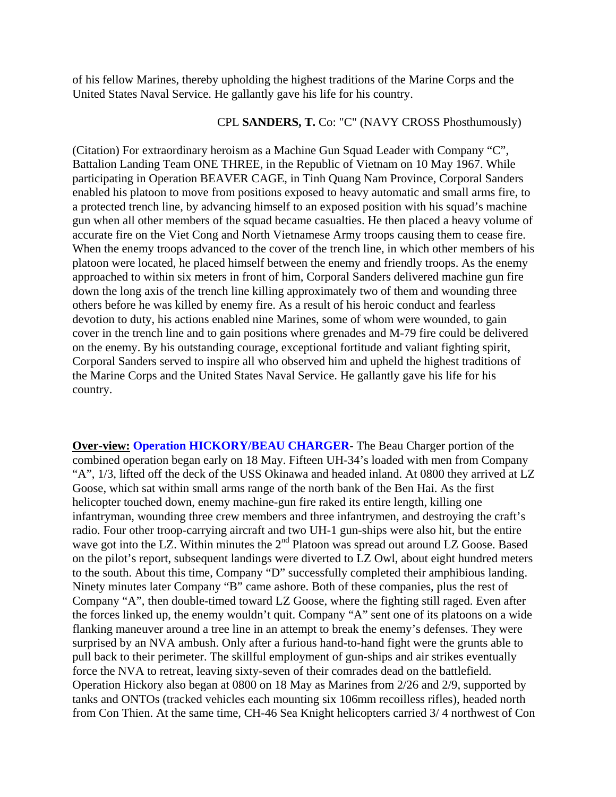of his fellow Marines, thereby upholding the highest traditions of the Marine Corps and the United States Naval Service. He gallantly gave his life for his country.

#### CPL **SANDERS, T.** Co: "C" (NAVY CROSS Phosthumously)

(Citation) For extraordinary heroism as a Machine Gun Squad Leader with Company "C", Battalion Landing Team ONE THREE, in the Republic of Vietnam on 10 May 1967. While participating in Operation BEAVER CAGE, in Tinh Quang Nam Province, Corporal Sanders enabled his platoon to move from positions exposed to heavy automatic and small arms fire, to a protected trench line, by advancing himself to an exposed position with his squad's machine gun when all other members of the squad became casualties. He then placed a heavy volume of accurate fire on the Viet Cong and North Vietnamese Army troops causing them to cease fire. When the enemy troops advanced to the cover of the trench line, in which other members of his platoon were located, he placed himself between the enemy and friendly troops. As the enemy approached to within six meters in front of him, Corporal Sanders delivered machine gun fire down the long axis of the trench line killing approximately two of them and wounding three others before he was killed by enemy fire. As a result of his heroic conduct and fearless devotion to duty, his actions enabled nine Marines, some of whom were wounded, to gain cover in the trench line and to gain positions where grenades and M-79 fire could be delivered on the enemy. By his outstanding courage, exceptional fortitude and valiant fighting spirit, Corporal Sanders served to inspire all who observed him and upheld the highest traditions of the Marine Corps and the United States Naval Service. He gallantly gave his life for his country.

**Over-view: Operation HICKORY/BEAU CHARGER**- The Beau Charger portion of the combined operation began early on 18 May. Fifteen UH-34's loaded with men from Company "A", 1/3, lifted off the deck of the USS Okinawa and headed inland. At 0800 they arrived at LZ Goose, which sat within small arms range of the north bank of the Ben Hai. As the first helicopter touched down, enemy machine-gun fire raked its entire length, killing one infantryman, wounding three crew members and three infantrymen, and destroying the craft's radio. Four other troop-carrying aircraft and two UH-1 gun-ships were also hit, but the entire wave got into the LZ. Within minutes the 2<sup>nd</sup> Platoon was spread out around LZ Goose. Based on the pilot's report, subsequent landings were diverted to LZ Owl, about eight hundred meters to the south. About this time, Company "D" successfully completed their amphibious landing. Ninety minutes later Company "B" came ashore. Both of these companies, plus the rest of Company "A", then double-timed toward LZ Goose, where the fighting still raged. Even after the forces linked up, the enemy wouldn't quit. Company "A" sent one of its platoons on a wide flanking maneuver around a tree line in an attempt to break the enemy's defenses. They were surprised by an NVA ambush. Only after a furious hand-to-hand fight were the grunts able to pull back to their perimeter. The skillful employment of gun-ships and air strikes eventually force the NVA to retreat, leaving sixty-seven of their comrades dead on the battlefield. Operation Hickory also began at 0800 on 18 May as Marines from 2/26 and 2/9, supported by tanks and ONTOs (tracked vehicles each mounting six 106mm recoilless rifles), headed north from Con Thien. At the same time, CH-46 Sea Knight helicopters carried 3/ 4 northwest of Con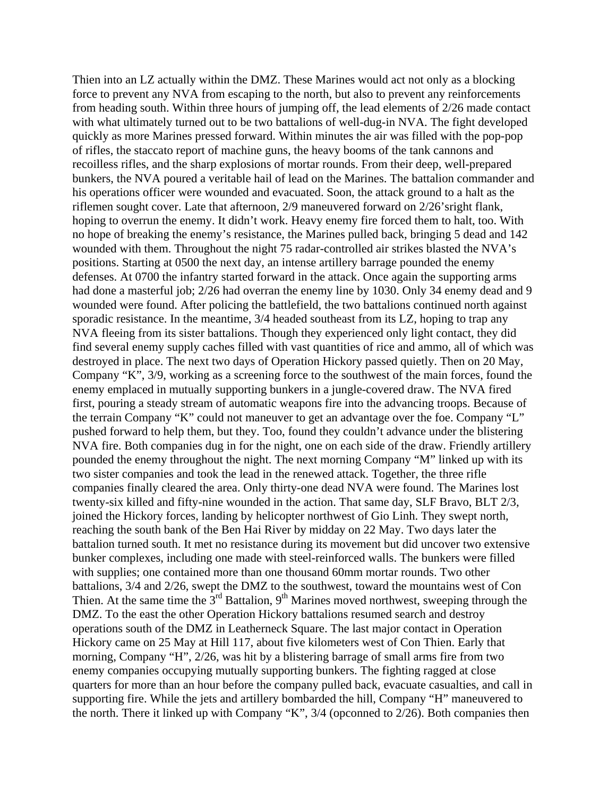Thien into an LZ actually within the DMZ. These Marines would act not only as a blocking force to prevent any NVA from escaping to the north, but also to prevent any reinforcements from heading south. Within three hours of jumping off, the lead elements of 2/26 made contact with what ultimately turned out to be two battalions of well-dug-in NVA. The fight developed quickly as more Marines pressed forward. Within minutes the air was filled with the pop-pop of rifles, the staccato report of machine guns, the heavy booms of the tank cannons and recoilless rifles, and the sharp explosions of mortar rounds. From their deep, well-prepared bunkers, the NVA poured a veritable hail of lead on the Marines. The battalion commander and his operations officer were wounded and evacuated. Soon, the attack ground to a halt as the riflemen sought cover. Late that afternoon, 2/9 maneuvered forward on 2/26'sright flank, hoping to overrun the enemy. It didn't work. Heavy enemy fire forced them to halt, too. With no hope of breaking the enemy's resistance, the Marines pulled back, bringing 5 dead and 142 wounded with them. Throughout the night 75 radar-controlled air strikes blasted the NVA's positions. Starting at 0500 the next day, an intense artillery barrage pounded the enemy defenses. At 0700 the infantry started forward in the attack. Once again the supporting arms had done a masterful job;  $2/26$  had overran the enemy line by 1030. Only 34 enemy dead and 9 wounded were found. After policing the battlefield, the two battalions continued north against sporadic resistance. In the meantime, 3/4 headed southeast from its LZ, hoping to trap any NVA fleeing from its sister battalions. Though they experienced only light contact, they did find several enemy supply caches filled with vast quantities of rice and ammo, all of which was destroyed in place. The next two days of Operation Hickory passed quietly. Then on 20 May, Company "K", 3/9, working as a screening force to the southwest of the main forces, found the enemy emplaced in mutually supporting bunkers in a jungle-covered draw. The NVA fired first, pouring a steady stream of automatic weapons fire into the advancing troops. Because of the terrain Company "K" could not maneuver to get an advantage over the foe. Company "L" pushed forward to help them, but they. Too, found they couldn't advance under the blistering NVA fire. Both companies dug in for the night, one on each side of the draw. Friendly artillery pounded the enemy throughout the night. The next morning Company "M" linked up with its two sister companies and took the lead in the renewed attack. Together, the three rifle companies finally cleared the area. Only thirty-one dead NVA were found. The Marines lost twenty-six killed and fifty-nine wounded in the action. That same day, SLF Bravo, BLT 2/3, joined the Hickory forces, landing by helicopter northwest of Gio Linh. They swept north, reaching the south bank of the Ben Hai River by midday on 22 May. Two days later the battalion turned south. It met no resistance during its movement but did uncover two extensive bunker complexes, including one made with steel-reinforced walls. The bunkers were filled with supplies; one contained more than one thousand 60mm mortar rounds. Two other battalions, 3/4 and 2/26, swept the DMZ to the southwest, toward the mountains west of Con Thien. At the same time the  $3<sup>rd</sup>$  Battalion, 9<sup>th</sup> Marines moved northwest, sweeping through the DMZ. To the east the other Operation Hickory battalions resumed search and destroy operations south of the DMZ in Leatherneck Square. The last major contact in Operation Hickory came on 25 May at Hill 117, about five kilometers west of Con Thien. Early that morning, Company "H", 2/26, was hit by a blistering barrage of small arms fire from two enemy companies occupying mutually supporting bunkers. The fighting ragged at close quarters for more than an hour before the company pulled back, evacuate casualties, and call in supporting fire. While the jets and artillery bombarded the hill, Company "H" maneuvered to the north. There it linked up with Company "K", 3/4 (opconned to 2/26). Both companies then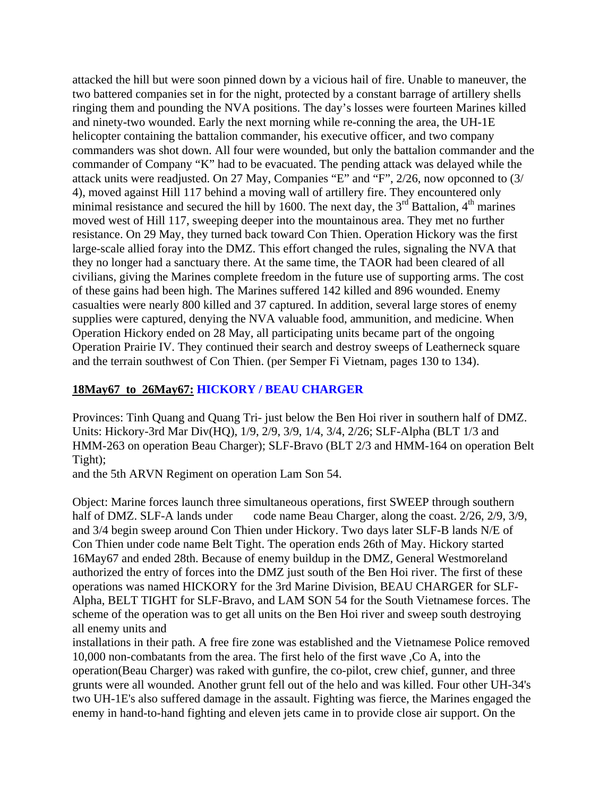attacked the hill but were soon pinned down by a vicious hail of fire. Unable to maneuver, the two battered companies set in for the night, protected by a constant barrage of artillery shells ringing them and pounding the NVA positions. The day's losses were fourteen Marines killed and ninety-two wounded. Early the next morning while re-conning the area, the UH-1E helicopter containing the battalion commander, his executive officer, and two company commanders was shot down. All four were wounded, but only the battalion commander and the commander of Company "K" had to be evacuated. The pending attack was delayed while the attack units were readjusted. On 27 May, Companies "E" and "F", 2/26, now opconned to (3/ 4), moved against Hill 117 behind a moving wall of artillery fire. They encountered only minimal resistance and secured the hill by 1600. The next day, the  $3<sup>rd</sup>$  Battalion,  $4<sup>th</sup>$  marines moved west of Hill 117, sweeping deeper into the mountainous area. They met no further resistance. On 29 May, they turned back toward Con Thien. Operation Hickory was the first large-scale allied foray into the DMZ. This effort changed the rules, signaling the NVA that they no longer had a sanctuary there. At the same time, the TAOR had been cleared of all civilians, giving the Marines complete freedom in the future use of supporting arms. The cost of these gains had been high. The Marines suffered 142 killed and 896 wounded. Enemy casualties were nearly 800 killed and 37 captured. In addition, several large stores of enemy supplies were captured, denying the NVA valuable food, ammunition, and medicine. When Operation Hickory ended on 28 May, all participating units became part of the ongoing Operation Prairie IV. They continued their search and destroy sweeps of Leatherneck square and the terrain southwest of Con Thien. (per Semper Fi Vietnam, pages 130 to 134).

#### **18May67 to 26May67: HICKORY / BEAU CHARGER**

Provinces: Tinh Quang and Quang Tri- just below the Ben Hoi river in southern half of DMZ. Units: Hickory-3rd Mar Div(HQ), 1/9, 2/9, 3/9, 1/4, 3/4, 2/26; SLF-Alpha (BLT 1/3 and HMM-263 on operation Beau Charger); SLF-Bravo (BLT 2/3 and HMM-164 on operation Belt Tight);

and the 5th ARVN Regiment on operation Lam Son 54.

Object: Marine forces launch three simultaneous operations, first SWEEP through southern half of DMZ. SLF-A lands under code name Beau Charger, along the coast. 2/26, 2/9, 3/9, and 3/4 begin sweep around Con Thien under Hickory. Two days later SLF-B lands N/E of Con Thien under code name Belt Tight. The operation ends 26th of May. Hickory started 16May67 and ended 28th. Because of enemy buildup in the DMZ, General Westmoreland authorized the entry of forces into the DMZ just south of the Ben Hoi river. The first of these operations was named HICKORY for the 3rd Marine Division, BEAU CHARGER for SLF-Alpha, BELT TIGHT for SLF-Bravo, and LAM SON 54 for the South Vietnamese forces. The scheme of the operation was to get all units on the Ben Hoi river and sweep south destroying all enemy units and

installations in their path. A free fire zone was established and the Vietnamese Police removed 10,000 non-combatants from the area. The first helo of the first wave ,Co A, into the operation(Beau Charger) was raked with gunfire, the co-pilot, crew chief, gunner, and three grunts were all wounded. Another grunt fell out of the helo and was killed. Four other UH-34's two UH-1E's also suffered damage in the assault. Fighting was fierce, the Marines engaged the enemy in hand-to-hand fighting and eleven jets came in to provide close air support. On the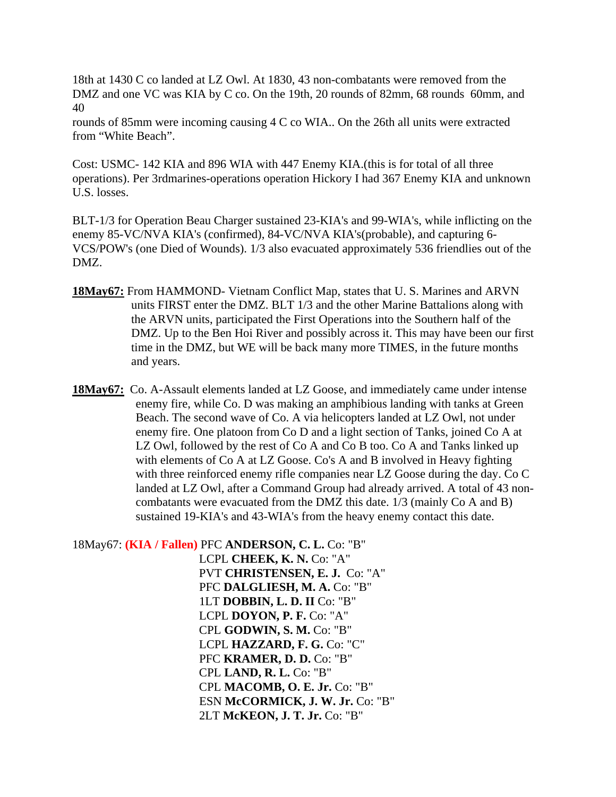18th at 1430 C co landed at LZ Owl. At 1830, 43 non-combatants were removed from the DMZ and one VC was KIA by C co. On the 19th, 20 rounds of 82mm, 68 rounds 60mm, and 40

rounds of 85mm were incoming causing 4 C co WIA.. On the 26th all units were extracted from "White Beach".

Cost: USMC- 142 KIA and 896 WIA with 447 Enemy KIA.(this is for total of all three operations). Per 3rdmarines-operations operation Hickory I had 367 Enemy KIA and unknown U.S. losses.

BLT-1/3 for Operation Beau Charger sustained 23-KIA's and 99-WIA's, while inflicting on the enemy 85-VC/NVA KIA's (confirmed), 84-VC/NVA KIA's(probable), and capturing 6- VCS/POW's (one Died of Wounds). 1/3 also evacuated approximately 536 friendlies out of the DMZ.

- **18May67:** From HAMMOND- Vietnam Conflict Map, states that U. S. Marines and ARVN units FIRST enter the DMZ. BLT 1/3 and the other Marine Battalions along with the ARVN units, participated the First Operations into the Southern half of the DMZ. Up to the Ben Hoi River and possibly across it. This may have been our first time in the DMZ, but WE will be back many more TIMES, in the future months and years.
- **18May67:** Co. A-Assault elements landed at LZ Goose, and immediately came under intense enemy fire, while Co. D was making an amphibious landing with tanks at Green Beach. The second wave of Co. A via helicopters landed at LZ Owl, not under enemy fire. One platoon from Co D and a light section of Tanks, joined Co A at LZ Owl, followed by the rest of Co A and Co B too. Co A and Tanks linked up with elements of Co A at LZ Goose. Co's A and B involved in Heavy fighting with three reinforced enemy rifle companies near LZ Goose during the day. Co C landed at LZ Owl, after a Command Group had already arrived. A total of 43 noncombatants were evacuated from the DMZ this date. 1/3 (mainly Co A and B) sustained 19-KIA's and 43-WIA's from the heavy enemy contact this date.

18May67: **(KIA / Fallen)** PFC **ANDERSON, C. L.** Co: "B" LCPL **CHEEK, K. N. Co: "A"**  PVT **CHRISTENSEN, E. J.** Co: "A" PFC DALGLIESH, M. A. Co: "B" 1LT **DOBBIN, L. D. II** Co: "B" LCPL **DOYON, P. F.** Co: "A" CPL **GODWIN, S. M.** Co: "B" LCPL **HAZZARD, F. G.** Co: "C" PFC **KRAMER, D. D. Co: "B"**  CPL **LAND, R. L.** Co: "B" CPL **MACOMB, O. E. Jr.** Co: "B" ESN **McCORMICK, J. W. Jr.** Co: "B" 2LT **McKEON, J. T. Jr.** Co: "B"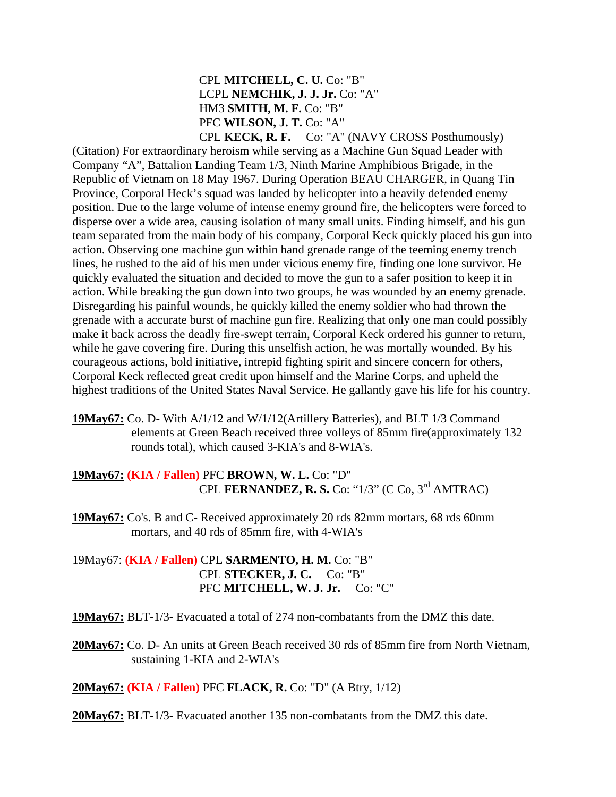# CPL **MITCHELL, C. U.** Co: "B" LCPL **NEMCHIK, J. J. Jr.** Co: "A" HM3 **SMITH, M. F.** Co: "B" PFC WILSON, J. T. Co: "A"

CPL **KECK, R. F.** Co: "A" (NAVY CROSS Posthumously) (Citation) For extraordinary heroism while serving as a Machine Gun Squad Leader with Company "A", Battalion Landing Team 1/3, Ninth Marine Amphibious Brigade, in the Republic of Vietnam on 18 May 1967. During Operation BEAU CHARGER, in Quang Tin Province, Corporal Heck's squad was landed by helicopter into a heavily defended enemy position. Due to the large volume of intense enemy ground fire, the helicopters were forced to disperse over a wide area, causing isolation of many small units. Finding himself, and his gun team separated from the main body of his company, Corporal Keck quickly placed his gun into action. Observing one machine gun within hand grenade range of the teeming enemy trench lines, he rushed to the aid of his men under vicious enemy fire, finding one lone survivor. He quickly evaluated the situation and decided to move the gun to a safer position to keep it in action. While breaking the gun down into two groups, he was wounded by an enemy grenade. Disregarding his painful wounds, he quickly killed the enemy soldier who had thrown the grenade with a accurate burst of machine gun fire. Realizing that only one man could possibly make it back across the deadly fire-swept terrain, Corporal Keck ordered his gunner to return, while he gave covering fire. During this unselfish action, he was mortally wounded. By his courageous actions, bold initiative, intrepid fighting spirit and sincere concern for others, Corporal Keck reflected great credit upon himself and the Marine Corps, and upheld the highest traditions of the United States Naval Service. He gallantly gave his life for his country.

**19May67:** Co. D- With A/1/12 and W/1/12(Artillery Batteries), and BLT 1/3 Command elements at Green Beach received three volleys of 85mm fire(approximately 132 rounds total), which caused 3-KIA's and 8-WIA's.

**19May67: (KIA / Fallen)** PFC **BROWN, W. L.** Co: "D" CPL **FERNANDEZ, R. S.** Co: "1/3" (C Co, 3rd AMTRAC)

**19May67:** Co's. B and C- Received approximately 20 rds 82mm mortars, 68 rds 60mm mortars, and 40 rds of 85mm fire, with 4-WIA's

19May67: **(KIA / Fallen)** CPL **SARMENTO, H. M.** Co: "B" CPL **STECKER, J. C.** Co: "B" PFC **MITCHELL, W. J. Jr.** Co: "C"

**19May67:** BLT-1/3- Evacuated a total of 274 non-combatants from the DMZ this date.

**20May67:** Co. D- An units at Green Beach received 30 rds of 85mm fire from North Vietnam, sustaining 1-KIA and 2-WIA's

**20May67: (KIA / Fallen)** PFC **FLACK, R.** Co: "D" (A Btry, 1/12)

**20May67:** BLT-1/3- Evacuated another 135 non-combatants from the DMZ this date.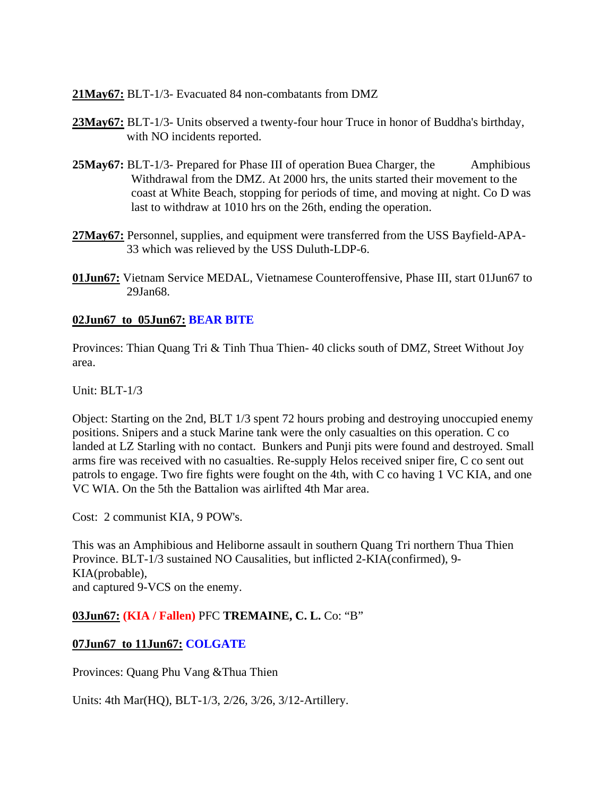### **21May67:** BLT-1/3- Evacuated 84 non-combatants from DMZ

- **23May67:** BLT-1/3- Units observed a twenty-four hour Truce in honor of Buddha's birthday, with NO incidents reported.
- **25May67:** BLT-1/3- Prepared for Phase III of operation Buea Charger, the Amphibious Withdrawal from the DMZ. At 2000 hrs, the units started their movement to the coast at White Beach, stopping for periods of time, and moving at night. Co D was last to withdraw at 1010 hrs on the 26th, ending the operation.
- **27May67:** Personnel, supplies, and equipment were transferred from the USS Bayfield-APA-33 which was relieved by the USS Duluth-LDP-6.
- **01Jun67:** Vietnam Service MEDAL, Vietnamese Counteroffensive, Phase III, start 01Jun67 to 29Jan68.

#### **02Jun67 to 05Jun67: BEAR BITE**

Provinces: Thian Quang Tri & Tinh Thua Thien- 40 clicks south of DMZ, Street Without Joy area.

Unit: BLT-1/3

Object: Starting on the 2nd, BLT 1/3 spent 72 hours probing and destroying unoccupied enemy positions. Snipers and a stuck Marine tank were the only casualties on this operation. C co landed at LZ Starling with no contact. Bunkers and Punji pits were found and destroyed. Small arms fire was received with no casualties. Re-supply Helos received sniper fire, C co sent out patrols to engage. Two fire fights were fought on the 4th, with C co having 1 VC KIA, and one VC WIA. On the 5th the Battalion was airlifted 4th Mar area.

Cost: 2 communist KIA, 9 POW's.

This was an Amphibious and Heliborne assault in southern Quang Tri northern Thua Thien Province. BLT-1/3 sustained NO Causalities, but inflicted 2-KIA(confirmed), 9- KIA(probable), and captured 9-VCS on the enemy.

# **03Jun67: (KIA / Fallen)** PFC **TREMAINE, C. L.** Co: "B"

# **07Jun67 to 11Jun67: COLGATE**

Provinces: Quang Phu Vang &Thua Thien

Units: 4th Mar(HQ), BLT-1/3, 2/26, 3/26, 3/12-Artillery.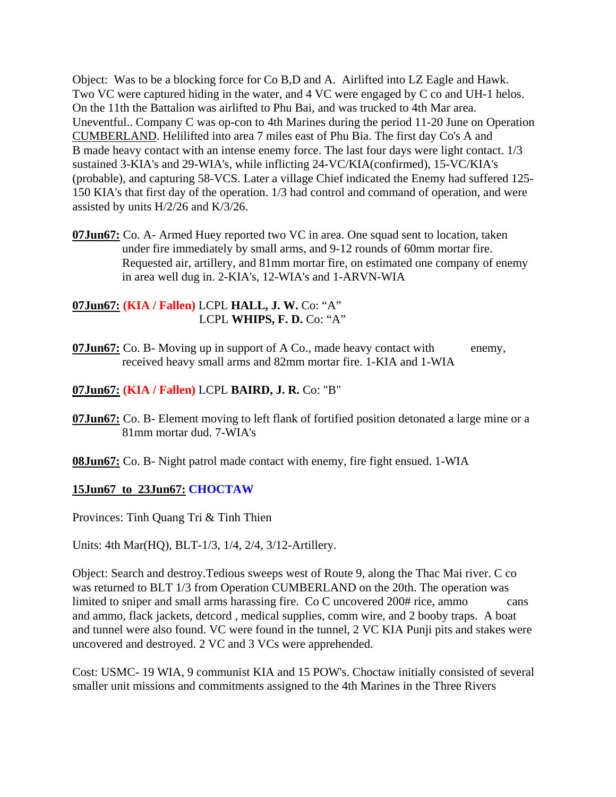Object: Was to be a blocking force for Co B,D and A. Airlifted into LZ Eagle and Hawk. Two VC were captured hiding in the water, and 4 VC were engaged by C co and UH-1 helos. On the 11th the Battalion was airlifted to Phu Bai, and was trucked to 4th Mar area. Uneventful.. Company C was op-con to 4th Marines during the period 11-20 June on Operation CUMBERLAND. Helilifted into area 7 miles east of Phu Bia. The first day Co's A and B made heavy contact with an intense enemy force. The last four days were light contact. 1/3 sustained 3-KIA's and 29-WIA's, while inflicting 24-VC/KIA(confirmed), 15-VC/KIA's (probable), and capturing 58-VCS. Later a village Chief indicated the Enemy had suffered 125- 150 KIA's that first day of the operation. 1/3 had control and command of operation, and were assisted by units H/2/26 and K/3/26.

**07Jun67:** Co. A- Armed Huey reported two VC in area. One squad sent to location, taken under fire immediately by small arms, and 9-12 rounds of 60mm mortar fire. Requested air, artillery, and 81mm mortar fire, on estimated one company of enemy in area well dug in. 2-KIA's, 12-WIA's and 1-ARVN-WIA

**07Jun67: (KIA / Fallen)** LCPL **HALL, J. W.** Co: "A" LCPL **WHIPS, F. D. Co: "A"** 

**07Jun67:** Co. B- Moving up in support of A Co., made heavy contact with enemy, received heavy small arms and 82mm mortar fire. 1-KIA and 1-WIA

#### **07Jun67: (KIA / Fallen)** LCPL **BAIRD, J. R.** Co: "B"

- **07Jun67:** Co. B- Element moving to left flank of fortified position detonated a large mine or a 81mm mortar dud. 7-WIA's
- **08Jun67:** Co. B- Night patrol made contact with enemy, fire fight ensued. 1-WIA

# **15Jun67 to 23Jun67: CHOCTAW**

Provinces: Tinh Quang Tri & Tinh Thien

Units: 4th Mar(HQ), BLT-1/3, 1/4, 2/4, 3/12-Artillery.

Object: Search and destroy.Tedious sweeps west of Route 9, along the Thac Mai river. C co was returned to BLT 1/3 from Operation CUMBERLAND on the 20th. The operation was limited to sniper and small arms harassing fire. Co C uncovered 200# rice, ammo cans and ammo, flack jackets, detcord , medical supplies, comm wire, and 2 booby traps. A boat and tunnel were also found. VC were found in the tunnel, 2 VC KIA Punji pits and stakes were uncovered and destroyed. 2 VC and 3 VCs were apprehended.

Cost: USMC- 19 WIA, 9 communist KIA and 15 POW's. Choctaw initially consisted of several smaller unit missions and commitments assigned to the 4th Marines in the Three Rivers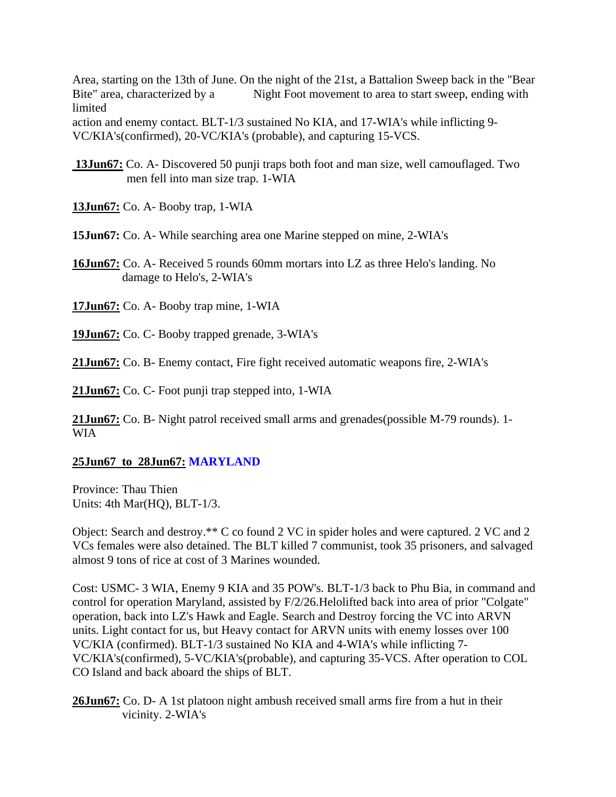Area, starting on the 13th of June. On the night of the 21st, a Battalion Sweep back in the "Bear Bite" area, characterized by a Night Foot movement to area to start sweep, ending with limited

action and enemy contact. BLT-1/3 sustained No KIA, and 17-WIA's while inflicting 9- VC/KIA's(confirmed), 20-VC/KIA's (probable), and capturing 15-VCS.

 **13Jun67:** Co. A- Discovered 50 punji traps both foot and man size, well camouflaged. Two men fell into man size trap. 1-WIA

**13Jun67:** Co. A- Booby trap, 1-WIA

**15Jun67:** Co. A- While searching area one Marine stepped on mine, 2-WIA's

- **16Jun67:** Co. A- Received 5 rounds 60mm mortars into LZ as three Helo's landing. No damage to Helo's, 2-WIA's
- **17Jun67:** Co. A- Booby trap mine, 1-WIA

**19Jun67:** Co. C- Booby trapped grenade, 3-WIA's

**21Jun67:** Co. B- Enemy contact, Fire fight received automatic weapons fire, 2-WIA's

**21Jun67:** Co. C- Foot punji trap stepped into, 1-WIA

**21Jun67:** Co. B- Night patrol received small arms and grenades(possible M-79 rounds). 1- WIA

# **25Jun67 to 28Jun67: MARYLAND**

Province: Thau Thien Units: 4th Mar(HQ), BLT-1/3.

Object: Search and destroy.\*\* C co found 2 VC in spider holes and were captured. 2 VC and 2 VCs females were also detained. The BLT killed 7 communist, took 35 prisoners, and salvaged almost 9 tons of rice at cost of 3 Marines wounded.

Cost: USMC- 3 WIA, Enemy 9 KIA and 35 POW's. BLT-1/3 back to Phu Bia, in command and control for operation Maryland, assisted by F/2/26.Helolifted back into area of prior "Colgate" operation, back into LZ's Hawk and Eagle. Search and Destroy forcing the VC into ARVN units. Light contact for us, but Heavy contact for ARVN units with enemy losses over 100 VC/KIA (confirmed). BLT-1/3 sustained No KIA and 4-WIA's while inflicting 7- VC/KIA's(confirmed), 5-VC/KIA's(probable), and capturing 35-VCS. After operation to COL CO Island and back aboard the ships of BLT.

**26Jun67:** Co. D- A 1st platoon night ambush received small arms fire from a hut in their vicinity. 2-WIA's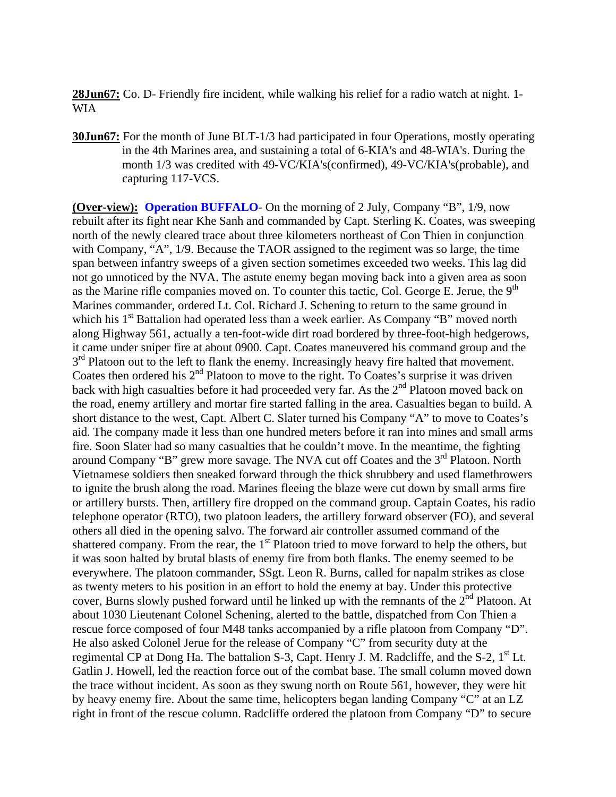**28Jun67:** Co. D- Friendly fire incident, while walking his relief for a radio watch at night. 1- WIA

**30Jun67:** For the month of June BLT-1/3 had participated in four Operations, mostly operating in the 4th Marines area, and sustaining a total of 6-KIA's and 48-WIA's. During the month 1/3 was credited with 49-VC/KIA's(confirmed), 49-VC/KIA's(probable), and capturing 117-VCS.

**(Over-view): Operation BUFFALO**- On the morning of 2 July, Company "B", 1/9, now rebuilt after its fight near Khe Sanh and commanded by Capt. Sterling K. Coates, was sweeping north of the newly cleared trace about three kilometers northeast of Con Thien in conjunction with Company, "A", 1/9. Because the TAOR assigned to the regiment was so large, the time span between infantry sweeps of a given section sometimes exceeded two weeks. This lag did not go unnoticed by the NVA. The astute enemy began moving back into a given area as soon as the Marine rifle companies moved on. To counter this tactic, Col. George E. Jerue, the  $9<sup>th</sup>$ Marines commander, ordered Lt. Col. Richard J. Schening to return to the same ground in which his  $1<sup>st</sup>$  Battalion had operated less than a week earlier. As Company "B" moved north along Highway 561, actually a ten-foot-wide dirt road bordered by three-foot-high hedgerows, it came under sniper fire at about 0900. Capt. Coates maneuvered his command group and the  $3<sup>rd</sup>$  Platoon out to the left to flank the enemy. Increasingly heavy fire halted that movement. Coates then ordered his 2<sup>nd</sup> Platoon to move to the right. To Coates's surprise it was driven back with high casualties before it had proceeded very far. As the  $2<sup>nd</sup>$  Platoon moved back on the road, enemy artillery and mortar fire started falling in the area. Casualties began to build. A short distance to the west, Capt. Albert C. Slater turned his Company "A" to move to Coates's aid. The company made it less than one hundred meters before it ran into mines and small arms fire. Soon Slater had so many casualties that he couldn't move. In the meantime, the fighting around Company "B" grew more savage. The NVA cut off Coates and the 3<sup>rd</sup> Platoon. North Vietnamese soldiers then sneaked forward through the thick shrubbery and used flamethrowers to ignite the brush along the road. Marines fleeing the blaze were cut down by small arms fire or artillery bursts. Then, artillery fire dropped on the command group. Captain Coates, his radio telephone operator (RTO), two platoon leaders, the artillery forward observer (FO), and several others all died in the opening salvo. The forward air controller assumed command of the shattered company. From the rear, the  $1<sup>st</sup>$  Platoon tried to move forward to help the others, but it was soon halted by brutal blasts of enemy fire from both flanks. The enemy seemed to be everywhere. The platoon commander, SSgt. Leon R. Burns, called for napalm strikes as close as twenty meters to his position in an effort to hold the enemy at bay. Under this protective cover, Burns slowly pushed forward until he linked up with the remnants of the  $2<sup>nd</sup>$  Platoon. At about 1030 Lieutenant Colonel Schening, alerted to the battle, dispatched from Con Thien a rescue force composed of four M48 tanks accompanied by a rifle platoon from Company "D". He also asked Colonel Jerue for the release of Company "C" from security duty at the regimental CP at Dong Ha. The battalion S-3, Capt. Henry J. M. Radcliffe, and the S-2,  $1<sup>st</sup>$  Lt. Gatlin J. Howell, led the reaction force out of the combat base. The small column moved down the trace without incident. As soon as they swung north on Route 561, however, they were hit by heavy enemy fire. About the same time, helicopters began landing Company "C" at an LZ right in front of the rescue column. Radcliffe ordered the platoon from Company "D" to secure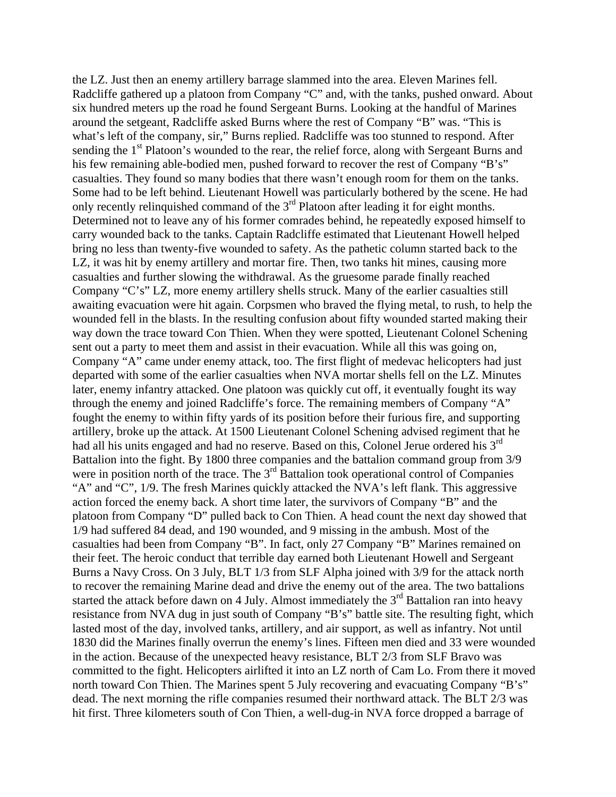the LZ. Just then an enemy artillery barrage slammed into the area. Eleven Marines fell. Radcliffe gathered up a platoon from Company "C" and, with the tanks, pushed onward. About six hundred meters up the road he found Sergeant Burns. Looking at the handful of Marines around the setgeant, Radcliffe asked Burns where the rest of Company "B" was. "This is what's left of the company, sir," Burns replied. Radcliffe was too stunned to respond. After sending the 1<sup>st</sup> Platoon's wounded to the rear, the relief force, along with Sergeant Burns and his few remaining able-bodied men, pushed forward to recover the rest of Company "B's" casualties. They found so many bodies that there wasn't enough room for them on the tanks. Some had to be left behind. Lieutenant Howell was particularly bothered by the scene. He had only recently relinquished command of the 3rd Platoon after leading it for eight months. Determined not to leave any of his former comrades behind, he repeatedly exposed himself to carry wounded back to the tanks. Captain Radcliffe estimated that Lieutenant Howell helped bring no less than twenty-five wounded to safety. As the pathetic column started back to the LZ, it was hit by enemy artillery and mortar fire. Then, two tanks hit mines, causing more casualties and further slowing the withdrawal. As the gruesome parade finally reached Company "C's" LZ, more enemy artillery shells struck. Many of the earlier casualties still awaiting evacuation were hit again. Corpsmen who braved the flying metal, to rush, to help the wounded fell in the blasts. In the resulting confusion about fifty wounded started making their way down the trace toward Con Thien. When they were spotted, Lieutenant Colonel Schening sent out a party to meet them and assist in their evacuation. While all this was going on, Company "A" came under enemy attack, too. The first flight of medevac helicopters had just departed with some of the earlier casualties when NVA mortar shells fell on the LZ. Minutes later, enemy infantry attacked. One platoon was quickly cut off, it eventually fought its way through the enemy and joined Radcliffe's force. The remaining members of Company "A" fought the enemy to within fifty yards of its position before their furious fire, and supporting artillery, broke up the attack. At 1500 Lieutenant Colonel Schening advised regiment that he had all his units engaged and had no reserve. Based on this, Colonel Jerue ordered his 3<sup>rd</sup> Battalion into the fight. By 1800 three companies and the battalion command group from 3/9 were in position north of the trace. The  $3<sup>rd</sup>$  Battalion took operational control of Companies "A" and "C", 1/9. The fresh Marines quickly attacked the NVA's left flank. This aggressive action forced the enemy back. A short time later, the survivors of Company "B" and the platoon from Company "D" pulled back to Con Thien. A head count the next day showed that 1/9 had suffered 84 dead, and 190 wounded, and 9 missing in the ambush. Most of the casualties had been from Company "B". In fact, only 27 Company "B" Marines remained on their feet. The heroic conduct that terrible day earned both Lieutenant Howell and Sergeant Burns a Navy Cross. On 3 July, BLT 1/3 from SLF Alpha joined with 3/9 for the attack north to recover the remaining Marine dead and drive the enemy out of the area. The two battalions started the attack before dawn on 4 July. Almost immediately the  $3<sup>rd</sup>$  Battalion ran into heavy resistance from NVA dug in just south of Company "B's" battle site. The resulting fight, which lasted most of the day, involved tanks, artillery, and air support, as well as infantry. Not until 1830 did the Marines finally overrun the enemy's lines. Fifteen men died and 33 were wounded in the action. Because of the unexpected heavy resistance, BLT 2/3 from SLF Bravo was committed to the fight. Helicopters airlifted it into an LZ north of Cam Lo. From there it moved north toward Con Thien. The Marines spent 5 July recovering and evacuating Company "B's" dead. The next morning the rifle companies resumed their northward attack. The BLT 2/3 was hit first. Three kilometers south of Con Thien, a well-dug-in NVA force dropped a barrage of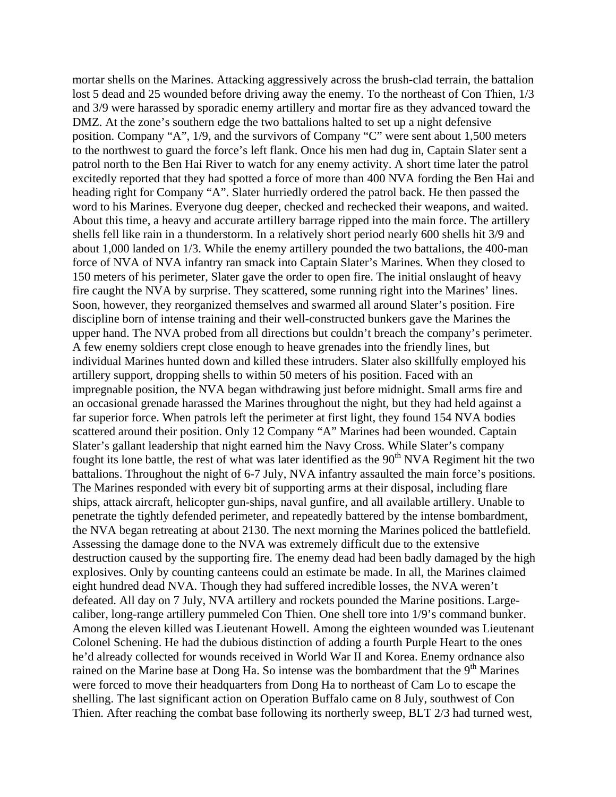mortar shells on the Marines. Attacking aggressively across the brush-clad terrain, the battalion lost 5 dead and 25 wounded before driving away the enemy. To the northeast of Con Thien, 1/3 and 3/9 were harassed by sporadic enemy artillery and mortar fire as they advanced toward the DMZ. At the zone's southern edge the two battalions halted to set up a night defensive position. Company "A", 1/9, and the survivors of Company "C" were sent about 1,500 meters to the northwest to guard the force's left flank. Once his men had dug in, Captain Slater sent a patrol north to the Ben Hai River to watch for any enemy activity. A short time later the patrol excitedly reported that they had spotted a force of more than 400 NVA fording the Ben Hai and heading right for Company "A". Slater hurriedly ordered the patrol back. He then passed the word to his Marines. Everyone dug deeper, checked and rechecked their weapons, and waited. About this time, a heavy and accurate artillery barrage ripped into the main force. The artillery shells fell like rain in a thunderstorm. In a relatively short period nearly 600 shells hit 3/9 and about 1,000 landed on 1/3. While the enemy artillery pounded the two battalions, the 400-man force of NVA of NVA infantry ran smack into Captain Slater's Marines. When they closed to 150 meters of his perimeter, Slater gave the order to open fire. The initial onslaught of heavy fire caught the NVA by surprise. They scattered, some running right into the Marines' lines. Soon, however, they reorganized themselves and swarmed all around Slater's position. Fire discipline born of intense training and their well-constructed bunkers gave the Marines the upper hand. The NVA probed from all directions but couldn't breach the company's perimeter. A few enemy soldiers crept close enough to heave grenades into the friendly lines, but individual Marines hunted down and killed these intruders. Slater also skillfully employed his artillery support, dropping shells to within 50 meters of his position. Faced with an impregnable position, the NVA began withdrawing just before midnight. Small arms fire and an occasional grenade harassed the Marines throughout the night, but they had held against a far superior force. When patrols left the perimeter at first light, they found 154 NVA bodies scattered around their position. Only 12 Company "A" Marines had been wounded. Captain Slater's gallant leadership that night earned him the Navy Cross. While Slater's company fought its lone battle, the rest of what was later identified as the 90<sup>th</sup> NVA Regiment hit the two battalions. Throughout the night of 6-7 July, NVA infantry assaulted the main force's positions. The Marines responded with every bit of supporting arms at their disposal, including flare ships, attack aircraft, helicopter gun-ships, naval gunfire, and all available artillery. Unable to penetrate the tightly defended perimeter, and repeatedly battered by the intense bombardment, the NVA began retreating at about 2130. The next morning the Marines policed the battlefield. Assessing the damage done to the NVA was extremely difficult due to the extensive destruction caused by the supporting fire. The enemy dead had been badly damaged by the high explosives. Only by counting canteens could an estimate be made. In all, the Marines claimed eight hundred dead NVA. Though they had suffered incredible losses, the NVA weren't defeated. All day on 7 July, NVA artillery and rockets pounded the Marine positions. Largecaliber, long-range artillery pummeled Con Thien. One shell tore into 1/9's command bunker. Among the eleven killed was Lieutenant Howell. Among the eighteen wounded was Lieutenant Colonel Schening. He had the dubious distinction of adding a fourth Purple Heart to the ones he'd already collected for wounds received in World War II and Korea. Enemy ordnance also rained on the Marine base at Dong Ha. So intense was the bombardment that the  $9<sup>th</sup>$  Marines were forced to move their headquarters from Dong Ha to northeast of Cam Lo to escape the shelling. The last significant action on Operation Buffalo came on 8 July, southwest of Con Thien. After reaching the combat base following its northerly sweep, BLT 2/3 had turned west,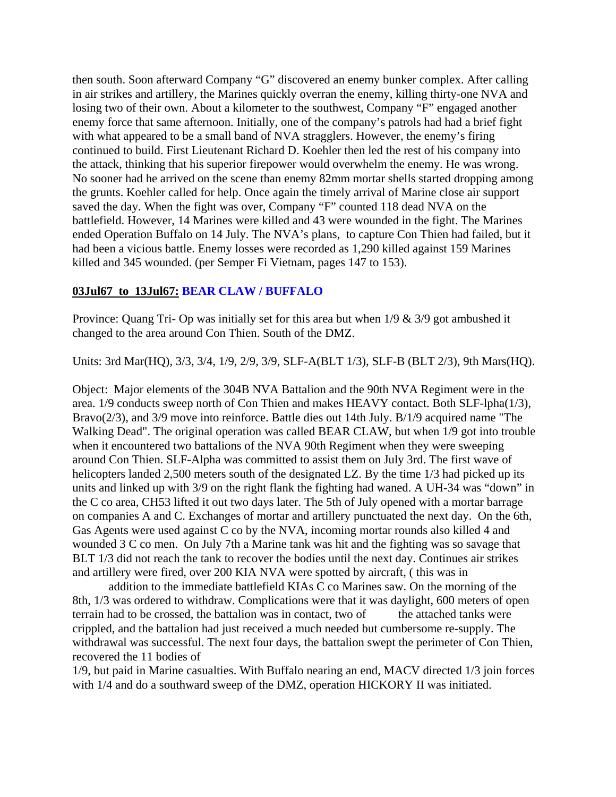then south. Soon afterward Company "G" discovered an enemy bunker complex. After calling in air strikes and artillery, the Marines quickly overran the enemy, killing thirty-one NVA and losing two of their own. About a kilometer to the southwest, Company "F" engaged another enemy force that same afternoon. Initially, one of the company's patrols had had a brief fight with what appeared to be a small band of NVA stragglers. However, the enemy's firing continued to build. First Lieutenant Richard D. Koehler then led the rest of his company into the attack, thinking that his superior firepower would overwhelm the enemy. He was wrong. No sooner had he arrived on the scene than enemy 82mm mortar shells started dropping among the grunts. Koehler called for help. Once again the timely arrival of Marine close air support saved the day. When the fight was over, Company "F" counted 118 dead NVA on the battlefield. However, 14 Marines were killed and 43 were wounded in the fight. The Marines ended Operation Buffalo on 14 July. The NVA's plans, to capture Con Thien had failed, but it had been a vicious battle. Enemy losses were recorded as 1,290 killed against 159 Marines killed and 345 wounded. (per Semper Fi Vietnam, pages 147 to 153).

#### **03Jul67 to 13Jul67: BEAR CLAW / BUFFALO**

Province: Quang Tri- Op was initially set for this area but when 1/9 & 3/9 got ambushed it changed to the area around Con Thien. South of the DMZ.

Units: 3rd Mar(HQ), 3/3, 3/4, 1/9, 2/9, 3/9, SLF-A(BLT 1/3), SLF-B (BLT 2/3), 9th Mars(HQ).

Object: Major elements of the 304B NVA Battalion and the 90th NVA Regiment were in the area. 1/9 conducts sweep north of Con Thien and makes HEAVY contact. Both SLF-lpha(1/3), Bravo( $2/3$ ), and  $3/9$  move into reinforce. Battle dies out 14th July. B/1/9 acquired name "The Walking Dead". The original operation was called BEAR CLAW, but when 1/9 got into trouble when it encountered two battalions of the NVA 90th Regiment when they were sweeping around Con Thien. SLF-Alpha was committed to assist them on July 3rd. The first wave of helicopters landed 2,500 meters south of the designated LZ. By the time  $1/3$  had picked up its units and linked up with 3/9 on the right flank the fighting had waned. A UH-34 was "down" in the C co area, CH53 lifted it out two days later. The 5th of July opened with a mortar barrage on companies A and C. Exchanges of mortar and artillery punctuated the next day. On the 6th, Gas Agents were used against C co by the NVA, incoming mortar rounds also killed 4 and wounded 3 C co men. On July 7th a Marine tank was hit and the fighting was so savage that BLT 1/3 did not reach the tank to recover the bodies until the next day. Continues air strikes and artillery were fired, over 200 KIA NVA were spotted by aircraft, ( this was in

 addition to the immediate battlefield KIAs C co Marines saw. On the morning of the 8th, 1/3 was ordered to withdraw. Complications were that it was daylight, 600 meters of open terrain had to be crossed, the battalion was in contact, two of the attached tanks were crippled, and the battalion had just received a much needed but cumbersome re-supply. The withdrawal was successful. The next four days, the battalion swept the perimeter of Con Thien, recovered the 11 bodies of

1/9, but paid in Marine casualties. With Buffalo nearing an end, MACV directed 1/3 join forces with  $1/4$  and do a southward sweep of the DMZ, operation HICKORY II was initiated.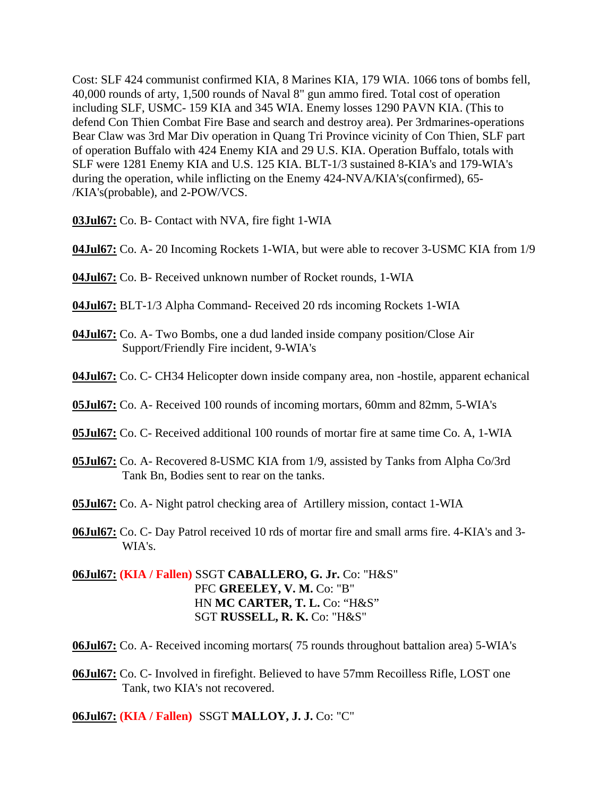Cost: SLF 424 communist confirmed KIA, 8 Marines KIA, 179 WIA. 1066 tons of bombs fell, 40,000 rounds of arty, 1,500 rounds of Naval 8" gun ammo fired. Total cost of operation including SLF, USMC- 159 KIA and 345 WIA. Enemy losses 1290 PAVN KIA. (This to defend Con Thien Combat Fire Base and search and destroy area). Per 3rdmarines-operations Bear Claw was 3rd Mar Div operation in Quang Tri Province vicinity of Con Thien, SLF part of operation Buffalo with 424 Enemy KIA and 29 U.S. KIA. Operation Buffalo, totals with SLF were 1281 Enemy KIA and U.S. 125 KIA. BLT-1/3 sustained 8-KIA's and 179-WIA's during the operation, while inflicting on the Enemy 424-NVA/KIA's(confirmed), 65- /KIA's(probable), and 2-POW/VCS.

**03Jul67:** Co. B- Contact with NVA, fire fight 1-WIA

**04Jul67:** Co. A- 20 Incoming Rockets 1-WIA, but were able to recover 3-USMC KIA from 1/9

**04Jul67:** Co. B- Received unknown number of Rocket rounds, 1-WIA

**04Jul67:** BLT-1/3 Alpha Command- Received 20 rds incoming Rockets 1-WIA

**04Jul67:** Co. A- Two Bombs, one a dud landed inside company position/Close Air Support/Friendly Fire incident, 9-WIA's

**04Jul67:** Co. C- CH34 Helicopter down inside company area, non -hostile, apparent echanical

- **05Jul67:** Co. A- Received 100 rounds of incoming mortars, 60mm and 82mm, 5-WIA's
- **05Jul67:** Co. C- Received additional 100 rounds of mortar fire at same time Co. A, 1-WIA
- **05Jul67:** Co. A- Recovered 8-USMC KIA from 1/9, assisted by Tanks from Alpha Co/3rd Tank Bn, Bodies sent to rear on the tanks.
- **05Jul67:** Co. A- Night patrol checking area of Artillery mission, contact 1-WIA
- **06Jul67:** Co. C- Day Patrol received 10 rds of mortar fire and small arms fire. 4-KIA's and 3- WIA's.

**06Jul67: (KIA / Fallen)** SSGT **CABALLERO, G. Jr.** Co: "H&S" PFC **GREELEY, V. M. Co: "B"**  HN **MC CARTER, T. L.** Co: "H&S" SGT **RUSSELL, R. K.** Co: "H&S"

**06Jul67:** Co. A- Received incoming mortars( 75 rounds throughout battalion area) 5-WIA's

**06Jul67:** Co. C- Involved in firefight. Believed to have 57mm Recoilless Rifle, LOST one Tank, two KIA's not recovered.

**06Jul67: (KIA / Fallen)** SSGT **MALLOY, J. J.** Co: "C"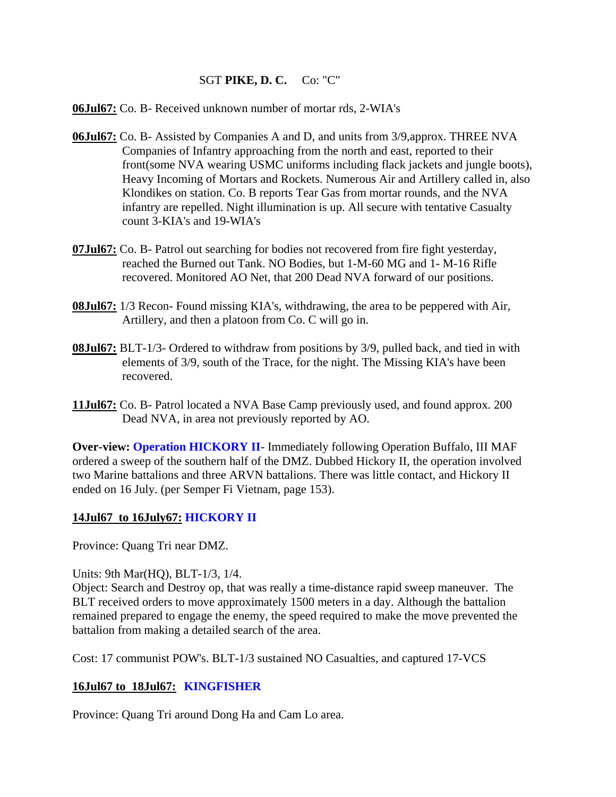# SGT **PIKE, D. C.** Co: "C"

**06Jul67:** Co. B- Received unknown number of mortar rds, 2-WIA's

- **06Jul67:** Co. B- Assisted by Companies A and D, and units from 3/9,approx. THREE NVA Companies of Infantry approaching from the north and east, reported to their front(some NVA wearing USMC uniforms including flack jackets and jungle boots), Heavy Incoming of Mortars and Rockets. Numerous Air and Artillery called in, also Klondikes on station. Co. B reports Tear Gas from mortar rounds, and the NVA infantry are repelled. Night illumination is up. All secure with tentative Casualty count 3-KIA's and 19-WIA's
- **07Jul67:** Co. B- Patrol out searching for bodies not recovered from fire fight yesterday, reached the Burned out Tank. NO Bodies, but 1-M-60 MG and 1- M-16 Rifle recovered. Monitored AO Net, that 200 Dead NVA forward of our positions.
- **08Jul67:** 1/3 Recon- Found missing KIA's, withdrawing, the area to be peppered with Air, Artillery, and then a platoon from Co. C will go in.
- **08Jul67:** BLT-1/3- Ordered to withdraw from positions by 3/9, pulled back, and tied in with elements of 3/9, south of the Trace, for the night. The Missing KIA's have been recovered.
- **11Jul67:** Co. B- Patrol located a NVA Base Camp previously used, and found approx. 200 Dead NVA, in area not previously reported by AO.

**Over-view: Operation HICKORY II**- Immediately following Operation Buffalo, III MAF ordered a sweep of the southern half of the DMZ. Dubbed Hickory II, the operation involved two Marine battalions and three ARVN battalions. There was little contact, and Hickory II ended on 16 July. (per Semper Fi Vietnam, page 153).

# **14Jul67 to 16July67: HICKORY II**

Province: Quang Tri near DMZ.

Units: 9th Mar(HQ), BLT-1/3, 1/4.

Object: Search and Destroy op, that was really a time-distance rapid sweep maneuver. The BLT received orders to move approximately 1500 meters in a day. Although the battalion remained prepared to engage the enemy, the speed required to make the move prevented the battalion from making a detailed search of the area.

Cost: 17 communist POW's. BLT-1/3 sustained NO Casualties, and captured 17-VCS

# **16Jul67 to 18Jul67: KINGFISHER**

Province: Quang Tri around Dong Ha and Cam Lo area.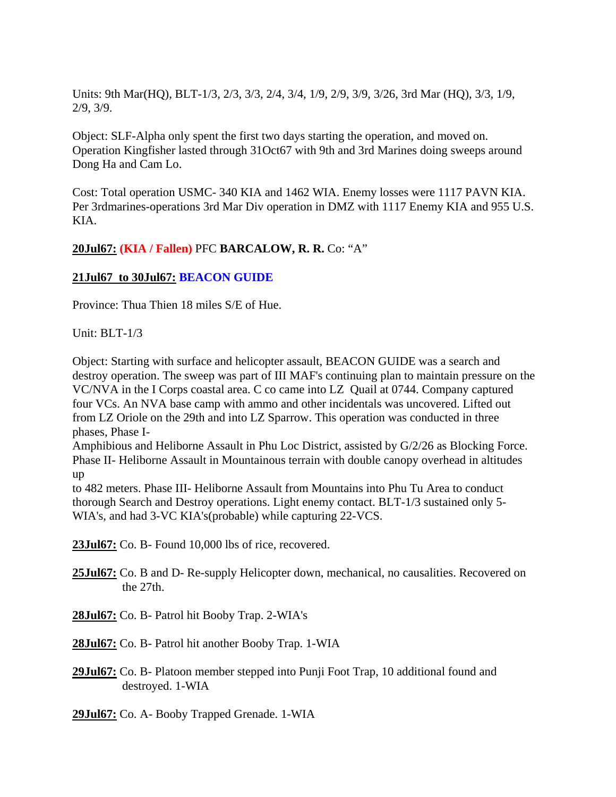Units: 9th Mar(HQ), BLT-1/3, 2/3, 3/3, 2/4, 3/4, 1/9, 2/9, 3/9, 3/26, 3rd Mar (HQ), 3/3, 1/9, 2/9, 3/9.

Object: SLF-Alpha only spent the first two days starting the operation, and moved on. Operation Kingfisher lasted through 31Oct67 with 9th and 3rd Marines doing sweeps around Dong Ha and Cam Lo.

Cost: Total operation USMC- 340 KIA and 1462 WIA. Enemy losses were 1117 PAVN KIA. Per 3rdmarines-operations 3rd Mar Div operation in DMZ with 1117 Enemy KIA and 955 U.S. KIA.

# **20Jul67: (KIA / Fallen)** PFC **BARCALOW, R. R.** Co: "A"

# **21Jul67 to 30Jul67: BEACON GUIDE**

Province: Thua Thien 18 miles S/E of Hue.

Unit: BLT-1/3

Object: Starting with surface and helicopter assault, BEACON GUIDE was a search and destroy operation. The sweep was part of III MAF's continuing plan to maintain pressure on the VC/NVA in the I Corps coastal area. C co came into LZ Quail at 0744. Company captured four VCs. An NVA base camp with ammo and other incidentals was uncovered. Lifted out from LZ Oriole on the 29th and into LZ Sparrow. This operation was conducted in three phases, Phase I-

Amphibious and Heliborne Assault in Phu Loc District, assisted by G/2/26 as Blocking Force. Phase II- Heliborne Assault in Mountainous terrain with double canopy overhead in altitudes up

to 482 meters. Phase III- Heliborne Assault from Mountains into Phu Tu Area to conduct thorough Search and Destroy operations. Light enemy contact. BLT-1/3 sustained only 5- WIA's, and had 3-VC KIA's(probable) while capturing 22-VCS.

**23Jul67:** Co. B- Found 10,000 lbs of rice, recovered.

**25Jul67:** Co. B and D- Re-supply Helicopter down, mechanical, no causalities. Recovered on the 27th.

**28Jul67:** Co. B- Patrol hit Booby Trap. 2-WIA's

**28Jul67:** Co. B- Patrol hit another Booby Trap. 1-WIA

**29Jul67:** Co. B- Platoon member stepped into Punji Foot Trap, 10 additional found and destroyed. 1-WIA

**29Jul67:** Co. A- Booby Trapped Grenade. 1-WIA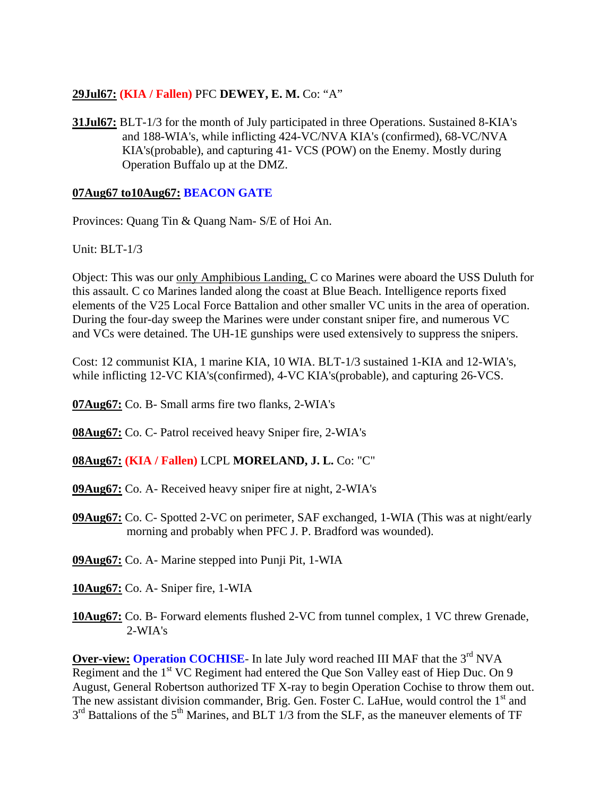### **29Jul67: (KIA / Fallen)** PFC **DEWEY, E. M.** Co: "A"

**31Jul67:** BLT-1/3 for the month of July participated in three Operations. Sustained 8-KIA's and 188-WIA's, while inflicting 424-VC/NVA KIA's (confirmed), 68-VC/NVA KIA's(probable), and capturing 41- VCS (POW) on the Enemy. Mostly during Operation Buffalo up at the DMZ.

### **07Aug67 to10Aug67: BEACON GATE**

Provinces: Quang Tin & Quang Nam- S/E of Hoi An.

Unit: BLT-1/3

Object: This was our only Amphibious Landing, C co Marines were aboard the USS Duluth for this assault. C co Marines landed along the coast at Blue Beach. Intelligence reports fixed elements of the V25 Local Force Battalion and other smaller VC units in the area of operation. During the four-day sweep the Marines were under constant sniper fire, and numerous VC and VCs were detained. The UH-1E gunships were used extensively to suppress the snipers.

Cost: 12 communist KIA, 1 marine KIA, 10 WIA. BLT-1/3 sustained 1-KIA and 12-WIA's, while inflicting 12-VC KIA's(confirmed), 4-VC KIA's(probable), and capturing 26-VCS.

**07Aug67:** Co. B- Small arms fire two flanks, 2-WIA's

**08Aug67:** Co. C- Patrol received heavy Sniper fire, 2-WIA's

**08Aug67: (KIA / Fallen)** LCPL **MORELAND, J. L.** Co: "C"

**09Aug67:** Co. A- Received heavy sniper fire at night, 2-WIA's

- **09Aug67:** Co. C- Spotted 2-VC on perimeter, SAF exchanged, 1-WIA (This was at night/early morning and probably when PFC J. P. Bradford was wounded).
- **09Aug67:** Co. A- Marine stepped into Punji Pit, 1-WIA
- **10Aug67:** Co. A- Sniper fire, 1-WIA
- **10Aug67:** Co. B- Forward elements flushed 2-VC from tunnel complex, 1 VC threw Grenade, 2-WIA's

**Over-view: Operation COCHISE**- In late July word reached III MAF that the 3<sup>rd</sup> NVA Regiment and the 1<sup>st</sup> VC Regiment had entered the Que Son Valley east of Hiep Duc. On 9 August, General Robertson authorized TF X-ray to begin Operation Cochise to throw them out. The new assistant division commander, Brig. Gen. Foster C. LaHue, would control the  $1<sup>st</sup>$  and  $3<sup>rd</sup>$  Battalions of the  $5<sup>th</sup>$  Marines, and BLT 1/3 from the SLF, as the maneuver elements of TF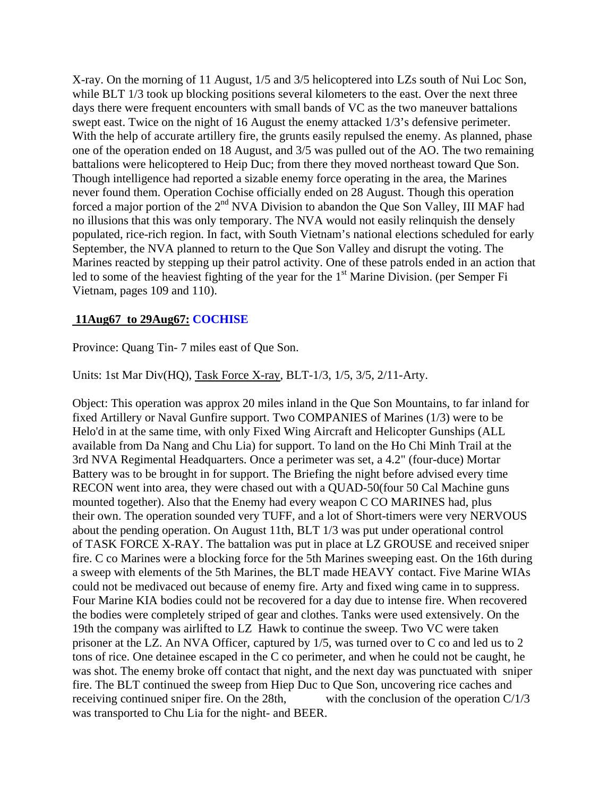X-ray. On the morning of 11 August, 1/5 and 3/5 helicoptered into LZs south of Nui Loc Son, while BLT  $1/3$  took up blocking positions several kilometers to the east. Over the next three days there were frequent encounters with small bands of VC as the two maneuver battalions swept east. Twice on the night of 16 August the enemy attacked 1/3's defensive perimeter. With the help of accurate artillery fire, the grunts easily repulsed the enemy. As planned, phase one of the operation ended on 18 August, and 3/5 was pulled out of the AO. The two remaining battalions were helicoptered to Heip Duc; from there they moved northeast toward Que Son. Though intelligence had reported a sizable enemy force operating in the area, the Marines never found them. Operation Cochise officially ended on 28 August. Though this operation forced a major portion of the 2<sup>nd</sup> NVA Division to abandon the Que Son Valley, III MAF had no illusions that this was only temporary. The NVA would not easily relinquish the densely populated, rice-rich region. In fact, with South Vietnam's national elections scheduled for early September, the NVA planned to return to the Que Son Valley and disrupt the voting. The Marines reacted by stepping up their patrol activity. One of these patrols ended in an action that led to some of the heaviest fighting of the year for the  $1<sup>st</sup>$  Marine Division. (per Semper Fi Vietnam, pages 109 and 110).

#### **11Aug67 to 29Aug67: COCHISE**

Province: Quang Tin- 7 miles east of Que Son.

Units: 1st Mar Div(HQ), Task Force X-ray, BLT-1/3, 1/5, 3/5, 2/11-Arty.

Object: This operation was approx 20 miles inland in the Que Son Mountains, to far inland for fixed Artillery or Naval Gunfire support. Two COMPANIES of Marines (1/3) were to be Helo'd in at the same time, with only Fixed Wing Aircraft and Helicopter Gunships (ALL available from Da Nang and Chu Lia) for support. To land on the Ho Chi Minh Trail at the 3rd NVA Regimental Headquarters. Once a perimeter was set, a 4.2" (four-duce) Mortar Battery was to be brought in for support. The Briefing the night before advised every time RECON went into area, they were chased out with a QUAD-50(four 50 Cal Machine guns mounted together). Also that the Enemy had every weapon C CO MARINES had, plus their own. The operation sounded very TUFF, and a lot of Short-timers were very NERVOUS about the pending operation. On August 11th, BLT 1/3 was put under operational control of TASK FORCE X-RAY. The battalion was put in place at LZ GROUSE and received sniper fire. C co Marines were a blocking force for the 5th Marines sweeping east. On the 16th during a sweep with elements of the 5th Marines, the BLT made HEAVY contact. Five Marine WIAs could not be medivaced out because of enemy fire. Arty and fixed wing came in to suppress. Four Marine KIA bodies could not be recovered for a day due to intense fire. When recovered the bodies were completely striped of gear and clothes. Tanks were used extensively. On the 19th the company was airlifted to LZ Hawk to continue the sweep. Two VC were taken prisoner at the LZ. An NVA Officer, captured by 1/5, was turned over to C co and led us to 2 tons of rice. One detainee escaped in the C co perimeter, and when he could not be caught, he was shot. The enemy broke off contact that night, and the next day was punctuated with sniper fire. The BLT continued the sweep from Hiep Duc to Que Son, uncovering rice caches and receiving continued sniper fire. On the 28th, with the conclusion of the operation C/1/3 was transported to Chu Lia for the night- and BEER.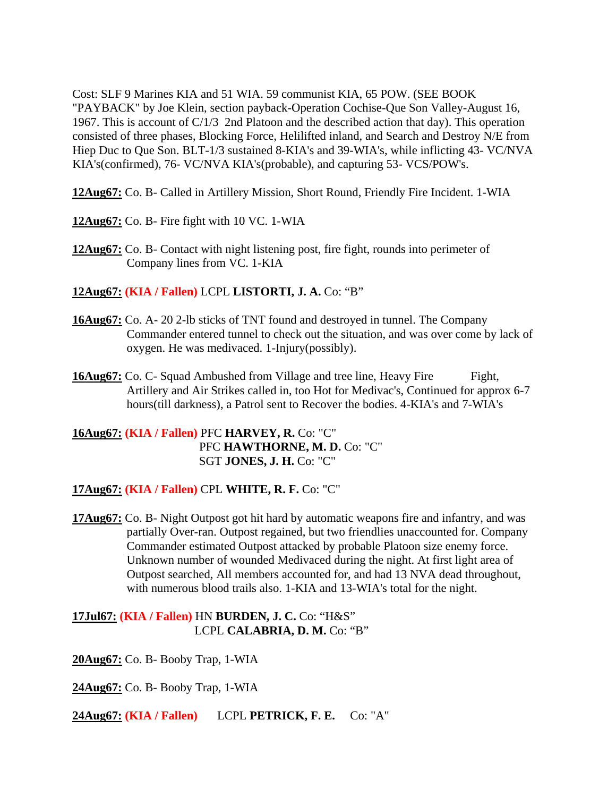Cost: SLF 9 Marines KIA and 51 WIA. 59 communist KIA, 65 POW. (SEE BOOK "PAYBACK" by Joe Klein, section payback-Operation Cochise-Que Son Valley-August 16, 1967. This is account of C/1/3 2nd Platoon and the described action that day). This operation consisted of three phases, Blocking Force, Helilifted inland, and Search and Destroy N/E from Hiep Duc to Que Son. BLT-1/3 sustained 8-KIA's and 39-WIA's, while inflicting 43- VC/NVA KIA's(confirmed), 76- VC/NVA KIA's(probable), and capturing 53- VCS/POW's.

**12Aug67:** Co. B- Called in Artillery Mission, Short Round, Friendly Fire Incident. 1-WIA

**12Aug67:** Co. B- Fire fight with 10 VC. 1-WIA

- **12Aug67:** Co. B- Contact with night listening post, fire fight, rounds into perimeter of Company lines from VC. 1-KIA
- **12Aug67: (KIA / Fallen)** LCPL **LISTORTI, J. A.** Co: "B"
- **16Aug67:** Co. A- 20 2-lb sticks of TNT found and destroyed in tunnel. The Company Commander entered tunnel to check out the situation, and was over come by lack of oxygen. He was medivaced. 1-Injury(possibly).
- **16Aug67:** Co. C- Squad Ambushed from Village and tree line, Heavy Fire Fight, Artillery and Air Strikes called in, too Hot for Medivac's, Continued for approx 6-7 hours(till darkness), a Patrol sent to Recover the bodies. 4-KIA's and 7-WIA's

**16Aug67: (KIA / Fallen)** PFC **HARVEY, R.** Co: "C" PFC HAWTHORNE, M. D. Co: "C" SGT **JONES, J. H.** Co: "C"

**17Aug67: (KIA / Fallen)** CPL **WHITE, R. F.** Co: "C"

**17Aug67:** Co. B- Night Outpost got hit hard by automatic weapons fire and infantry, and was partially Over-ran. Outpost regained, but two friendlies unaccounted for. Company Commander estimated Outpost attacked by probable Platoon size enemy force. Unknown number of wounded Medivaced during the night. At first light area of Outpost searched, All members accounted for, and had 13 NVA dead throughout, with numerous blood trails also. 1-KIA and 13-WIA's total for the night.

**17Jul67: (KIA / Fallen)** HN **BURDEN, J. C.** Co: "H&S" LCPL **CALABRIA, D. M. Co: "B"** 

**20Aug67:** Co. B- Booby Trap, 1-WIA

**24Aug67:** Co. B- Booby Trap, 1-WIA

**24Aug67: (KIA / Fallen)** LCPL **PETRICK, F. E.** Co: "A"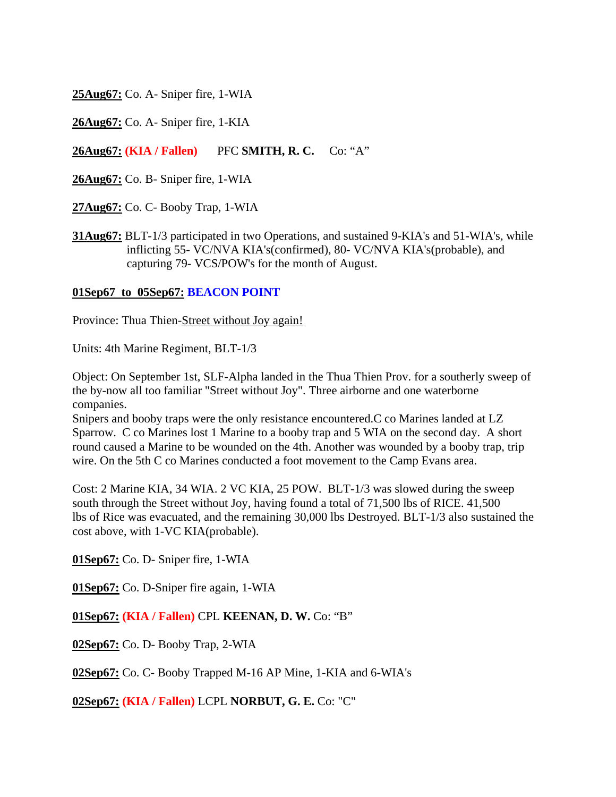**25Aug67:** Co. A- Sniper fire, 1-WIA

**26Aug67:** Co. A- Sniper fire, 1-KIA

**26Aug67: (KIA / Fallen)** PFC **SMITH, R. C.** Co: "A"

**26Aug67:** Co. B- Sniper fire, 1-WIA

**27Aug67:** Co. C- Booby Trap, 1-WIA

**31Aug67:** BLT-1/3 participated in two Operations, and sustained 9-KIA's and 51-WIA's, while inflicting 55- VC/NVA KIA's(confirmed), 80- VC/NVA KIA's(probable), and capturing 79- VCS/POW's for the month of August.

#### **01Sep67 to 05Sep67: BEACON POINT**

Province: Thua Thien-Street without Joy again!

Units: 4th Marine Regiment, BLT-1/3

Object: On September 1st, SLF-Alpha landed in the Thua Thien Prov. for a southerly sweep of the by-now all too familiar "Street without Joy". Three airborne and one waterborne companies.

Snipers and booby traps were the only resistance encountered.C co Marines landed at LZ Sparrow. C co Marines lost 1 Marine to a booby trap and 5 WIA on the second day. A short round caused a Marine to be wounded on the 4th. Another was wounded by a booby trap, trip wire. On the 5th C co Marines conducted a foot movement to the Camp Evans area.

Cost: 2 Marine KIA, 34 WIA. 2 VC KIA, 25 POW. BLT-1/3 was slowed during the sweep south through the Street without Joy, having found a total of 71,500 lbs of RICE. 41,500 lbs of Rice was evacuated, and the remaining 30,000 lbs Destroyed. BLT-1/3 also sustained the cost above, with 1-VC KIA(probable).

**01Sep67:** Co. D- Sniper fire, 1-WIA

**01Sep67:** Co. D-Sniper fire again, 1-WIA

**01Sep67: (KIA / Fallen)** CPL **KEENAN, D. W.** Co: "B"

**02Sep67:** Co. D- Booby Trap, 2-WIA

**02Sep67:** Co. C- Booby Trapped M-16 AP Mine, 1-KIA and 6-WIA's

**02Sep67: (KIA / Fallen)** LCPL **NORBUT, G. E.** Co: "C"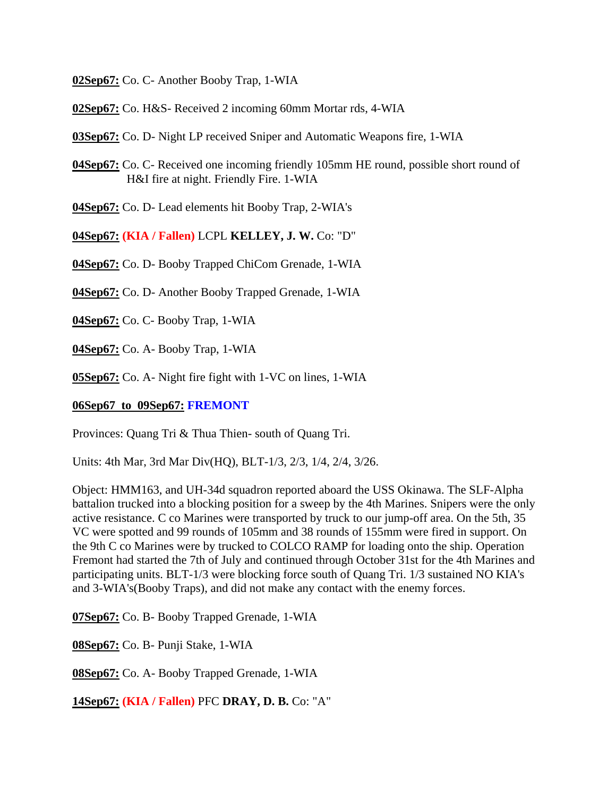**02Sep67:** Co. C- Another Booby Trap, 1-WIA

**02Sep67:** Co. H&S- Received 2 incoming 60mm Mortar rds, 4-WIA

- **03Sep67:** Co. D- Night LP received Sniper and Automatic Weapons fire, 1-WIA
- **04Sep67:** Co. C- Received one incoming friendly 105mm HE round, possible short round of H&I fire at night. Friendly Fire. 1-WIA

**04Sep67:** Co. D- Lead elements hit Booby Trap, 2-WIA's

**04Sep67: (KIA / Fallen)** LCPL **KELLEY, J. W.** Co: "D"

**04Sep67:** Co. D- Booby Trapped ChiCom Grenade, 1-WIA

**04Sep67:** Co. D- Another Booby Trapped Grenade, 1-WIA

**04Sep67:** Co. C- Booby Trap, 1-WIA

**04Sep67:** Co. A- Booby Trap, 1-WIA

**05Sep67:** Co. A- Night fire fight with 1-VC on lines, 1-WIA

#### **06Sep67 to 09Sep67: FREMONT**

Provinces: Quang Tri & Thua Thien- south of Quang Tri.

Units: 4th Mar, 3rd Mar Div(HQ), BLT-1/3, 2/3, 1/4, 2/4, 3/26.

Object: HMM163, and UH-34d squadron reported aboard the USS Okinawa. The SLF-Alpha battalion trucked into a blocking position for a sweep by the 4th Marines. Snipers were the only active resistance. C co Marines were transported by truck to our jump-off area. On the 5th, 35 VC were spotted and 99 rounds of 105mm and 38 rounds of 155mm were fired in support. On the 9th C co Marines were by trucked to COLCO RAMP for loading onto the ship. Operation Fremont had started the 7th of July and continued through October 31st for the 4th Marines and participating units. BLT-1/3 were blocking force south of Quang Tri. 1/3 sustained NO KIA's and 3-WIA's(Booby Traps), and did not make any contact with the enemy forces.

**07Sep67:** Co. B- Booby Trapped Grenade, 1-WIA

**08Sep67:** Co. B- Punji Stake, 1-WIA

**08Sep67:** Co. A- Booby Trapped Grenade, 1-WIA

**14Sep67: (KIA / Fallen)** PFC **DRAY, D. B.** Co: "A"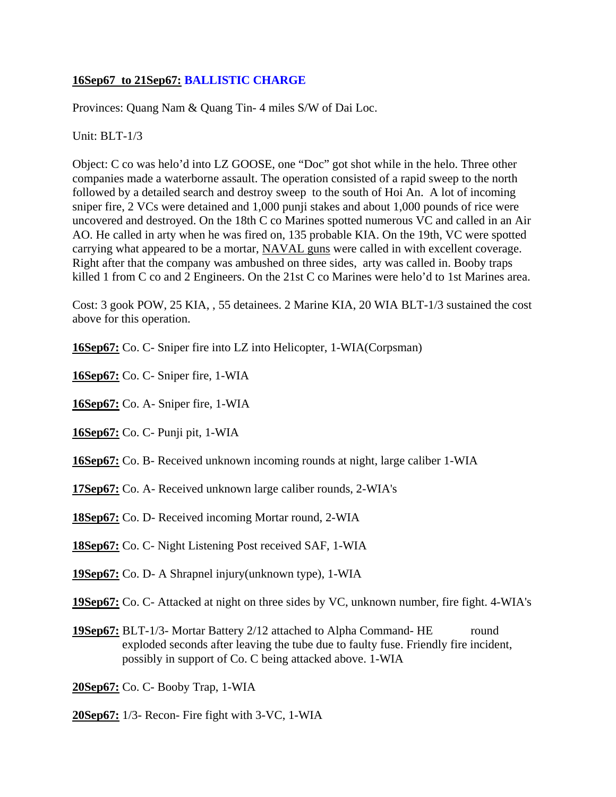# **16Sep67 to 21Sep67: BALLISTIC CHARGE**

Provinces: Quang Nam & Quang Tin- 4 miles S/W of Dai Loc.

Unit: BLT-1/3

Object: C co was helo'd into LZ GOOSE, one "Doc" got shot while in the helo. Three other companies made a waterborne assault. The operation consisted of a rapid sweep to the north followed by a detailed search and destroy sweep to the south of Hoi An. A lot of incoming sniper fire, 2 VCs were detained and 1,000 punji stakes and about 1,000 pounds of rice were uncovered and destroyed. On the 18th C co Marines spotted numerous VC and called in an Air AO. He called in arty when he was fired on, 135 probable KIA. On the 19th, VC were spotted carrying what appeared to be a mortar, NAVAL guns were called in with excellent coverage. Right after that the company was ambushed on three sides, arty was called in. Booby traps killed 1 from C co and 2 Engineers. On the 21st C co Marines were helo'd to 1st Marines area.

Cost: 3 gook POW, 25 KIA, , 55 detainees. 2 Marine KIA, 20 WIA BLT-1/3 sustained the cost above for this operation.

**16Sep67:** Co. C- Sniper fire into LZ into Helicopter, 1-WIA(Corpsman)

**16Sep67:** Co. C- Sniper fire, 1-WIA

**16Sep67:** Co. A- Sniper fire, 1-WIA

**16Sep67:** Co. C- Punji pit, 1-WIA

**16Sep67:** Co. B- Received unknown incoming rounds at night, large caliber 1-WIA

**17Sep67:** Co. A- Received unknown large caliber rounds, 2-WIA's

**18Sep67:** Co. D- Received incoming Mortar round, 2-WIA

**18Sep67:** Co. C- Night Listening Post received SAF, 1-WIA

**19Sep67:** Co. D- A Shrapnel injury(unknown type), 1-WIA

**19Sep67:** Co. C- Attacked at night on three sides by VC, unknown number, fire fight. 4-WIA's

**19Sep67:** BLT-1/3- Mortar Battery 2/12 attached to Alpha Command-HE round exploded seconds after leaving the tube due to faulty fuse. Friendly fire incident, possibly in support of Co. C being attacked above. 1-WIA

**20Sep67:** Co. C- Booby Trap, 1-WIA

**20Sep67:** 1/3- Recon- Fire fight with 3-VC, 1-WIA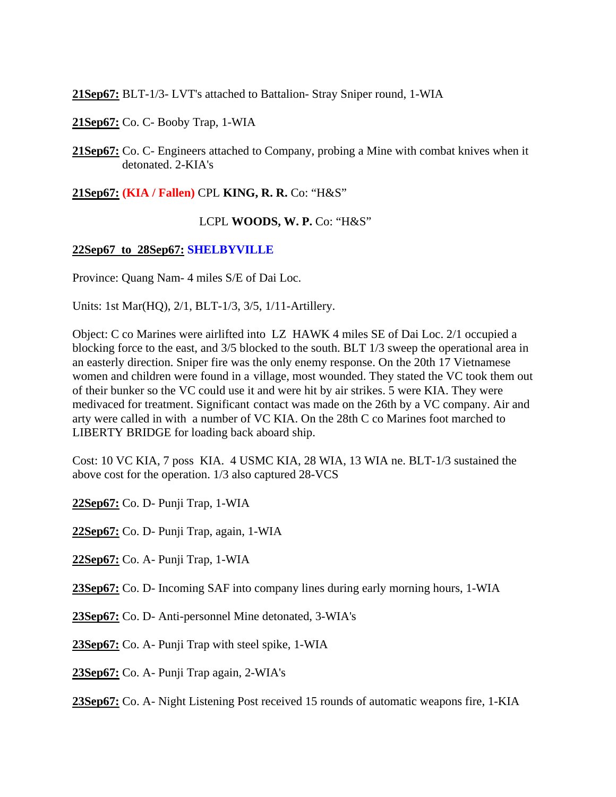**21Sep67:** BLT-1/3- LVT's attached to Battalion- Stray Sniper round, 1-WIA

**21Sep67:** Co. C- Booby Trap, 1-WIA

**21Sep67:** Co. C- Engineers attached to Company, probing a Mine with combat knives when it detonated. 2-KIA's

**21Sep67: (KIA / Fallen)** CPL **KING, R. R.** Co: "H&S"

LCPL **WOODS**, W. P. Co: "H&S"

#### **22Sep67 to 28Sep67: SHELBYVILLE**

Province: Quang Nam- 4 miles S/E of Dai Loc.

Units: 1st Mar(HQ), 2/1, BLT-1/3, 3/5, 1/11-Artillery.

Object: C co Marines were airlifted into LZ HAWK 4 miles SE of Dai Loc. 2/1 occupied a blocking force to the east, and 3/5 blocked to the south. BLT 1/3 sweep the operational area in an easterly direction. Sniper fire was the only enemy response. On the 20th 17 Vietnamese women and children were found in a village, most wounded. They stated the VC took them out of their bunker so the VC could use it and were hit by air strikes. 5 were KIA. They were medivaced for treatment. Significant contact was made on the 26th by a VC company. Air and arty were called in with a number of VC KIA. On the 28th C co Marines foot marched to LIBERTY BRIDGE for loading back aboard ship.

Cost: 10 VC KIA, 7 poss KIA. 4 USMC KIA, 28 WIA, 13 WIA ne. BLT-1/3 sustained the above cost for the operation. 1/3 also captured 28-VCS

**22Sep67:** Co. D- Punji Trap, 1-WIA

**22Sep67:** Co. D- Punji Trap, again, 1-WIA

**22Sep67:** Co. A- Punji Trap, 1-WIA

**23Sep67:** Co. D- Incoming SAF into company lines during early morning hours, 1-WIA

**23Sep67:** Co. D- Anti-personnel Mine detonated, 3-WIA's

**23Sep67:** Co. A- Punji Trap with steel spike, 1-WIA

**23Sep67:** Co. A- Punji Trap again, 2-WIA's

**23Sep67:** Co. A- Night Listening Post received 15 rounds of automatic weapons fire, 1-KIA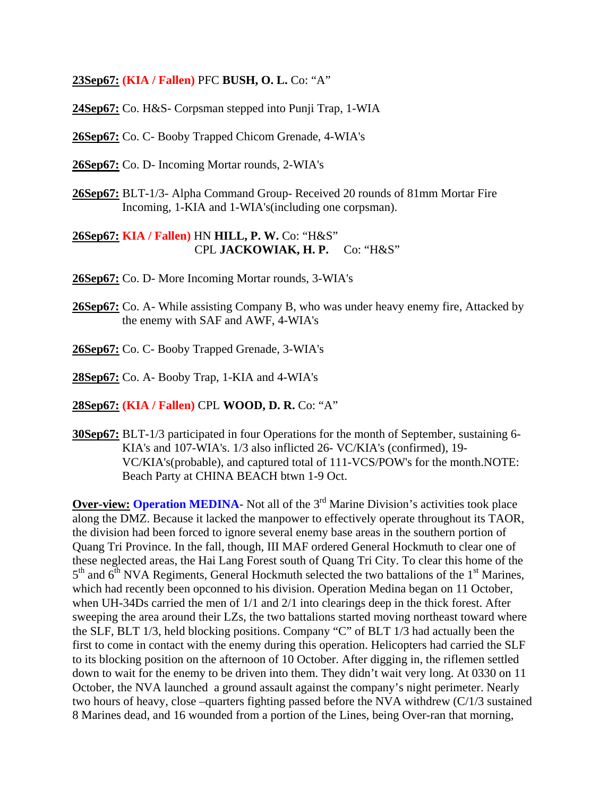#### **23Sep67: (KIA / Fallen)** PFC **BUSH, O. L.** Co: "A"

**24Sep67:** Co. H&S- Corpsman stepped into Punji Trap, 1-WIA

**26Sep67:** Co. C- Booby Trapped Chicom Grenade, 4-WIA's

- **26Sep67:** Co. D- Incoming Mortar rounds, 2-WIA's
- **26Sep67:** BLT-1/3- Alpha Command Group- Received 20 rounds of 81mm Mortar Fire Incoming, 1-KIA and 1-WIA's(including one corpsman).

# **26Sep67: KIA / Fallen)** HN **HILL, P. W.** Co: "H&S" CPL **JACKOWIAK, H. P.** Co: "H&S"

- **26Sep67:** Co. D- More Incoming Mortar rounds, 3-WIA's
- **26Sep67:** Co. A- While assisting Company B, who was under heavy enemy fire, Attacked by the enemy with SAF and AWF, 4-WIA's

**26Sep67:** Co. C- Booby Trapped Grenade, 3-WIA's

**28Sep67:** Co. A- Booby Trap, 1-KIA and 4-WIA's

**28Sep67: (KIA / Fallen)** CPL **WOOD, D. R.** Co: "A"

**30Sep67:** BLT-1/3 participated in four Operations for the month of September, sustaining 6- KIA's and 107-WIA's. 1/3 also inflicted 26- VC/KIA's (confirmed), 19- VC/KIA's(probable), and captured total of 111-VCS/POW's for the month.NOTE: Beach Party at CHINA BEACH btwn 1-9 Oct.

**Over-view: Operation MEDINA**- Not all of the 3<sup>rd</sup> Marine Division's activities took place along the DMZ. Because it lacked the manpower to effectively operate throughout its TAOR, the division had been forced to ignore several enemy base areas in the southern portion of Quang Tri Province. In the fall, though, III MAF ordered General Hockmuth to clear one of these neglected areas, the Hai Lang Forest south of Quang Tri City. To clear this home of the  $5<sup>th</sup>$  and  $6<sup>th</sup>$  NVA Regiments, General Hockmuth selected the two battalions of the 1<sup>st</sup> Marines, which had recently been opconned to his division. Operation Medina began on 11 October, when UH-34Ds carried the men of 1/1 and 2/1 into clearings deep in the thick forest. After sweeping the area around their LZs, the two battalions started moving northeast toward where the SLF, BLT 1/3, held blocking positions. Company "C" of BLT 1/3 had actually been the first to come in contact with the enemy during this operation. Helicopters had carried the SLF to its blocking position on the afternoon of 10 October. After digging in, the riflemen settled down to wait for the enemy to be driven into them. They didn't wait very long. At 0330 on 11 October, the NVA launched a ground assault against the company's night perimeter. Nearly two hours of heavy, close –quarters fighting passed before the NVA withdrew (C/1/3 sustained 8 Marines dead, and 16 wounded from a portion of the Lines, being Over-ran that morning,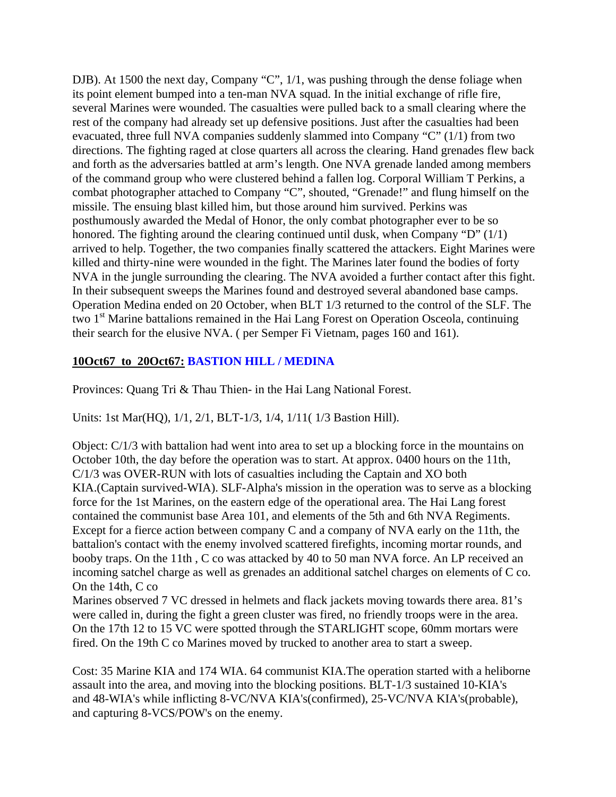DJB). At 1500 the next day, Company "C", 1/1, was pushing through the dense foliage when its point element bumped into a ten-man NVA squad. In the initial exchange of rifle fire, several Marines were wounded. The casualties were pulled back to a small clearing where the rest of the company had already set up defensive positions. Just after the casualties had been evacuated, three full NVA companies suddenly slammed into Company "C" (1/1) from two directions. The fighting raged at close quarters all across the clearing. Hand grenades flew back and forth as the adversaries battled at arm's length. One NVA grenade landed among members of the command group who were clustered behind a fallen log. Corporal William T Perkins, a combat photographer attached to Company "C", shouted, "Grenade!" and flung himself on the missile. The ensuing blast killed him, but those around him survived. Perkins was posthumously awarded the Medal of Honor, the only combat photographer ever to be so honored. The fighting around the clearing continued until dusk, when Company "D" (1/1) arrived to help. Together, the two companies finally scattered the attackers. Eight Marines were killed and thirty-nine were wounded in the fight. The Marines later found the bodies of forty NVA in the jungle surrounding the clearing. The NVA avoided a further contact after this fight. In their subsequent sweeps the Marines found and destroyed several abandoned base camps. Operation Medina ended on 20 October, when BLT 1/3 returned to the control of the SLF. The two 1<sup>st</sup> Marine battalions remained in the Hai Lang Forest on Operation Osceola, continuing their search for the elusive NVA. ( per Semper Fi Vietnam, pages 160 and 161).

# **10Oct67 to 20Oct67: BASTION HILL / MEDINA**

Provinces: Quang Tri & Thau Thien- in the Hai Lang National Forest.

Units: 1st Mar(HQ), 1/1, 2/1, BLT-1/3, 1/4, 1/11( 1/3 Bastion Hill).

Object: C/1/3 with battalion had went into area to set up a blocking force in the mountains on October 10th, the day before the operation was to start. At approx. 0400 hours on the 11th, C/1/3 was OVER-RUN with lots of casualties including the Captain and XO both KIA.(Captain survived-WIA). SLF-Alpha's mission in the operation was to serve as a blocking force for the 1st Marines, on the eastern edge of the operational area. The Hai Lang forest contained the communist base Area 101, and elements of the 5th and 6th NVA Regiments. Except for a fierce action between company C and a company of NVA early on the 11th, the battalion's contact with the enemy involved scattered firefights, incoming mortar rounds, and booby traps. On the 11th , C co was attacked by 40 to 50 man NVA force. An LP received an incoming satchel charge as well as grenades an additional satchel charges on elements of C co. On the 14th, C co

Marines observed 7 VC dressed in helmets and flack jackets moving towards there area. 81's were called in, during the fight a green cluster was fired, no friendly troops were in the area. On the 17th 12 to 15 VC were spotted through the STARLIGHT scope, 60mm mortars were fired. On the 19th C co Marines moved by trucked to another area to start a sweep.

Cost: 35 Marine KIA and 174 WIA. 64 communist KIA.The operation started with a heliborne assault into the area, and moving into the blocking positions. BLT-1/3 sustained 10-KIA's and 48-WIA's while inflicting 8-VC/NVA KIA's(confirmed), 25-VC/NVA KIA's(probable), and capturing 8-VCS/POW's on the enemy.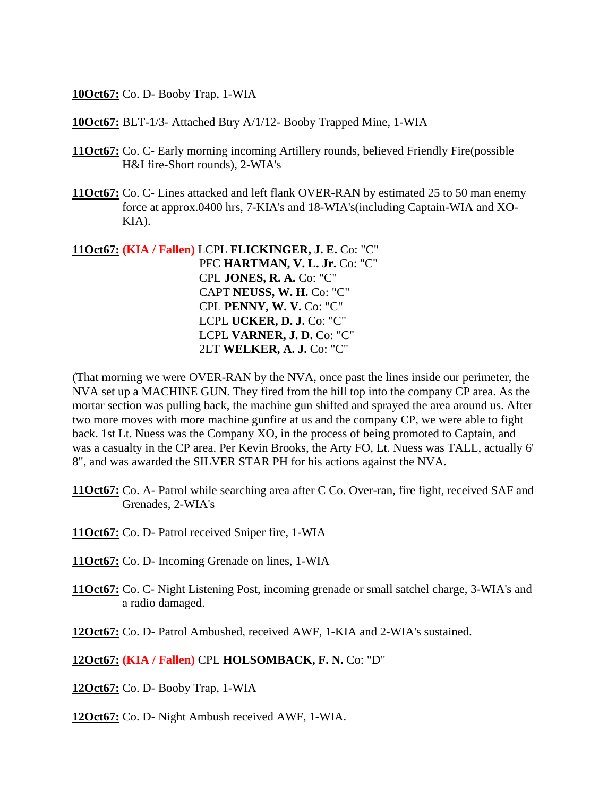**10Oct67:** Co. D- Booby Trap, 1-WIA

**10Oct67:** BLT-1/3- Attached Btry A/1/12- Booby Trapped Mine, 1-WIA

- **11Oct67:** Co. C- Early morning incoming Artillery rounds, believed Friendly Fire(possible H&I fire-Short rounds), 2-WIA's
- **11Oct67:** Co. C- Lines attacked and left flank OVER-RAN by estimated 25 to 50 man enemy force at approx.0400 hrs, 7-KIA's and 18-WIA's(including Captain-WIA and XO-KIA).

**11Oct67: (KIA / Fallen)** LCPL **FLICKINGER, J. E.** Co: "C" PFC HARTMAN, V. L. Jr. Co: "C" CPL **JONES, R. A.** Co: "C" CAPT **NEUSS, W. H.** Co: "C" CPL **PENNY, W. V.** Co: "C" LCPL **UCKER, D. J. Co: "C"** LCPL **VARNER, J. D. Co: "C"** 2LT **WELKER, A. J.** Co: "C"

(That morning we were OVER-RAN by the NVA, once past the lines inside our perimeter, the NVA set up a MACHINE GUN. They fired from the hill top into the company CP area. As the mortar section was pulling back, the machine gun shifted and sprayed the area around us. After two more moves with more machine gunfire at us and the company CP, we were able to fight back. 1st Lt. Nuess was the Company XO, in the process of being promoted to Captain, and was a casualty in the CP area. Per Kevin Brooks, the Arty FO, Lt. Nuess was TALL, actually 6' 8", and was awarded the SILVER STAR PH for his actions against the NVA.

- **11Oct67:** Co. A- Patrol while searching area after C Co. Over-ran, fire fight, received SAF and Grenades, 2-WIA's
- **11Oct67:** Co. D- Patrol received Sniper fire, 1-WIA
- **11Oct67:** Co. D- Incoming Grenade on lines, 1-WIA
- **11Oct67:** Co. C- Night Listening Post, incoming grenade or small satchel charge, 3-WIA's and a radio damaged.

**12Oct67:** Co. D- Patrol Ambushed, received AWF, 1-KIA and 2-WIA's sustained.

**12Oct67: (KIA / Fallen)** CPL **HOLSOMBACK, F. N.** Co: "D"

**12Oct67:** Co. D- Booby Trap, 1-WIA

**12Oct67:** Co. D- Night Ambush received AWF, 1-WIA.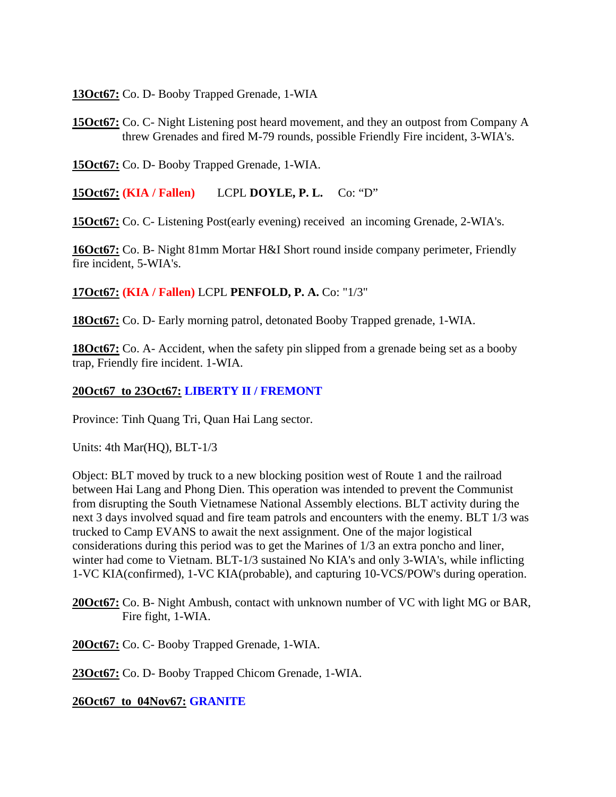**13Oct67:** Co. D- Booby Trapped Grenade, 1-WIA

**15Oct67:** Co. C- Night Listening post heard movement, and they an outpost from Company A threw Grenades and fired M-79 rounds, possible Friendly Fire incident, 3-WIA's.

**15Oct67:** Co. D- Booby Trapped Grenade, 1-WIA.

**15Oct67: (KIA / Fallen)** LCPL **DOYLE, P. L.** Co: "D"

**15Oct67:** Co. C- Listening Post(early evening) received an incoming Grenade, 2-WIA's.

**16Oct67:** Co. B- Night 81mm Mortar H&I Short round inside company perimeter, Friendly fire incident, 5-WIA's.

**17Oct67: (KIA / Fallen)** LCPL **PENFOLD, P. A.** Co: "1/3"

**18Oct67:** Co. D- Early morning patrol, detonated Booby Trapped grenade, 1-WIA.

**18Oct67:** Co. A- Accident, when the safety pin slipped from a grenade being set as a booby trap, Friendly fire incident. 1-WIA.

# **20Oct67 to 23Oct67: LIBERTY II / FREMONT**

Province: Tinh Quang Tri, Quan Hai Lang sector.

Units: 4th Mar(HQ), BLT-1/3

Object: BLT moved by truck to a new blocking position west of Route 1 and the railroad between Hai Lang and Phong Dien. This operation was intended to prevent the Communist from disrupting the South Vietnamese National Assembly elections. BLT activity during the next 3 days involved squad and fire team patrols and encounters with the enemy. BLT 1/3 was trucked to Camp EVANS to await the next assignment. One of the major logistical considerations during this period was to get the Marines of 1/3 an extra poncho and liner, winter had come to Vietnam. BLT-1/3 sustained No KIA's and only 3-WIA's, while inflicting 1-VC KIA(confirmed), 1-VC KIA(probable), and capturing 10-VCS/POW's during operation.

**20Oct67:** Co. B- Night Ambush, contact with unknown number of VC with light MG or BAR, Fire fight, 1-WIA.

**20Oct67:** Co. C- Booby Trapped Grenade, 1-WIA.

**23Oct67:** Co. D- Booby Trapped Chicom Grenade, 1-WIA.

# **26Oct67 to 04Nov67: GRANITE**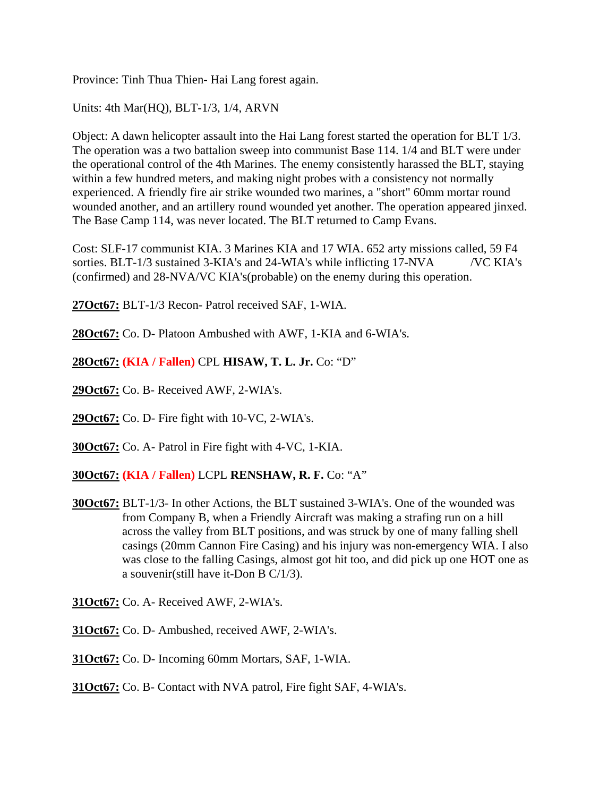Province: Tinh Thua Thien- Hai Lang forest again.

Units: 4th Mar(HQ), BLT-1/3, 1/4, ARVN

Object: A dawn helicopter assault into the Hai Lang forest started the operation for BLT 1/3. The operation was a two battalion sweep into communist Base 114. 1/4 and BLT were under the operational control of the 4th Marines. The enemy consistently harassed the BLT, staying within a few hundred meters, and making night probes with a consistency not normally experienced. A friendly fire air strike wounded two marines, a "short" 60mm mortar round wounded another, and an artillery round wounded yet another. The operation appeared jinxed. The Base Camp 114, was never located. The BLT returned to Camp Evans.

Cost: SLF-17 communist KIA. 3 Marines KIA and 17 WIA. 652 arty missions called, 59 F4 sorties. BLT-1/3 sustained  $3-KIA's$  and  $24-WIA's$  while inflicting  $17-NVA$  /VC KIA's (confirmed) and 28-NVA/VC KIA's(probable) on the enemy during this operation.

**27Oct67:** BLT-1/3 Recon- Patrol received SAF, 1-WIA.

**28Oct67:** Co. D- Platoon Ambushed with AWF, 1-KIA and 6-WIA's.

**28Oct67: (KIA / Fallen)** CPL **HISAW, T. L. Jr.** Co: "D"

**29Oct67:** Co. B- Received AWF, 2-WIA's.

**29Oct67:** Co. D- Fire fight with 10-VC, 2-WIA's.

**30Oct67:** Co. A- Patrol in Fire fight with 4-VC, 1-KIA.

**30Oct67: (KIA / Fallen)** LCPL **RENSHAW, R. F.** Co: "A"

- **30Oct67:** BLT-1/3- In other Actions, the BLT sustained 3-WIA's. One of the wounded was from Company B, when a Friendly Aircraft was making a strafing run on a hill across the valley from BLT positions, and was struck by one of many falling shell casings (20mm Cannon Fire Casing) and his injury was non-emergency WIA. I also was close to the falling Casings, almost got hit too, and did pick up one HOT one as a souvenir(still have it-Don B C/1/3).
- **31Oct67:** Co. A- Received AWF, 2-WIA's.
- **31Oct67:** Co. D- Ambushed, received AWF, 2-WIA's.
- **31Oct67:** Co. D- Incoming 60mm Mortars, SAF, 1-WIA.
- **31Oct67:** Co. B- Contact with NVA patrol, Fire fight SAF, 4-WIA's.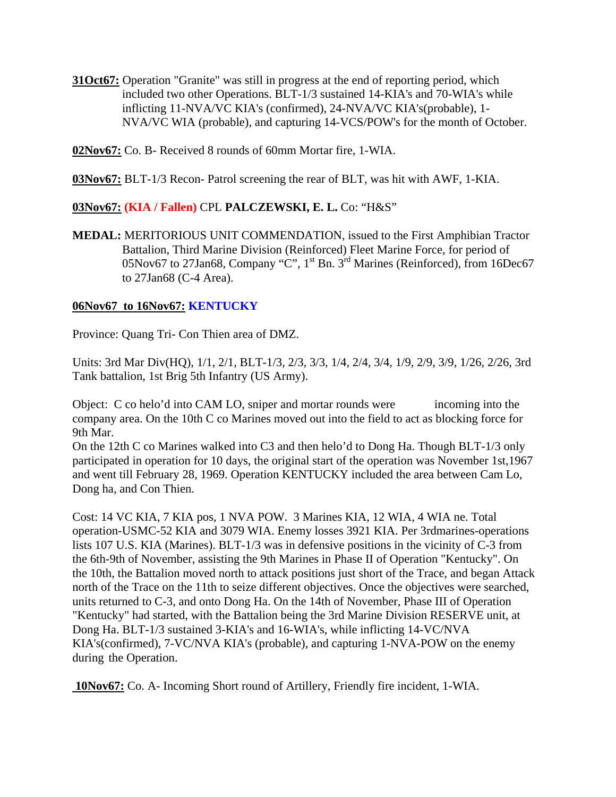- **31Oct67:** Operation "Granite" was still in progress at the end of reporting period, which included two other Operations. BLT-1/3 sustained 14-KIA's and 70-WIA's while inflicting 11-NVA/VC KIA's (confirmed), 24-NVA/VC KIA's(probable), 1- NVA/VC WIA (probable), and capturing 14-VCS/POW's for the month of October.
- **02Nov67:** Co. B- Received 8 rounds of 60mm Mortar fire, 1-WIA.
- **03Nov67:** BLT-1/3 Recon- Patrol screening the rear of BLT, was hit with AWF, 1-KIA.

# **03Nov67: (KIA / Fallen)** CPL **PALCZEWSKI, E. L.** Co: "H&S"

**MEDAL:** MERITORIOUS UNIT COMMENDATION, issued to the First Amphibian Tractor Battalion, Third Marine Division (Reinforced) Fleet Marine Force, for period of 05Nov67 to 27Jan68, Company "C", 1<sup>st</sup> Bn. 3<sup>rd</sup> Marines (Reinforced), from 16Dec67 to 27Jan68 (C-4 Area).

# **06Nov67 to 16Nov67: KENTUCKY**

Province: Quang Tri- Con Thien area of DMZ.

Units: 3rd Mar Div(HQ), 1/1, 2/1, BLT-1/3, 2/3, 3/3, 1/4, 2/4, 3/4, 1/9, 2/9, 3/9, 1/26, 2/26, 3rd Tank battalion, 1st Brig 5th Infantry (US Army).

Object: C co helo'd into CAM LO, sniper and mortar rounds were incoming into the company area. On the 10th C co Marines moved out into the field to act as blocking force for 9th Mar.

On the 12th C co Marines walked into C3 and then helo'd to Dong Ha. Though BLT-1/3 only participated in operation for 10 days, the original start of the operation was November 1st,1967 and went till February 28, 1969. Operation KENTUCKY included the area between Cam Lo, Dong ha, and Con Thien.

Cost: 14 VC KIA, 7 KIA pos, 1 NVA POW. 3 Marines KIA, 12 WIA, 4 WIA ne. Total operation-USMC-52 KIA and 3079 WIA. Enemy losses 3921 KIA. Per 3rdmarines-operations lists 107 U.S. KIA (Marines). BLT-1/3 was in defensive positions in the vicinity of C-3 from the 6th-9th of November, assisting the 9th Marines in Phase II of Operation "Kentucky". On the 10th, the Battalion moved north to attack positions just short of the Trace, and began Attack north of the Trace on the 11th to seize different objectives. Once the objectives were searched, units returned to C-3, and onto Dong Ha. On the 14th of November, Phase III of Operation "Kentucky" had started, with the Battalion being the 3rd Marine Division RESERVE unit, at Dong Ha. BLT-1/3 sustained 3-KIA's and 16-WIA's, while inflicting 14-VC/NVA KIA's(confirmed), 7-VC/NVA KIA's (probable), and capturing 1-NVA-POW on the enemy during the Operation.

 **10Nov67:** Co. A- Incoming Short round of Artillery, Friendly fire incident, 1-WIA.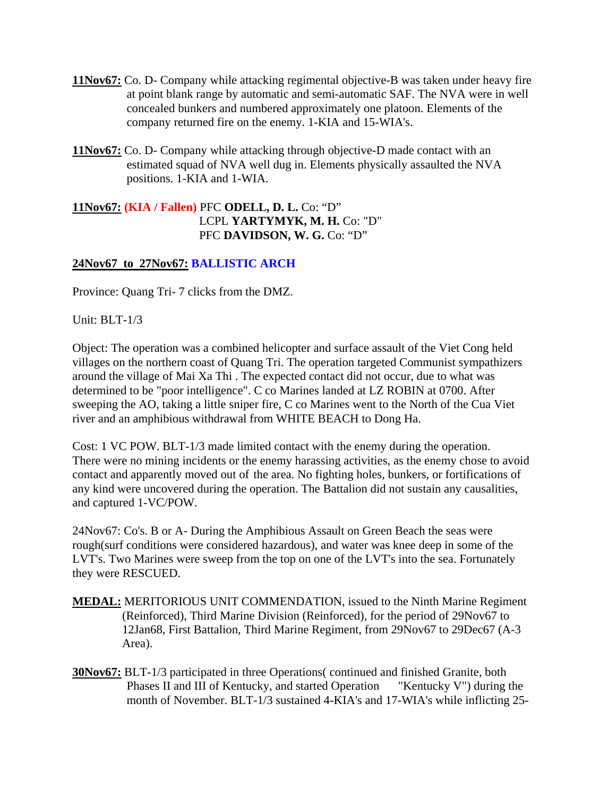- **11Nov67:** Co. D- Company while attacking regimental objective-B was taken under heavy fire at point blank range by automatic and semi-automatic SAF. The NVA were in well concealed bunkers and numbered approximately one platoon. Elements of the company returned fire on the enemy. 1-KIA and 15-WIA's.
- **11Nov67:** Co. D- Company while attacking through objective-D made contact with an estimated squad of NVA well dug in. Elements physically assaulted the NVA positions. 1-KIA and 1-WIA.

# **11Nov67: (KIA / Fallen)** PFC **ODELL, D. L.** Co: "D" LCPL **YARTYMYK, M. H.** Co: "D" PFC **DAVIDSON, W. G. Co: "D"**

# **24Nov67 to 27Nov67: BALLISTIC ARCH**

Province: Quang Tri- 7 clicks from the DMZ.

Unit: BLT-1/3

Object: The operation was a combined helicopter and surface assault of the Viet Cong held villages on the northern coast of Quang Tri. The operation targeted Communist sympathizers around the village of Mai Xa Thi . The expected contact did not occur, due to what was determined to be "poor intelligence". C co Marines landed at LZ ROBIN at 0700. After sweeping the AO, taking a little sniper fire, C co Marines went to the North of the Cua Viet river and an amphibious withdrawal from WHITE BEACH to Dong Ha.

Cost: 1 VC POW. BLT-1/3 made limited contact with the enemy during the operation. There were no mining incidents or the enemy harassing activities, as the enemy chose to avoid contact and apparently moved out of the area. No fighting holes, bunkers, or fortifications of any kind were uncovered during the operation. The Battalion did not sustain any causalities, and captured 1-VC/POW.

24Nov67: Co's. B or A- During the Amphibious Assault on Green Beach the seas were rough(surf conditions were considered hazardous), and water was knee deep in some of the LVT's. Two Marines were sweep from the top on one of the LVT's into the sea. Fortunately they were RESCUED.

- **MEDAL:** MERITORIOUS UNIT COMMENDATION, issued to the Ninth Marine Regiment (Reinforced), Third Marine Division (Reinforced), for the period of 29Nov67 to 12Jan68, First Battalion, Third Marine Regiment, from 29Nov67 to 29Dec67 (A-3 Area).
- **30Nov67:** BLT-1/3 participated in three Operations( continued and finished Granite, both Phases II and III of Kentucky, and started Operation "Kentucky V") during the month of November. BLT-1/3 sustained 4-KIA's and 17-WIA's while inflicting 25-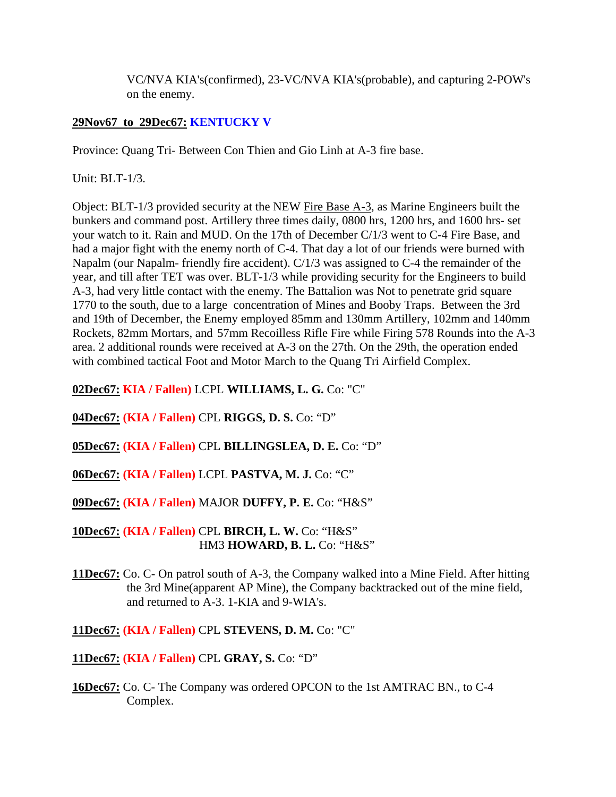VC/NVA KIA's(confirmed), 23-VC/NVA KIA's(probable), and capturing 2-POW's on the enemy.

# **29Nov67 to 29Dec67: KENTUCKY V**

Province: Quang Tri- Between Con Thien and Gio Linh at A-3 fire base.

Unit: BLT-1/3.

Object: BLT-1/3 provided security at the NEW Fire Base A-3, as Marine Engineers built the bunkers and command post. Artillery three times daily, 0800 hrs, 1200 hrs, and 1600 hrs- set your watch to it. Rain and MUD. On the 17th of December C/1/3 went to C-4 Fire Base, and had a major fight with the enemy north of C-4. That day a lot of our friends were burned with Napalm (our Napalm- friendly fire accident). C/1/3 was assigned to C-4 the remainder of the year, and till after TET was over. BLT-1/3 while providing security for the Engineers to build A-3, had very little contact with the enemy. The Battalion was Not to penetrate grid square 1770 to the south, due to a large concentration of Mines and Booby Traps. Between the 3rd and 19th of December, the Enemy employed 85mm and 130mm Artillery, 102mm and 140mm Rockets, 82mm Mortars, and 57mm Recoilless Rifle Fire while Firing 578 Rounds into the A-3 area. 2 additional rounds were received at A-3 on the 27th. On the 29th, the operation ended with combined tactical Foot and Motor March to the Quang Tri Airfield Complex.

**02Dec67: KIA / Fallen)** LCPL **WILLIAMS, L. G.** Co: "C"

**04Dec67: (KIA / Fallen)** CPL **RIGGS, D. S.** Co: "D"

**05Dec67: (KIA / Fallen)** CPL **BILLINGSLEA, D. E.** Co: "D"

**06Dec67: (KIA / Fallen)** LCPL **PASTVA, M. J.** Co: "C"

**09Dec67: (KIA / Fallen)** MAJOR **DUFFY, P. E.** Co: "H&S"

**10Dec67: (KIA / Fallen)** CPL **BIRCH, L. W.** Co: "H&S" HM3 **HOWARD, B. L.** Co: "H&S"

**11Dec67:** Co. C- On patrol south of A-3, the Company walked into a Mine Field. After hitting the 3rd Mine(apparent AP Mine), the Company backtracked out of the mine field, and returned to A-3. 1-KIA and 9-WIA's.

**11Dec67: (KIA / Fallen)** CPL **STEVENS, D. M.** Co: "C"

**11Dec67: (KIA / Fallen)** CPL **GRAY, S.** Co: "D"

**16Dec67:** Co. C- The Company was ordered OPCON to the 1st AMTRAC BN., to C-4 Complex.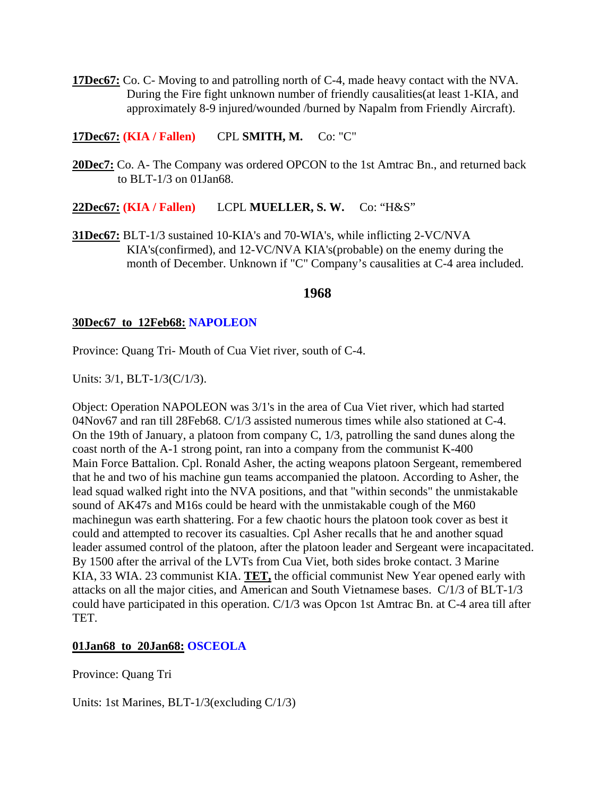**17Dec67:** Co. C- Moving to and patrolling north of C-4, made heavy contact with the NVA. During the Fire fight unknown number of friendly causalities(at least 1-KIA, and approximately 8-9 injured/wounded /burned by Napalm from Friendly Aircraft).

**17Dec67: (KIA / Fallen)** CPL **SMITH, M.** Co: "C"

**20Dec7:** Co. A- The Company was ordered OPCON to the 1st Amtrac Bn., and returned back to BLT-1/3 on 01Jan68.

**22Dec67: (KIA / Fallen)** LCPL **MUELLER, S. W.** Co: "H&S"

**31Dec67:** BLT-1/3 sustained 10-KIA's and 70-WIA's, while inflicting 2-VC/NVA KIA's(confirmed), and 12-VC/NVA KIA's(probable) on the enemy during the month of December. Unknown if "C" Company's causalities at C-4 area included.

# **1968**

#### **30Dec67 to 12Feb68: NAPOLEON**

Province: Quang Tri- Mouth of Cua Viet river, south of C-4.

Units: 3/1, BLT-1/3(C/1/3).

Object: Operation NAPOLEON was 3/1's in the area of Cua Viet river, which had started 04Nov67 and ran till 28Feb68. C/1/3 assisted numerous times while also stationed at C-4. On the 19th of January, a platoon from company C, 1/3, patrolling the sand dunes along the coast north of the A-1 strong point, ran into a company from the communist K-400 Main Force Battalion. Cpl. Ronald Asher, the acting weapons platoon Sergeant, remembered that he and two of his machine gun teams accompanied the platoon. According to Asher, the lead squad walked right into the NVA positions, and that "within seconds" the unmistakable sound of AK47s and M16s could be heard with the unmistakable cough of the M60 machinegun was earth shattering. For a few chaotic hours the platoon took cover as best it could and attempted to recover its casualties. Cpl Asher recalls that he and another squad leader assumed control of the platoon, after the platoon leader and Sergeant were incapacitated. By 1500 after the arrival of the LVTs from Cua Viet, both sides broke contact. 3 Marine KIA, 33 WIA. 23 communist KIA. **TET,** the official communist New Year opened early with attacks on all the major cities, and American and South Vietnamese bases. C/1/3 of BLT-1/3 could have participated in this operation. C/1/3 was Opcon 1st Amtrac Bn. at C-4 area till after TET.

### **01Jan68 to 20Jan68: OSCEOLA**

Province: Quang Tri

Units: 1st Marines, BLT-1/3(excluding C/1/3)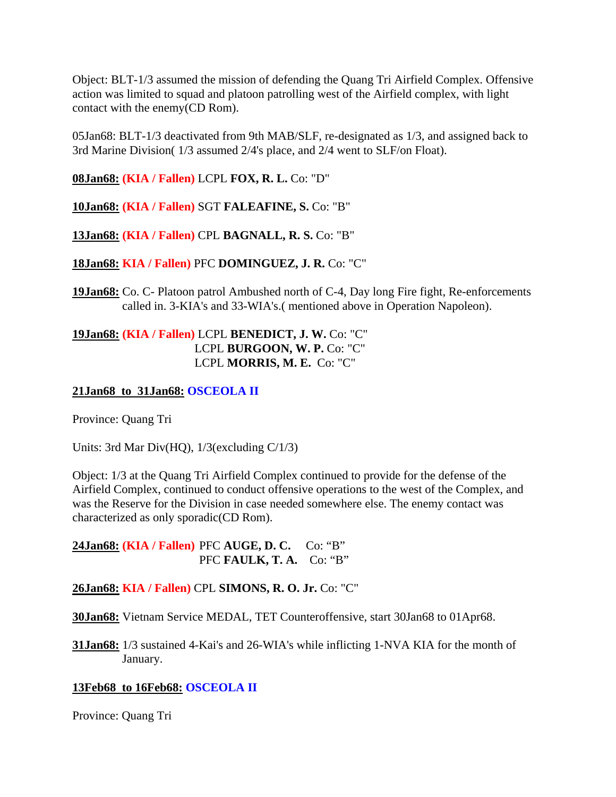Object: BLT-1/3 assumed the mission of defending the Quang Tri Airfield Complex. Offensive action was limited to squad and platoon patrolling west of the Airfield complex, with light contact with the enemy(CD Rom).

05Jan68: BLT-1/3 deactivated from 9th MAB/SLF, re-designated as 1/3, and assigned back to 3rd Marine Division( 1/3 assumed 2/4's place, and 2/4 went to SLF/on Float).

**08Jan68: (KIA / Fallen)** LCPL **FOX, R. L.** Co: "D"

**10Jan68: (KIA / Fallen)** SGT **FALEAFINE, S.** Co: "B"

**13Jan68: (KIA / Fallen)** CPL **BAGNALL, R. S.** Co: "B"

**18Jan68: KIA / Fallen)** PFC **DOMINGUEZ, J. R.** Co: "C"

**19Jan68:** Co. C- Platoon patrol Ambushed north of C-4, Day long Fire fight, Re-enforcements called in. 3-KIA's and 33-WIA's.( mentioned above in Operation Napoleon).

# **19Jan68: (KIA / Fallen)** LCPL **BENEDICT, J. W.** Co: "C" LCPL **BURGOON, W. P. Co: "C"** LCPL **MORRIS, M. E.** Co: "C"

# **21Jan68 to 31Jan68: OSCEOLA II**

Province: Quang Tri

Units: 3rd Mar Div(HQ), 1/3(excluding C/1/3)

Object: 1/3 at the Quang Tri Airfield Complex continued to provide for the defense of the Airfield Complex, continued to conduct offensive operations to the west of the Complex, and was the Reserve for the Division in case needed somewhere else. The enemy contact was characterized as only sporadic(CD Rom).

**24Jan68: (KIA / Fallen)** PFC **AUGE, D. C.** Co: "B" PFC **FAULK, T. A.** Co: "B"

**26Jan68: KIA / Fallen)** CPL **SIMONS, R. O. Jr.** Co: "C"

**30Jan68:** Vietnam Service MEDAL, TET Counteroffensive, start 30Jan68 to 01Apr68.

**31Jan68:** 1/3 sustained 4-Kai's and 26-WIA's while inflicting 1-NVA KIA for the month of January.

#### **13Feb68 to 16Feb68: OSCEOLA II**

Province: Quang Tri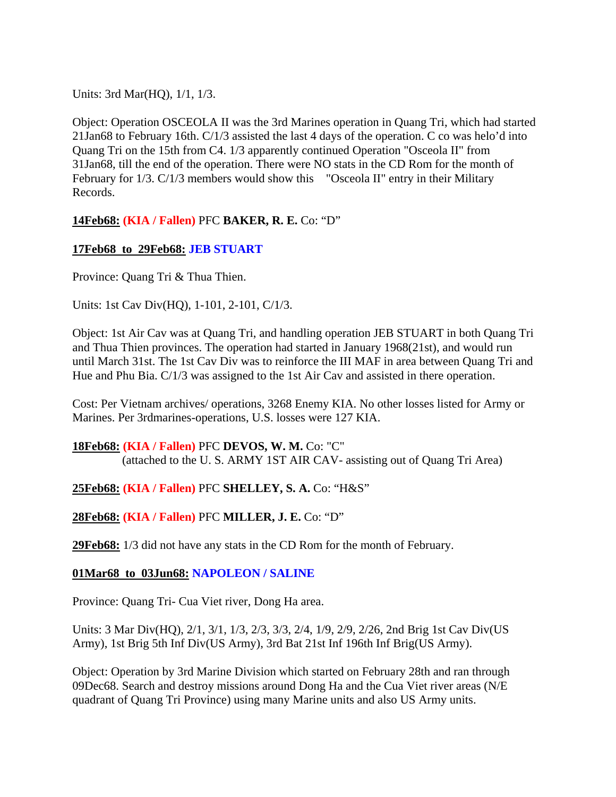Units: 3rd Mar(HQ), 1/1, 1/3.

Object: Operation OSCEOLA II was the 3rd Marines operation in Quang Tri, which had started 21Jan68 to February 16th. C/1/3 assisted the last 4 days of the operation. C co was helo'd into Quang Tri on the 15th from C4. 1/3 apparently continued Operation "Osceola II" from 31Jan68, till the end of the operation. There were NO stats in the CD Rom for the month of February for 1/3. C/1/3 members would show this "Osceola II" entry in their Military Records.

**14Feb68: (KIA / Fallen)** PFC **BAKER, R. E.** Co: "D"

# **17Feb68 to 29Feb68: JEB STUART**

Province: Quang Tri & Thua Thien.

Units: 1st Cav Div(HQ), 1-101, 2-101, C/1/3.

Object: 1st Air Cav was at Quang Tri, and handling operation JEB STUART in both Quang Tri and Thua Thien provinces. The operation had started in January 1968(21st), and would run until March 31st. The 1st Cav Div was to reinforce the III MAF in area between Quang Tri and Hue and Phu Bia. C/1/3 was assigned to the 1st Air Cav and assisted in there operation.

Cost: Per Vietnam archives/ operations, 3268 Enemy KIA. No other losses listed for Army or Marines. Per 3rdmarines-operations, U.S. losses were 127 KIA.

**18Feb68: (KIA / Fallen)** PFC **DEVOS, W. M.** Co: "C" (attached to the U. S. ARMY 1ST AIR CAV- assisting out of Quang Tri Area)

**25Feb68: (KIA / Fallen)** PFC **SHELLEY, S. A.** Co: "H&S"

**28Feb68: (KIA / Fallen)** PFC **MILLER, J. E.** Co: "D"

**29Feb68:** 1/3 did not have any stats in the CD Rom for the month of February.

# **01Mar68 to 03Jun68: NAPOLEON / SALINE**

Province: Quang Tri- Cua Viet river, Dong Ha area.

Units: 3 Mar Div(HQ), 2/1, 3/1, 1/3, 2/3, 3/3, 2/4, 1/9, 2/9, 2/26, 2nd Brig 1st Cav Div(US Army), 1st Brig 5th Inf Div(US Army), 3rd Bat 21st Inf 196th Inf Brig(US Army).

Object: Operation by 3rd Marine Division which started on February 28th and ran through 09Dec68. Search and destroy missions around Dong Ha and the Cua Viet river areas (N/E quadrant of Quang Tri Province) using many Marine units and also US Army units.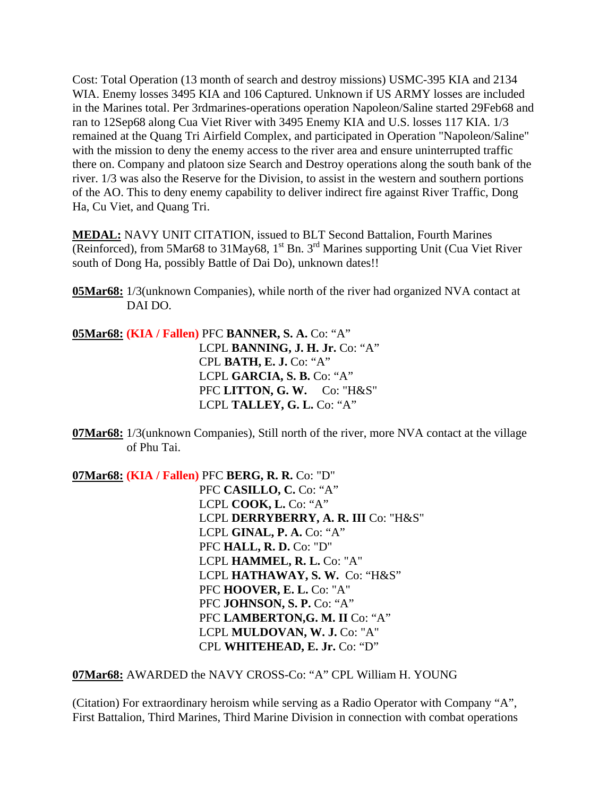Cost: Total Operation (13 month of search and destroy missions) USMC-395 KIA and 2134 WIA. Enemy losses 3495 KIA and 106 Captured. Unknown if US ARMY losses are included in the Marines total. Per 3rdmarines-operations operation Napoleon/Saline started 29Feb68 and ran to 12Sep68 along Cua Viet River with 3495 Enemy KIA and U.S. losses 117 KIA. 1/3 remained at the Quang Tri Airfield Complex, and participated in Operation "Napoleon/Saline" with the mission to deny the enemy access to the river area and ensure uninterrupted traffic there on. Company and platoon size Search and Destroy operations along the south bank of the river. 1/3 was also the Reserve for the Division, to assist in the western and southern portions of the AO. This to deny enemy capability to deliver indirect fire against River Traffic, Dong Ha, Cu Viet, and Quang Tri.

**MEDAL:** NAVY UNIT CITATION, issued to BLT Second Battalion, Fourth Marines (Reinforced), from 5Mar68 to 31May68,  $1<sup>st</sup>$  Bn. 3<sup>rd</sup> Marines supporting Unit (Cua Viet River south of Dong Ha, possibly Battle of Dai Do), unknown dates!!

**05Mar68:** 1/3(unknown Companies), while north of the river had organized NVA contact at DAI DO.

**05Mar68: (KIA / Fallen)** PFC **BANNER, S. A.** Co: "A" LCPL **BANNING, J. H. Jr.** Co: "A" CPL **BATH, E. J.** Co: "A" LCPL **GARCIA, S. B.** Co: "A" PFC **LITTON, G. W.** Co: "H&S" LCPL **TALLEY, G. L.** Co: "A"

**07Mar68:** 1/3(unknown Companies), Still north of the river, more NVA contact at the village of Phu Tai.

**07Mar68: (KIA / Fallen)** PFC **BERG, R. R.** Co: "D" PFC **CASILLO, C.** Co: "A" LCPL **COOK, L.** Co: "A" LCPL **DERRYBERRY, A. R. III** Co: "H&S" LCPL **GINAL, P. A.** Co: "A" PFC **HALL, R. D.** Co: "D" LCPL **HAMMEL, R. L.** Co: "A" LCPL **HATHAWAY, S. W.** Co: "H&S" PFC HOOVER, E. L. Co: "A" PFC **JOHNSON, S. P.** Co: "A" PFC **LAMBERTON,G. M. II** Co: "A" LCPL **MULDOVAN, W. J. Co: "A"** CPL **WHITEHEAD, E. Jr.** Co: "D"

**07Mar68:** AWARDED the NAVY CROSS-Co: "A" CPL William H. YOUNG

(Citation) For extraordinary heroism while serving as a Radio Operator with Company "A", First Battalion, Third Marines, Third Marine Division in connection with combat operations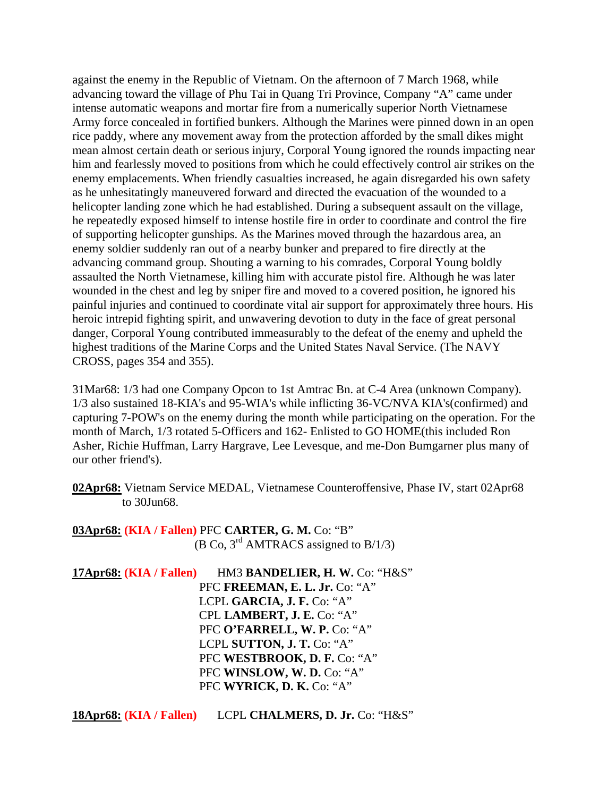against the enemy in the Republic of Vietnam. On the afternoon of 7 March 1968, while advancing toward the village of Phu Tai in Quang Tri Province, Company "A" came under intense automatic weapons and mortar fire from a numerically superior North Vietnamese Army force concealed in fortified bunkers. Although the Marines were pinned down in an open rice paddy, where any movement away from the protection afforded by the small dikes might mean almost certain death or serious injury, Corporal Young ignored the rounds impacting near him and fearlessly moved to positions from which he could effectively control air strikes on the enemy emplacements. When friendly casualties increased, he again disregarded his own safety as he unhesitatingly maneuvered forward and directed the evacuation of the wounded to a helicopter landing zone which he had established. During a subsequent assault on the village, he repeatedly exposed himself to intense hostile fire in order to coordinate and control the fire of supporting helicopter gunships. As the Marines moved through the hazardous area, an enemy soldier suddenly ran out of a nearby bunker and prepared to fire directly at the advancing command group. Shouting a warning to his comrades, Corporal Young boldly assaulted the North Vietnamese, killing him with accurate pistol fire. Although he was later wounded in the chest and leg by sniper fire and moved to a covered position, he ignored his painful injuries and continued to coordinate vital air support for approximately three hours. His heroic intrepid fighting spirit, and unwavering devotion to duty in the face of great personal danger, Corporal Young contributed immeasurably to the defeat of the enemy and upheld the highest traditions of the Marine Corps and the United States Naval Service. (The NAVY CROSS, pages 354 and 355).

31Mar68: 1/3 had one Company Opcon to 1st Amtrac Bn. at C-4 Area (unknown Company). 1/3 also sustained 18-KIA's and 95-WIA's while inflicting 36-VC/NVA KIA's(confirmed) and capturing 7-POW's on the enemy during the month while participating on the operation. For the month of March, 1/3 rotated 5-Officers and 162- Enlisted to GO HOME(this included Ron Asher, Richie Huffman, Larry Hargrave, Lee Levesque, and me-Don Bumgarner plus many of our other friend's).

**02Apr68:** Vietnam Service MEDAL, Vietnamese Counteroffensive, Phase IV, start 02Apr68 to 30Jun68.

| <b>03Apr68: (KIA / Fallen) PFC CARTER, G. M. Co: "B"</b> |                                            |
|----------------------------------------------------------|--------------------------------------------|
|                                                          | (B Co, $3^{rd}$ AMTRACS assigned to B/1/3) |

| 17Apr68: (KIA / Fallen) | HM3 BANDELIER, H. W. Co: "H&S" |
|-------------------------|--------------------------------|
|                         | PFC FREEMAN, E. L. Jr. Co: "A" |
|                         | LCPL GARCIA, J. F. Co: "A"     |
|                         | CPL LAMBERT, J. E. Co: "A"     |
|                         | PFC O'FARRELL, W. P. Co: "A"   |
|                         | LCPL SUTTON, J. T. Co: "A"     |
|                         | PFC WESTBROOK, D. F. Co: "A"   |
|                         | PFC WINSLOW, W. D. Co: "A"     |
|                         | PFC WYRICK, D. K. Co: "A"      |

**18Apr68: (KIA / Fallen)** LCPL **CHALMERS, D. Jr.** Co: "H&S"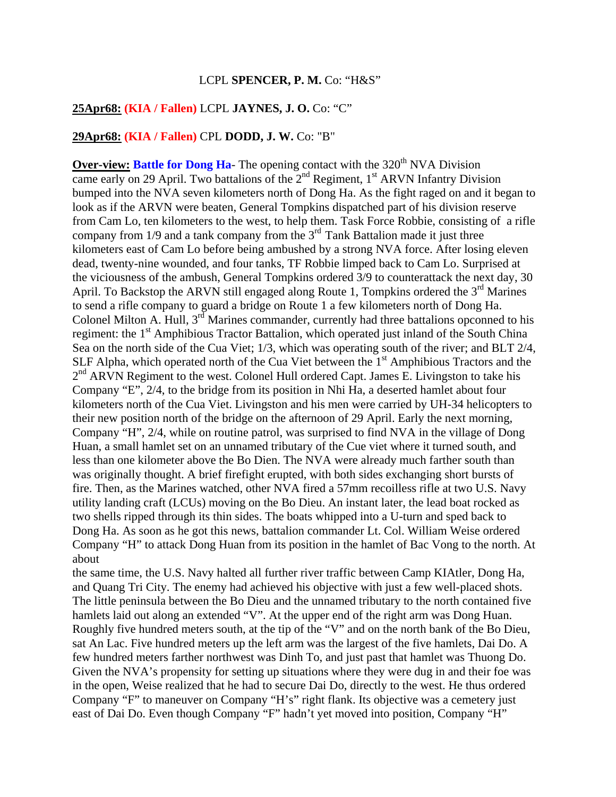#### LCPL **SPENCER, P. M. Co: "H&S"**

### **25Apr68: (KIA / Fallen)** LCPL **JAYNES, J. O.** Co: "C"

#### **29Apr68: (KIA / Fallen)** CPL **DODD, J. W.** Co: "B"

**Over-view: Battle for Dong Ha-** The opening contact with the 320<sup>th</sup> NVA Division came early on 29 April. Two battalions of the  $2^{nd}$  Regiment, 1<sup>st</sup> ARVN Infantry Division bumped into the NVA seven kilometers north of Dong Ha. As the fight raged on and it began to look as if the ARVN were beaten, General Tompkins dispatched part of his division reserve from Cam Lo, ten kilometers to the west, to help them. Task Force Robbie, consisting of a rifle company from  $1/9$  and a tank company from the  $3<sup>rd</sup>$  Tank Battalion made it just three kilometers east of Cam Lo before being ambushed by a strong NVA force. After losing eleven dead, twenty-nine wounded, and four tanks, TF Robbie limped back to Cam Lo. Surprised at the viciousness of the ambush, General Tompkins ordered 3/9 to counterattack the next day, 30 April. To Backstop the ARVN still engaged along Route 1, Tompkins ordered the  $3<sup>rd</sup>$  Marines to send a rifle company to guard a bridge on Route 1 a few kilometers north of Dong Ha. Colonel Milton A. Hull,  $3^{rd}$  Marines commander, currently had three battalions opconned to his regiment: the 1<sup>st</sup> Amphibious Tractor Battalion, which operated just inland of the South China Sea on the north side of the Cua Viet; 1/3, which was operating south of the river; and BLT 2/4, SLF Alpha, which operated north of the Cua Viet between the  $1<sup>st</sup>$  Amphibious Tractors and the  $2<sup>nd</sup> ARVN Regiment to the west. Colonel Hull ordered Capt. James E. Livingston to take his$ Company "E", 2/4, to the bridge from its position in Nhi Ha, a deserted hamlet about four kilometers north of the Cua Viet. Livingston and his men were carried by UH-34 helicopters to their new position north of the bridge on the afternoon of 29 April. Early the next morning, Company "H", 2/4, while on routine patrol, was surprised to find NVA in the village of Dong Huan, a small hamlet set on an unnamed tributary of the Cue viet where it turned south, and less than one kilometer above the Bo Dien. The NVA were already much farther south than was originally thought. A brief firefight erupted, with both sides exchanging short bursts of fire. Then, as the Marines watched, other NVA fired a 57mm recoilless rifle at two U.S. Navy utility landing craft (LCUs) moving on the Bo Dieu. An instant later, the lead boat rocked as two shells ripped through its thin sides. The boats whipped into a U-turn and sped back to Dong Ha. As soon as he got this news, battalion commander Lt. Col. William Weise ordered Company "H" to attack Dong Huan from its position in the hamlet of Bac Vong to the north. At about

the same time, the U.S. Navy halted all further river traffic between Camp KIAtler, Dong Ha, and Quang Tri City. The enemy had achieved his objective with just a few well-placed shots. The little peninsula between the Bo Dieu and the unnamed tributary to the north contained five hamlets laid out along an extended "V". At the upper end of the right arm was Dong Huan. Roughly five hundred meters south, at the tip of the "V" and on the north bank of the Bo Dieu, sat An Lac. Five hundred meters up the left arm was the largest of the five hamlets, Dai Do. A few hundred meters farther northwest was Dinh To, and just past that hamlet was Thuong Do. Given the NVA's propensity for setting up situations where they were dug in and their foe was in the open, Weise realized that he had to secure Dai Do, directly to the west. He thus ordered Company "F" to maneuver on Company "H's" right flank. Its objective was a cemetery just east of Dai Do. Even though Company "F" hadn't yet moved into position, Company "H"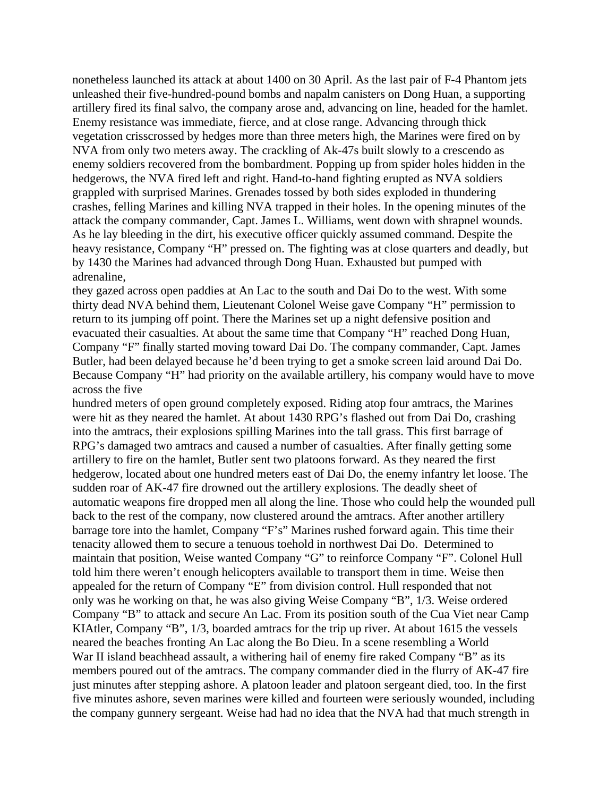nonetheless launched its attack at about 1400 on 30 April. As the last pair of F-4 Phantom jets unleashed their five-hundred-pound bombs and napalm canisters on Dong Huan, a supporting artillery fired its final salvo, the company arose and, advancing on line, headed for the hamlet. Enemy resistance was immediate, fierce, and at close range. Advancing through thick vegetation crisscrossed by hedges more than three meters high, the Marines were fired on by NVA from only two meters away. The crackling of Ak-47s built slowly to a crescendo as enemy soldiers recovered from the bombardment. Popping up from spider holes hidden in the hedgerows, the NVA fired left and right. Hand-to-hand fighting erupted as NVA soldiers grappled with surprised Marines. Grenades tossed by both sides exploded in thundering crashes, felling Marines and killing NVA trapped in their holes. In the opening minutes of the attack the company commander, Capt. James L. Williams, went down with shrapnel wounds. As he lay bleeding in the dirt, his executive officer quickly assumed command. Despite the heavy resistance, Company "H" pressed on. The fighting was at close quarters and deadly, but by 1430 the Marines had advanced through Dong Huan. Exhausted but pumped with adrenaline,

they gazed across open paddies at An Lac to the south and Dai Do to the west. With some thirty dead NVA behind them, Lieutenant Colonel Weise gave Company "H" permission to return to its jumping off point. There the Marines set up a night defensive position and evacuated their casualties. At about the same time that Company "H" reached Dong Huan, Company "F" finally started moving toward Dai Do. The company commander, Capt. James Butler, had been delayed because he'd been trying to get a smoke screen laid around Dai Do. Because Company "H" had priority on the available artillery, his company would have to move across the five

hundred meters of open ground completely exposed. Riding atop four amtracs, the Marines were hit as they neared the hamlet. At about 1430 RPG's flashed out from Dai Do, crashing into the amtracs, their explosions spilling Marines into the tall grass. This first barrage of RPG's damaged two amtracs and caused a number of casualties. After finally getting some artillery to fire on the hamlet, Butler sent two platoons forward. As they neared the first hedgerow, located about one hundred meters east of Dai Do, the enemy infantry let loose. The sudden roar of AK-47 fire drowned out the artillery explosions. The deadly sheet of automatic weapons fire dropped men all along the line. Those who could help the wounded pull back to the rest of the company, now clustered around the amtracs. After another artillery barrage tore into the hamlet, Company "F's" Marines rushed forward again. This time their tenacity allowed them to secure a tenuous toehold in northwest Dai Do. Determined to maintain that position, Weise wanted Company "G" to reinforce Company "F". Colonel Hull told him there weren't enough helicopters available to transport them in time. Weise then appealed for the return of Company "E" from division control. Hull responded that not only was he working on that, he was also giving Weise Company "B", 1/3. Weise ordered Company "B" to attack and secure An Lac. From its position south of the Cua Viet near Camp KIAtler, Company "B", 1/3, boarded amtracs for the trip up river. At about 1615 the vessels neared the beaches fronting An Lac along the Bo Dieu. In a scene resembling a World War II island beachhead assault, a withering hail of enemy fire raked Company "B" as its members poured out of the amtracs. The company commander died in the flurry of AK-47 fire just minutes after stepping ashore. A platoon leader and platoon sergeant died, too. In the first five minutes ashore, seven marines were killed and fourteen were seriously wounded, including the company gunnery sergeant. Weise had had no idea that the NVA had that much strength in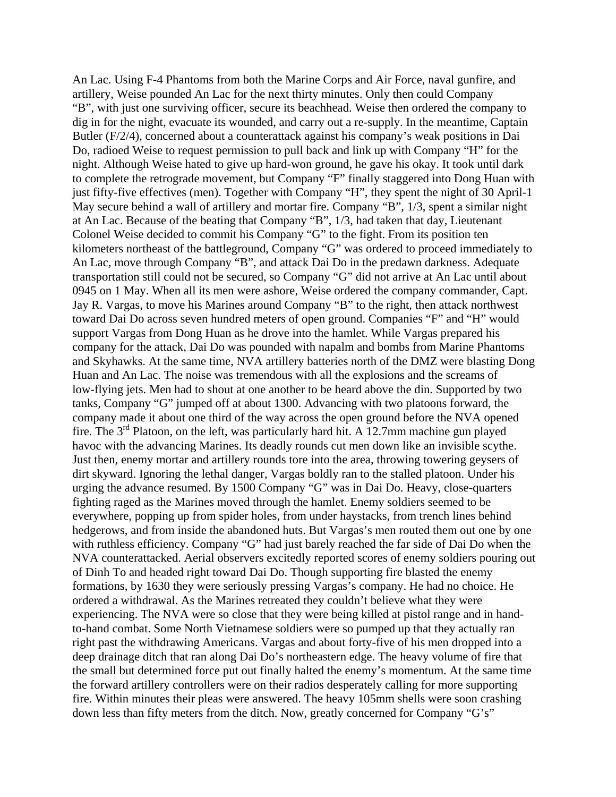An Lac. Using F-4 Phantoms from both the Marine Corps and Air Force, naval gunfire, and artillery, Weise pounded An Lac for the next thirty minutes. Only then could Company "B", with just one surviving officer, secure its beachhead. Weise then ordered the company to dig in for the night, evacuate its wounded, and carry out a re-supply. In the meantime, Captain Butler (F/2/4), concerned about a counterattack against his company's weak positions in Dai Do, radioed Weise to request permission to pull back and link up with Company "H" for the night. Although Weise hated to give up hard-won ground, he gave his okay. It took until dark to complete the retrograde movement, but Company "F" finally staggered into Dong Huan with just fifty-five effectives (men). Together with Company "H", they spent the night of 30 April-1 May secure behind a wall of artillery and mortar fire. Company "B", 1/3, spent a similar night at An Lac. Because of the beating that Company "B", 1/3, had taken that day, Lieutenant Colonel Weise decided to commit his Company "G" to the fight. From its position ten kilometers northeast of the battleground, Company "G" was ordered to proceed immediately to An Lac, move through Company "B", and attack Dai Do in the predawn darkness. Adequate transportation still could not be secured, so Company "G" did not arrive at An Lac until about 0945 on 1 May. When all its men were ashore, Weise ordered the company commander, Capt. Jay R. Vargas, to move his Marines around Company "B" to the right, then attack northwest toward Dai Do across seven hundred meters of open ground. Companies "F" and "H" would support Vargas from Dong Huan as he drove into the hamlet. While Vargas prepared his company for the attack, Dai Do was pounded with napalm and bombs from Marine Phantoms and Skyhawks. At the same time, NVA artillery batteries north of the DMZ were blasting Dong Huan and An Lac. The noise was tremendous with all the explosions and the screams of low-flying jets. Men had to shout at one another to be heard above the din. Supported by two tanks, Company "G" jumped off at about 1300. Advancing with two platoons forward, the company made it about one third of the way across the open ground before the NVA opened fire. The 3rd Platoon, on the left, was particularly hard hit. A 12.7mm machine gun played havoc with the advancing Marines. Its deadly rounds cut men down like an invisible scythe. Just then, enemy mortar and artillery rounds tore into the area, throwing towering geysers of dirt skyward. Ignoring the lethal danger, Vargas boldly ran to the stalled platoon. Under his urging the advance resumed. By 1500 Company "G" was in Dai Do. Heavy, close-quarters fighting raged as the Marines moved through the hamlet. Enemy soldiers seemed to be everywhere, popping up from spider holes, from under haystacks, from trench lines behind hedgerows, and from inside the abandoned huts. But Vargas's men routed them out one by one with ruthless efficiency. Company "G" had just barely reached the far side of Dai Do when the NVA counterattacked. Aerial observers excitedly reported scores of enemy soldiers pouring out of Dinh To and headed right toward Dai Do. Though supporting fire blasted the enemy formations, by 1630 they were seriously pressing Vargas's company. He had no choice. He ordered a withdrawal. As the Marines retreated they couldn't believe what they were experiencing. The NVA were so close that they were being killed at pistol range and in handto-hand combat. Some North Vietnamese soldiers were so pumped up that they actually ran right past the withdrawing Americans. Vargas and about forty-five of his men dropped into a deep drainage ditch that ran along Dai Do's northeastern edge. The heavy volume of fire that the small but determined force put out finally halted the enemy's momentum. At the same time the forward artillery controllers were on their radios desperately calling for more supporting fire. Within minutes their pleas were answered. The heavy 105mm shells were soon crashing down less than fifty meters from the ditch. Now, greatly concerned for Company "G's"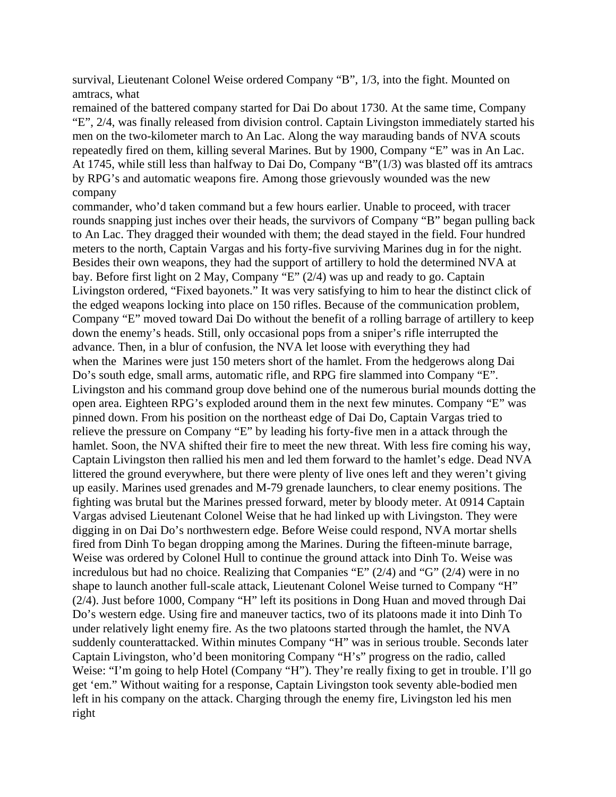survival, Lieutenant Colonel Weise ordered Company "B", 1/3, into the fight. Mounted on amtracs, what

remained of the battered company started for Dai Do about 1730. At the same time, Company "E", 2/4, was finally released from division control. Captain Livingston immediately started his men on the two-kilometer march to An Lac. Along the way marauding bands of NVA scouts repeatedly fired on them, killing several Marines. But by 1900, Company "E" was in An Lac. At 1745, while still less than halfway to Dai Do, Company "B"(1/3) was blasted off its amtracs by RPG's and automatic weapons fire. Among those grievously wounded was the new company

commander, who'd taken command but a few hours earlier. Unable to proceed, with tracer rounds snapping just inches over their heads, the survivors of Company "B" began pulling back to An Lac. They dragged their wounded with them; the dead stayed in the field. Four hundred meters to the north, Captain Vargas and his forty-five surviving Marines dug in for the night. Besides their own weapons, they had the support of artillery to hold the determined NVA at bay. Before first light on 2 May, Company "E" (2/4) was up and ready to go. Captain Livingston ordered, "Fixed bayonets." It was very satisfying to him to hear the distinct click of the edged weapons locking into place on 150 rifles. Because of the communication problem, Company "E" moved toward Dai Do without the benefit of a rolling barrage of artillery to keep down the enemy's heads. Still, only occasional pops from a sniper's rifle interrupted the advance. Then, in a blur of confusion, the NVA let loose with everything they had when the Marines were just 150 meters short of the hamlet. From the hedgerows along Dai Do's south edge, small arms, automatic rifle, and RPG fire slammed into Company "E". Livingston and his command group dove behind one of the numerous burial mounds dotting the open area. Eighteen RPG's exploded around them in the next few minutes. Company "E" was pinned down. From his position on the northeast edge of Dai Do, Captain Vargas tried to relieve the pressure on Company "E" by leading his forty-five men in a attack through the hamlet. Soon, the NVA shifted their fire to meet the new threat. With less fire coming his way, Captain Livingston then rallied his men and led them forward to the hamlet's edge. Dead NVA littered the ground everywhere, but there were plenty of live ones left and they weren't giving up easily. Marines used grenades and M-79 grenade launchers, to clear enemy positions. The fighting was brutal but the Marines pressed forward, meter by bloody meter. At 0914 Captain Vargas advised Lieutenant Colonel Weise that he had linked up with Livingston. They were digging in on Dai Do's northwestern edge. Before Weise could respond, NVA mortar shells fired from Dinh To began dropping among the Marines. During the fifteen-minute barrage, Weise was ordered by Colonel Hull to continue the ground attack into Dinh To. Weise was incredulous but had no choice. Realizing that Companies "E" (2/4) and "G" (2/4) were in no shape to launch another full-scale attack, Lieutenant Colonel Weise turned to Company "H" (2/4). Just before 1000, Company "H" left its positions in Dong Huan and moved through Dai Do's western edge. Using fire and maneuver tactics, two of its platoons made it into Dinh To under relatively light enemy fire. As the two platoons started through the hamlet, the NVA suddenly counterattacked. Within minutes Company "H" was in serious trouble. Seconds later Captain Livingston, who'd been monitoring Company "H's" progress on the radio, called Weise: "I'm going to help Hotel (Company "H"). They're really fixing to get in trouble. I'll go get 'em." Without waiting for a response, Captain Livingston took seventy able-bodied men left in his company on the attack. Charging through the enemy fire, Livingston led his men right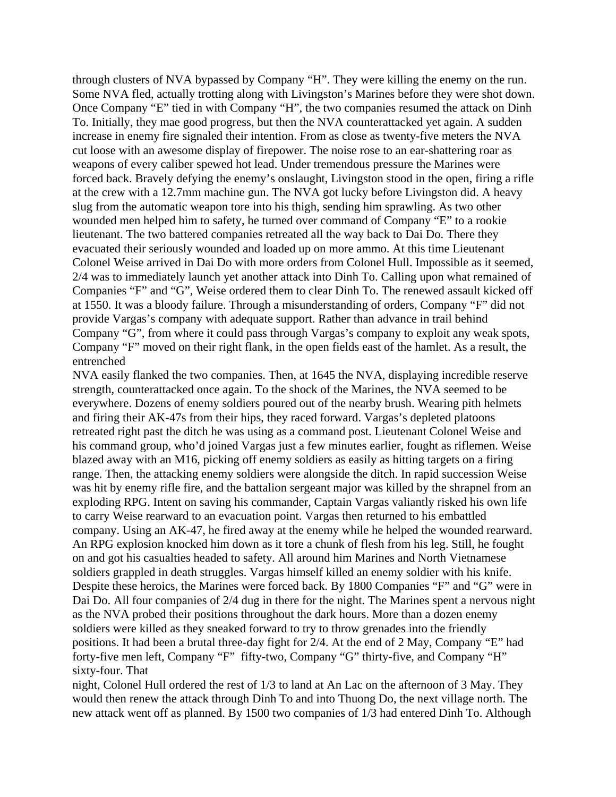through clusters of NVA bypassed by Company "H". They were killing the enemy on the run. Some NVA fled, actually trotting along with Livingston's Marines before they were shot down. Once Company "E" tied in with Company "H", the two companies resumed the attack on Dinh To. Initially, they mae good progress, but then the NVA counterattacked yet again. A sudden increase in enemy fire signaled their intention. From as close as twenty-five meters the NVA cut loose with an awesome display of firepower. The noise rose to an ear-shattering roar as weapons of every caliber spewed hot lead. Under tremendous pressure the Marines were forced back. Bravely defying the enemy's onslaught, Livingston stood in the open, firing a rifle at the crew with a 12.7mm machine gun. The NVA got lucky before Livingston did. A heavy slug from the automatic weapon tore into his thigh, sending him sprawling. As two other wounded men helped him to safety, he turned over command of Company "E" to a rookie lieutenant. The two battered companies retreated all the way back to Dai Do. There they evacuated their seriously wounded and loaded up on more ammo. At this time Lieutenant Colonel Weise arrived in Dai Do with more orders from Colonel Hull. Impossible as it seemed, 2/4 was to immediately launch yet another attack into Dinh To. Calling upon what remained of Companies "F" and "G", Weise ordered them to clear Dinh To. The renewed assault kicked off at 1550. It was a bloody failure. Through a misunderstanding of orders, Company "F" did not provide Vargas's company with adequate support. Rather than advance in trail behind Company "G", from where it could pass through Vargas's company to exploit any weak spots, Company "F" moved on their right flank, in the open fields east of the hamlet. As a result, the entrenched

NVA easily flanked the two companies. Then, at 1645 the NVA, displaying incredible reserve strength, counterattacked once again. To the shock of the Marines, the NVA seemed to be everywhere. Dozens of enemy soldiers poured out of the nearby brush. Wearing pith helmets and firing their AK-47s from their hips, they raced forward. Vargas's depleted platoons retreated right past the ditch he was using as a command post. Lieutenant Colonel Weise and his command group, who'd joined Vargas just a few minutes earlier, fought as riflemen. Weise blazed away with an M16, picking off enemy soldiers as easily as hitting targets on a firing range. Then, the attacking enemy soldiers were alongside the ditch. In rapid succession Weise was hit by enemy rifle fire, and the battalion sergeant major was killed by the shrapnel from an exploding RPG. Intent on saving his commander, Captain Vargas valiantly risked his own life to carry Weise rearward to an evacuation point. Vargas then returned to his embattled company. Using an AK-47, he fired away at the enemy while he helped the wounded rearward. An RPG explosion knocked him down as it tore a chunk of flesh from his leg. Still, he fought on and got his casualties headed to safety. All around him Marines and North Vietnamese soldiers grappled in death struggles. Vargas himself killed an enemy soldier with his knife. Despite these heroics, the Marines were forced back. By 1800 Companies "F" and "G" were in Dai Do. All four companies of 2/4 dug in there for the night. The Marines spent a nervous night as the NVA probed their positions throughout the dark hours. More than a dozen enemy soldiers were killed as they sneaked forward to try to throw grenades into the friendly positions. It had been a brutal three-day fight for 2/4. At the end of 2 May, Company "E" had forty-five men left, Company "F" fifty-two, Company "G" thirty-five, and Company "H" sixty-four. That

night, Colonel Hull ordered the rest of 1/3 to land at An Lac on the afternoon of 3 May. They would then renew the attack through Dinh To and into Thuong Do, the next village north. The new attack went off as planned. By 1500 two companies of 1/3 had entered Dinh To. Although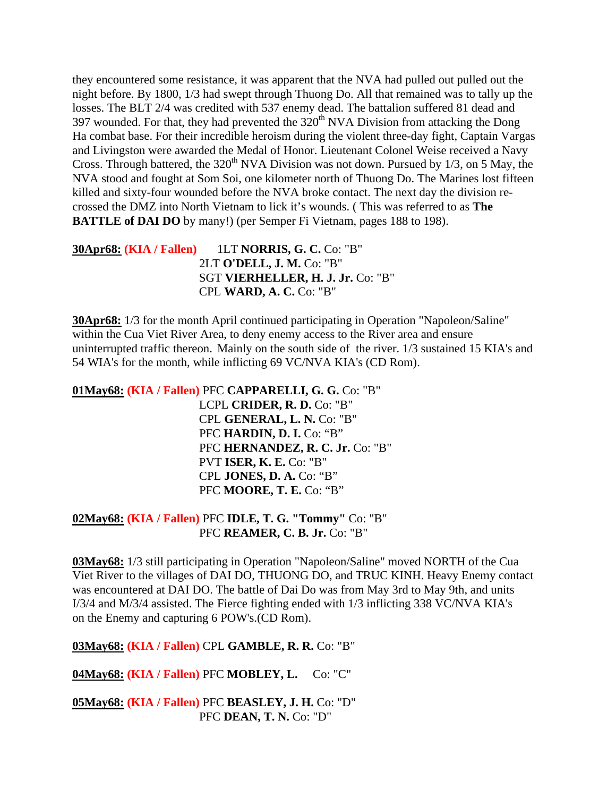they encountered some resistance, it was apparent that the NVA had pulled out pulled out the night before. By 1800, 1/3 had swept through Thuong Do. All that remained was to tally up the losses. The BLT 2/4 was credited with 537 enemy dead. The battalion suffered 81 dead and 397 wounded. For that, they had prevented the  $320<sup>th</sup> NVA$  Division from attacking the Dong Ha combat base. For their incredible heroism during the violent three-day fight, Captain Vargas and Livingston were awarded the Medal of Honor. Lieutenant Colonel Weise received a Navy Cross. Through battered, the  $320<sup>th</sup> NVA$  Division was not down. Pursued by 1/3, on 5 May, the NVA stood and fought at Som Soi, one kilometer north of Thuong Do. The Marines lost fifteen killed and sixty-four wounded before the NVA broke contact. The next day the division recrossed the DMZ into North Vietnam to lick it's wounds. ( This was referred to as **The BATTLE of DAI DO** by many!) (per Semper Fi Vietnam, pages 188 to 198).

# **30Apr68: (KIA / Fallen)** 1LT **NORRIS, G. C.** Co: "B" 2LT **O'DELL, J. M.** Co: "B" SGT **VIERHELLER, H. J. Jr.** Co: "B" CPL **WARD, A. C.** Co: "B"

**30Apr68:** 1/3 for the month April continued participating in Operation "Napoleon/Saline" within the Cua Viet River Area, to deny enemy access to the River area and ensure uninterrupted traffic thereon. Mainly on the south side of the river. 1/3 sustained 15 KIA's and 54 WIA's for the month, while inflicting 69 VC/NVA KIA's (CD Rom).

**01May68: (KIA / Fallen)** PFC **CAPPARELLI, G. G.** Co: "B" LCPL **CRIDER, R. D. Co: "B"**  CPL **GENERAL, L. N.** Co: "B" PFC **HARDIN, D. I.** Co: "B" PFC **HERNANDEZ, R. C. Jr.** Co: "B" PVT **ISER, K. E.** Co: "B" CPL **JONES, D. A.** Co: "B" PFC **MOORE, T. E.** Co: "B"

### **02May68: (KIA / Fallen)** PFC **IDLE, T. G. "Tommy"** Co: "B" PFC **REAMER, C. B. Jr.** Co: "B"

**03May68:** 1/3 still participating in Operation "Napoleon/Saline" moved NORTH of the Cua Viet River to the villages of DAI DO, THUONG DO, and TRUC KINH. Heavy Enemy contact was encountered at DAI DO. The battle of Dai Do was from May 3rd to May 9th, and units I/3/4 and M/3/4 assisted. The Fierce fighting ended with 1/3 inflicting 338 VC/NVA KIA's on the Enemy and capturing 6 POW's.(CD Rom).

**03May68: (KIA / Fallen)** CPL **GAMBLE, R. R.** Co: "B"

**04May68: (KIA / Fallen)** PFC **MOBLEY, L.** Co: "C"

**05May68: (KIA / Fallen)** PFC **BEASLEY, J. H.** Co: "D" PFC DEAN, T. N. Co: "D"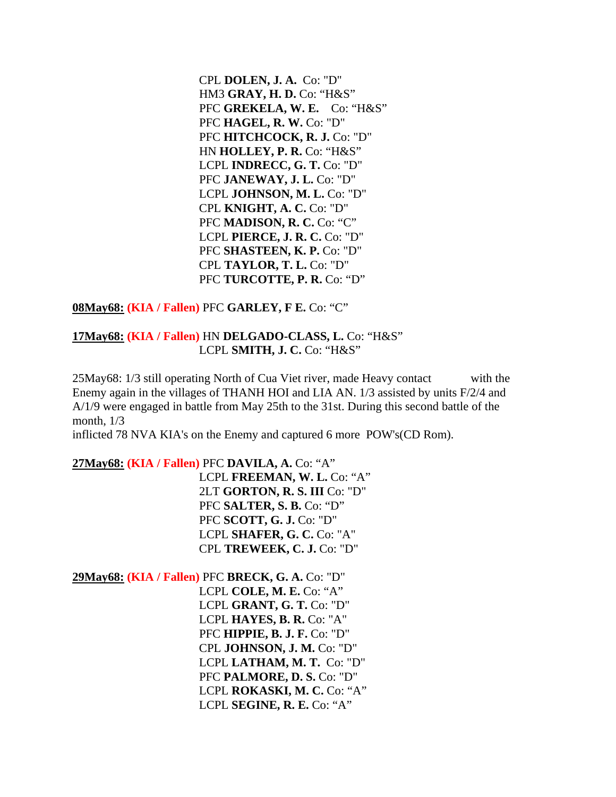CPL **DOLEN, J. A.** Co: "D" HM3 **GRAY, H. D.** Co: "H&S" PFC **GREKELA, W. E.** Co: "H&S" PFC HAGEL, R. W. Co: "D" PFC **HITCHCOCK, R. J. Co: "D"**  HN **HOLLEY, P. R.** Co: "H&S" LCPL **INDRECC**, **G. T.** Co: "D" PFC **JANEWAY, J. L.** Co: "D" LCPL **JOHNSON, M. L.** Co: "D" CPL **KNIGHT, A. C.** Co: "D" PFC **MADISON, R. C.** Co: "C" LCPL **PIERCE, J. R. C.** Co: "D" PFC **SHASTEEN, K. P. Co: "D"**  CPL **TAYLOR, T. L.** Co: "D" PFC **TURCOTTE, P. R. Co: "D"** 

**08May68: (KIA / Fallen)** PFC **GARLEY, F E.** Co: "C"

### **17May68: (KIA / Fallen)** HN **DELGADO-CLASS, L.** Co: "H&S" LCPL **SMITH, J. C.** Co: "H&S"

25May68: 1/3 still operating North of Cua Viet river, made Heavy contact with the Enemy again in the villages of THANH HOI and LIA AN. 1/3 assisted by units F/2/4 and A/1/9 were engaged in battle from May 25th to the 31st. During this second battle of the month, 1/3

inflicted 78 NVA KIA's on the Enemy and captured 6 more POW's(CD Rom).

# **27May68: (KIA / Fallen)** PFC **DAVILA, A.** Co: "A" LCPL **FREEMAN, W. L. Co: "A"**  2LT **GORTON, R. S. III** Co: "D" PFC **SALTER, S. B.** Co: "D" PFC **SCOTT, G. J.** Co: "D" LCPL **SHAFER, G. C.** Co: "A" CPL **TREWEEK, C. J.** Co: "D"

**29May68: (KIA / Fallen)** PFC **BRECK, G. A.** Co: "D" LCPL **COLE, M. E.** Co: "A" LCPL **GRANT, G. T.** Co: "D" LCPL **HAYES, B. R.** Co: "A" PFC **HIPPIE, B. J. F.** Co: "D" CPL **JOHNSON, J. M.** Co: "D" LCPL **LATHAM, M. T.** Co: "D" PFC **PALMORE, D. S. Co: "D"**  LCPL **ROKASKI, M. C.** Co: "A" LCPL **SEGINE, R. E.** Co: "A"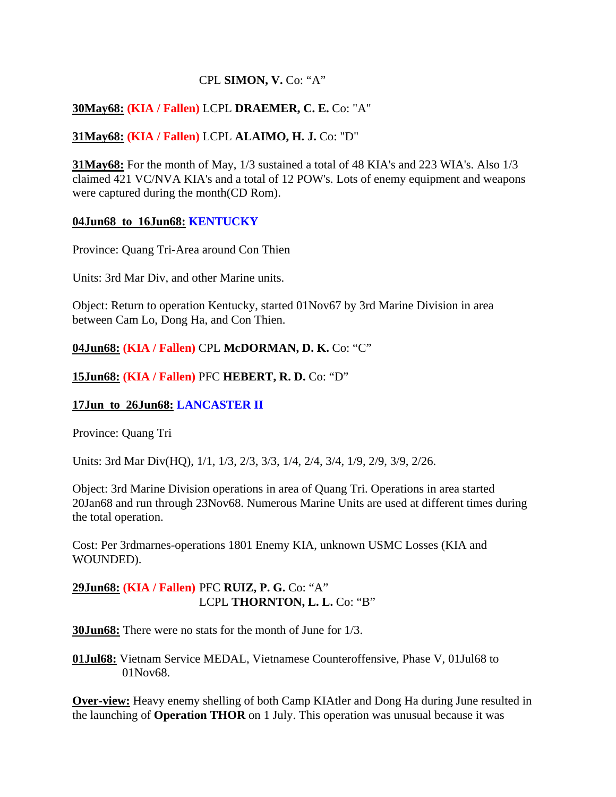### CPL **SIMON, V.** Co: "A"

### **30May68: (KIA / Fallen)** LCPL **DRAEMER, C. E.** Co: "A"

### **31May68: (KIA / Fallen)** LCPL **ALAIMO, H. J.** Co: "D"

**31May68:** For the month of May, 1/3 sustained a total of 48 KIA's and 223 WIA's. Also 1/3 claimed 421 VC/NVA KIA's and a total of 12 POW's. Lots of enemy equipment and weapons were captured during the month(CD Rom).

#### **04Jun68 to 16Jun68: KENTUCKY**

Province: Quang Tri-Area around Con Thien

Units: 3rd Mar Div, and other Marine units.

Object: Return to operation Kentucky, started 01Nov67 by 3rd Marine Division in area between Cam Lo, Dong Ha, and Con Thien.

**04Jun68: (KIA / Fallen)** CPL **McDORMAN, D. K.** Co: "C"

**15Jun68: (KIA / Fallen)** PFC **HEBERT, R. D.** Co: "D"

#### **17Jun to 26Jun68: LANCASTER II**

Province: Quang Tri

Units: 3rd Mar Div(HQ), 1/1, 1/3, 2/3, 3/3, 1/4, 2/4, 3/4, 1/9, 2/9, 3/9, 2/26.

Object: 3rd Marine Division operations in area of Quang Tri. Operations in area started 20Jan68 and run through 23Nov68. Numerous Marine Units are used at different times during the total operation.

Cost: Per 3rdmarnes-operations 1801 Enemy KIA, unknown USMC Losses (KIA and WOUNDED).

# **29Jun68: (KIA / Fallen)** PFC **RUIZ, P. G.** Co: "A" LCPL **THORNTON, L. L. Co: "B"**

**30Jun68:** There were no stats for the month of June for 1/3.

**01Jul68:** Vietnam Service MEDAL, Vietnamese Counteroffensive, Phase V, 01Jul68 to 01Nov68.

**Over-view:** Heavy enemy shelling of both Camp KIAtler and Dong Ha during June resulted in the launching of **Operation THOR** on 1 July. This operation was unusual because it was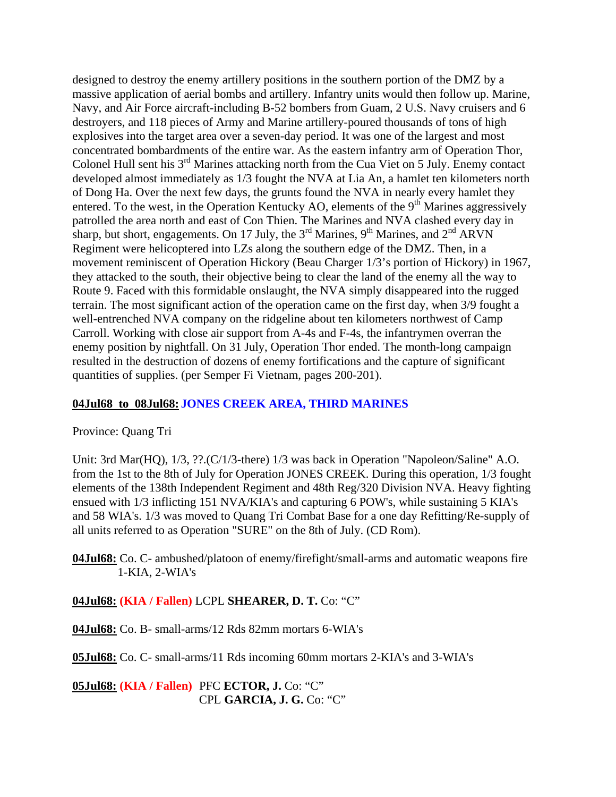designed to destroy the enemy artillery positions in the southern portion of the DMZ by a massive application of aerial bombs and artillery. Infantry units would then follow up. Marine, Navy, and Air Force aircraft-including B-52 bombers from Guam, 2 U.S. Navy cruisers and 6 destroyers, and 118 pieces of Army and Marine artillery-poured thousands of tons of high explosives into the target area over a seven-day period. It was one of the largest and most concentrated bombardments of the entire war. As the eastern infantry arm of Operation Thor, Colonel Hull sent his  $3<sup>rd</sup>$  Marines attacking north from the Cua Viet on 5 July. Enemy contact developed almost immediately as 1/3 fought the NVA at Lia An, a hamlet ten kilometers north of Dong Ha. Over the next few days, the grunts found the NVA in nearly every hamlet they entered. To the west, in the Operation Kentucky AO, elements of the  $9<sup>th</sup>$  Marines aggressively patrolled the area north and east of Con Thien. The Marines and NVA clashed every day in sharp, but short, engagements. On 17 July, the  $3<sup>rd</sup>$  Marines,  $9<sup>th</sup>$  Marines, and  $2<sup>nd</sup>$  ARVN Regiment were helicoptered into LZs along the southern edge of the DMZ. Then, in a movement reminiscent of Operation Hickory (Beau Charger 1/3's portion of Hickory) in 1967, they attacked to the south, their objective being to clear the land of the enemy all the way to Route 9. Faced with this formidable onslaught, the NVA simply disappeared into the rugged terrain. The most significant action of the operation came on the first day, when 3/9 fought a well-entrenched NVA company on the ridgeline about ten kilometers northwest of Camp Carroll. Working with close air support from A-4s and F-4s, the infantrymen overran the enemy position by nightfall. On 31 July, Operation Thor ended. The month-long campaign resulted in the destruction of dozens of enemy fortifications and the capture of significant quantities of supplies. (per Semper Fi Vietnam, pages 200-201).

### **04Jul68 to 08Jul68: JONES CREEK AREA, THIRD MARINES**

#### Province: Quang Tri

Unit: 3rd Mar(HQ), 1/3, ??.(C/1/3-there) 1/3 was back in Operation "Napoleon/Saline" A.O. from the 1st to the 8th of July for Operation JONES CREEK. During this operation, 1/3 fought elements of the 138th Independent Regiment and 48th Reg/320 Division NVA. Heavy fighting ensued with 1/3 inflicting 151 NVA/KIA's and capturing 6 POW's, while sustaining 5 KIA's and 58 WIA's. 1/3 was moved to Quang Tri Combat Base for a one day Refitting/Re-supply of all units referred to as Operation "SURE" on the 8th of July. (CD Rom).

**04Jul68:** Co. C- ambushed/platoon of enemy/firefight/small-arms and automatic weapons fire 1-KIA, 2-WIA's

**04Jul68: (KIA / Fallen)** LCPL **SHEARER, D. T.** Co: "C"

**04Jul68:** Co. B- small-arms/12 Rds 82mm mortars 6-WIA's

**05Jul68:** Co. C- small-arms/11 Rds incoming 60mm mortars 2-KIA's and 3-WIA's

**05Jul68: (KIA / Fallen)** PFC **ECTOR, J.** Co: "C" CPL **GARCIA, J. G.** Co: "C"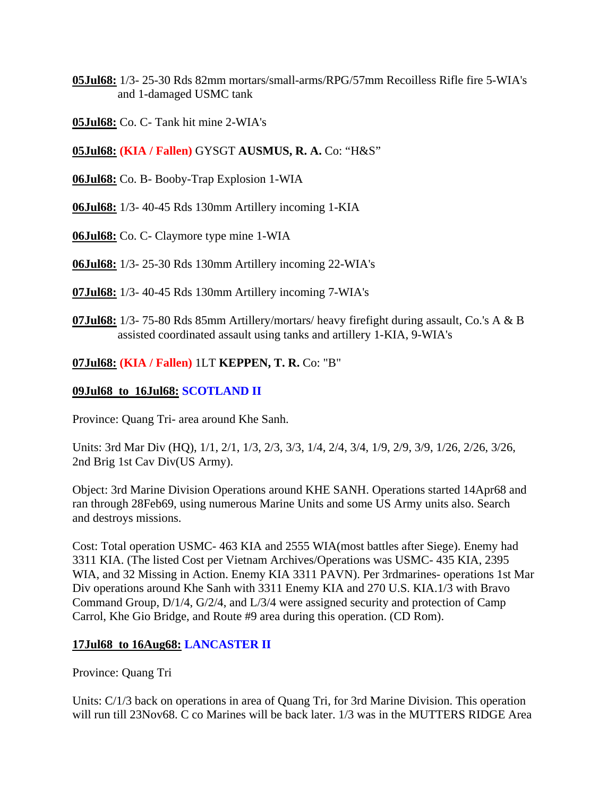- **05Jul68:** 1/3- 25-30 Rds 82mm mortars/small-arms/RPG/57mm Recoilless Rifle fire 5-WIA's and 1-damaged USMC tank
- **05Jul68:** Co. C- Tank hit mine 2-WIA's
- **05Jul68: (KIA / Fallen)** GYSGT **AUSMUS, R. A.** Co: "H&S"
- **06Jul68:** Co. B- Booby-Trap Explosion 1-WIA
- **06Jul68:** 1/3- 40-45 Rds 130mm Artillery incoming 1-KIA
- **06Jul68:** Co. C- Claymore type mine 1-WIA
- **06Jul68:** 1/3- 25-30 Rds 130mm Artillery incoming 22-WIA's
- **07Jul68:** 1/3- 40-45 Rds 130mm Artillery incoming 7-WIA's
- **07Jul68:** 1/3- 75-80 Rds 85mm Artillery/mortars/ heavy firefight during assault, Co.'s A & B assisted coordinated assault using tanks and artillery 1-KIA, 9-WIA's

### **07Jul68: (KIA / Fallen)** 1LT **KEPPEN, T. R.** Co: "B"

### **09Jul68 to 16Jul68: SCOTLAND II**

Province: Quang Tri- area around Khe Sanh.

Units: 3rd Mar Div (HQ), 1/1, 2/1, 1/3, 2/3, 3/3, 1/4, 2/4, 3/4, 1/9, 2/9, 3/9, 1/26, 2/26, 3/26, 2nd Brig 1st Cav Div(US Army).

Object: 3rd Marine Division Operations around KHE SANH. Operations started 14Apr68 and ran through 28Feb69, using numerous Marine Units and some US Army units also. Search and destroys missions.

Cost: Total operation USMC- 463 KIA and 2555 WIA(most battles after Siege). Enemy had 3311 KIA. (The listed Cost per Vietnam Archives/Operations was USMC- 435 KIA, 2395 WIA, and 32 Missing in Action. Enemy KIA 3311 PAVN). Per 3rdmarines- operations 1st Mar Div operations around Khe Sanh with 3311 Enemy KIA and 270 U.S. KIA.1/3 with Bravo Command Group, D/1/4, G/2/4, and L/3/4 were assigned security and protection of Camp Carrol, Khe Gio Bridge, and Route #9 area during this operation. (CD Rom).

# **17Jul68 to 16Aug68: LANCASTER II**

Province: Quang Tri

Units: C/1/3 back on operations in area of Quang Tri, for 3rd Marine Division. This operation will run till 23Nov68. C co Marines will be back later. 1/3 was in the MUTTERS RIDGE Area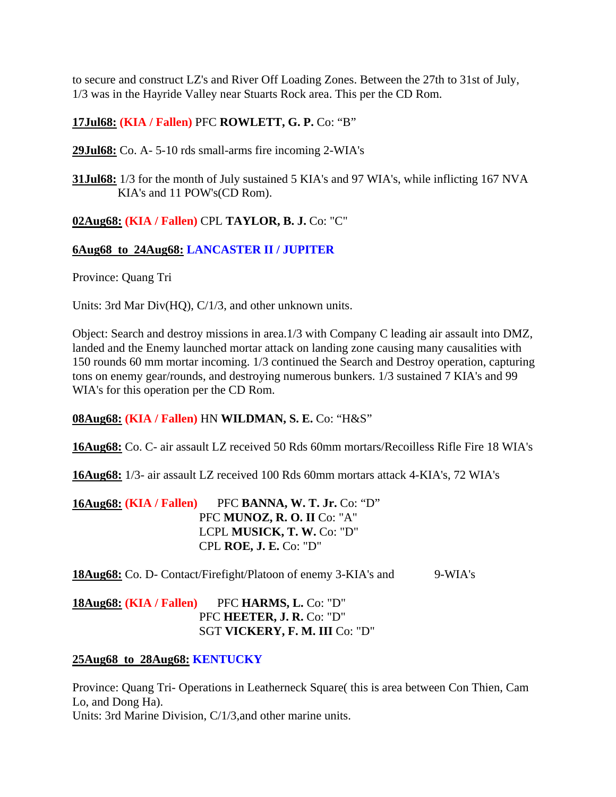to secure and construct LZ's and River Off Loading Zones. Between the 27th to 31st of July, 1/3 was in the Hayride Valley near Stuarts Rock area. This per the CD Rom.

**17Jul68: (KIA / Fallen)** PFC **ROWLETT, G. P.** Co: "B"

**29Jul68:** Co. A- 5-10 rds small-arms fire incoming 2-WIA's

**31Jul68:** 1/3 for the month of July sustained 5 KIA's and 97 WIA's, while inflicting 167 NVA KIA's and 11 POW's(CD Rom).

**02Aug68: (KIA / Fallen)** CPL **TAYLOR, B. J.** Co: "C"

### **6Aug68 to 24Aug68: LANCASTER II / JUPITER**

Province: Quang Tri

Units: 3rd Mar Div(HQ), C/1/3, and other unknown units.

Object: Search and destroy missions in area.1/3 with Company C leading air assault into DMZ, landed and the Enemy launched mortar attack on landing zone causing many causalities with 150 rounds 60 mm mortar incoming. 1/3 continued the Search and Destroy operation, capturing tons on enemy gear/rounds, and destroying numerous bunkers. 1/3 sustained 7 KIA's and 99 WIA's for this operation per the CD Rom.

#### **08Aug68: (KIA / Fallen)** HN **WILDMAN, S. E.** Co: "H&S"

**16Aug68:** Co. C- air assault LZ received 50 Rds 60mm mortars/Recoilless Rifle Fire 18 WIA's

**16Aug68:** 1/3- air assault LZ received 100 Rds 60mm mortars attack 4-KIA's, 72 WIA's

**16Aug68: (KIA / Fallen)** PFC **BANNA, W. T. Jr.** Co: "D" PFC **MUNOZ, R. O. II** Co: "A" LCPL **MUSICK, T. W. Co: "D"** CPL **ROE, J. E.** Co: "D"

**18Aug68:** Co. D- Contact/Firefight/Platoon of enemy 3-KIA's and 9-WIA's

# **18Aug68: (KIA / Fallen)** PFC **HARMS, L.** Co: "D" PFC **HEETER, J. R. Co: "D"** SGT **VICKERY, F. M. III** Co: "D"

#### **25Aug68 to 28Aug68: KENTUCKY**

Province: Quang Tri- Operations in Leatherneck Square( this is area between Con Thien, Cam Lo, and Dong Ha). Units: 3rd Marine Division, C/1/3,and other marine units.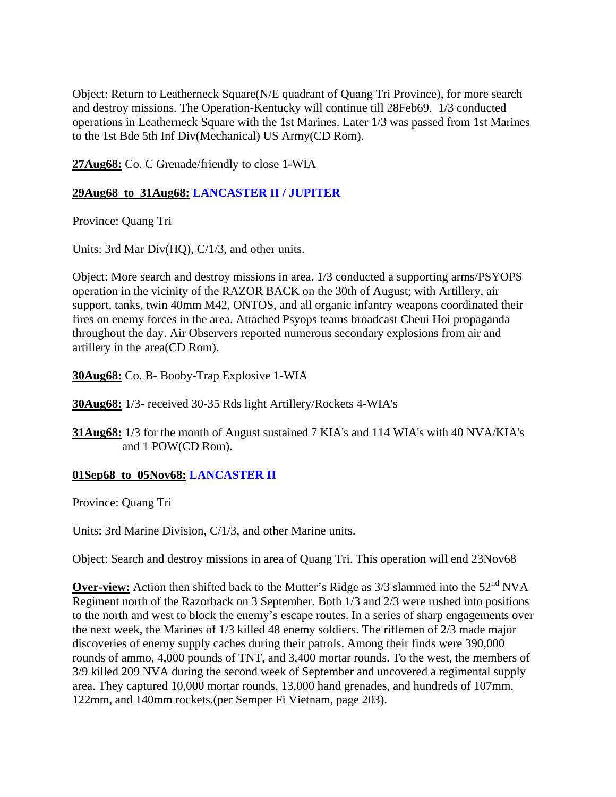Object: Return to Leatherneck Square(N/E quadrant of Quang Tri Province), for more search and destroy missions. The Operation-Kentucky will continue till 28Feb69. 1/3 conducted operations in Leatherneck Square with the 1st Marines. Later 1/3 was passed from 1st Marines to the 1st Bde 5th Inf Div(Mechanical) US Army(CD Rom).

**27Aug68:** Co. C Grenade/friendly to close 1-WIA

# **29Aug68 to 31Aug68: LANCASTER II / JUPITER**

Province: Quang Tri

Units: 3rd Mar Div(HQ), C/1/3, and other units.

Object: More search and destroy missions in area. 1/3 conducted a supporting arms/PSYOPS operation in the vicinity of the RAZOR BACK on the 30th of August; with Artillery, air support, tanks, twin 40mm M42, ONTOS, and all organic infantry weapons coordinated their fires on enemy forces in the area. Attached Psyops teams broadcast Cheui Hoi propaganda throughout the day. Air Observers reported numerous secondary explosions from air and artillery in the area(CD Rom).

**30Aug68:** Co. B- Booby-Trap Explosive 1-WIA

**30Aug68:** 1/3- received 30-35 Rds light Artillery/Rockets 4-WIA's

**31Aug68:** 1/3 for the month of August sustained 7 KIA's and 114 WIA's with 40 NVA/KIA's and 1 POW(CD Rom).

# **01Sep68 to 05Nov68: LANCASTER II**

Province: Quang Tri

Units: 3rd Marine Division, C/1/3, and other Marine units.

Object: Search and destroy missions in area of Quang Tri. This operation will end 23Nov68

**Over-view:** Action then shifted back to the Mutter's Ridge as 3/3 slammed into the 52<sup>nd</sup> NVA Regiment north of the Razorback on 3 September. Both 1/3 and 2/3 were rushed into positions to the north and west to block the enemy's escape routes. In a series of sharp engagements over the next week, the Marines of 1/3 killed 48 enemy soldiers. The riflemen of 2/3 made major discoveries of enemy supply caches during their patrols. Among their finds were 390,000 rounds of ammo, 4,000 pounds of TNT, and 3,400 mortar rounds. To the west, the members of 3/9 killed 209 NVA during the second week of September and uncovered a regimental supply area. They captured 10,000 mortar rounds, 13,000 hand grenades, and hundreds of 107mm, 122mm, and 140mm rockets.(per Semper Fi Vietnam, page 203).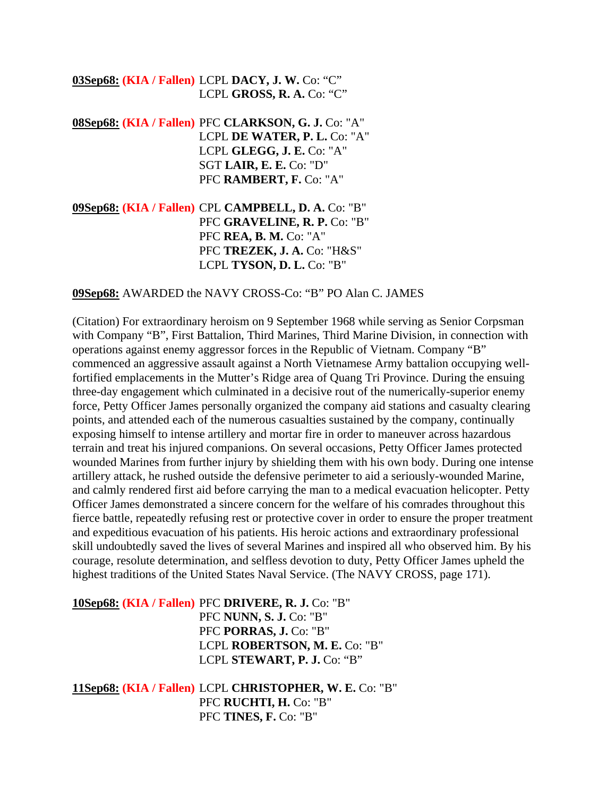# **03Sep68: (KIA / Fallen)** LCPL **DACY, J. W.** Co: "C" LCPL **GROSS, R. A. Co: "C"**

**08Sep68: (KIA / Fallen)** PFC **CLARKSON, G. J.** Co: "A" LCPL **DE WATER, P. L.** Co: "A" LCPL **GLEGG, J. E.** Co: "A" SGT **LAIR, E. E.** Co: "D" PFC **RAMBERT, F. Co: "A"** 

**09Sep68: (KIA / Fallen)** CPL **CAMPBELL, D. A.** Co: "B" PFC **GRAVELINE, R. P. Co: "B"**  PFC **REA, B. M.** Co: "A" PFC TREZEK, J. A. Co: "H&S" LCPL **TYSON, D. L.** Co: "B"

### **09Sep68:** AWARDED the NAVY CROSS-Co: "B" PO Alan C. JAMES

(Citation) For extraordinary heroism on 9 September 1968 while serving as Senior Corpsman with Company "B", First Battalion, Third Marines, Third Marine Division, in connection with operations against enemy aggressor forces in the Republic of Vietnam. Company "B" commenced an aggressive assault against a North Vietnamese Army battalion occupying wellfortified emplacements in the Mutter's Ridge area of Quang Tri Province. During the ensuing three-day engagement which culminated in a decisive rout of the numerically-superior enemy force, Petty Officer James personally organized the company aid stations and casualty clearing points, and attended each of the numerous casualties sustained by the company, continually exposing himself to intense artillery and mortar fire in order to maneuver across hazardous terrain and treat his injured companions. On several occasions, Petty Officer James protected wounded Marines from further injury by shielding them with his own body. During one intense artillery attack, he rushed outside the defensive perimeter to aid a seriously-wounded Marine, and calmly rendered first aid before carrying the man to a medical evacuation helicopter. Petty Officer James demonstrated a sincere concern for the welfare of his comrades throughout this fierce battle, repeatedly refusing rest or protective cover in order to ensure the proper treatment and expeditious evacuation of his patients. His heroic actions and extraordinary professional skill undoubtedly saved the lives of several Marines and inspired all who observed him. By his courage, resolute determination, and selfless devotion to duty, Petty Officer James upheld the highest traditions of the United States Naval Service. (The NAVY CROSS, page 171).

### **10Sep68: (KIA / Fallen)** PFC **DRIVERE, R. J.** Co: "B" PFC **NUNN, S. J.** Co: "B" PFC **PORRAS, J. Co: "B"**  LCPL **ROBERTSON, M. E.** Co: "B" LCPL **STEWART, P. J. Co: "B"**

**11Sep68: (KIA / Fallen)** LCPL **CHRISTOPHER, W. E.** Co: "B" PFC **RUCHTI, H. Co: "B"** PFC TINES, F. Co: "B"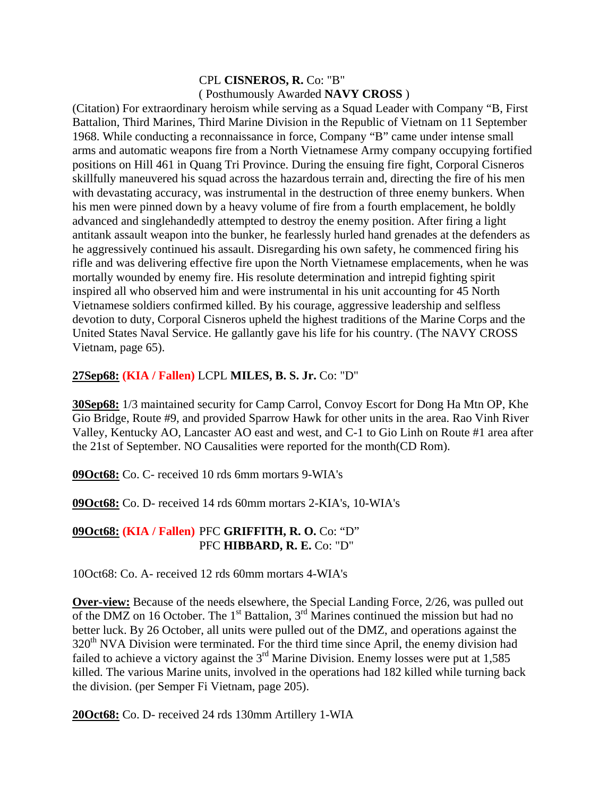### CPL **CISNEROS, R.** Co: "B"

#### ( Posthumously Awarded **NAVY CROSS** )

(Citation) For extraordinary heroism while serving as a Squad Leader with Company "B, First Battalion, Third Marines, Third Marine Division in the Republic of Vietnam on 11 September 1968. While conducting a reconnaissance in force, Company "B" came under intense small arms and automatic weapons fire from a North Vietnamese Army company occupying fortified positions on Hill 461 in Quang Tri Province. During the ensuing fire fight, Corporal Cisneros skillfully maneuvered his squad across the hazardous terrain and, directing the fire of his men with devastating accuracy, was instrumental in the destruction of three enemy bunkers. When his men were pinned down by a heavy volume of fire from a fourth emplacement, he boldly advanced and singlehandedly attempted to destroy the enemy position. After firing a light antitank assault weapon into the bunker, he fearlessly hurled hand grenades at the defenders as he aggressively continued his assault. Disregarding his own safety, he commenced firing his rifle and was delivering effective fire upon the North Vietnamese emplacements, when he was mortally wounded by enemy fire. His resolute determination and intrepid fighting spirit inspired all who observed him and were instrumental in his unit accounting for 45 North Vietnamese soldiers confirmed killed. By his courage, aggressive leadership and selfless devotion to duty, Corporal Cisneros upheld the highest traditions of the Marine Corps and the United States Naval Service. He gallantly gave his life for his country. (The NAVY CROSS Vietnam, page 65).

### **27Sep68: (KIA / Fallen)** LCPL **MILES, B. S. Jr.** Co: "D"

**30Sep68:** 1/3 maintained security for Camp Carrol, Convoy Escort for Dong Ha Mtn OP, Khe Gio Bridge, Route #9, and provided Sparrow Hawk for other units in the area. Rao Vinh River Valley, Kentucky AO, Lancaster AO east and west, and C-1 to Gio Linh on Route #1 area after the 21st of September. NO Causalities were reported for the month(CD Rom).

**09Oct68:** Co. C- received 10 rds 6mm mortars 9-WIA's

**09Oct68:** Co. D- received 14 rds 60mm mortars 2-KIA's, 10-WIA's

# **09Oct68: (KIA / Fallen)** PFC **GRIFFITH, R. O.** Co: "D" PFC **HIBBARD, R. E. Co: "D"**

10Oct68: Co. A- received 12 rds 60mm mortars 4-WIA's

**Over-view:** Because of the needs elsewhere, the Special Landing Force, 2/26, was pulled out of the DMZ on 16 October. The 1<sup>st</sup> Battalion,  $3<sup>rd</sup>$  Marines continued the mission but had no better luck. By 26 October, all units were pulled out of the DMZ, and operations against the 320<sup>th</sup> NVA Division were terminated. For the third time since April, the enemy division had failed to achieve a victory against the 3<sup>rd</sup> Marine Division. Enemy losses were put at 1,585 killed. The various Marine units, involved in the operations had 182 killed while turning back the division. (per Semper Fi Vietnam, page 205).

**20Oct68:** Co. D- received 24 rds 130mm Artillery 1-WIA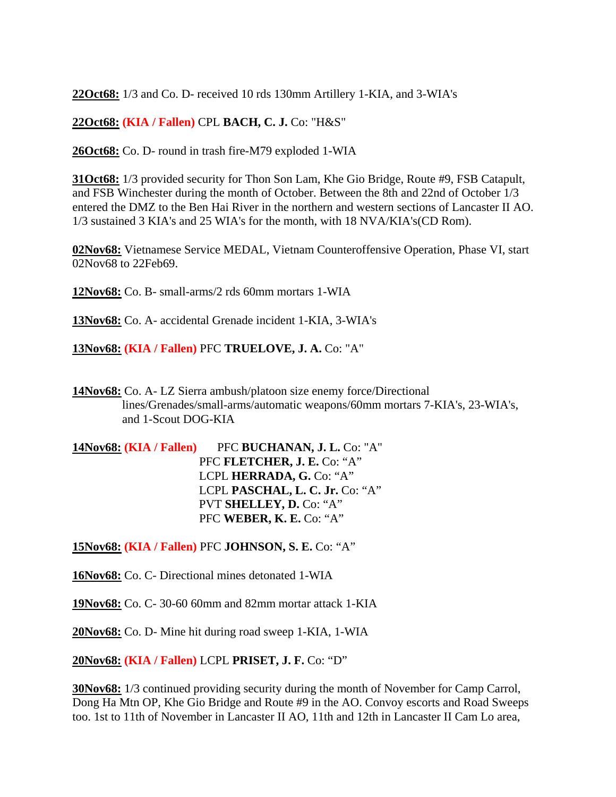**22Oct68:** 1/3 and Co. D- received 10 rds 130mm Artillery 1-KIA, and 3-WIA's

**22Oct68: (KIA / Fallen)** CPL **BACH, C. J.** Co: "H&S"

**26Oct68:** Co. D- round in trash fire-M79 exploded 1-WIA

**31Oct68:** 1/3 provided security for Thon Son Lam, Khe Gio Bridge, Route #9, FSB Catapult, and FSB Winchester during the month of October. Between the 8th and 22nd of October 1/3 entered the DMZ to the Ben Hai River in the northern and western sections of Lancaster II AO. 1/3 sustained 3 KIA's and 25 WIA's for the month, with 18 NVA/KIA's(CD Rom).

**02Nov68:** Vietnamese Service MEDAL, Vietnam Counteroffensive Operation, Phase VI, start 02Nov68 to 22Feb69.

**12Nov68:** Co. B- small-arms/2 rds 60mm mortars 1-WIA

**13Nov68:** Co. A- accidental Grenade incident 1-KIA, 3-WIA's

**13Nov68: (KIA / Fallen)** PFC **TRUELOVE, J. A.** Co: "A"

**14Nov68:** Co. A- LZ Sierra ambush/platoon size enemy force/Directional lines/Grenades/small-arms/automatic weapons/60mm mortars 7-KIA's, 23-WIA's, and 1-Scout DOG-KIA

# **14Nov68: (KIA / Fallen)** PFC **BUCHANAN, J. L.** Co: "A" PFC FLETCHER, J. E. Co: "A" LCPL **HERRADA**, G. Co: "A" LCPL **PASCHAL, L. C. Jr.** Co: "A" PVT **SHELLEY, D.** Co: "A" PFC **WEBER, K. E.** Co: "A"

**15Nov68: (KIA / Fallen)** PFC **JOHNSON, S. E.** Co: "A"

**16Nov68:** Co. C- Directional mines detonated 1-WIA

**19Nov68:** Co. C- 30-60 60mm and 82mm mortar attack 1-KIA

**20Nov68:** Co. D- Mine hit during road sweep 1-KIA, 1-WIA

**20Nov68: (KIA / Fallen)** LCPL **PRISET, J. F.** Co: "D"

**30Nov68:** 1/3 continued providing security during the month of November for Camp Carrol, Dong Ha Mtn OP, Khe Gio Bridge and Route #9 in the AO. Convoy escorts and Road Sweeps too. 1st to 11th of November in Lancaster II AO, 11th and 12th in Lancaster II Cam Lo area,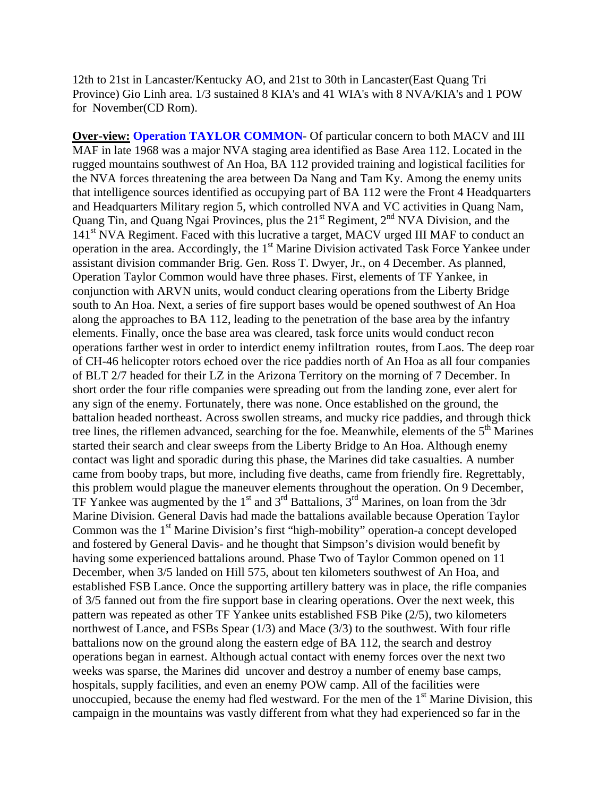12th to 21st in Lancaster/Kentucky AO, and 21st to 30th in Lancaster(East Quang Tri Province) Gio Linh area. 1/3 sustained 8 KIA's and 41 WIA's with 8 NVA/KIA's and 1 POW for November(CD Rom).

**Over-view: Operation TAYLOR COMMON**- Of particular concern to both MACV and III MAF in late 1968 was a major NVA staging area identified as Base Area 112. Located in the rugged mountains southwest of An Hoa, BA 112 provided training and logistical facilities for the NVA forces threatening the area between Da Nang and Tam Ky. Among the enemy units that intelligence sources identified as occupying part of BA 112 were the Front 4 Headquarters and Headquarters Military region 5, which controlled NVA and VC activities in Quang Nam, Quang Tin, and Quang Ngai Provinces, plus the 21<sup>st</sup> Regiment, 2<sup>nd</sup> NVA Division, and the 141<sup>st</sup> NVA Regiment. Faced with this lucrative a target, MACV urged III MAF to conduct an operation in the area. Accordingly, the  $1<sup>st</sup>$  Marine Division activated Task Force Yankee under assistant division commander Brig. Gen. Ross T. Dwyer, Jr., on 4 December. As planned, Operation Taylor Common would have three phases. First, elements of TF Yankee, in conjunction with ARVN units, would conduct clearing operations from the Liberty Bridge south to An Hoa. Next, a series of fire support bases would be opened southwest of An Hoa along the approaches to BA 112, leading to the penetration of the base area by the infantry elements. Finally, once the base area was cleared, task force units would conduct recon operations farther west in order to interdict enemy infiltration routes, from Laos. The deep roar of CH-46 helicopter rotors echoed over the rice paddies north of An Hoa as all four companies of BLT 2/7 headed for their LZ in the Arizona Territory on the morning of 7 December. In short order the four rifle companies were spreading out from the landing zone, ever alert for any sign of the enemy. Fortunately, there was none. Once established on the ground, the battalion headed northeast. Across swollen streams, and mucky rice paddies, and through thick tree lines, the riflemen advanced, searching for the foe. Meanwhile, elements of the  $5<sup>th</sup>$  Marines started their search and clear sweeps from the Liberty Bridge to An Hoa. Although enemy contact was light and sporadic during this phase, the Marines did take casualties. A number came from booby traps, but more, including five deaths, came from friendly fire. Regrettably, this problem would plague the maneuver elements throughout the operation. On 9 December, TF Yankee was augmented by the  $1<sup>st</sup>$  and  $3<sup>rd</sup>$  Battalions,  $3<sup>rd</sup>$  Marines, on loan from the 3dr Marine Division. General Davis had made the battalions available because Operation Taylor Common was the 1<sup>st</sup> Marine Division's first "high-mobility" operation-a concept developed and fostered by General Davis- and he thought that Simpson's division would benefit by having some experienced battalions around. Phase Two of Taylor Common opened on 11 December, when 3/5 landed on Hill 575, about ten kilometers southwest of An Hoa, and established FSB Lance. Once the supporting artillery battery was in place, the rifle companies of 3/5 fanned out from the fire support base in clearing operations. Over the next week, this pattern was repeated as other TF Yankee units established FSB Pike (2/5), two kilometers northwest of Lance, and FSBs Spear (1/3) and Mace (3/3) to the southwest. With four rifle battalions now on the ground along the eastern edge of BA 112, the search and destroy operations began in earnest. Although actual contact with enemy forces over the next two weeks was sparse, the Marines did uncover and destroy a number of enemy base camps, hospitals, supply facilities, and even an enemy POW camp. All of the facilities were unoccupied, because the enemy had fled westward. For the men of the  $1<sup>st</sup>$  Marine Division, this campaign in the mountains was vastly different from what they had experienced so far in the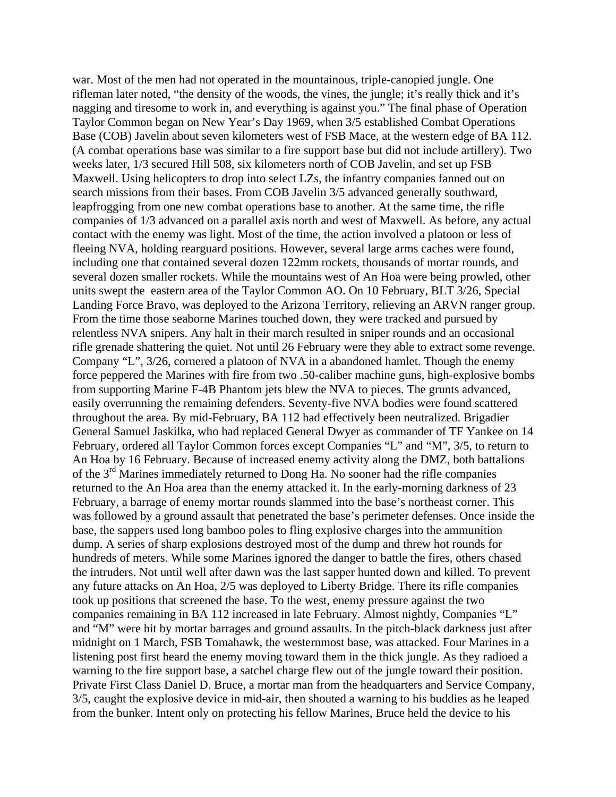war. Most of the men had not operated in the mountainous, triple-canopied jungle. One rifleman later noted, "the density of the woods, the vines, the jungle; it's really thick and it's nagging and tiresome to work in, and everything is against you." The final phase of Operation Taylor Common began on New Year's Day 1969, when 3/5 established Combat Operations Base (COB) Javelin about seven kilometers west of FSB Mace, at the western edge of BA 112. (A combat operations base was similar to a fire support base but did not include artillery). Two weeks later, 1/3 secured Hill 508, six kilometers north of COB Javelin, and set up FSB Maxwell. Using helicopters to drop into select LZs, the infantry companies fanned out on search missions from their bases. From COB Javelin 3/5 advanced generally southward, leapfrogging from one new combat operations base to another. At the same time, the rifle companies of 1/3 advanced on a parallel axis north and west of Maxwell. As before, any actual contact with the enemy was light. Most of the time, the action involved a platoon or less of fleeing NVA, holding rearguard positions. However, several large arms caches were found, including one that contained several dozen 122mm rockets, thousands of mortar rounds, and several dozen smaller rockets. While the mountains west of An Hoa were being prowled, other units swept the eastern area of the Taylor Common AO. On 10 February, BLT 3/26, Special Landing Force Bravo, was deployed to the Arizona Territory, relieving an ARVN ranger group. From the time those seaborne Marines touched down, they were tracked and pursued by relentless NVA snipers. Any halt in their march resulted in sniper rounds and an occasional rifle grenade shattering the quiet. Not until 26 February were they able to extract some revenge. Company "L", 3/26, cornered a platoon of NVA in a abandoned hamlet. Though the enemy force peppered the Marines with fire from two .50-caliber machine guns, high-explosive bombs from supporting Marine F-4B Phantom jets blew the NVA to pieces. The grunts advanced, easily overrunning the remaining defenders. Seventy-five NVA bodies were found scattered throughout the area. By mid-February, BA 112 had effectively been neutralized. Brigadier General Samuel Jaskilka, who had replaced General Dwyer as commander of TF Yankee on 14 February, ordered all Taylor Common forces except Companies "L" and "M", 3/5, to return to An Hoa by 16 February. Because of increased enemy activity along the DMZ, both battalions of the 3rd Marines immediately returned to Dong Ha. No sooner had the rifle companies returned to the An Hoa area than the enemy attacked it. In the early-morning darkness of 23 February, a barrage of enemy mortar rounds slammed into the base's northeast corner. This was followed by a ground assault that penetrated the base's perimeter defenses. Once inside the base, the sappers used long bamboo poles to fling explosive charges into the ammunition dump. A series of sharp explosions destroyed most of the dump and threw hot rounds for hundreds of meters. While some Marines ignored the danger to battle the fires, others chased the intruders. Not until well after dawn was the last sapper hunted down and killed. To prevent any future attacks on An Hoa, 2/5 was deployed to Liberty Bridge. There its rifle companies took up positions that screened the base. To the west, enemy pressure against the two companies remaining in BA 112 increased in late February. Almost nightly, Companies "L" and "M" were hit by mortar barrages and ground assaults. In the pitch-black darkness just after midnight on 1 March, FSB Tomahawk, the westernmost base, was attacked. Four Marines in a listening post first heard the enemy moving toward them in the thick jungle. As they radioed a warning to the fire support base, a satchel charge flew out of the jungle toward their position. Private First Class Daniel D. Bruce, a mortar man from the headquarters and Service Company, 3/5, caught the explosive device in mid-air, then shouted a warning to his buddies as he leaped from the bunker. Intent only on protecting his fellow Marines, Bruce held the device to his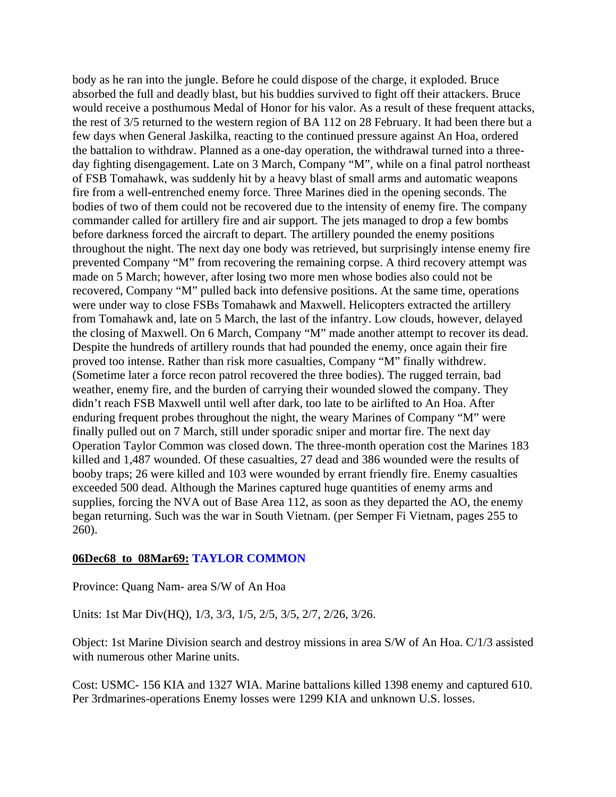body as he ran into the jungle. Before he could dispose of the charge, it exploded. Bruce absorbed the full and deadly blast, but his buddies survived to fight off their attackers. Bruce would receive a posthumous Medal of Honor for his valor. As a result of these frequent attacks, the rest of 3/5 returned to the western region of BA 112 on 28 February. It had been there but a few days when General Jaskilka, reacting to the continued pressure against An Hoa, ordered the battalion to withdraw. Planned as a one-day operation, the withdrawal turned into a threeday fighting disengagement. Late on 3 March, Company "M", while on a final patrol northeast of FSB Tomahawk, was suddenly hit by a heavy blast of small arms and automatic weapons fire from a well-entrenched enemy force. Three Marines died in the opening seconds. The bodies of two of them could not be recovered due to the intensity of enemy fire. The company commander called for artillery fire and air support. The jets managed to drop a few bombs before darkness forced the aircraft to depart. The artillery pounded the enemy positions throughout the night. The next day one body was retrieved, but surprisingly intense enemy fire prevented Company "M" from recovering the remaining corpse. A third recovery attempt was made on 5 March; however, after losing two more men whose bodies also could not be recovered, Company "M" pulled back into defensive positions. At the same time, operations were under way to close FSBs Tomahawk and Maxwell. Helicopters extracted the artillery from Tomahawk and, late on 5 March, the last of the infantry. Low clouds, however, delayed the closing of Maxwell. On 6 March, Company "M" made another attempt to recover its dead. Despite the hundreds of artillery rounds that had pounded the enemy, once again their fire proved too intense. Rather than risk more casualties, Company "M" finally withdrew. (Sometime later a force recon patrol recovered the three bodies). The rugged terrain, bad weather, enemy fire, and the burden of carrying their wounded slowed the company. They didn't reach FSB Maxwell until well after dark, too late to be airlifted to An Hoa. After enduring frequent probes throughout the night, the weary Marines of Company "M" were finally pulled out on 7 March, still under sporadic sniper and mortar fire. The next day Operation Taylor Common was closed down. The three-month operation cost the Marines 183 killed and 1,487 wounded. Of these casualties, 27 dead and 386 wounded were the results of booby traps; 26 were killed and 103 were wounded by errant friendly fire. Enemy casualties exceeded 500 dead. Although the Marines captured huge quantities of enemy arms and supplies, forcing the NVA out of Base Area 112, as soon as they departed the AO, the enemy began returning. Such was the war in South Vietnam. (per Semper Fi Vietnam, pages 255 to 260).

#### **06Dec68 to 08Mar69: TAYLOR COMMON**

Province: Quang Nam- area S/W of An Hoa

Units: 1st Mar Div(HQ), 1/3, 3/3, 1/5, 2/5, 3/5, 2/7, 2/26, 3/26.

Object: 1st Marine Division search and destroy missions in area S/W of An Hoa. C/1/3 assisted with numerous other Marine units.

Cost: USMC- 156 KIA and 1327 WIA. Marine battalions killed 1398 enemy and captured 610. Per 3rdmarines-operations Enemy losses were 1299 KIA and unknown U.S. losses.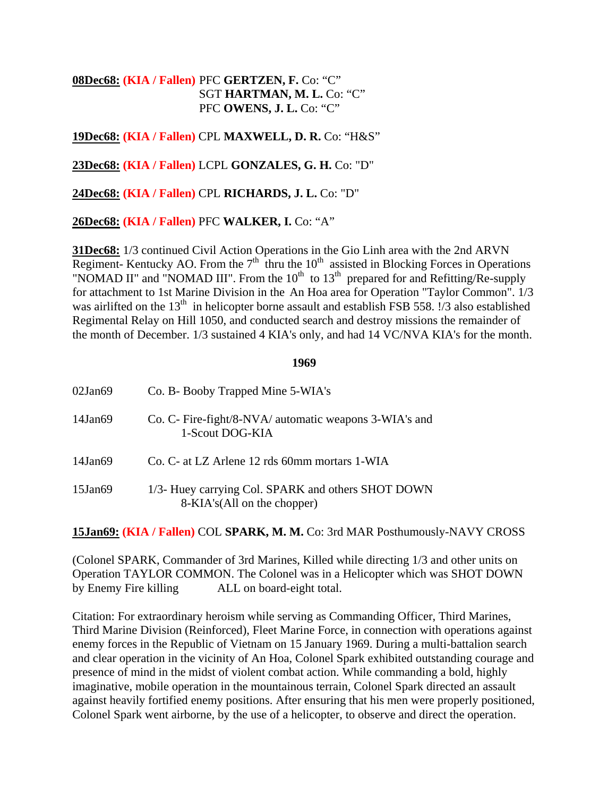# **08Dec68: (KIA / Fallen)** PFC **GERTZEN, F.** Co: "C" SGT **HARTMAN, M. L.** Co: "C" PFC **OWENS, J. L.** Co: "C"

**19Dec68: (KIA / Fallen)** CPL **MAXWELL, D. R.** Co: "H&S"

**23Dec68: (KIA / Fallen)** LCPL **GONZALES, G. H.** Co: "D"

**24Dec68: (KIA / Fallen)** CPL **RICHARDS, J. L.** Co: "D"

**26Dec68: (KIA / Fallen)** PFC **WALKER, I.** Co: "A"

**31Dec68:** 1/3 continued Civil Action Operations in the Gio Linh area with the 2nd ARVN Regiment- Kentucky AO. From the  $7<sup>th</sup>$  thru the  $10<sup>th</sup>$  assisted in Blocking Forces in Operations "NOMAD II" and "NOMAD III". From the  $10^{th}$  to  $13^{th}$  prepared for and Refitting/Re-supply for attachment to 1st Marine Division in the An Hoa area for Operation "Taylor Common". 1/3 was airlifted on the  $13<sup>th</sup>$  in helicopter borne assault and establish FSB 558. !/3 also established Regimental Relay on Hill 1050, and conducted search and destroy missions the remainder of the month of December. 1/3 sustained 4 KIA's only, and had 14 VC/NVA KIA's for the month.

#### **1969**

| 02Jan69       | Co. B- Booby Trapped Mine 5-WIA's                                                  |
|---------------|------------------------------------------------------------------------------------|
| $14$ Jan $69$ | Co. C- Fire-fight/8-NVA/ automatic weapons 3-WIA's and<br>1-Scout DOG-KIA          |
| $14$ Jan $69$ | Co. C- at LZ Arlene 12 rds 60mm mortars 1-WIA                                      |
| $15$ Jan $69$ | 1/3- Huey carrying Col. SPARK and others SHOT DOWN<br>8-KIA's (All on the chopper) |

**15Jan69: (KIA / Fallen)** COL **SPARK, M. M.** Co: 3rd MAR Posthumously-NAVY CROSS

(Colonel SPARK, Commander of 3rd Marines, Killed while directing 1/3 and other units on Operation TAYLOR COMMON. The Colonel was in a Helicopter which was SHOT DOWN by Enemy Fire killing ALL on board-eight total.

Citation: For extraordinary heroism while serving as Commanding Officer, Third Marines, Third Marine Division (Reinforced), Fleet Marine Force, in connection with operations against enemy forces in the Republic of Vietnam on 15 January 1969. During a multi-battalion search and clear operation in the vicinity of An Hoa, Colonel Spark exhibited outstanding courage and presence of mind in the midst of violent combat action. While commanding a bold, highly imaginative, mobile operation in the mountainous terrain, Colonel Spark directed an assault against heavily fortified enemy positions. After ensuring that his men were properly positioned, Colonel Spark went airborne, by the use of a helicopter, to observe and direct the operation.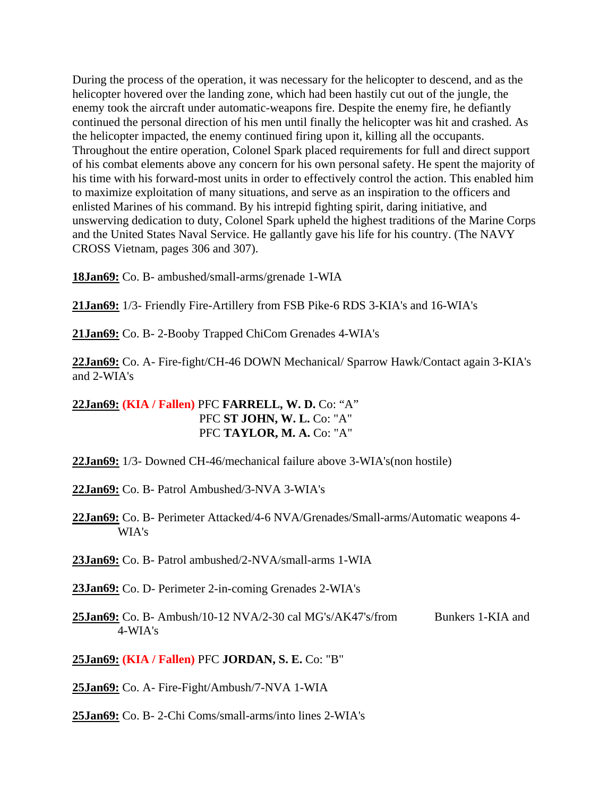During the process of the operation, it was necessary for the helicopter to descend, and as the helicopter hovered over the landing zone, which had been hastily cut out of the jungle, the enemy took the aircraft under automatic-weapons fire. Despite the enemy fire, he defiantly continued the personal direction of his men until finally the helicopter was hit and crashed. As the helicopter impacted, the enemy continued firing upon it, killing all the occupants. Throughout the entire operation, Colonel Spark placed requirements for full and direct support of his combat elements above any concern for his own personal safety. He spent the majority of his time with his forward-most units in order to effectively control the action. This enabled him to maximize exploitation of many situations, and serve as an inspiration to the officers and enlisted Marines of his command. By his intrepid fighting spirit, daring initiative, and unswerving dedication to duty, Colonel Spark upheld the highest traditions of the Marine Corps and the United States Naval Service. He gallantly gave his life for his country. (The NAVY CROSS Vietnam, pages 306 and 307).

**18Jan69:** Co. B- ambushed/small-arms/grenade 1-WIA

**21Jan69:** 1/3- Friendly Fire-Artillery from FSB Pike-6 RDS 3-KIA's and 16-WIA's

**21Jan69:** Co. B- 2-Booby Trapped ChiCom Grenades 4-WIA's

**22Jan69:** Co. A- Fire-fight/CH-46 DOWN Mechanical/ Sparrow Hawk/Contact again 3-KIA's and 2-WIA's

### **22Jan69: (KIA / Fallen)** PFC **FARRELL, W. D.** Co: "A" PFC **ST JOHN, W. L. Co: "A"** PFC **TAYLOR, M. A. Co: "A"**

**22Jan69:** 1/3- Downed CH-46/mechanical failure above 3-WIA's(non hostile)

- **22Jan69:** Co. B- Patrol Ambushed/3-NVA 3-WIA's
- **22Jan69:** Co. B- Perimeter Attacked/4-6 NVA/Grenades/Small-arms/Automatic weapons 4- WIA's
- **23Jan69:** Co. B- Patrol ambushed/2-NVA/small-arms 1-WIA
- **23Jan69:** Co. D- Perimeter 2-in-coming Grenades 2-WIA's
- **25Jan69:** Co. B- Ambush/10-12 NVA/2-30 cal MG's/AK47's/from Bunkers 1-KIA and 4-WIA's

**25Jan69: (KIA / Fallen)** PFC **JORDAN, S. E.** Co: "B"

**25Jan69:** Co. A- Fire-Fight/Ambush/7-NVA 1-WIA

**25Jan69:** Co. B- 2-Chi Coms/small-arms/into lines 2-WIA's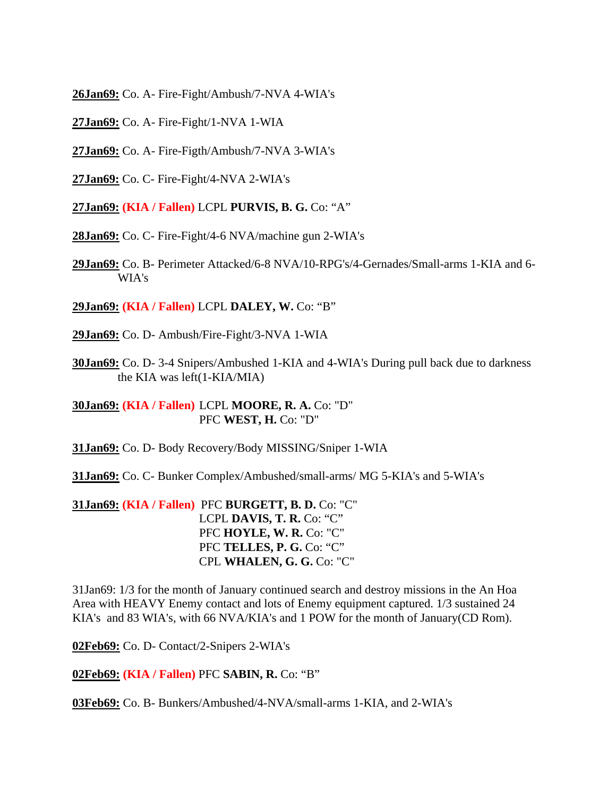**26Jan69:** Co. A- Fire-Fight/Ambush/7-NVA 4-WIA's

- **27Jan69:** Co. A- Fire-Fight/1-NVA 1-WIA
- **27Jan69:** Co. A- Fire-Figth/Ambush/7-NVA 3-WIA's
- **27Jan69:** Co. C- Fire-Fight/4-NVA 2-WIA's

**27Jan69: (KIA / Fallen)** LCPL **PURVIS, B. G.** Co: "A"

**28Jan69:** Co. C- Fire-Fight/4-6 NVA/machine gun 2-WIA's

**29Jan69:** Co. B- Perimeter Attacked/6-8 NVA/10-RPG's/4-Gernades/Small-arms 1-KIA and 6- WIA's

**29Jan69: (KIA / Fallen)** LCPL **DALEY, W.** Co: "B"

**29Jan69:** Co. D- Ambush/Fire-Fight/3-NVA 1-WIA

**30Jan69:** Co. D- 3-4 Snipers/Ambushed 1-KIA and 4-WIA's During pull back due to darkness the KIA was left(1-KIA/MIA)

**30Jan69: (KIA / Fallen)** LCPL **MOORE, R. A.** Co: "D" PFC WEST, H. Co: "D"

- **31Jan69:** Co. D- Body Recovery/Body MISSING/Sniper 1-WIA
- **31Jan69:** Co. C- Bunker Complex/Ambushed/small-arms/ MG 5-KIA's and 5-WIA's

**31Jan69: (KIA / Fallen)** PFC **BURGETT, B. D.** Co: "C" LCPL DAVIS, T. R. Co: "C" PFC HOYLE, W. R. Co: "C" PFC TELLES, P. G. Co: "C" CPL **WHALEN, G. G.** Co: "C"

31Jan69: 1/3 for the month of January continued search and destroy missions in the An Hoa Area with HEAVY Enemy contact and lots of Enemy equipment captured. 1/3 sustained 24 KIA's and 83 WIA's, with 66 NVA/KIA's and 1 POW for the month of January(CD Rom).

**02Feb69:** Co. D- Contact/2-Snipers 2-WIA's

**02Feb69: (KIA / Fallen)** PFC **SABIN, R.** Co: "B"

**03Feb69:** Co. B- Bunkers/Ambushed/4-NVA/small-arms 1-KIA, and 2-WIA's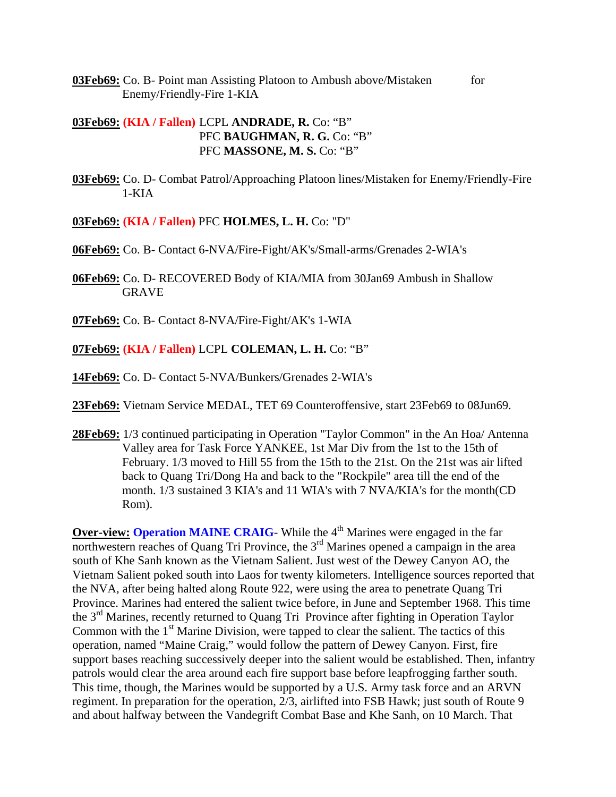**03Feb69:** Co. B- Point man Assisting Platoon to Ambush above/Mistaken for Enemy/Friendly-Fire 1-KIA

# **03Feb69: (KIA / Fallen)** LCPL **ANDRADE, R.** Co: "B" PFC **BAUGHMAN, R. G. Co: "B"** PFC **MASSONE, M. S. Co: "B"**

**03Feb69:** Co. D- Combat Patrol/Approaching Platoon lines/Mistaken for Enemy/Friendly-Fire 1-KIA

**03Feb69: (KIA / Fallen)** PFC **HOLMES, L. H.** Co: "D"

**06Feb69:** Co. B- Contact 6-NVA/Fire-Fight/AK's/Small-arms/Grenades 2-WIA's

**06Feb69:** Co. D- RECOVERED Body of KIA/MIA from 30Jan69 Ambush in Shallow GRAVE

**07Feb69:** Co. B- Contact 8-NVA/Fire-Fight/AK's 1-WIA

**07Feb69: (KIA / Fallen)** LCPL **COLEMAN, L. H.** Co: "B"

**14Feb69:** Co. D- Contact 5-NVA/Bunkers/Grenades 2-WIA's

**23Feb69:** Vietnam Service MEDAL, TET 69 Counteroffensive, start 23Feb69 to 08Jun69.

**28Feb69:** 1/3 continued participating in Operation "Taylor Common" in the An Hoa/ Antenna Valley area for Task Force YANKEE, 1st Mar Div from the 1st to the 15th of February. 1/3 moved to Hill 55 from the 15th to the 21st. On the 21st was air lifted back to Quang Tri/Dong Ha and back to the "Rockpile" area till the end of the month. 1/3 sustained 3 KIA's and 11 WIA's with 7 NVA/KIA's for the month(CD Rom).

**Over-view: Operation MAINE CRAIG-** While the 4<sup>th</sup> Marines were engaged in the far northwestern reaches of Quang Tri Province, the  $3<sup>rd</sup>$  Marines opened a campaign in the area south of Khe Sanh known as the Vietnam Salient. Just west of the Dewey Canyon AO, the Vietnam Salient poked south into Laos for twenty kilometers. Intelligence sources reported that the NVA, after being halted along Route 922, were using the area to penetrate Quang Tri Province. Marines had entered the salient twice before, in June and September 1968. This time the 3<sup>rd</sup> Marines, recently returned to Quang Tri Province after fighting in Operation Taylor Common with the  $1<sup>st</sup>$  Marine Division, were tapped to clear the salient. The tactics of this operation, named "Maine Craig," would follow the pattern of Dewey Canyon. First, fire support bases reaching successively deeper into the salient would be established. Then, infantry patrols would clear the area around each fire support base before leapfrogging farther south. This time, though, the Marines would be supported by a U.S. Army task force and an ARVN regiment. In preparation for the operation, 2/3, airlifted into FSB Hawk; just south of Route 9 and about halfway between the Vandegrift Combat Base and Khe Sanh, on 10 March. That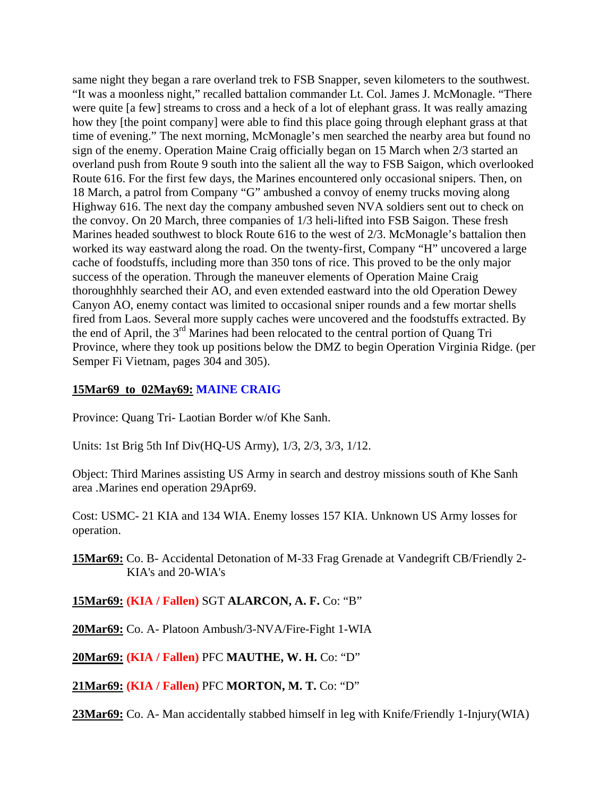same night they began a rare overland trek to FSB Snapper, seven kilometers to the southwest. "It was a moonless night," recalled battalion commander Lt. Col. James J. McMonagle. "There were quite [a few] streams to cross and a heck of a lot of elephant grass. It was really amazing how they [the point company] were able to find this place going through elephant grass at that time of evening." The next morning, McMonagle's men searched the nearby area but found no sign of the enemy. Operation Maine Craig officially began on 15 March when 2/3 started an overland push from Route 9 south into the salient all the way to FSB Saigon, which overlooked Route 616. For the first few days, the Marines encountered only occasional snipers. Then, on 18 March, a patrol from Company "G" ambushed a convoy of enemy trucks moving along Highway 616. The next day the company ambushed seven NVA soldiers sent out to check on the convoy. On 20 March, three companies of 1/3 heli-lifted into FSB Saigon. These fresh Marines headed southwest to block Route 616 to the west of 2/3. McMonagle's battalion then worked its way eastward along the road. On the twenty-first, Company "H" uncovered a large cache of foodstuffs, including more than 350 tons of rice. This proved to be the only major success of the operation. Through the maneuver elements of Operation Maine Craig thoroughhhly searched their AO, and even extended eastward into the old Operation Dewey Canyon AO, enemy contact was limited to occasional sniper rounds and a few mortar shells fired from Laos. Several more supply caches were uncovered and the foodstuffs extracted. By the end of April, the 3rd Marines had been relocated to the central portion of Quang Tri Province, where they took up positions below the DMZ to begin Operation Virginia Ridge. (per Semper Fi Vietnam, pages 304 and 305).

#### **15Mar69 to 02May69: MAINE CRAIG**

Province: Quang Tri- Laotian Border w/of Khe Sanh.

Units: 1st Brig 5th Inf Div(HQ-US Army), 1/3, 2/3, 3/3, 1/12.

Object: Third Marines assisting US Army in search and destroy missions south of Khe Sanh area .Marines end operation 29Apr69.

Cost: USMC- 21 KIA and 134 WIA. Enemy losses 157 KIA. Unknown US Army losses for operation.

**15Mar69:** Co. B- Accidental Detonation of M-33 Frag Grenade at Vandegrift CB/Friendly 2- KIA's and 20-WIA's

**15Mar69: (KIA / Fallen)** SGT **ALARCON, A. F.** Co: "B"

**20Mar69:** Co. A- Platoon Ambush/3-NVA/Fire-Fight 1-WIA

**20Mar69: (KIA / Fallen)** PFC **MAUTHE, W. H.** Co: "D"

**21Mar69: (KIA / Fallen)** PFC **MORTON, M. T.** Co: "D"

**23Mar69:** Co. A- Man accidentally stabbed himself in leg with Knife/Friendly 1-Injury(WIA)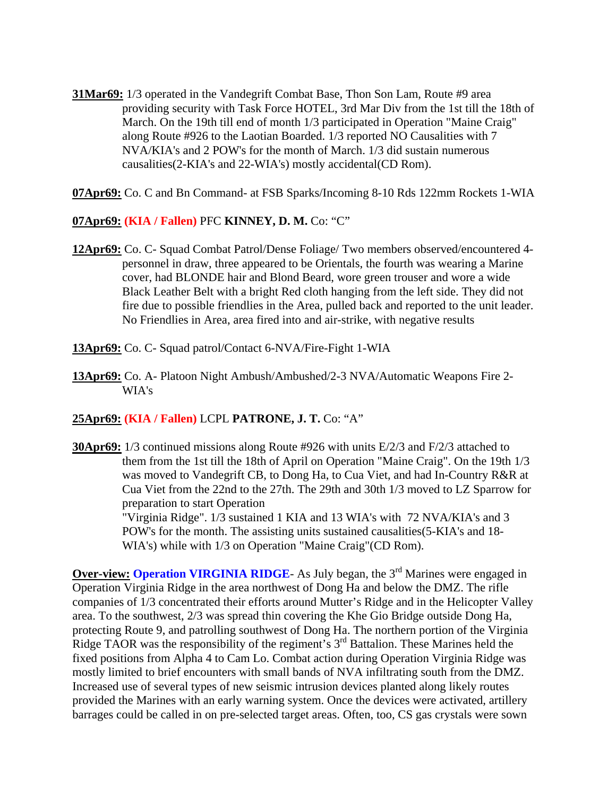**31Mar69:** 1/3 operated in the Vandegrift Combat Base, Thon Son Lam, Route #9 area providing security with Task Force HOTEL, 3rd Mar Div from the 1st till the 18th of March. On the 19th till end of month 1/3 participated in Operation "Maine Craig" along Route #926 to the Laotian Boarded. 1/3 reported NO Causalities with 7 NVA/KIA's and 2 POW's for the month of March. 1/3 did sustain numerous causalities(2-KIA's and 22-WIA's) mostly accidental(CD Rom).

**07Apr69:** Co. C and Bn Command- at FSB Sparks/Incoming 8-10 Rds 122mm Rockets 1-WIA

**07Apr69: (KIA / Fallen)** PFC **KINNEY, D. M.** Co: "C"

- **12Apr69:** Co. C- Squad Combat Patrol/Dense Foliage/ Two members observed/encountered 4 personnel in draw, three appeared to be Orientals, the fourth was wearing a Marine cover, had BLONDE hair and Blond Beard, wore green trouser and wore a wide Black Leather Belt with a bright Red cloth hanging from the left side. They did not fire due to possible friendlies in the Area, pulled back and reported to the unit leader. No Friendlies in Area, area fired into and air-strike, with negative results
- **13Apr69:** Co. C- Squad patrol/Contact 6-NVA/Fire-Fight 1-WIA
- **13Apr69:** Co. A- Platoon Night Ambush/Ambushed/2-3 NVA/Automatic Weapons Fire 2- WIA's

**25Apr69: (KIA / Fallen)** LCPL **PATRONE, J. T.** Co: "A"

**30Apr69:** 1/3 continued missions along Route #926 with units E/2/3 and F/2/3 attached to them from the 1st till the 18th of April on Operation "Maine Craig". On the 19th 1/3 was moved to Vandegrift CB, to Dong Ha, to Cua Viet, and had In-Country R&R at Cua Viet from the 22nd to the 27th. The 29th and 30th 1/3 moved to LZ Sparrow for preparation to start Operation "Virginia Ridge". 1/3 sustained 1 KIA and 13 WIA's with 72 NVA/KIA's and 3 POW's for the month. The assisting units sustained causalities(5-KIA's and 18- WIA's) while with 1/3 on Operation "Maine Craig"(CD Rom).

**Over-view: Operation VIRGINIA RIDGE**- As July began, the 3<sup>rd</sup> Marines were engaged in Operation Virginia Ridge in the area northwest of Dong Ha and below the DMZ. The rifle companies of 1/3 concentrated their efforts around Mutter's Ridge and in the Helicopter Valley area. To the southwest, 2/3 was spread thin covering the Khe Gio Bridge outside Dong Ha, protecting Route 9, and patrolling southwest of Dong Ha. The northern portion of the Virginia Ridge TAOR was the responsibility of the regiment's  $3<sup>rd</sup>$  Battalion. These Marines held the fixed positions from Alpha 4 to Cam Lo. Combat action during Operation Virginia Ridge was mostly limited to brief encounters with small bands of NVA infiltrating south from the DMZ. Increased use of several types of new seismic intrusion devices planted along likely routes provided the Marines with an early warning system. Once the devices were activated, artillery barrages could be called in on pre-selected target areas. Often, too, CS gas crystals were sown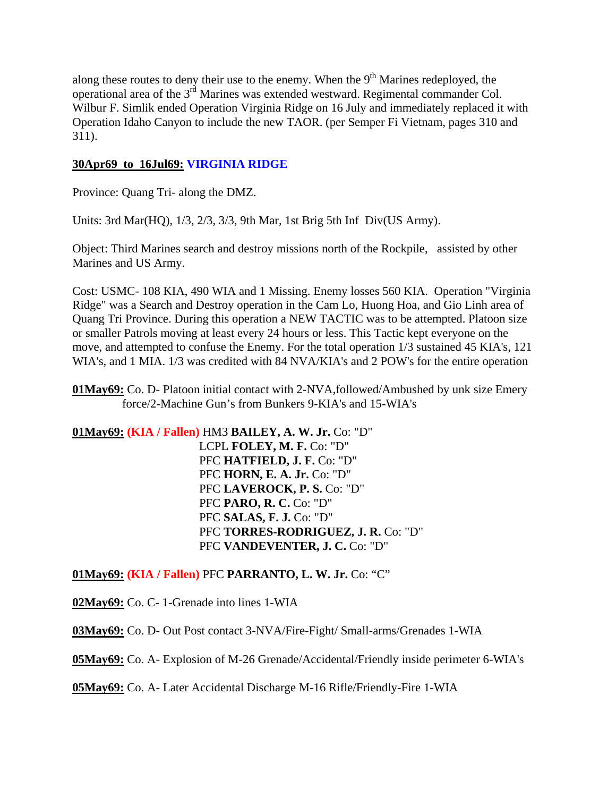along these routes to deny their use to the enemy. When the 9<sup>th</sup> Marines redeployed, the operational area of the 3rd Marines was extended westward. Regimental commander Col. Wilbur F. Simlik ended Operation Virginia Ridge on 16 July and immediately replaced it with Operation Idaho Canyon to include the new TAOR. (per Semper Fi Vietnam, pages 310 and 311).

# **30Apr69 to 16Jul69: VIRGINIA RIDGE**

Province: Quang Tri- along the DMZ.

Units: 3rd Mar(HQ), 1/3, 2/3, 3/3, 9th Mar, 1st Brig 5th Inf Div(US Army).

Object: Third Marines search and destroy missions north of the Rockpile, assisted by other Marines and US Army.

Cost: USMC- 108 KIA, 490 WIA and 1 Missing. Enemy losses 560 KIA. Operation "Virginia Ridge" was a Search and Destroy operation in the Cam Lo, Huong Hoa, and Gio Linh area of Quang Tri Province. During this operation a NEW TACTIC was to be attempted. Platoon size or smaller Patrols moving at least every 24 hours or less. This Tactic kept everyone on the move, and attempted to confuse the Enemy. For the total operation 1/3 sustained 45 KIA's, 121 WIA's, and 1 MIA. 1/3 was credited with 84 NVA/KIA's and 2 POW's for the entire operation

**01May69:** Co. D- Platoon initial contact with 2-NVA,followed/Ambushed by unk size Emery force/2-Machine Gun's from Bunkers 9-KIA's and 15-WIA's

**01May69: (KIA / Fallen)** HM3 **BAILEY, A. W. Jr.** Co: "D" LCPL **FOLEY**, M. F. Co: "D" PFC HATFIELD, J. F. Co: "D" PFC **HORN, E. A. Jr.** Co: "D" PFC LAVEROCK, P.S.Co: "D" PFC **PARO, R. C.** Co: "D" PFC **SALAS, F. J.** Co: "D" PFC **TORRES-RODRIGUEZ, J. R. Co: "D"** PFC **VANDEVENTER, J. C. Co: "D"** 

**01May69: (KIA / Fallen)** PFC **PARRANTO, L. W. Jr.** Co: "C"

**02May69:** Co. C- 1-Grenade into lines 1-WIA

**03May69:** Co. D- Out Post contact 3-NVA/Fire-Fight/ Small-arms/Grenades 1-WIA

**05May69:** Co. A- Explosion of M-26 Grenade/Accidental/Friendly inside perimeter 6-WIA's

**05May69:** Co. A- Later Accidental Discharge M-16 Rifle/Friendly-Fire 1-WIA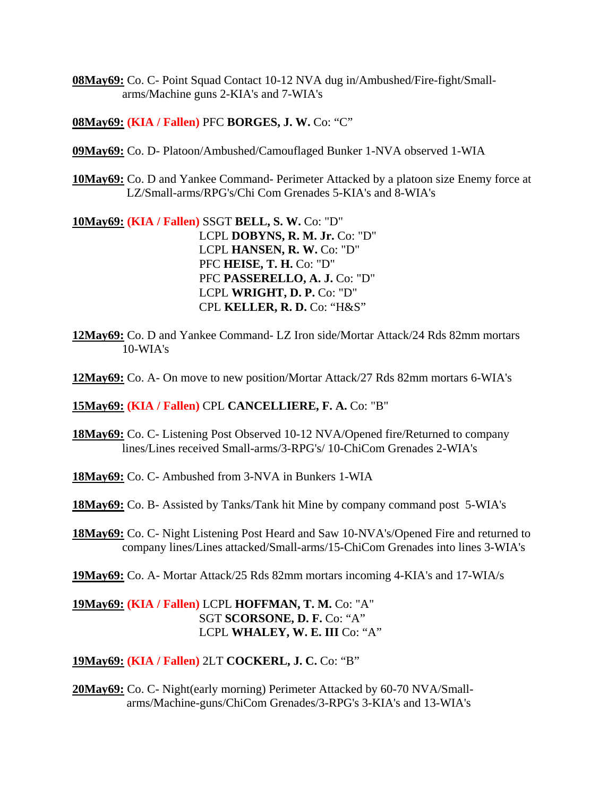- **08May69:** Co. C- Point Squad Contact 10-12 NVA dug in/Ambushed/Fire-fight/Smallarms/Machine guns 2-KIA's and 7-WIA's
- **08May69: (KIA / Fallen)** PFC **BORGES, J. W.** Co: "C"
- **09May69:** Co. D- Platoon/Ambushed/Camouflaged Bunker 1-NVA observed 1-WIA
- **10May69:** Co. D and Yankee Command- Perimeter Attacked by a platoon size Enemy force at LZ/Small-arms/RPG's/Chi Com Grenades 5-KIA's and 8-WIA's

**10May69: (KIA / Fallen)** SSGT **BELL, S. W.** Co: "D" LCPL **DOBYNS, R. M. Jr.** Co: "D" LCPL **HANSEN, R. W. Co: "D"** PFC HEISE, T. H. Co: "D" PFC **PASSERELLO, A. J. Co: "D"** LCPL **WRIGHT, D. P. Co: "D"** CPL **KELLER, R. D.** Co: "H&S"

- **12May69:** Co. D and Yankee Command- LZ Iron side/Mortar Attack/24 Rds 82mm mortars  $10-WIA's$
- **12May69:** Co. A- On move to new position/Mortar Attack/27 Rds 82mm mortars 6-WIA's

**15May69: (KIA / Fallen)** CPL **CANCELLIERE, F. A.** Co: "B"

- **18May69:** Co. C- Listening Post Observed 10-12 NVA/Opened fire/Returned to company lines/Lines received Small-arms/3-RPG's/ 10-ChiCom Grenades 2-WIA's
- **18May69:** Co. C- Ambushed from 3-NVA in Bunkers 1-WIA
- **18May69:** Co. B- Assisted by Tanks/Tank hit Mine by company command post 5-WIA's
- **18May69:** Co. C- Night Listening Post Heard and Saw 10-NVA's/Opened Fire and returned to company lines/Lines attacked/Small-arms/15-ChiCom Grenades into lines 3-WIA's
- **19May69:** Co. A- Mortar Attack/25 Rds 82mm mortars incoming 4-KIA's and 17-WIA/s

# **19May69: (KIA / Fallen)** LCPL **HOFFMAN, T. M.** Co: "A" SGT **SCORSONE, D. F. Co: "A"** LCPL **WHALEY, W. E. III** Co: "A"

**19May69: (KIA / Fallen)** 2LT **COCKERL, J. C.** Co: "B"

**20May69:** Co. C- Night(early morning) Perimeter Attacked by 60-70 NVA/Smallarms/Machine-guns/ChiCom Grenades/3-RPG's 3-KIA's and 13-WIA's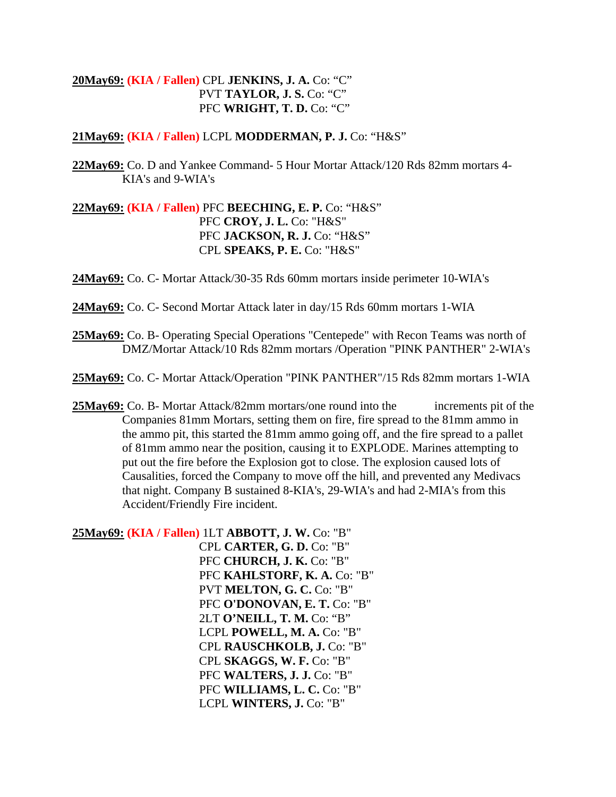### **20May69: (KIA / Fallen)** CPL **JENKINS, J. A.** Co: "C" PVT **TAYLOR, J. S. Co: "C"** PFC WRIGHT, T. D. Co: "C"

**21May69: (KIA / Fallen)** LCPL **MODDERMAN, P. J.** Co: "H&S"

**22May69:** Co. D and Yankee Command- 5 Hour Mortar Attack/120 Rds 82mm mortars 4- KIA's and 9-WIA's

# **22May69: (KIA / Fallen)** PFC **BEECHING, E. P.** Co: "H&S" PFC **CROY, J. L.** Co: "H&S" PFC **JACKSON, R. J.** Co: "H&S" CPL **SPEAKS, P. E.** Co: "H&S"

**24May69:** Co. C- Mortar Attack/30-35 Rds 60mm mortars inside perimeter 10-WIA's

**24May69:** Co. C- Second Mortar Attack later in day/15 Rds 60mm mortars 1-WIA

**25May69:** Co. B- Operating Special Operations "Centepede" with Recon Teams was north of DMZ/Mortar Attack/10 Rds 82mm mortars /Operation "PINK PANTHER" 2-WIA's

**25May69:** Co. C- Mortar Attack/Operation "PINK PANTHER"/15 Rds 82mm mortars 1-WIA

**25May69:** Co. B- Mortar Attack/82mm mortars/one round into the increments pit of the Companies 81mm Mortars, setting them on fire, fire spread to the 81mm ammo in the ammo pit, this started the 81mm ammo going off, and the fire spread to a pallet of 81mm ammo near the position, causing it to EXPLODE. Marines attempting to put out the fire before the Explosion got to close. The explosion caused lots of Causalities, forced the Company to move off the hill, and prevented any Medivacs that night. Company B sustained 8-KIA's, 29-WIA's and had 2-MIA's from this Accident/Friendly Fire incident.

**25May69: (KIA / Fallen)** 1LT **ABBOTT, J. W.** Co: "B" CPL **CARTER, G. D.** Co: "B" PFC **CHURCH**, **J. K.** Co: "B" PFC **KAHLSTORF, K. A. Co: "B"** PVT **MELTON, G. C. Co: "B"** PFC **O'DONOVAN, E. T. Co: "B"**  2LT **O'NEILL, T. M.** Co: "B" LCPL **POWELL**, M. A. Co: "B" CPL **RAUSCHKOLB, J.** Co: "B" CPL **SKAGGS, W. F.** Co: "B" PFC WALTERS, J. J. Co: "B" PFC **WILLIAMS, L. C. Co: "B"** LCPL **WINTERS, J. Co: "B"**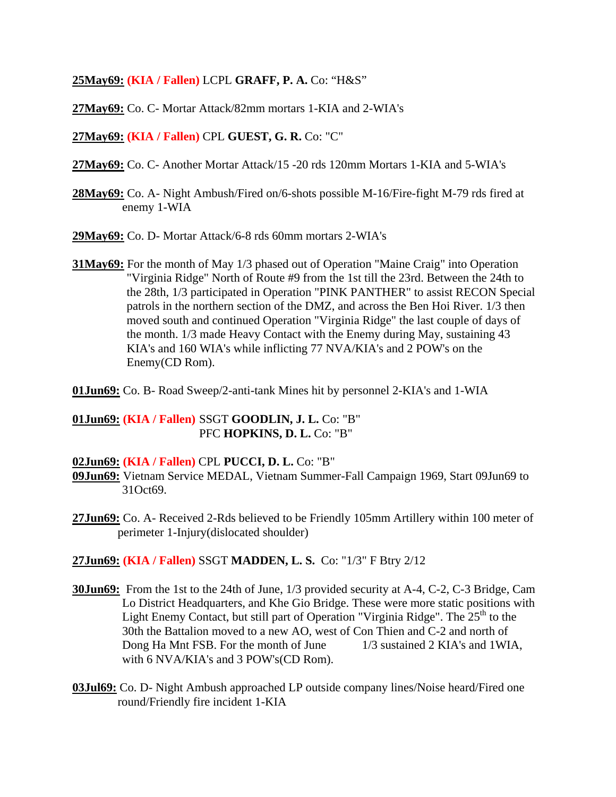**25May69: (KIA / Fallen)** LCPL **GRAFF, P. A.** Co: "H&S"

**27May69:** Co. C- Mortar Attack/82mm mortars 1-KIA and 2-WIA's

**27May69: (KIA / Fallen)** CPL **GUEST, G. R.** Co: "C"

- **27May69:** Co. C- Another Mortar Attack/15 -20 rds 120mm Mortars 1-KIA and 5-WIA's
- **28May69:** Co. A- Night Ambush/Fired on/6-shots possible M-16/Fire-fight M-79 rds fired at enemy 1-WIA
- **29May69:** Co. D- Mortar Attack/6-8 rds 60mm mortars 2-WIA's
- **31May69:** For the month of May 1/3 phased out of Operation "Maine Craig" into Operation "Virginia Ridge" North of Route #9 from the 1st till the 23rd. Between the 24th to the 28th, 1/3 participated in Operation "PINK PANTHER" to assist RECON Special patrols in the northern section of the DMZ, and across the Ben Hoi River. 1/3 then moved south and continued Operation "Virginia Ridge" the last couple of days of the month. 1/3 made Heavy Contact with the Enemy during May, sustaining 43 KIA's and 160 WIA's while inflicting 77 NVA/KIA's and 2 POW's on the Enemy(CD Rom).
- **01Jun69:** Co. B- Road Sweep/2-anti-tank Mines hit by personnel 2-KIA's and 1-WIA

### **01Jun69: (KIA / Fallen)** SSGT **GOODLIN, J. L.** Co: "B" PFC **HOPKINS, D. L. Co: "B"**

#### **02Jun69: (KIA / Fallen)** CPL **PUCCI, D. L.** Co: "B"

- **09Jun69:** Vietnam Service MEDAL, Vietnam Summer-Fall Campaign 1969, Start 09Jun69 to 31Oct69.
- **27Jun69:** Co. A- Received 2-Rds believed to be Friendly 105mm Artillery within 100 meter of perimeter 1-Injury(dislocated shoulder)

#### **27Jun69: (KIA / Fallen)** SSGT **MADDEN, L. S.** Co: "1/3" F Btry 2/12

- **30Jun69:** From the 1st to the 24th of June, 1/3 provided security at A-4, C-2, C-3 Bridge, Cam Lo District Headquarters, and Khe Gio Bridge. These were more static positions with Light Enemy Contact, but still part of Operation "Virginia Ridge". The  $25<sup>th</sup>$  to the 30th the Battalion moved to a new AO, west of Con Thien and C-2 and north of Dong Ha Mnt FSB. For the month of June 1/3 sustained 2 KIA's and 1WIA, with 6 NVA/KIA's and 3 POW's(CD Rom).
- **03Jul69:** Co. D- Night Ambush approached LP outside company lines/Noise heard/Fired one round/Friendly fire incident 1-KIA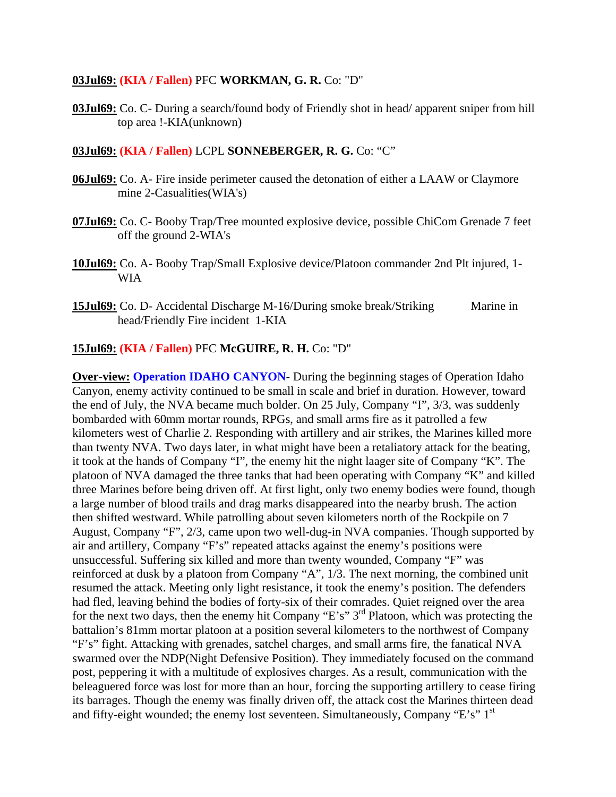## **03Jul69: (KIA / Fallen)** PFC **WORKMAN, G. R.** Co: "D"

**03Jul69:** Co. C- During a search/found body of Friendly shot in head/ apparent sniper from hill top area !-KIA(unknown)

### **03Jul69: (KIA / Fallen)** LCPL **SONNEBERGER, R. G.** Co: "C"

- **06Jul69:** Co. A- Fire inside perimeter caused the detonation of either a LAAW or Claymore mine 2-Casualities(WIA's)
- **07Jul69:** Co. C- Booby Trap/Tree mounted explosive device, possible ChiCom Grenade 7 feet off the ground 2-WIA's
- **10Jul69:** Co. A- Booby Trap/Small Explosive device/Platoon commander 2nd Plt injured, 1- WIA
- **15Jul69:** Co. D- Accidental Discharge M-16/During smoke break/Striking Marine in head/Friendly Fire incident 1-KIA

## **15Jul69: (KIA / Fallen)** PFC **McGUIRE, R. H.** Co: "D"

**Over-view: Operation IDAHO CANYON-** During the beginning stages of Operation Idaho Canyon, enemy activity continued to be small in scale and brief in duration. However, toward the end of July, the NVA became much bolder. On 25 July, Company "I", 3/3, was suddenly bombarded with 60mm mortar rounds, RPGs, and small arms fire as it patrolled a few kilometers west of Charlie 2. Responding with artillery and air strikes, the Marines killed more than twenty NVA. Two days later, in what might have been a retaliatory attack for the beating, it took at the hands of Company "I", the enemy hit the night laager site of Company "K". The platoon of NVA damaged the three tanks that had been operating with Company "K" and killed three Marines before being driven off. At first light, only two enemy bodies were found, though a large number of blood trails and drag marks disappeared into the nearby brush. The action then shifted westward. While patrolling about seven kilometers north of the Rockpile on 7 August, Company "F", 2/3, came upon two well-dug-in NVA companies. Though supported by air and artillery, Company "F's" repeated attacks against the enemy's positions were unsuccessful. Suffering six killed and more than twenty wounded, Company "F" was reinforced at dusk by a platoon from Company "A", 1/3. The next morning, the combined unit resumed the attack. Meeting only light resistance, it took the enemy's position. The defenders had fled, leaving behind the bodies of forty-six of their comrades. Quiet reigned over the area for the next two days, then the enemy hit Company "E's" 3<sup>rd</sup> Platoon, which was protecting the battalion's 81mm mortar platoon at a position several kilometers to the northwest of Company "F's" fight. Attacking with grenades, satchel charges, and small arms fire, the fanatical NVA swarmed over the NDP(Night Defensive Position). They immediately focused on the command post, peppering it with a multitude of explosives charges. As a result, communication with the beleaguered force was lost for more than an hour, forcing the supporting artillery to cease firing its barrages. Though the enemy was finally driven off, the attack cost the Marines thirteen dead and fifty-eight wounded; the enemy lost seventeen. Simultaneously, Company "E's"  $1<sup>st</sup>$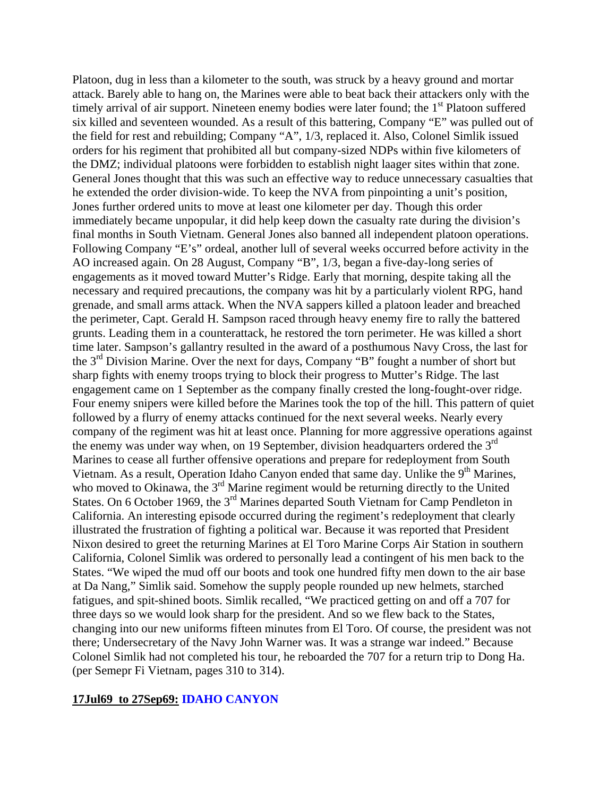Platoon, dug in less than a kilometer to the south, was struck by a heavy ground and mortar attack. Barely able to hang on, the Marines were able to beat back their attackers only with the timely arrival of air support. Nineteen enemy bodies were later found; the  $1<sup>st</sup>$  Platoon suffered six killed and seventeen wounded. As a result of this battering, Company "E" was pulled out of the field for rest and rebuilding; Company "A", 1/3, replaced it. Also, Colonel Simlik issued orders for his regiment that prohibited all but company-sized NDPs within five kilometers of the DMZ; individual platoons were forbidden to establish night laager sites within that zone. General Jones thought that this was such an effective way to reduce unnecessary casualties that he extended the order division-wide. To keep the NVA from pinpointing a unit's position, Jones further ordered units to move at least one kilometer per day. Though this order immediately became unpopular, it did help keep down the casualty rate during the division's final months in South Vietnam. General Jones also banned all independent platoon operations. Following Company "E's" ordeal, another lull of several weeks occurred before activity in the AO increased again. On 28 August, Company "B", 1/3, began a five-day-long series of engagements as it moved toward Mutter's Ridge. Early that morning, despite taking all the necessary and required precautions, the company was hit by a particularly violent RPG, hand grenade, and small arms attack. When the NVA sappers killed a platoon leader and breached the perimeter, Capt. Gerald H. Sampson raced through heavy enemy fire to rally the battered grunts. Leading them in a counterattack, he restored the torn perimeter. He was killed a short time later. Sampson's gallantry resulted in the award of a posthumous Navy Cross, the last for the  $3<sup>rd</sup>$  Division Marine. Over the next for days, Company "B" fought a number of short but sharp fights with enemy troops trying to block their progress to Mutter's Ridge. The last engagement came on 1 September as the company finally crested the long-fought-over ridge. Four enemy snipers were killed before the Marines took the top of the hill. This pattern of quiet followed by a flurry of enemy attacks continued for the next several weeks. Nearly every company of the regiment was hit at least once. Planning for more aggressive operations against the enemy was under way when, on 19 September, division headquarters ordered the 3<sup>rd</sup> Marines to cease all further offensive operations and prepare for redeployment from South Vietnam. As a result, Operation Idaho Canyon ended that same day. Unlike the  $9<sup>th</sup>$  Marines, who moved to Okinawa, the 3<sup>rd</sup> Marine regiment would be returning directly to the United States. On 6 October 1969, the 3<sup>rd</sup> Marines departed South Vietnam for Camp Pendleton in California. An interesting episode occurred during the regiment's redeployment that clearly illustrated the frustration of fighting a political war. Because it was reported that President Nixon desired to greet the returning Marines at El Toro Marine Corps Air Station in southern California, Colonel Simlik was ordered to personally lead a contingent of his men back to the States. "We wiped the mud off our boots and took one hundred fifty men down to the air base at Da Nang," Simlik said. Somehow the supply people rounded up new helmets, starched fatigues, and spit-shined boots. Simlik recalled, "We practiced getting on and off a 707 for three days so we would look sharp for the president. And so we flew back to the States, changing into our new uniforms fifteen minutes from El Toro. Of course, the president was not there; Undersecretary of the Navy John Warner was. It was a strange war indeed." Because Colonel Simlik had not completed his tour, he reboarded the 707 for a return trip to Dong Ha. (per Semepr Fi Vietnam, pages 310 to 314).

### **17Jul69 to 27Sep69: IDAHO CANYON**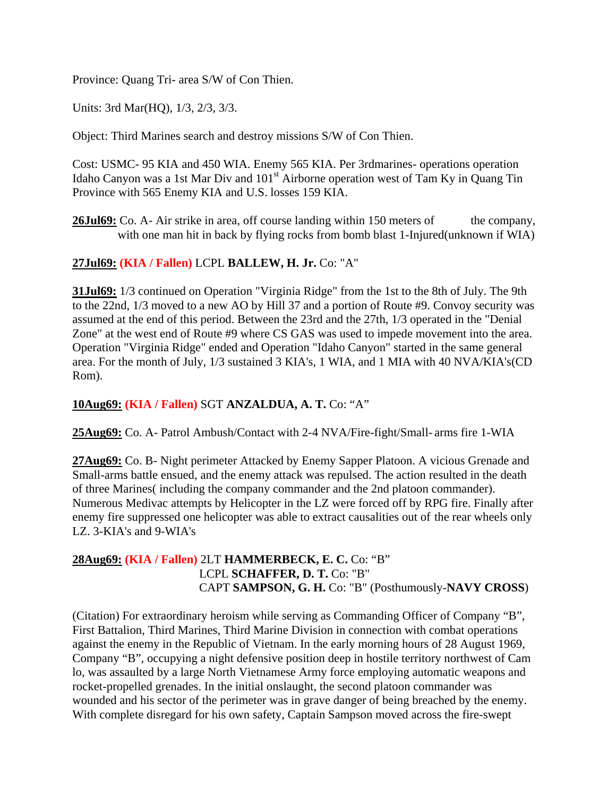Province: Quang Tri- area S/W of Con Thien.

Units: 3rd Mar(HQ), 1/3, 2/3, 3/3.

Object: Third Marines search and destroy missions S/W of Con Thien.

Cost: USMC- 95 KIA and 450 WIA. Enemy 565 KIA. Per 3rdmarines- operations operation Idaho Canyon was a 1st Mar Div and 101<sup>st</sup> Airborne operation west of Tam Ky in Quang Tin Province with 565 Enemy KIA and U.S. losses 159 KIA.

**26Jul69:** Co. A- Air strike in area, off course landing within 150 meters of the company, with one man hit in back by flying rocks from bomb blast 1-Injured(unknown if WIA)

**27Jul69: (KIA / Fallen)** LCPL **BALLEW, H. Jr.** Co: "A"

**31Jul69:** 1/3 continued on Operation "Virginia Ridge" from the 1st to the 8th of July. The 9th to the 22nd, 1/3 moved to a new AO by Hill 37 and a portion of Route #9. Convoy security was assumed at the end of this period. Between the 23rd and the 27th, 1/3 operated in the "Denial Zone" at the west end of Route #9 where CS GAS was used to impede movement into the area. Operation "Virginia Ridge" ended and Operation "Idaho Canyon" started in the same general area. For the month of July, 1/3 sustained 3 KIA's, 1 WIA, and 1 MIA with 40 NVA/KIA's(CD Rom).

**10Aug69: (KIA / Fallen)** SGT **ANZALDUA, A. T.** Co: "A"

**25Aug69:** Co. A- Patrol Ambush/Contact with 2-4 NVA/Fire-fight/Small- arms fire 1-WIA

**27Aug69:** Co. B- Night perimeter Attacked by Enemy Sapper Platoon. A vicious Grenade and Small-arms battle ensued, and the enemy attack was repulsed. The action resulted in the death of three Marines( including the company commander and the 2nd platoon commander). Numerous Medivac attempts by Helicopter in the LZ were forced off by RPG fire. Finally after enemy fire suppressed one helicopter was able to extract causalities out of the rear wheels only LZ. 3-KIA's and 9-WIA's

# **28Aug69: (KIA / Fallen)** 2LT **HAMMERBECK, E. C.** Co: "B" LCPL **SCHAFFER, D. T. Co: "B"** CAPT **SAMPSON, G. H.** Co: "B" (Posthumously-**NAVY CROSS**)

(Citation) For extraordinary heroism while serving as Commanding Officer of Company "B", First Battalion, Third Marines, Third Marine Division in connection with combat operations against the enemy in the Republic of Vietnam. In the early morning hours of 28 August 1969, Company "B", occupying a night defensive position deep in hostile territory northwest of Cam lo, was assaulted by a large North Vietnamese Army force employing automatic weapons and rocket-propelled grenades. In the initial onslaught, the second platoon commander was wounded and his sector of the perimeter was in grave danger of being breached by the enemy. With complete disregard for his own safety, Captain Sampson moved across the fire-swept